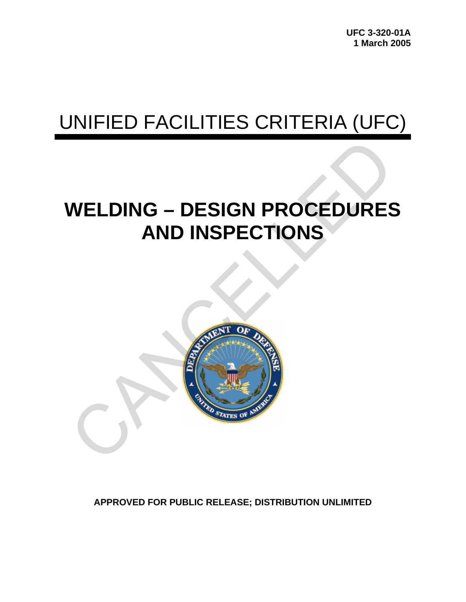# UNIFIED FACILITIES CRITERIA (UFC)

# **WELDING – DESIGN PROCEDURES AND INSPECTIONS**



**APPROVED FOR PUBLIC RELEASE; DISTRIBUTION UNLIMITED**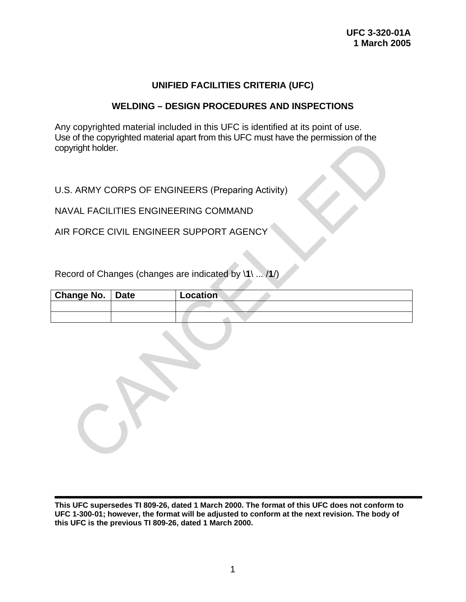## **UNIFIED FACILITIES CRITERIA (UFC)**

## **WELDING – DESIGN PROCEDURES AND INSPECTIONS**

Any copyrighted material included in this UFC is identified at its point of use. Use of the copyrighted material apart from this UFC must have the permission of the copyright holder.

| copyright holder. |             | USE OF the copyrighted material apart from this UFC must have the permission of the |
|-------------------|-------------|-------------------------------------------------------------------------------------|
|                   |             | U.S. ARMY CORPS OF ENGINEERS (Preparing Activity)                                   |
|                   |             | NAVAL FACILITIES ENGINEERING COMMAND                                                |
|                   |             | AIR FORCE CIVIL ENGINEER SUPPORT AGENCY                                             |
|                   |             |                                                                                     |
|                   |             | Record of Changes (changes are indicated by \1\  /1/)                               |
| <b>Change No.</b> | <b>Date</b> | Location                                                                            |
|                   |             |                                                                                     |
|                   |             |                                                                                     |
|                   |             |                                                                                     |

**This UFC supersedes TI 809-26, dated 1 March 2000. The format of this UFC does not conform to UFC 1-300-01; however, the format will be adjusted to conform at the next revision. The body of this UFC is the previous TI 809-26, dated 1 March 2000.**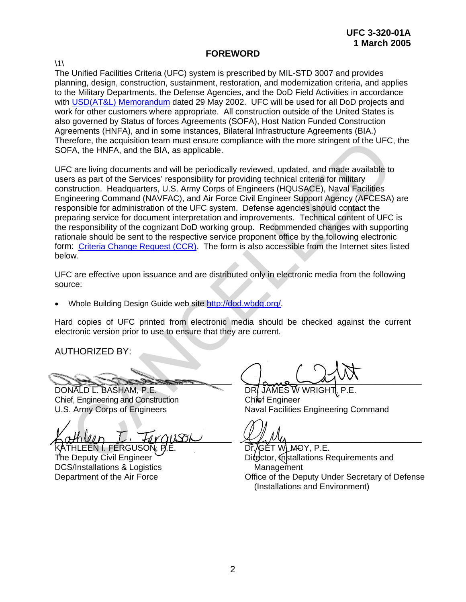## **FOREWORD**

 $\backslash$ 1 $\backslash$ 

The Unified Facilities Criteria (UFC) system is prescribed by MIL-STD 3007 and provides planning, design, construction, sustainment, restoration, and modernization criteria, and applies to the Military Departments, the Defense Agencies, and the DoD Field Activities in accordance with [USD\(AT&L\) Memorandum](http://www.wbdg.org/pdfs/ufc_implementation.pdf) dated 29 May 2002. UFC will be used for all DoD projects and work for other customers where appropriate. All construction outside of the United States is also governed by Status of forces Agreements (SOFA), Host Nation Funded Construction Agreements (HNFA), and in some instances, Bilateral Infrastructure Agreements (BIA.) Therefore, the acquisition team must ensure compliance with the more stringent of the UFC, the SOFA, the HNFA, and the BIA, as applicable.

UFC are living documents and will be periodically reviewed, updated, and made available to users as part of the Services' responsibility for providing technical criteria for military construction. Headquarters, U.S. Army Corps of Engineers (HQUSACE), Naval Facilities Engineering Command (NAVFAC), and Air Force Civil Engineer Support Agency (AFCESA) are responsible for administration of the UFC system. Defense agencies should contact the preparing service for document interpretation and improvements. Technical content of UFC is the responsibility of the cognizant DoD working group. Recommended changes with supporting rationale should be sent to the respective service proponent office by the following electronic form: Criteria Change Request (CCR). The form is also accessible from the Internet sites listed below. refore, the acquisition team must ensure compliance with the more stringent of the UFC,<br>
FA, the HNFA, and the BIA, as applicable.<br>
2 are living documents and will be periodically reviewed, updated, and made available to<br>

UFC are effective upon issuance and are distributed only in electronic media from the following source:

• Whole Building Design Guide web site http://dod.wbdg.org/.

Hard copies of UFC printed from electronic media should be checked against the current electronic version prior to use to ensure that they are current.

AUTHORIZED BY:

 $z_{\rm max}$  ,

DONALD L. BASHAM, P.E. Chief, Engineering and Construction U.S. Army Corps of Engineers

 $\kappa$ athuin  $L$ , foraison ATHLEEN I. FERGUSO $\widetilde{N}$ .

The Deputy Civil Engineer DCS/Installations & Logistics Department of the Air Force

 $\sqrt{a}$ 

DR. JAMES W WRIGHT Chief Engineer Naval Facilities Engineering Command

 $\mathcal{L}$   $\mu$   $\nu$ 

Dr̃, ⁄̄GĚT WLM-OY, P.E. Difector, Installations Requirements and **Management** Office of the Deputy Under Secretary of Defense (Installations and Environment)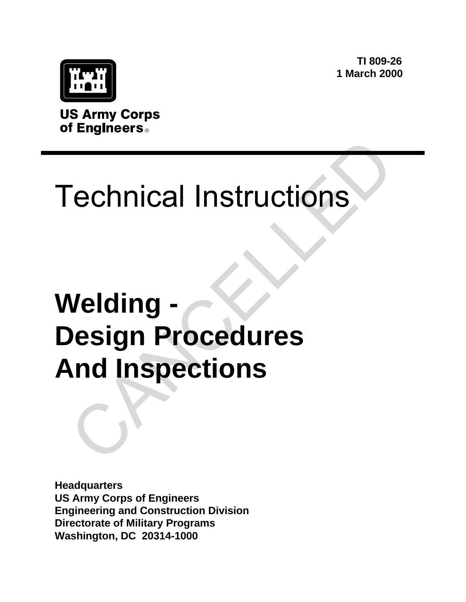**TI 809-26 1 March 2000**



**US Army Corps** of Engineers<sup>®</sup>

# Technical Instructions

# **Welding - Design Procedures And Inspections** Technical Instructions<br>Velding -<br>Velding -<br>And Inspections

**Headquarters US Army Corps of Engineers Engineering and Construction Division Directorate of Military Programs Washington, DC 20314-1000**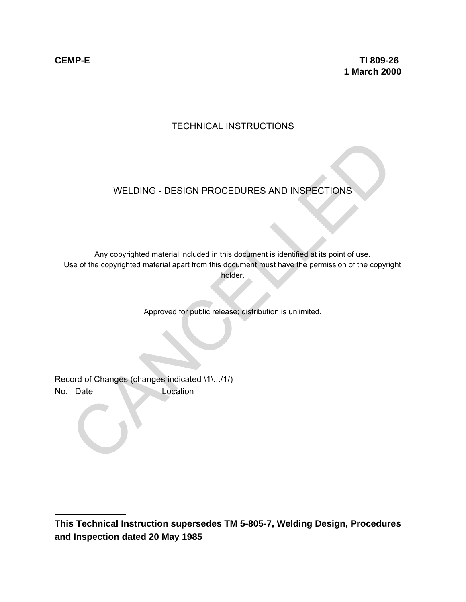$\overline{a}$ 

**CEMP-E TI 809-26 1 March 2000**

## TECHNICAL INSTRUCTIONS

## WELDING - DESIGN PROCEDURES AND INSPECTIONS

Any copyrighted material included in this document is identified at its point of use. Use of the copyrighted material apart from this document must have the permission of the copyright holder. WELDING - DESIGN PROCEDURES AND INSPECTIONS<br>
Any copyrighted material included in this document is identified at its point of use.<br>
See of the copyrighted material apart from this document must have the permission of the c

Approved for public release; distribution is unlimited.

Record of Changes (changes indicated \1\.../1/) No. Date Location

**This Technical Instruction supersedes TM 5-805-7, Welding Design, Procedures and Inspection dated 20 May 1985**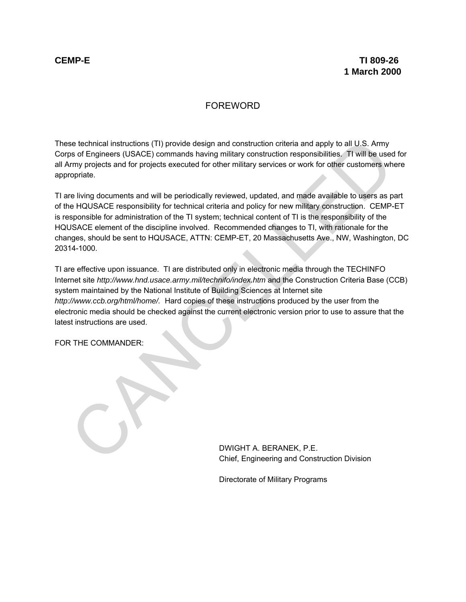## FOREWORD

These technical instructions (TI) provide design and construction criteria and apply to all U.S. Army Corps of Engineers (USACE) commands having military construction responsibilities. TI will be used for all Army projects and for projects executed for other military services or work for other customers where appropriate.

TI are living documents and will be periodically reviewed, updated, and made available to users as part of the HQUSACE responsibility for technical criteria and policy for new military construction. CEMP-ET is responsible for administration of the TI system; technical content of TI is the responsibility of the HQUSACE element of the discipline involved. Recommended changes to TI, with rationale for the changes, should be sent to HQUSACE, ATTN: CEMP-ET, 20 Massachusetts Ave., NW, Washington, DC 20314-1000.

TI are effective upon issuance. TI are distributed only in electronic media through the TECHINFO Internet site *http://www.hnd.usace.army.mil/technifo/index.htm* and the Construction Criteria Base (CCB) system maintained by the National Institute of Building Sciences at Internet site *http://www.ccb.org/html/home/.* Hard copies of these instructions produced by the user from the electronic media should be checked against the current electronic version prior to use to assure that the latest instructions are used. se dechnical instructions (TI) provide design and construction criteria and apply to all U.S. Army<br>or of Engineers (USACE) commands having military construction responsibilities. Til will be used<br>communistry projects and f

FOR THE COMMANDER:

DWIGHT A. BERANEK, P.E. Chief, Engineering and Construction Division

Directorate of Military Programs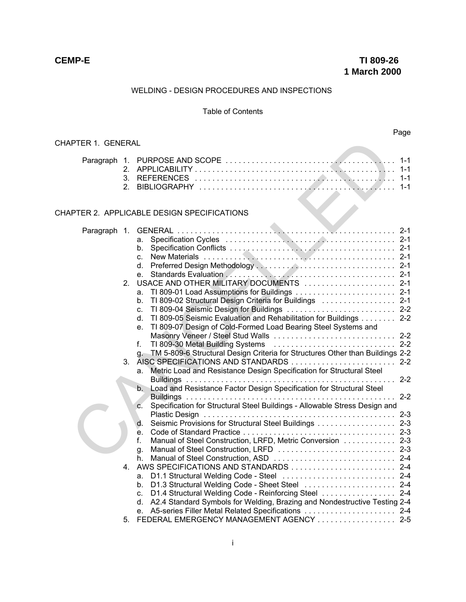#### WELDING - DESIGN PROCEDURES AND INSPECTIONS

#### Table of Contents

## Page

#### CHAPTER 1. GENERAL

#### CHAPTER 2. APPLICABLE DESIGN SPECIFICATIONS

| <b>APTER 1. GENERAL</b> |                |                                                                                                                                                                                                                                                                                                          |                               |
|-------------------------|----------------|----------------------------------------------------------------------------------------------------------------------------------------------------------------------------------------------------------------------------------------------------------------------------------------------------------|-------------------------------|
|                         | 2.<br>3.<br>2. |                                                                                                                                                                                                                                                                                                          | $1 - 1$<br>$1 - 1$<br>$1 - 1$ |
|                         |                | <b>APTER 2. APPLICABLE DESIGN SPECIFICATIONS</b>                                                                                                                                                                                                                                                         |                               |
| Paragraph 1.            |                | a.<br>b.<br>C.<br>d. I                                                                                                                                                                                                                                                                                   |                               |
|                         | 2 <sub>1</sub> | e.<br>USACE AND OTHER MILITARY DOCUMENTS  2-1<br>а.<br>TI 809-02 Structural Design Criteria for Buildings  2-1<br>b.<br>TI 809-04 Seismic Design for Buildings  2-2<br>$\mathbf{C}$ .<br>TI 809-05 Seismic Evaluation and Rehabilitation for Buildings 2-2                                               |                               |
|                         | 3.             | d.<br>TI 809-07 Design of Cold-Formed Load Bearing Steel Systems and<br>e.<br>Masonry Veneer / Steel Stud Walls  2-2<br>f.<br>TM 5-809-6 Structural Design Criteria for Structures Other than Buildings 2-2<br>$q_{\rm c}$<br>Metric Load and Resistance Design Specification for Structural Steel<br>a. |                               |
|                         |                | Load and Resistance Factor Design Specification for Structural Steel<br>b.<br>Specification for Structural Steel Buildings - Allowable Stress Design and<br>$\mathbf{C}$ .<br>Seismic Provisions for Structural Steel Buildings 2-3<br>d.                                                                |                               |
|                         | $4_{-}$        | e.<br>f.<br>Manual of Steel Construction, LRFD, Metric Conversion  2-3<br>g.<br>h.                                                                                                                                                                                                                       |                               |
|                         |                | D1.1 Structural Welding Code - Steel  2-4<br>a.<br>D1.3 Structural Welding Code - Sheet Steel  2-4<br>b.<br>D1.4 Structural Welding Code - Reinforcing Steel  2-4<br>C.<br>A2.4 Standard Symbols for Welding, Brazing and Nondestructive Testing 2-4<br>d.<br>e.                                         |                               |
|                         | 5.             | FEDERAL EMERGENCY MANAGEMENT AGENCY  2-5                                                                                                                                                                                                                                                                 |                               |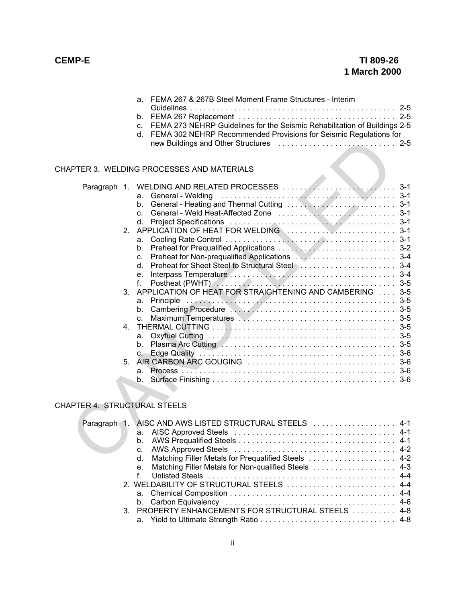| a. FEMA 267 & 267B Steel Moment Frame Structures - Interim                   |  |
|------------------------------------------------------------------------------|--|
|                                                                              |  |
|                                                                              |  |
| c. FEMA 273 NEHRP Guidelines for the Seismic Rehabilitation of Buildings 2-5 |  |
| d. FEMA 302 NEHRP Recommended Provisions for Seismic Regulations for         |  |
|                                                                              |  |

#### CHAPTER 3. WELDING PROCESSES AND MATERIALS

|                                   | <b>APTER 3. WELDING PROCESSES AND MATERIALS</b>                                                                                        |  |
|-----------------------------------|----------------------------------------------------------------------------------------------------------------------------------------|--|
| 2 <sub>1</sub>                    | a.<br>b.<br>$\mathbf{C}$<br>d.<br>a.                                                                                                   |  |
|                                   | b.<br>C.<br>d.<br>e.<br>Postheat (PWHT) And All All All All All All All All 3-5<br>f.                                                  |  |
| $3_{-}$                           | APPLICATION OF HEAT FOR STRAIGHTENING AND CAMBERING  3-5<br>a.<br>b.<br>Maximum Temperatures New York Network 1945<br>$\mathbf{C}$     |  |
| 4.                                | a.<br>b.<br>$C -$                                                                                                                      |  |
| 5.                                | a.<br>$b_{-}$                                                                                                                          |  |
| <b>APTER 4. STRUCTURAL STEELS</b> |                                                                                                                                        |  |
|                                   | Paragraph 1. AISC AND AWS LISTED STRUCTURAL STEELS  4-1<br>a.<br>b.<br>C.<br>Matching Filler Metals for Prequalified Steels  4-2<br>d. |  |

## CHAPTER 4. STRUCTURAL STEELS

|  | Paragraph 1. AISC AND AWS LISTED STRUCTURAL STEELS  4-1 |  |
|--|---------------------------------------------------------|--|
|  |                                                         |  |
|  |                                                         |  |
|  |                                                         |  |
|  | d. Matching Filler Metals for Prequalified Steels  4-2  |  |
|  | e. Matching Filler Metals for Non-qualified Steels  4-3 |  |
|  |                                                         |  |
|  | 2. WELDABILITY OF STRUCTURAL STEELS  4-4                |  |
|  |                                                         |  |
|  |                                                         |  |
|  | 3. PROPERTY ENHANCEMENTS FOR STRUCTURAL STEELS  4-8     |  |
|  |                                                         |  |
|  |                                                         |  |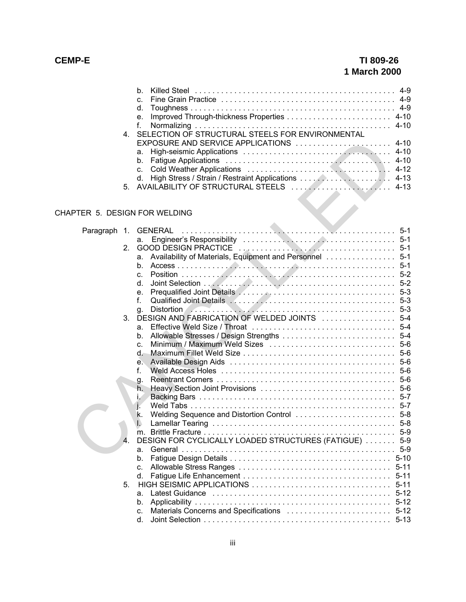## **CEMP-E TI 809-26 1 March 2000**

| 4. SELECTION OF STRUCTURAL STEELS FOR ENVIRONMENTAL<br>EXPOSURE AND SERVICE APPLICATIONS  4-10 |
|------------------------------------------------------------------------------------------------|

## CHAPTER 5. DESIGN FOR WELDING

|              | 5. | EXPOSURE AND SERVICE APPLICATIONS  4-10<br>a.<br>b.<br>C.<br>d. |         |
|--------------|----|-----------------------------------------------------------------|---------|
|              |    | APTER 5. DESIGN FOR WELDING                                     |         |
| Paragraph 1. |    | <b>GENERAL</b>                                                  | $5-1$   |
|              |    | a.                                                              |         |
|              | 2. |                                                                 |         |
|              |    | Availability of Materials, Equipment and Personnel  5-1<br>а.   |         |
|              |    | b.                                                              |         |
|              |    | C.                                                              |         |
|              |    | d.                                                              |         |
|              |    | e.                                                              |         |
|              |    | f.                                                              |         |
|              |    | g.                                                              | $5-3$   |
|              | 3. |                                                                 |         |
|              |    | a.                                                              | $5 - 4$ |
|              |    | b.                                                              |         |
|              |    | C.                                                              |         |
|              |    | d.                                                              | $5-6$   |
|              |    | е.                                                              |         |
|              |    | f.                                                              |         |
|              |    | g.                                                              |         |
|              |    | h.                                                              |         |
|              |    | Ĺ.                                                              | $5 - 7$ |
|              |    | j.                                                              |         |
|              |    | k.                                                              | $5 - 8$ |
|              |    | I.                                                              | $5 - 8$ |
|              | 4  | DESIGN FOR CYCLICALLY LOADED STRUCTURES (FATIGUE)               | $5-9$   |
|              |    |                                                                 | $5-9$   |
|              |    | a.<br>b.                                                        |         |
|              |    | $\mathbf{C}$ .                                                  |         |
|              |    | d.                                                              |         |
|              | 5. |                                                                 |         |
|              |    | а.                                                              |         |
|              |    | b.                                                              |         |
|              |    | c.                                                              |         |
|              |    | d.                                                              |         |
|              |    |                                                                 |         |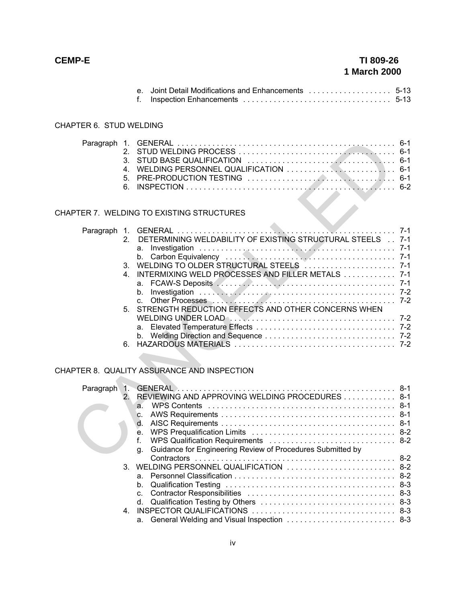| TI 809-26<br>1 March 2000 |  |
|---------------------------|--|

#### CHAPTER 6. STUD WELDING

#### CHAPTER 7. WELDING TO EXISTING STRUCTURES

|              | 2.<br>3.<br>4.<br>5.<br>6.    |                                                                                                                                                                                                                     |         |
|--------------|-------------------------------|---------------------------------------------------------------------------------------------------------------------------------------------------------------------------------------------------------------------|---------|
|              |                               | <b>APTER 7. WELDING TO EXISTING STRUCTURES</b>                                                                                                                                                                      |         |
|              | $2 -$<br>3.<br>4.<br>5.<br>6. | DETERMINING WELDABILITY OF EXISTING STRUCTURAL STEELS 7-1<br>a.<br>b.<br>INTERMIXING WELD PROCESSES AND FILLER METALS 7-1<br>a.<br>b.<br>$\mathbf{C}$ .<br>STRENGTH REDUCTION EFFECTS AND OTHER CONCERNS WHEN<br>a. | $7 - 1$ |
|              |                               | <b>APTER 8. QUALITY ASSURANCE AND INSPECTION</b>                                                                                                                                                                    |         |
| Paragraph 1. | 2.                            | REVIEWING AND APPROVING WELDING PROCEDURES  8-1<br>a.<br>C.<br>d.<br>e.<br>f.<br>WPS Qualification Requirements  8-2<br>Guidance for Engineering Review of Procedures Submitted by<br>q.                            |         |

## CHAPTER 8. QUALITY ASSURANCE AND INSPECTION

| Paragraph 1. |               |                                                                  |  |
|--------------|---------------|------------------------------------------------------------------|--|
|              | $\mathcal{P}$ | REVIEWING AND APPROVING WELDING PROCEDURES 8-1                   |  |
|              |               | $\overline{a}$                                                   |  |
|              |               | C.                                                               |  |
|              |               | $d_{\cdot}$                                                      |  |
|              |               | e.                                                               |  |
|              |               |                                                                  |  |
|              |               | Guidance for Engineering Review of Procedures Submitted by<br>q. |  |
|              |               |                                                                  |  |
|              |               | 3. WELDING PERSONNEL QUALIFICATION  8-2                          |  |
|              |               |                                                                  |  |
|              |               | b.                                                               |  |
|              |               |                                                                  |  |
|              |               |                                                                  |  |
|              |               |                                                                  |  |
|              |               | a. General Welding and Visual Inspection  8-3                    |  |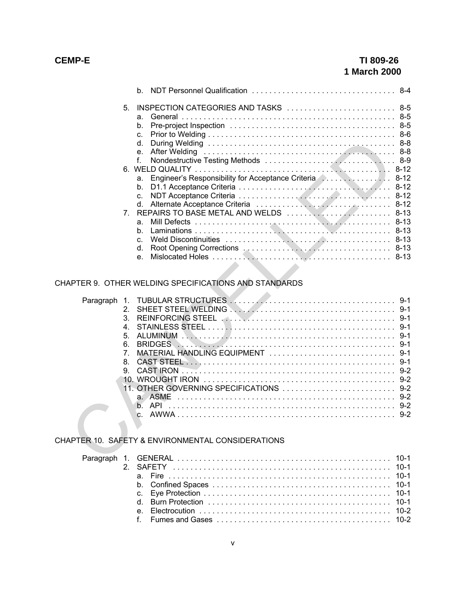|    | b.                                                                              |          |
|----|---------------------------------------------------------------------------------|----------|
| 5. | INSPECTION CATEGORIES AND TASKS  8-5<br>a.<br>b.<br>$\mathbf{C}$<br>$d_{\cdot}$ |          |
|    | e <sub>1</sub>                                                                  |          |
|    |                                                                                 |          |
|    |                                                                                 |          |
|    | a.                                                                              |          |
|    | b.                                                                              |          |
|    | C.                                                                              | $8 - 12$ |
|    | d.                                                                              |          |
|    | 7. REPAIRS TO BASE METAL AND WELDS  8-13                                        |          |
|    | a.                                                                              | $8 - 13$ |
|    | h.                                                                              | $8 - 13$ |
|    | $\mathsf{C}$                                                                    |          |
|    | $d_{\cdot}$                                                                     |          |
|    | e <sub>1</sub>                                                                  |          |

## CHAPTER 9. OTHER WELDING SPECIFICATIONS AND STANDARDS

|                                | d.<br>е.<br>$f_{\cdot}$                                    |  |
|--------------------------------|------------------------------------------------------------|--|
|                                |                                                            |  |
|                                | а.                                                         |  |
|                                | b.                                                         |  |
|                                | C.                                                         |  |
|                                | d.                                                         |  |
| $7_{\scriptscriptstyle{\sim}}$ |                                                            |  |
|                                | a.                                                         |  |
|                                | b.                                                         |  |
|                                | C.                                                         |  |
|                                | d.                                                         |  |
|                                | e.                                                         |  |
|                                | <b>APTER 9. OTHER WELDING SPECIFICATIONS AND STANDARDS</b> |  |
| Paragraph                      |                                                            |  |
| $2^{+}$                        |                                                            |  |
| 3.                             |                                                            |  |
| 4.                             |                                                            |  |
| 5.<br>6.                       |                                                            |  |
| 7 <sub>1</sub>                 |                                                            |  |
| 8.                             |                                                            |  |
| 9.                             |                                                            |  |
|                                |                                                            |  |
|                                |                                                            |  |
|                                |                                                            |  |
|                                |                                                            |  |
|                                | $\mathbf{C}$                                               |  |
|                                |                                                            |  |
|                                | <b>APTER 10. SAFETY &amp; ENVIRONMENTAL CONSIDERATIONS</b> |  |
|                                |                                                            |  |

## CHAPTER 10. SAFETY & ENVIRONMENTAL CONSIDERATIONS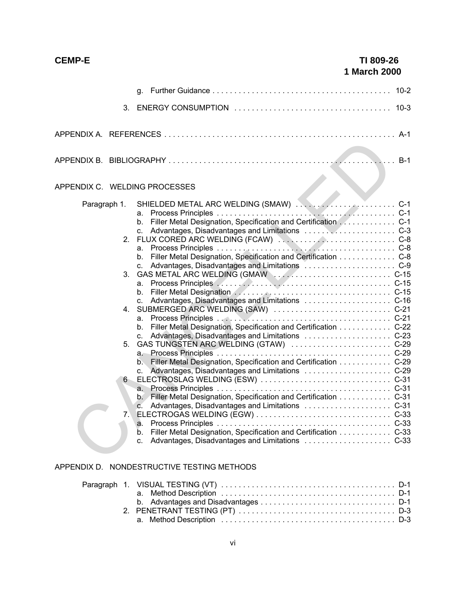|              |                                             | q.                                                                                                                                                                                                                                                                                                                                                                                                                                                                                                                                                                                                                                            | $10 - 2$ |
|--------------|---------------------------------------------|-----------------------------------------------------------------------------------------------------------------------------------------------------------------------------------------------------------------------------------------------------------------------------------------------------------------------------------------------------------------------------------------------------------------------------------------------------------------------------------------------------------------------------------------------------------------------------------------------------------------------------------------------|----------|
|              |                                             |                                                                                                                                                                                                                                                                                                                                                                                                                                                                                                                                                                                                                                               |          |
|              |                                             |                                                                                                                                                                                                                                                                                                                                                                                                                                                                                                                                                                                                                                               |          |
|              |                                             |                                                                                                                                                                                                                                                                                                                                                                                                                                                                                                                                                                                                                                               | $B-1$    |
|              |                                             | APPENDIX C. WELDING PROCESSES                                                                                                                                                                                                                                                                                                                                                                                                                                                                                                                                                                                                                 |          |
| Paragraph 1. | 2 <sup>1</sup><br>3.<br>4.<br>5.<br>6<br>7. | a.<br>Filler Metal Designation, Specification and Certification C-1<br>$b_{\cdot}$<br>$C_{-}$<br>Filler Metal Designation, Specification and Certification C-8<br>$b_{-}$<br>а.<br>b.<br>C.<br>a.<br>b. Filler Metal Designation, Specification and Certification C-22<br>c. Advantages, Disadvantages and Limitations  C-23<br>$a_{-}$<br>b. Filler Metal Designation, Specification and Certification C-29<br>c. Advantages, Disadvantages and Limitations  C-29<br>a.<br>b. Filler Metal Designation, Specification and Certification C-31<br>$\mathbf{C}$ .<br>Filler Metal Designation, Specification and Certification C-33<br>b.<br>C. |          |

## APPENDIX D. NONDESTRUCTIVE TESTING METHODS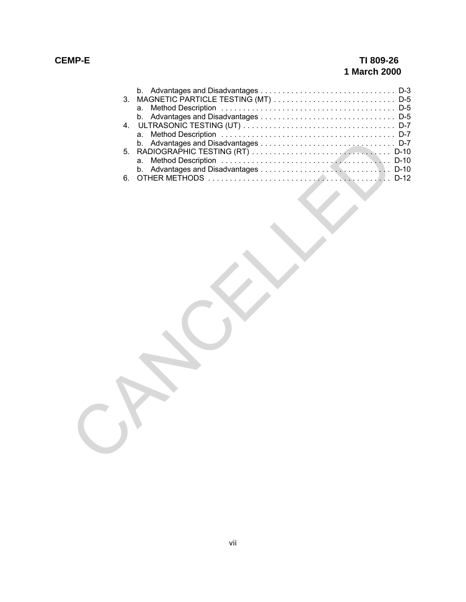## **CEMP-E TI 809-26 1 March 2000**

| 3. | MAGNETIC PARTICLE TESTING (MT)  D-5 |  |
|----|-------------------------------------|--|
|    | a.                                  |  |
|    | b.                                  |  |
| 4. |                                     |  |
|    | a.                                  |  |
| 5. | b.                                  |  |
|    | a.                                  |  |
|    | b.                                  |  |
| 6. |                                     |  |
|    |                                     |  |
|    |                                     |  |
|    |                                     |  |
|    |                                     |  |
|    |                                     |  |
|    |                                     |  |
|    |                                     |  |
|    |                                     |  |
|    |                                     |  |
|    |                                     |  |
|    |                                     |  |
|    |                                     |  |
|    |                                     |  |
|    |                                     |  |
|    |                                     |  |
|    |                                     |  |
|    |                                     |  |
|    |                                     |  |
|    |                                     |  |
|    |                                     |  |
|    |                                     |  |
|    |                                     |  |
|    |                                     |  |
|    |                                     |  |
|    |                                     |  |
|    |                                     |  |
|    |                                     |  |
|    |                                     |  |
|    |                                     |  |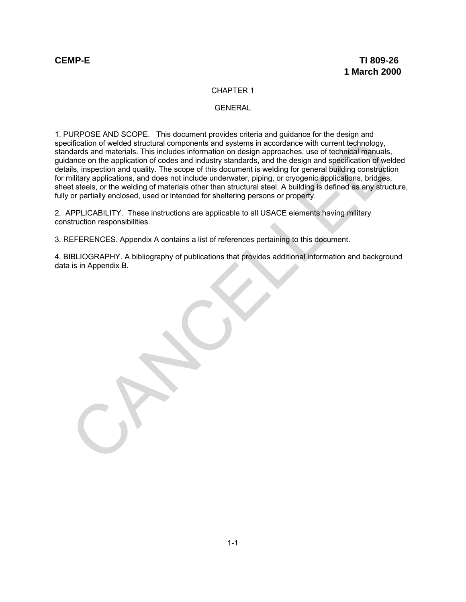#### CHAPTER 1

#### GENERAL

1. PURPOSE AND SCOPE. This document provides criteria and guidance for the design and specification of welded structural components and systems in accordance with current technology, standards and materials. This includes information on design approaches, use of technical manuals, guidance on the application of codes and industry standards, and the design and specification of welded details, inspection and quality. The scope of this document is welding for general building construction for military applications, and does not include underwater, piping, or cryogenic applications, bridges, sheet steels, or the welding of materials other than structural steel. A building is defined as any structure, fully or partially enclosed, used or intended for sheltering persons or property. critication of welded structural components and systems in accordance with current technology,<br>didates and materials. This includes information on design approaches, use of technical manuals,<br>also, inspection and quality.

2. APPLICABILITY. These instructions are applicable to all USACE elements having military construction responsibilities.

3. REFERENCES. Appendix A contains a list of references pertaining to this document.

4. BIBLIOGRAPHY. A bibliography of publications that provides additional information and background data is in Appendix B.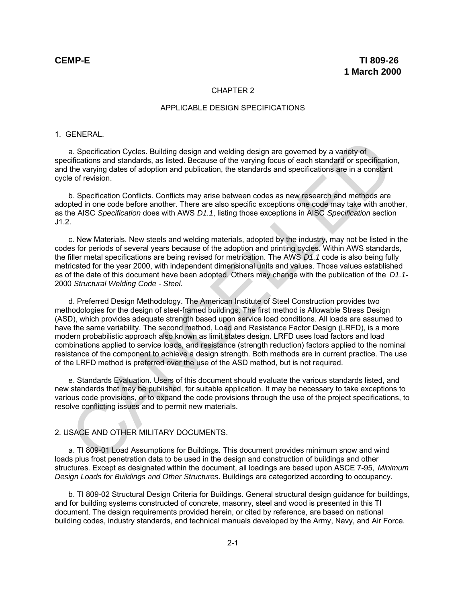#### CHAPTER 2

#### APPLICABLE DESIGN SPECIFICATIONS

#### 1. GENERAL.

a. Specification Cycles. Building design and welding design are governed by a variety of specifications and standards, as listed. Because of the varying focus of each standard or specification, and the varying dates of adoption and publication, the standards and specifications are in a constant cycle of revision.

b. Specification Conflicts. Conflicts may arise between codes as new research and methods are adopted in one code before another. There are also specific exceptions one code may take with another, as the AISC *Specification* does with AWS *D1.1*, listing those exceptions in AISC *Specification* section J1.2.

c. New Materials. New steels and welding materials, adopted by the industry, may not be listed in the codes for periods of several years because of the adoption and printing cycles. Within AWS standards, the filler metal specifications are being revised for metrication. The AWS *D1.1* code is also being fully metricated for the year 2000, with independent dimensional units and values. Those values established as of the date of this document have been adopted. Others may change with the publication of the *D1.1*- 2000 *Structural Welding Code - Steel*.

d. Preferred Design Methodology. The American Institute of Steel Construction provides two methodologies for the design of steel-framed buildings. The first method is Allowable Stress Design (ASD), which provides adequate strength based upon service load conditions. All loads are assumed to have the same variability. The second method, Load and Resistance Factor Design (LRFD), is a more modern probabilistic approach also known as limit states design. LRFD uses load factors and load combinations applied to service loads, and resistance (strength reduction) factors applied to the nominal resistance of the component to achieve a design strength. Both methods are in current practice. The use of the LRFD method is preferred over the use of the ASD method, but is not required. a. Specification Cycles. Building design and welding design are governed by a variety of<br>emerications and standards, as listed. Because of the varying focus of each standard or specification<br>the varying dates of adoption a

e. Standards Evaluation. Users of this document should evaluate the various standards listed, and new standards that may be published, for suitable application. It may be necessary to take exceptions to various code provisions, or to expand the code provisions through the use of the project specifications, to resolve conflicting issues and to permit new materials.

#### 2. USACE AND OTHER MILITARY DOCUMENTS.

a. TI 809-01 Load Assumptions for Buildings. This document provides minimum snow and wind loads plus frost penetration data to be used in the design and construction of buildings and other structures. Except as designated within the document, all loadings are based upon ASCE 7-95, *Minimum Design Loads for Buildings and Other Structures*. Buildings are categorized according to occupancy.

b. TI 809-02 Structural Design Criteria for Buildings. General structural design guidance for buildings, and for building systems constructed of concrete, masonry, steel and wood is presented in this TI document. The design requirements provided herein, or cited by reference, are based on national building codes, industry standards, and technical manuals developed by the Army, Navy, and Air Force.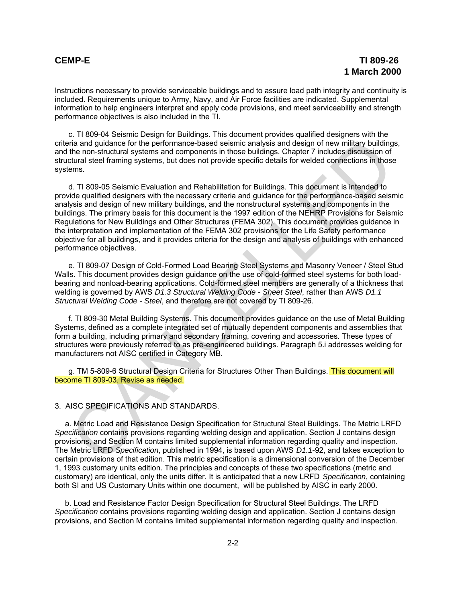Instructions necessary to provide serviceable buildings and to assure load path integrity and continuity is included. Requirements unique to Army, Navy, and Air Force facilities are indicated. Supplemental information to help engineers interpret and apply code provisions, and meet serviceability and strength performance objectives is also included in the TI.

c. TI 809-04 Seismic Design for Buildings. This document provides qualified designers with the criteria and guidance for the performance-based seismic analysis and design of new military buildings, and the non-structural systems and components in those buildings. Chapter 7 includes discussion of structural steel framing systems, but does not provide specific details for welded connections in those systems.

d. TI 809-05 Seismic Evaluation and Rehabilitation for Buildings. This document is intended to provide qualified designers with the necessary criteria and guidance for the performance-based seismic analysis and design of new military buildings, and the nonstructural systems and components in the buildings. The primary basis for this document is the 1997 edition of the NEHRP Provisions for Seismic Regulations for New Buildings and Other Structures (FEMA 302). This document provides guidance in the interpretation and implementation of the FEMA 302 provisions for the Life Safety performance objective for all buildings, and it provides criteria for the design and analysis of buildings with enhanced performance objectives. ria and guidatere for the performance-based esisintic analysis and design of new finitiary building<br>the non-structural systems and components in those buildings. Chapter 7 includes discussion of<br>characteristic frame in the

e. TI 809-07 Design of Cold-Formed Load Bearing Steel Systems and Masonry Veneer / Steel Stud Walls. This document provides design guidance on the use of cold-formed steel systems for both loadbearing and nonload-bearing applications. Cold-formed steel members are generally of a thickness that welding is governed by AWS *D1.3 Structural Welding Code - Sheet Steel*, rather than AWS *D1.1 Structural Welding Code - Steel*, and therefore are not covered by TI 809-26.

f. TI 809-30 Metal Building Systems. This document provides guidance on the use of Metal Building Systems, defined as a complete integrated set of mutually dependent components and assemblies that form a building, including primary and secondary framing, covering and accessories. These types of structures were previously referred to as pre-engineered buildings. Paragraph 5.i addresses welding for manufacturers not AISC certified in Category MB.

g. TM 5-809-6 Structural Design Criteria for Structures Other Than Buildings. This document will become TI 809-03. Revise as needed.

#### 3. AISC SPECIFICATIONS AND STANDARDS.

a. Metric Load and Resistance Design Specification for Structural Steel Buildings. The Metric LRFD *Specification* contains provisions regarding welding design and application. Section J contains design provisions, and Section M contains limited supplemental information regarding quality and inspection. The Metric LRFD *Specification*, published in 1994, is based upon AWS *D1.1*-92, and takes exception to certain provisions of that edition. This metric specification is a dimensional conversion of the December 1, 1993 customary units edition. The principles and concepts of these two specifications (metric and customary) are identical, only the units differ. It is anticipated that a new LRFD *Specification*, containing both SI and US Customary Units within one document, will be published by AISC in early 2000.

b. Load and Resistance Factor Design Specification for Structural Steel Buildings. The LRFD *Specification* contains provisions regarding welding design and application. Section J contains design provisions, and Section M contains limited supplemental information regarding quality and inspection.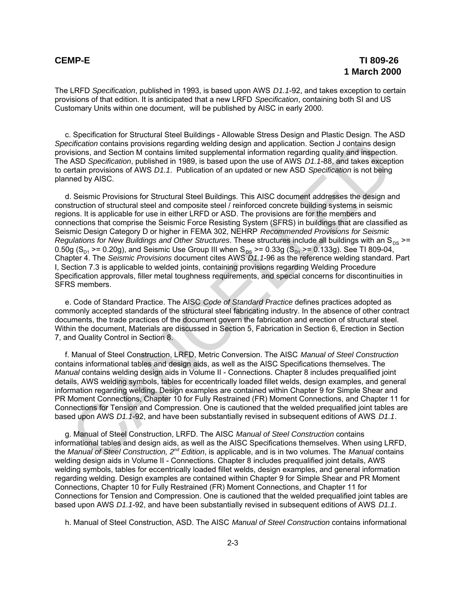The LRFD *Specification*, published in 1993, is based upon AWS *D1.1*-92, and takes exception to certain provisions of that edition. It is anticipated that a new LRFD *Specification*, containing both SI and US Customary Units within one document, will be published by AISC in early 2000.

c. Specification for Structural Steel Buildings - Allowable Stress Design and Plastic Design. The ASD *Specification* contains provisions regarding welding design and application. Section J contains design provisions, and Section M contains limited supplemental information regarding quality and inspection. The ASD *Specification*, published in 1989, is based upon the use of AWS *D1.1*-88, and takes exception to certain provisions of AWS *D1.1*. Publication of an updated or new ASD *Specification* is not being planned by AISC.

d. Seismic Provisions for Structural Steel Buildings. This AISC document addresses the design and construction of structural steel and composite steel / reinforced concrete building systems in seismic regions. It is applicable for use in either LRFD or ASD. The provisions are for the members and connections that comprise the Seismic Force Resisting System (SFRS) in buildings that are classified as Seismic Design Category D or higher in FEMA 302, NEHRP *Recommended Provisions for Seismic Regulations for New Buildings and Other Structures*. These structures include all buildings with an S<sub>DS</sub> >= 0.50g (S<sub>D1</sub> >= 0.20g), and Seismic Use Group III when S<sub>DS</sub> >= 0.33g (S<sub>D1</sub> >= 0.133g). See TI 809-04, Chapter 4. The *Seismic Provisions* document cites AWS *D1.1*-96 as the reference welding standard. Part I, Section 7.3 is applicable to welded joints, containing provisions regarding Welding Procedure Specification approvals, filler metal toughness requirements, and special concerns for discontinuities in SFRS members. critication contains provisions regarding welding design and application. Section 1 contains design and the section Montains limited supplemental information regarding ouality and inspection<br>ASD Specification, published in

e. Code of Standard Practice. The AISC *Code of Standard Practice* defines practices adopted as commonly accepted standards of the structural steel fabricating industry. In the absence of other contract documents, the trade practices of the document govern the fabrication and erection of structural steel. Within the document, Materials are discussed in Section 5, Fabrication in Section 6, Erection in Section 7, and Quality Control in Section 8.

f. Manual of Steel Construction, LRFD, Metric Conversion. The AISC *Manual of Steel Construction* contains informational tables and design aids, as well as the AISC Specifications themselves. The *Manual* contains welding design aids in Volume II - Connections. Chapter 8 includes prequalified joint details, AWS welding symbols, tables for eccentrically loaded fillet welds, design examples, and general information regarding welding. Design examples are contained within Chapter 9 for Simple Shear and PR Moment Connections, Chapter 10 for Fully Restrained (FR) Moment Connections, and Chapter 11 for Connections for Tension and Compression. One is cautioned that the welded prequalified joint tables are based upon AWS *D1.1*-92, and have been substantially revised in subsequent editions of AWS *D1.1*.

g. Manual of Steel Construction, LRFD. The AISC *Manual of Steel Construction* contains informational tables and design aids, as well as the AISC Specifications themselves. When using LRFD, the *Manual of Steel Construction, 2<sup>nd</sup> Edition,* is applicable, and is in two volumes. The *Manual* contains welding design aids in Volume II - Connections. Chapter 8 includes prequalified joint details, AWS welding symbols, tables for eccentrically loaded fillet welds, design examples, and general information regarding welding. Design examples are contained within Chapter 9 for Simple Shear and PR Moment Connections, Chapter 10 for Fully Restrained (FR) Moment Connections, and Chapter 11 for Connections for Tension and Compression. One is cautioned that the welded prequalified joint tables are based upon AWS *D1.1*-92, and have been substantially revised in subsequent editions of AWS *D1.1*.

h. Manual of Steel Construction, ASD. The AISC *Manual of Steel Construction* contains informational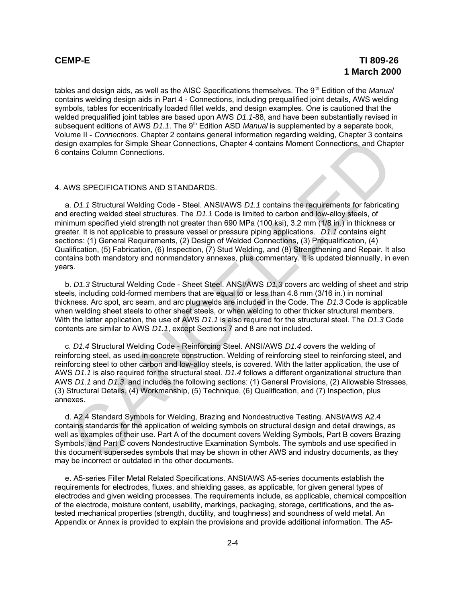tables and design aids, as well as the AISC Specifications themselves. The 9<sup>th</sup> Edition of the *Manual* contains welding design aids in Part 4 - Connections, including prequalified joint details, AWS welding symbols, tables for eccentrically loaded fillet welds, and design examples. One is cautioned that the welded prequalified joint tables are based upon AWS *D1.1*-88, and have been substantially revised in subsequent editions of AWS *D1.1*. The 9<sup>th</sup> Edition ASD *Manual* is supplemented by a separate book, Volume II - *Connections*. Chapter 2 contains general information regarding welding, Chapter 3 contains design examples for Simple Shear Connections, Chapter 4 contains Moment Connections, and Chapter 6 contains Column Connections.

#### 4. AWS SPECIFICATIONS AND STANDARDS.

a. *D1.1* Structural Welding Code - Steel. ANSI/AWS *D1.1* contains the requirements for fabricating and erecting welded steel structures. The *D1.1* Code is limited to carbon and low-alloy steels, of minimum specified yield strength not greater than 690 MPa (100 ksi), 3.2 mm (1/8 in.) in thickness or greater. It is not applicable to pressure vessel or pressure piping applications. *D1.1* contains eight sections: (1) General Requirements, (2) Design of Welded Connections, (3) Prequalification, (4) Qualification, (5) Fabrication, (6) Inspection, (7) Stud Welding, and (8) Strengthening and Repair. It also contains both mandatory and nonmandatory annexes, plus commentary. It is updated biannually, in even years. ign examples for Simple Shear Connections, Chapter 4 contains Moment Connections, and Chap<br>Intalins Column Connections.<br>
WS SPECIFICATIONS AND STANDARDS.<br>
1. D.1.1 Structural Welding Code - Steel. ANSI/AWS D.1.1 contains t

b. *D1.3* Structural Welding Code - Sheet Steel. ANSI/AWS *D1.3* covers arc welding of sheet and strip steels, including cold-formed members that are equal to or less than 4.8 mm (3/16 in.) in nominal thickness. Arc spot, arc seam, and arc plug welds are included in the Code. The *D1.3* Code is applicable when welding sheet steels to other sheet steels, or when welding to other thicker structural members. With the latter application, the use of AWS *D1.1* is also required for the structural steel. The *D1.3* Code contents are similar to AWS *D1.1*, except Sections 7 and 8 are not included.

c. *D1.4* Structural Welding Code - Reinforcing Steel. ANSI/AWS *D1.4* covers the welding of reinforcing steel, as used in concrete construction. Welding of reinforcing steel to reinforcing steel, and reinforcing steel to other carbon and low-alloy steels, is covered. With the latter application, the use of AWS *D1.1* is also required for the structural steel. *D1.4* follows a different organizational structure than AWS *D1.1* and *D1.3*, and includes the following sections: (1) General Provisions, (2) Allowable Stresses, (3) Structural Details, (4) Workmanship, (5) Technique, (6) Qualification, and (7) Inspection, plus annexes.

d. A2.4 Standard Symbols for Welding, Brazing and Nondestructive Testing. ANSI/AWS A2.4 contains standards for the application of welding symbols on structural design and detail drawings, as well as examples of their use. Part A of the document covers Welding Symbols, Part B covers Brazing Symbols, and Part C covers Nondestructive Examination Symbols. The symbols and use specified in this document supersedes symbols that may be shown in other AWS and industry documents, as they may be incorrect or outdated in the other documents.

e. A5-series Filler Metal Related Specifications. ANSI/AWS A5-series documents establish the requirements for electrodes, fluxes, and shielding gases, as applicable, for given general types of electrodes and given welding processes. The requirements include, as applicable, chemical composition of the electrode, moisture content, usability, markings, packaging, storage, certifications, and the astested mechanical properties (strength, ductility, and toughness) and soundness of weld metal. An Appendix or Annex is provided to explain the provisions and provide additional information. The A5-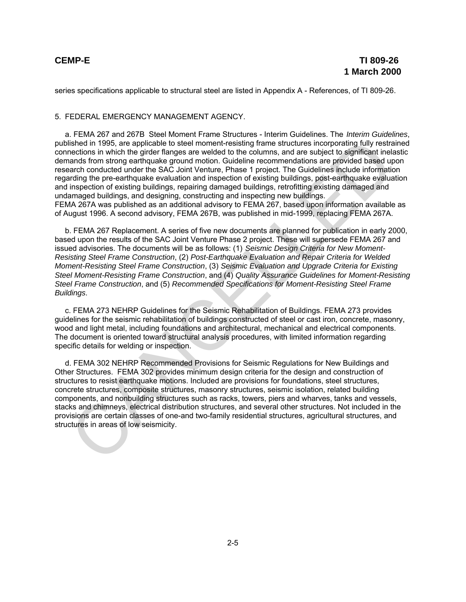series specifications applicable to structural steel are listed in Appendix A - References, of TI 809-26.

#### 5. FEDERAL EMERGENCY MANAGEMENT AGENCY.

a. FEMA 267 and 267B Steel Moment Frame Structures - Interim Guidelines. The *Interim Guidelines*, published in 1995, are applicable to steel moment-resisting frame structures incorporating fully restrained connections in which the girder flanges are welded to the columns, and are subject to significant inelastic demands from strong earthquake ground motion. Guideline recommendations are provided based upon research conducted under the SAC Joint Venture, Phase 1 project. The Guidelines include information regarding the pre-earthquake evaluation and inspection of existing buildings, post-earthquake evaluation and inspection of existing buildings, repairing damaged buildings, retrofitting existing damaged and undamaged buildings, and designing, constructing and inspecting new buildings. FEMA 267A was published as an additional advisory to FEMA 267, based upon information available as of August 1996. A second advisory, FEMA 267B, was published in mid-1999, replacing FEMA 267A. lished in 1995, are applicable to stell moment-resisting frame structures incorporating fully restrained and most<br>concline in which the girler flanges are welded to the columns, and are subject to significant inelated<br>and

b. FEMA 267 Replacement. A series of five new documents are planned for publication in early 2000, based upon the results of the SAC Joint Venture Phase 2 project. These will supersede FEMA 267 and issued advisories. The documents will be as follows: (1) *Seismic Design Criteria for New Moment-Resisting Steel Frame Construction*, (2) *Post-Earthquake Evaluation and Repair Criteria for Welded Moment-Resisting Steel Frame Construction*, (3) *Seismic Evaluation and Upgrade Criteria for Existing Steel Moment-Resisting Frame Construction*, and (4) *Quality Assurance Guidelines for Moment-Resisting Steel Frame Construction*, and (5) *Recommended Specifications for Moment-Resisting Steel Frame Buildings*.

c. FEMA 273 NEHRP Guidelines for the Seismic Rehabilitation of Buildings. FEMA 273 provides guidelines for the seismic rehabilitation of buildings constructed of steel or cast iron, concrete, masonry, wood and light metal, including foundations and architectural, mechanical and electrical components. The document is oriented toward structural analysis procedures, with limited information regarding specific details for welding or inspection.

d. FEMA 302 NEHRP Recommended Provisions for Seismic Regulations for New Buildings and Other Structures. FEMA 302 provides minimum design criteria for the design and construction of structures to resist earthquake motions. Included are provisions for foundations, steel structures, concrete structures, composite structures, masonry structures, seismic isolation, related building components, and nonbuilding structures such as racks, towers, piers and wharves, tanks and vessels, stacks and chimneys, electrical distribution structures, and several other structures. Not included in the provisions are certain classes of one-and two-family residential structures, agricultural structures, and structures in areas of low seismicity.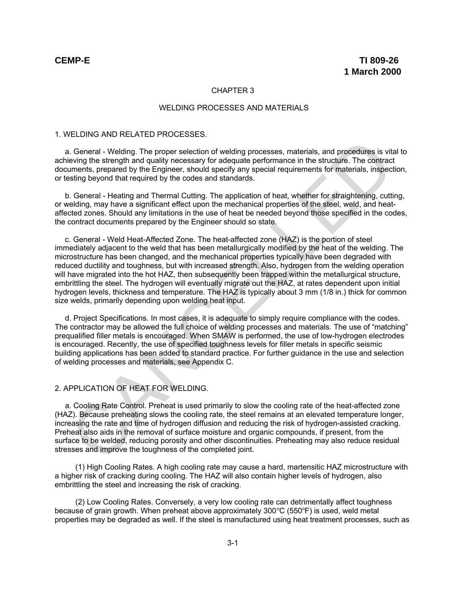#### CHAPTER 3

#### WELDING PROCESSES AND MATERIALS

#### 1. WELDING AND RELATED PROCESSES.

a. General - Welding. The proper selection of welding processes, materials, and procedures is vital to achieving the strength and quality necessary for adequate performance in the structure. The contract documents, prepared by the Engineer, should specify any special requirements for materials, inspection, or testing beyond that required by the codes and standards.

b. General - Heating and Thermal Cutting. The application of heat, whether for straightening, cutting, or welding, may have a significant effect upon the mechanical properties of the steel, weld, and heataffected zones. Should any limitations in the use of heat be needed beyond those specified in the codes, the contract documents prepared by the Engineer should so state.

c. General - Weld Heat-Affected Zone. The heat-affected zone (HAZ) is the portion of steel immediately adjacent to the weld that has been metallurgically modified by the heat of the welding. The microstructure has been changed, and the mechanical properties typically have been degraded with reduced ductility and toughness, but with increased strength. Also, hydrogen from the welding operation will have migrated into the hot HAZ, then subsequently been trapped within the metallurgical structure, embrittling the steel. The hydrogen will eventually migrate out the HAZ, at rates dependent upon initial hydrogen levels, thickness and temperature. The HAZ is typically about 3 mm (1/8 in.) thick for common size welds, primarily depending upon welding heat input. I. General - Welding. The proper selection of welding processes, materials, and procedures is virtunes<br>welving the strength and quality necessary for adequate performance in the structure. The contract<br>unnents prepared by

d. Project Specifications. In most cases, it is adequate to simply require compliance with the codes. The contractor may be allowed the full choice of welding processes and materials. The use of "matching" prequalified filler metals is encouraged. When SMAW is performed, the use of low-hydrogen electrodes is encouraged. Recently, the use of specified toughness levels for filler metals in specific seismic building applications has been added to standard practice. For further guidance in the use and selection of welding processes and materials, see Appendix C.

#### 2. APPLICATION OF HEAT FOR WELDING.

a. Cooling Rate Control. Preheat is used primarily to slow the cooling rate of the heat-affected zone (HAZ). Because preheating slows the cooling rate, the steel remains at an elevated temperature longer, increasing the rate and time of hydrogen diffusion and reducing the risk of hydrogen-assisted cracking. Preheat also aids in the removal of surface moisture and organic compounds, if present, from the surface to be welded, reducing porosity and other discontinuities. Preheating may also reduce residual stresses and improve the toughness of the completed joint.

(1) High Cooling Rates. A high cooling rate may cause a hard, martensitic HAZ microstructure with a higher risk of cracking during cooling. The HAZ will also contain higher levels of hydrogen, also embrittling the steel and increasing the risk of cracking.

(2) Low Cooling Rates. Conversely, a very low cooling rate can detrimentally affect toughness because of grain growth. When preheat above approximately  $300^{\circ}C$  (550 $^{\circ}F$ ) is used, weld metal properties may be degraded as well. If the steel is manufactured using heat treatment processes, such as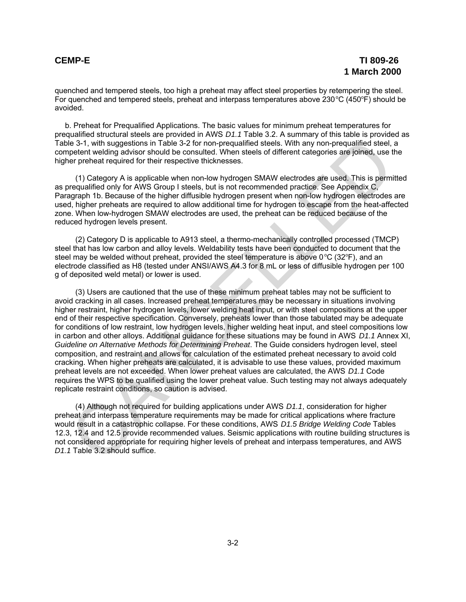quenched and tempered steels, too high a preheat may affect steel properties by retempering the steel. For quenched and tempered steels, preheat and interpass temperatures above  $230^{\circ}C$  (450 $^{\circ}F$ ) should be avoided.

b. Preheat for Prequalified Applications. The basic values for minimum preheat temperatures for prequalified structural steels are provided in AWS *D1.1* Table 3.2. A summary of this table is provided as Table 3-1, with suggestions in Table 3-2 for non-prequalified steels. With any non-prequalified steel, a competent welding advisor should be consulted. When steels of different categories are joined, use the higher preheat required for their respective thicknesses.

(1) Category A is applicable when non-low hydrogen SMAW electrodes are used. This is permitted as prequalified only for AWS Group I steels, but is not recommended practice. See Appendix C, Paragraph 1b. Because of the higher diffusible hydrogen present when non-low hydrogen electrodes are used, higher preheats are required to allow additional time for hydrogen to escape from the heat-affected zone. When low-hydrogen SMAW electrodes are used, the preheat can be reduced because of the reduced hydrogen levels present.

(2) Category D is applicable to A913 steel, a thermo-mechanically controlled processed (TMCP) steel that has low carbon and alloy levels. Weldability tests have been conducted to document that the steel may be welded without preheat, provided the steel temperature is above  $0^{\circ}C$  (32 $^{\circ}F$ ), and an electrode classified as H8 (tested under ANSI/AWS A4.3 for 8 mL or less of diffusible hydrogen per 100 g of deposited weld metal) or lower is used.

(3) Users are cautioned that the use of these minimum preheat tables may not be sufficient to avoid cracking in all cases. Increased preheat temperatures may be necessary in situations involving higher restraint, higher hydrogen levels, lower welding heat input, or with steel compositions at the upper end of their respective specification. Conversely, preheats lower than those tabulated may be adequate for conditions of low restraint, low hydrogen levels, higher welding heat input, and steel compositions low in carbon and other alloys. Additional guidance for these situations may be found in AWS *D1.1* Annex XI, *Guideline on Alternative Methods for Determining Preheat*. The Guide considers hydrogen level, steel composition, and restraint and allows for calculation of the estimated preheat necessary to avoid cold cracking. When higher preheats are calculated, it is advisable to use these values, provided maximum preheat levels are not exceeded. When lower preheat values are calculated, the AWS *D1.1* Code requires the WPS to be qualified using the lower preheat value. Such testing may not always adequately replicate restraint conditions, so caution is advised. ie 3-1, with suggestions in Table 3-2 for non-prequalitied steels. With any non-prequalitied steel, genefic steel, with any non-prequalitied steel, generate tremented for their respective thicknesses.<br>
(1) Category A is ap

(4) Although not required for building applications under AWS *D1.1*, consideration for higher preheat and interpass temperature requirements may be made for critical applications where fracture would result in a catastrophic collapse. For these conditions, AWS *D1.5 Bridge Welding Code* Tables 12.3, 12.4 and 12.5 provide recommended values. Seismic applications with routine building structures is not considered appropriate for requiring higher levels of preheat and interpass temperatures, and AWS *D1.1* Table 3.2 should suffice.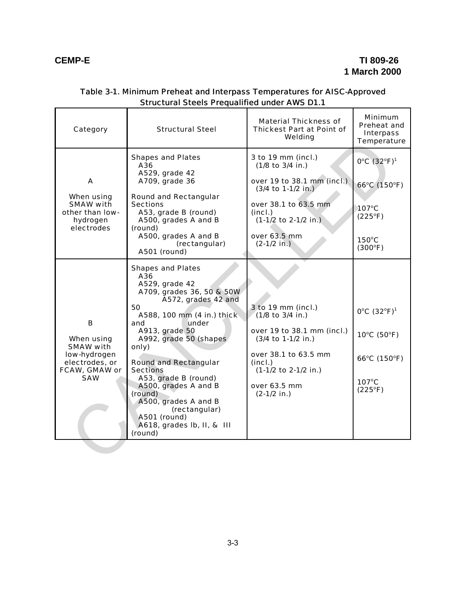r

 $\overline{\phantom{0}}$ 

| Category                                                                                      | <b>Structural Steel</b>                                                                                                                                                                                                                                                                                                                                                                                                        | <b>Material Thickness of</b><br><b>Thickest Part at Point of</b><br>Welding                                                                                                                | <b>Minimum</b><br>Preheat and<br><b>Interpass</b><br>Temperature                                            |
|-----------------------------------------------------------------------------------------------|--------------------------------------------------------------------------------------------------------------------------------------------------------------------------------------------------------------------------------------------------------------------------------------------------------------------------------------------------------------------------------------------------------------------------------|--------------------------------------------------------------------------------------------------------------------------------------------------------------------------------------------|-------------------------------------------------------------------------------------------------------------|
| A<br>When using<br>SMAW with<br>other than low-<br>hydrogen<br>electrodes                     | <b>Shapes and Plates</b><br>A36<br>A529, grade 42<br>A709, grade 36<br><b>Round and Rectangular</b><br><b>Sections</b><br>A53, grade B (round)<br>A500, grades A and B<br>(round)<br>A500, grades A and B<br>(rectangular)<br>A501 (round)                                                                                                                                                                                     | 3 to 19 mm (incl.)<br>(1/8 to 3/4 in.)<br>over 19 to 38.1 mm (incl.)<br>$(3/4$ to 1-1/2 in.)<br>over 38.1 to 63.5 mm<br>(incl.)<br>$(1-1/2$ to 2-1/2 in.)<br>over 63.5 mm<br>$(2-1/2$ in.) | 0°C (32°F) <sup>1</sup><br>66°C (150°F)<br>107°C<br>$(225^{\circ}F)$<br>$150^{\circ}$ C<br>$(300^{\circ}F)$ |
| в<br>When using<br>SMAW with<br>low-hydrogen<br>electrodes, or<br>FCAW, GMAW or<br><b>SAW</b> | <b>Shapes and Plates</b><br>A36<br>A529, grade 42<br>A709, grades 36, 50 & 50W<br>A572, grades 42 and<br>50<br>A588, 100 mm (4 in.) thick<br>under<br>and<br>A913, grade 50<br>A992, grade 50 (shapes<br>only)<br><b>Round and Rectangular</b><br><b>Sections</b><br>A53, grade B (round)<br>A500, grades A and B<br>(round)<br>A500, grades A and B<br>(rectangular)<br>A501 (round)<br>A618, grades lb, II, & III<br>(round) | 3 to 19 mm (incl.)<br>(1/8 to 3/4 in.)<br>over 19 to 38.1 mm (incl.)<br>(3/4 to 1-1/2 in.)<br>over 38.1 to 63.5 mm<br>(incl.)<br>(1-1/2 to 2-1/2 in.)<br>over 63.5 mm<br>$(2-1/2$ in.)     | 0°C (32°F) <sup>1</sup><br>10°C (50°F)<br>66°C (150°F)<br>107°C<br>$(225^{\circ}F)$                         |

#### Table 3-1. Minimum Preheat and Interpass Temperatures for AISC-Approved Structural Steels Prequalified under AWS D1.1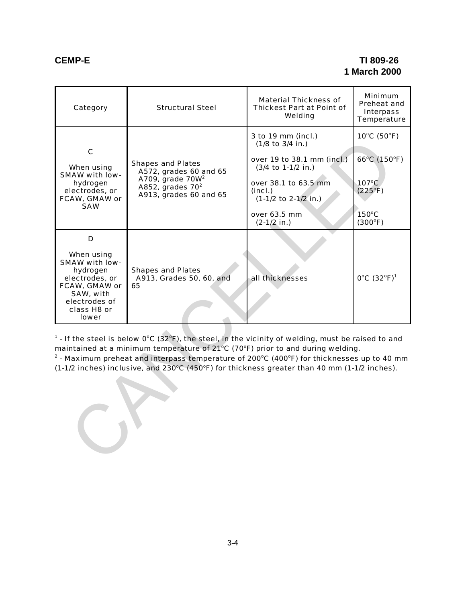#### **CEMP-E TI 809-26 1 March 2000**

| Category                                                                                                                                                                                                                                                                                                                                                                                                    | <b>Structural Steel</b>                                                                                                                      | <b>Material Thickness of</b><br><b>Thickest Part at Point of</b><br>Welding                                                                                                            | <b>Minimum</b><br>Preheat and<br><b>Interpass</b><br>Temperature                       |  |
|-------------------------------------------------------------------------------------------------------------------------------------------------------------------------------------------------------------------------------------------------------------------------------------------------------------------------------------------------------------------------------------------------------------|----------------------------------------------------------------------------------------------------------------------------------------------|----------------------------------------------------------------------------------------------------------------------------------------------------------------------------------------|----------------------------------------------------------------------------------------|--|
| $\mathbf c$<br>When using<br>SMAW with low-<br>hydrogen<br>electrodes, or<br>FCAW, GMAW or<br><b>SAW</b>                                                                                                                                                                                                                                                                                                    | <b>Shapes and Plates</b><br>A572, grades 60 and 65<br>A709, grade 70W <sup>2</sup><br>A852, grades 70 <sup>2</sup><br>A913, grades 60 and 65 | 3 to 19 mm (incl.)<br>(1/8 to 3/4 in.)<br>over 19 to 38.1 mm (incl.)<br>(3/4 to 1-1/2 in.)<br>over 38.1 to 63.5 mm<br>(incl.)<br>(1-1/2 to 2-1/2 in.)<br>over 63.5 mm<br>$(2-1/2$ in.) | 10°C (50°F)<br>66°C (150°F)<br>$107^{\circ}$ C<br>$(225^{\circ}F)$<br>150°C<br>(300°F) |  |
| D<br>When using<br>SMAW with low-<br>hydrogen<br>electrodes, or<br>FCAW, GMAW or<br>SAW, with<br>electrodes of<br>class H8 or<br><b>lower</b>                                                                                                                                                                                                                                                               | <b>Shapes and Plates</b><br>A913, Grades 50, 60, and<br>65                                                                                   | all thicknesses                                                                                                                                                                        | 0°C (32°F) <sup>1</sup>                                                                |  |
| $1$ - If the steel is below 0°C (32°F), the steel, in the vicinity of welding, must be raised to and<br>maintained at a minimum temperature of 21°C (70°F) prior to and during welding.<br>$2$ - Maximum preheat and interpass temperature of 200 $\degree$ C (400 $\degree$ F) for thicknesses up to 40 mm<br>(1-1/2 inches) inclusive, and 230°C (450°F) for thickness greater than 40 mm (1-1/2 inches). |                                                                                                                                              |                                                                                                                                                                                        |                                                                                        |  |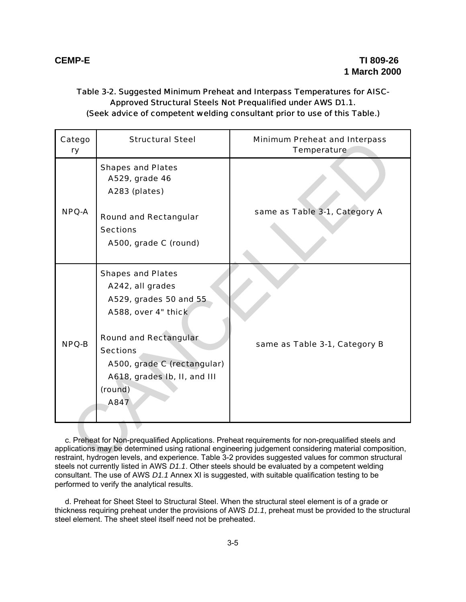#### Table 3-2. Suggested Minimum Preheat and Interpass Temperatures for AISC-Approved Structural Steels Not Prequalified under AWS D1.1. (Seek advice of competent welding consultant prior to use of this Table.)

| Catego<br>ry                                                                                                                                                                                                                                                                                                         | <b>Structural Steel</b>                                                                                                                                                                                                            | <b>Minimum Preheat and Interpass</b><br>Temperature |  |
|----------------------------------------------------------------------------------------------------------------------------------------------------------------------------------------------------------------------------------------------------------------------------------------------------------------------|------------------------------------------------------------------------------------------------------------------------------------------------------------------------------------------------------------------------------------|-----------------------------------------------------|--|
| <b>NPQ-A</b>                                                                                                                                                                                                                                                                                                         | <b>Shapes and Plates</b><br>A529, grade 46<br>A283 (plates)<br><b>Round and Rectangular</b><br><b>Sections</b><br>A500, grade C (round)                                                                                            | same as Table 3-1, Category A                       |  |
| <b>NPQ-B</b>                                                                                                                                                                                                                                                                                                         | <b>Shapes and Plates</b><br>A242, all grades<br>A529, grades 50 and 55<br>A588, over 4" thick<br><b>Round and Rectangular</b><br><b>Sections</b><br>A500, grade C (rectangular)<br>A618, grades Ib, II, and III<br>(round)<br>A847 | same as Table 3-1, Category B                       |  |
| c. Preheat for Non-prequalified Applications. Preheat requirements for non-prequalified steels and<br>applications may be determined using rational engineering judgement considering material composition,<br>restraint, hydrogen levels, and experience. Table 3-2 provides suggested values for common structural |                                                                                                                                                                                                                                    |                                                     |  |

c. Preheat for Non-prequalified Applications. Preheat requirements for non-prequalified steels and applications may be determined using rational engineering judgement considering material composition, restraint, hydrogen levels, and experience. Table 3-2 provides suggested values for common structural steels not currently listed in AWS *D1.1*. Other steels should be evaluated by a competent welding consultant. The use of AWS *D1.1* Annex XI is suggested, with suitable qualification testing to be performed to verify the analytical results.

d. Preheat for Sheet Steel to Structural Steel. When the structural steel element is of a grade or thickness requiring preheat under the provisions of AWS *D1.1*, preheat must be provided to the structural steel element. The sheet steel itself need not be preheated.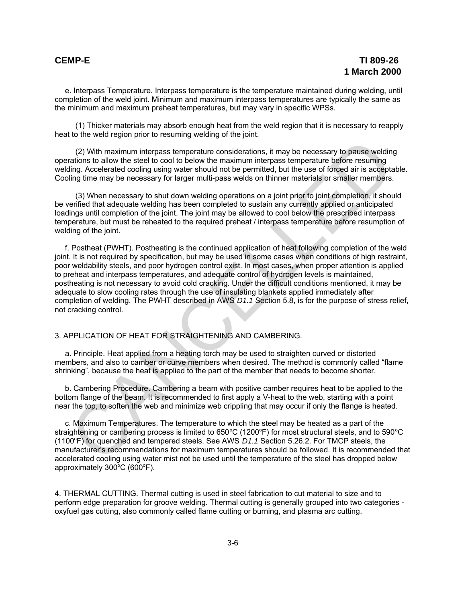e. Interpass Temperature. Interpass temperature is the temperature maintained during welding, until completion of the weld joint. Minimum and maximum interpass temperatures are typically the same as the minimum and maximum preheat temperatures, but may vary in specific WPSs.

(1) Thicker materials may absorb enough heat from the weld region that it is necessary to reapply heat to the weld region prior to resuming welding of the joint.

(2) With maximum interpass temperature considerations, it may be necessary to pause welding operations to allow the steel to cool to below the maximum interpass temperature before resuming welding. Accelerated cooling using water should not be permitted, but the use of forced air is acceptable. Cooling time may be necessary for larger multi-pass welds on thinner materials or smaller members.

(3) When necessary to shut down welding operations on a joint prior to joint completion, it should be verified that adequate welding has been completed to sustain any currently applied or anticipated loadings until completion of the joint. The joint may be allowed to cool below the prescribed interpass temperature, but must be reheated to the required preheat / interpass temperature before resumption of welding of the joint.

f. Postheat (PWHT). Postheating is the continued application of heat following completion of the weld joint. It is not required by specification, but may be used in some cases when conditions of high restraint, poor weldability steels, and poor hydrogen control exist. In most cases, when proper attention is applied to preheat and interpass temperatures, and adequate control of hydrogen levels is maintained, postheating is not necessary to avoid cold cracking. Under the difficult conditions mentioned, it may be adequate to slow cooling rates through the use of insulating blankets applied immediately after completion of welding. The PWHT described in AWS *D1.1* Section 5.8, is for the purpose of stress relief, not cracking control. (2) With maximum interpass temperature considerations, it may be necessary to pause weldin<br>trations to allow the stell to cool to below the maximum interpass temperature before resuming<br>trations of allow the stell to cool

#### 3. APPLICATION OF HEAT FOR STRAIGHTENING AND CAMBERING.

a. Principle. Heat applied from a heating torch may be used to straighten curved or distorted members, and also to camber or curve members when desired. The method is commonly called "flame shrinking", because the heat is applied to the part of the member that needs to become shorter.

b. Cambering Procedure. Cambering a beam with positive camber requires heat to be applied to the bottom flange of the beam. It is recommended to first apply a V-heat to the web, starting with a point near the top, to soften the web and minimize web crippling that may occur if only the flange is heated.

c. Maximum Temperatures. The temperature to which the steel may be heated as a part of the straightening or cambering process is limited to 650°C (1200°F) for most structural steels, and to 590°C (1100°F) for quenched and tempered steels. See AWS *D1.1* Section 5.26.2. For TMCP steels, the manufacturer's recommendations for maximum temperatures should be followed. It is recommended that accelerated cooling using water mist not be used until the temperature of the steel has dropped below approximately  $300^{\circ}$ C (600 $^{\circ}$ F).

4. THERMAL CUTTING. Thermal cutting is used in steel fabrication to cut material to size and to perform edge preparation for groove welding. Thermal cutting is generally grouped into two categories oxyfuel gas cutting, also commonly called flame cutting or burning, and plasma arc cutting.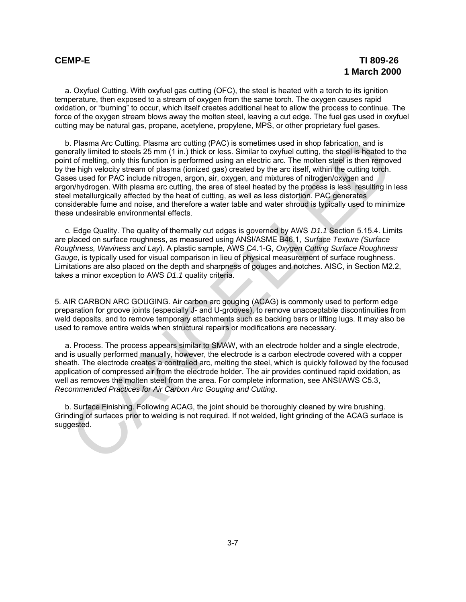a. Oxyfuel Cutting. With oxyfuel gas cutting (OFC), the steel is heated with a torch to its ignition temperature, then exposed to a stream of oxygen from the same torch. The oxygen causes rapid oxidation, or "burning" to occur, which itself creates additional heat to allow the process to continue. The force of the oxygen stream blows away the molten steel, leaving a cut edge. The fuel gas used in oxyfuel cutting may be natural gas, propane, acetylene, propylene, MPS, or other proprietary fuel gases.

b. Plasma Arc Cutting. Plasma arc cutting (PAC) is sometimes used in shop fabrication, and is generally limited to steels 25 mm (1 in.) thick or less. Similar to oxyfuel cutting, the steel is heated to the point of melting, only this function is performed using an electric arc. The molten steel is then removed by the high velocity stream of plasma (ionized gas) created by the arc itself, within the cutting torch. Gases used for PAC include nitrogen, argon, air, oxygen, and mixtures of nitrogen/oxygen and argon/hydrogen. With plasma arc cutting, the area of steel heated by the process is less, resulting in less steel metallurgically affected by the heat of cutting, as well as less distortion. PAC generates considerable fume and noise, and therefore a water table and water shroud is typically used to minimize these undesirable environmental effects. is Plasma Arc Cutting. Plasma arc cutting (PAC) is sometimes used in shop fabrication, and is<br>teratly limited to steek 25 mm (1 in.) thick or less. Similar to oxytiel cutting, the steel is heated to<br>the method, only this f

c. Edge Quality. The quality of thermally cut edges is governed by AWS *D1.1* Section 5.15.4. Limits are placed on surface roughness, as measured using ANSI/ASME B46.1, *Surface Texture (Surface Roughness, Waviness and Lay*). A plastic sample, AWS C4.1-G, *Oxygen Cutting Surface Roughness Gauge*, is typically used for visual comparison in lieu of physical measurement of surface roughness. Limitations are also placed on the depth and sharpness of gouges and notches. AISC, in Section M2.2, takes a minor exception to AWS *D1.1* quality criteria.

5. AIR CARBON ARC GOUGING. Air carbon arc gouging (ACAG) is commonly used to perform edge preparation for groove joints (especially J- and U-grooves), to remove unacceptable discontinuities from weld deposits, and to remove temporary attachments such as backing bars or lifting lugs. It may also be used to remove entire welds when structural repairs or modifications are necessary.

a. Process. The process appears similar to SMAW, with an electrode holder and a single electrode, and is usually performed manually, however, the electrode is a carbon electrode covered with a copper sheath. The electrode creates a controlled arc, melting the steel, which is quickly followed by the focused application of compressed air from the electrode holder. The air provides continued rapid oxidation, as well as removes the molten steel from the area. For complete information, see ANSI/AWS C5.3, *Recommended Practices for Air Carbon Arc Gouging and Cutting*.

b. Surface Finishing. Following ACAG, the joint should be thoroughly cleaned by wire brushing. Grinding of surfaces prior to welding is not required. If not welded, light grinding of the ACAG surface is suggested.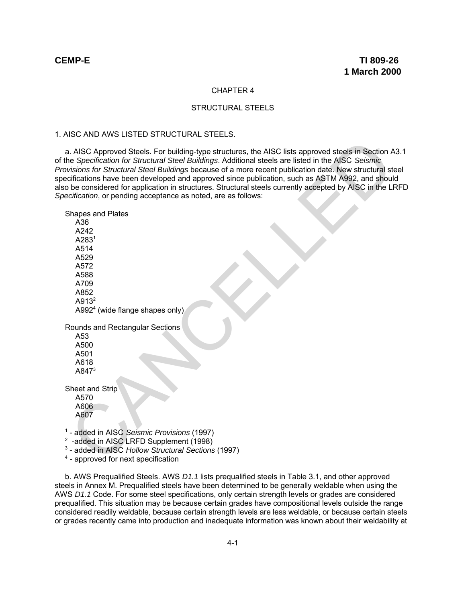#### CHAPTER 4

#### STRUCTURAL STEELS

#### 1. AISC AND AWS LISTED STRUCTURAL STEELS.

a. AISC Approved Steels. For building-type structures, the AISC lists approved steels in Section A3.1 of the *Specification for Structural Steel Buildings*. Additional steels are listed in the AISC *Seismic Provisions for Structural Steel Buildings* because of a more recent publication date. New structural steel specifications have been developed and approved since publication, such as ASTM A992, and should also be considered for application in structures. Structural steels currently accepted by AISC in the LRFD *Specification*, or pending acceptance as noted, are as follows:

Shapes and Plates A36 A242 A283<sup>1</sup> A514 A529 A572 A588 A709 A852  $A913<sup>2</sup>$ A992 $<sup>4</sup>$  (wide flange shapes only)</sup> Rounds and Rectangular Sections A53 A500 A501 A618 A84 $7<sup>3</sup>$ Sheet and Strip A570 A606 A607 <sup>1</sup> - added in AISC *Seismic Provisions* (1997) 1. AISC Approved Steels. For building-type structures, the AISC lists approved steels in Section<br>
Separation for Structural Steel Buildings because of a more recent publication date MSC Csering<br>
experiencing Steels (and ap

<sup>2</sup> -added in AISC LRFD Supplement (1998)

<sup>3</sup> - added in AISC *Hollow Structural Sections* (1997)

<sup>4</sup> - approved for next specification

b. AWS Prequalified Steels. AWS *D1.1* lists prequalified steels in Table 3.1, and other approved steels in Annex M. Prequalified steels have been determined to be generally weldable when using the AWS *D1.1* Code. For some steel specifications, only certain strength levels or grades are considered prequalified. This situation may be because certain grades have compositional levels outside the range considered readily weldable, because certain strength levels are less weldable, or because certain steels or grades recently came into production and inadequate information was known about their weldability at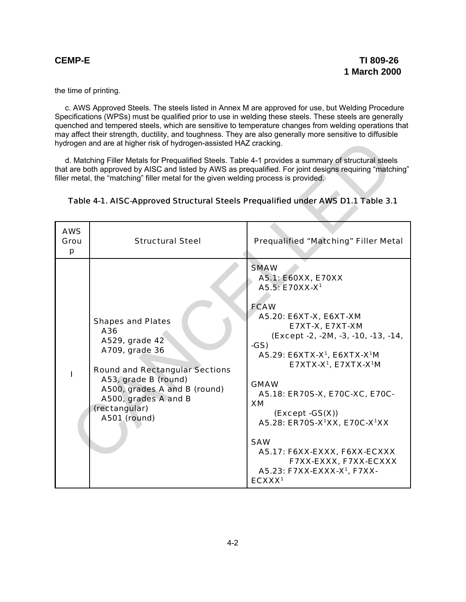the time of printing.

c. AWS Approved Steels. The steels listed in Annex M are approved for use, but Welding Procedure Specifications (WPSs) must be qualified prior to use in welding these steels. These steels are generally quenched and tempered steels, which are sensitive to temperature changes from welding operations that may affect their strength, ductility, and toughness. They are also generally more sensitive to diffusible hydrogen and are at higher risk of hydrogen-assisted HAZ cracking.

| hydrogen and are at higher risk of hydrogen-assisted HAZ cracking.                                                                                                                                                                                                                                                                                                                           |                                                                                                                                                                                                                               |                                                                                                                                                                                                                                                                                                                                                                                                                                                                                                                                                                     |  |  |
|----------------------------------------------------------------------------------------------------------------------------------------------------------------------------------------------------------------------------------------------------------------------------------------------------------------------------------------------------------------------------------------------|-------------------------------------------------------------------------------------------------------------------------------------------------------------------------------------------------------------------------------|---------------------------------------------------------------------------------------------------------------------------------------------------------------------------------------------------------------------------------------------------------------------------------------------------------------------------------------------------------------------------------------------------------------------------------------------------------------------------------------------------------------------------------------------------------------------|--|--|
| d. Matching Filler Metals for Prequalified Steels. Table 4-1 provides a summary of structural steels<br>that are both approved by AISC and listed by AWS as prequalified. For joint designs requiring "matching"<br>filler metal, the "matching" filler metal for the given welding process is provided.<br>Table 4-1. AISC-Approved Structural Steels Prequalified under AWS D1.1 Table 3.1 |                                                                                                                                                                                                                               |                                                                                                                                                                                                                                                                                                                                                                                                                                                                                                                                                                     |  |  |
| <b>AWS</b><br>Grou<br>p                                                                                                                                                                                                                                                                                                                                                                      | <b>Structural Steel</b>                                                                                                                                                                                                       | <b>Prequalified "Matching" Filler Metal</b>                                                                                                                                                                                                                                                                                                                                                                                                                                                                                                                         |  |  |
|                                                                                                                                                                                                                                                                                                                                                                                              | <b>Shapes and Plates</b><br>A36<br>A529, grade 42<br>A709, grade 36<br><b>Round and Rectangular Sections</b><br>A53, grade B (round)<br>A500, grades A and B (round)<br>A500, grades A and B<br>(rectangular)<br>A501 (round) | <b>SMAW</b><br>A5.1: E60XX, E70XX<br>A5.5: E70XX-X <sup>1</sup><br><b>FCAW</b><br>A5.20: E6XT-X, E6XT-XM<br>E7XT-X, E7XT-XM<br>(Except -2, -2M, -3, -10, -13, -14,<br>$-GS)$<br>A5.29: E6XTX-X <sup>1</sup> , E6XTX-X <sup>1</sup> M<br>E7XTX-X <sup>1</sup> , E7XTX-X <sup>1</sup> M<br><b>GMAW</b><br>A5.18: ER70S-X, E70C-XC, E70C-<br>XM<br>$(Except -GS(X))$<br>A5.28: ER70S-X <sup>1</sup> XX, E70C-X <sup>1</sup> XX<br><b>SAW</b><br>A5.17: F6XX-EXXX, F6XX-ECXXX<br>F7XX-EXXX, F7XX-ECXXX<br>A5.23: F7XX-EXXX-X <sup>1</sup> , F7XX-<br>ECXXX <sup>1</sup> |  |  |

#### Table 4-1. AISC-Approved Structural Steels Prequalified under AWS D1.1 Table 3.1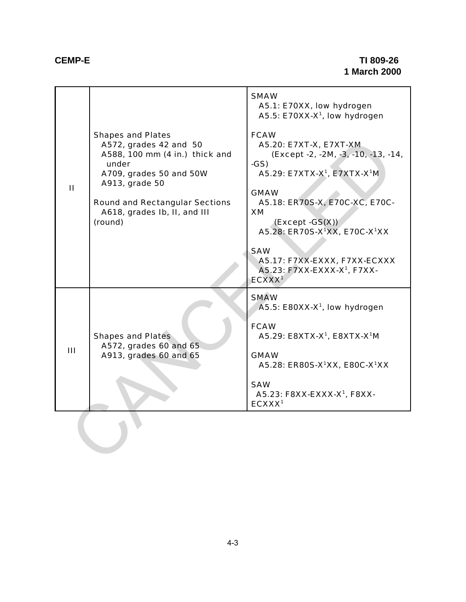## **CEMP-E TI 809-26 1 March 2000**

|                | <b>Shapes and Plates</b><br>A572, grades 42 and 50<br>A588, 100 mm (4 in.) thick and<br>under<br>A709, grades 50 and 50W<br>A913, grade 50<br><b>Round and Rectangular Sections</b><br>A618, grades Ib, II, and III<br>(round) | <b>SMAW</b><br>A5.1: E70XX, low hydrogen<br>A5.5: E70XX-X <sup>1</sup> , low hydrogen<br><b>FCAW</b><br>A5.20: E7XT-X, E7XT-XM<br>(Except -2, -2M, -3, -10, -13, -14,<br>$-GS)$<br>A5.29: E7XTX-X <sup>1</sup> , E7XTX-X <sup>1</sup> M |
|----------------|--------------------------------------------------------------------------------------------------------------------------------------------------------------------------------------------------------------------------------|-----------------------------------------------------------------------------------------------------------------------------------------------------------------------------------------------------------------------------------------|
| $\mathbf{H}$   |                                                                                                                                                                                                                                | <b>GMAW</b><br>A5.18: ER70S-X, E70C-XC, E70C-<br>XM<br>$(Except -GS(X))$<br>A5.28: ER70S-X <sup>1</sup> XX, E70C-X <sup>1</sup> XX                                                                                                      |
|                |                                                                                                                                                                                                                                | <b>SAW</b><br>A5.17: F7XX-EXXX, F7XX-ECXXX<br>A5.23: F7XX-EXXX-X <sup>1</sup> , F7XX-<br>ECXXX <sup>1</sup>                                                                                                                             |
| $\mathbf{III}$ | <b>Shapes and Plates</b><br>A572, grades 60 and 65<br>A913, grades 60 and 65                                                                                                                                                   | <b>SMAW</b><br>$A5.5$ : E80XX-X <sup>1</sup> , low hydrogen<br><b>FCAW</b><br>A5.29: E8XTX-X <sup>1</sup> , E8XTX-X <sup>1</sup> M<br><b>GMAW</b><br>A5.28: ER80S-X <sup>1</sup> XX, E80C-X <sup>1</sup> XX<br><b>SAW</b>               |
|                |                                                                                                                                                                                                                                | A5.23: F8XX-EXXX-X <sup>1</sup> , F8XX-<br>ECXXX <sup>1</sup>                                                                                                                                                                           |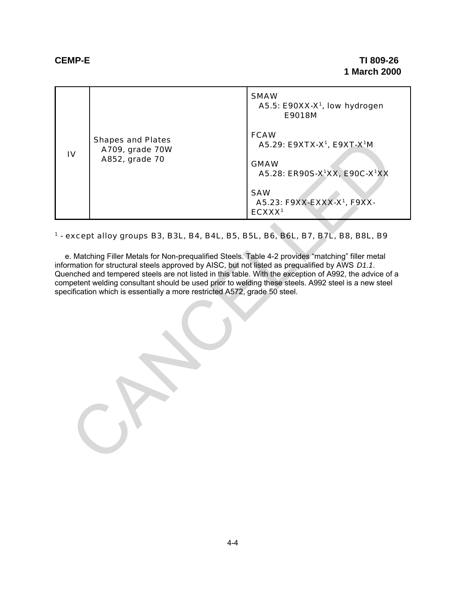| $\overline{\mathsf{I}}$                                                                                                                                                                                                                                                                                                                                                                                                                                                                                                                                                                             | <b>Shapes and Plates</b><br>A709, grade 70W<br>A852, grade 70 | <b>SMAW</b><br>A5.5: E90XX-X <sup>1</sup> , low hydrogen<br>E9018M<br><b>FCAW</b><br>A5.29: E9XTX-X <sup>1</sup> , E9XT-X <sup>1</sup> M<br><b>GMAW</b><br>A5.28: ER90S-X <sup>1</sup> XX, E90C-X <sup>1</sup> XX<br><b>SAW</b><br>A5.23: F9XX-EXXX-X <sup>1</sup> , F9XX-<br>ECXXX <sup>1</sup> |  |  |
|-----------------------------------------------------------------------------------------------------------------------------------------------------------------------------------------------------------------------------------------------------------------------------------------------------------------------------------------------------------------------------------------------------------------------------------------------------------------------------------------------------------------------------------------------------------------------------------------------------|---------------------------------------------------------------|--------------------------------------------------------------------------------------------------------------------------------------------------------------------------------------------------------------------------------------------------------------------------------------------------|--|--|
| <sup>1</sup> - except alloy groups B3, B3L, B4, B4L, B5, B5L, B6, B6L, B7, B7L, B8, B8L, B9<br>e. Matching Filler Metals for Non-prequalified Steels. Table 4-2 provides "matching" filler metal<br>information for structural steels approved by AISC, but not listed as prequalified by AWS D1.1.<br>Quenched and tempered steels are not listed in this table. With the exception of A992, the advice of a<br>competent welding consultant should be used prior to welding these steels. A992 steel is a new steel<br>specification which is essentially a more restricted A572, grade 50 steel. |                                                               |                                                                                                                                                                                                                                                                                                  |  |  |

## <sup>1</sup> - except alloy groups B3, B3L, B4, B4L, B5, B5L, B6, B6L, B7, B7L, B8, B8L, B9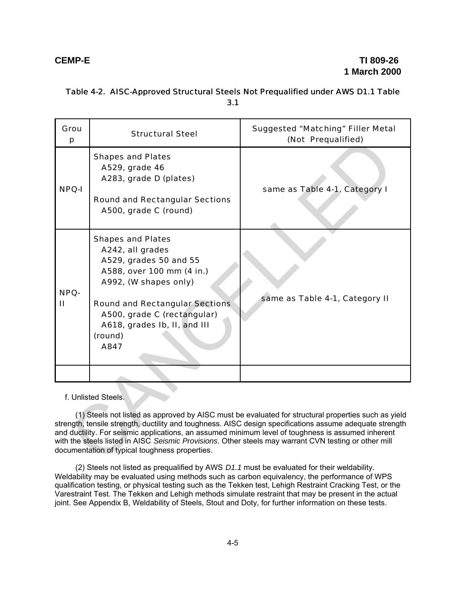| Grou<br>p                                                                                                                                                                                                                                                                                                                                                                                                                                                                                               | <b>Structural Steel</b>                                                                                                                                                                                                                                 | <b>Suggested "Matching" Filler Metal</b><br>(Not Prequalified) |  |  |  |  |
|---------------------------------------------------------------------------------------------------------------------------------------------------------------------------------------------------------------------------------------------------------------------------------------------------------------------------------------------------------------------------------------------------------------------------------------------------------------------------------------------------------|---------------------------------------------------------------------------------------------------------------------------------------------------------------------------------------------------------------------------------------------------------|----------------------------------------------------------------|--|--|--|--|
| <b>NPQ-I</b>                                                                                                                                                                                                                                                                                                                                                                                                                                                                                            | <b>Shapes and Plates</b><br>A529, grade 46<br>A283, grade D (plates)<br><b>Round and Rectangular Sections</b><br>A500, grade C (round)                                                                                                                  | same as Table 4-1, Category I                                  |  |  |  |  |
| NPQ-<br>$\mathbf{H}$                                                                                                                                                                                                                                                                                                                                                                                                                                                                                    | <b>Shapes and Plates</b><br>A242, all grades<br>A529, grades 50 and 55<br>A588, over 100 mm (4 in.)<br>A992, (W shapes only)<br><b>Round and Rectangular Sections</b><br>A500, grade C (rectangular)<br>A618, grades Ib, II, and III<br>(round)<br>A847 | same as Table 4-1, Category II                                 |  |  |  |  |
|                                                                                                                                                                                                                                                                                                                                                                                                                                                                                                         |                                                                                                                                                                                                                                                         |                                                                |  |  |  |  |
| f. Unlisted Steels.<br>(1) Steels not listed as approved by AISC must be evaluated for structural properties such as yield<br>strength, tensile strength, ductility and toughness. AISC design specifications assume adequate strength<br>and ductility. For seismic applications, an assumed minimum level of toughness is assumed inherent<br>with the steels listed in AISC Seismic Provisions. Other steels may warrant CVN testing or other mill<br>documentation of typical toughness properties. |                                                                                                                                                                                                                                                         |                                                                |  |  |  |  |

#### Table 4-2. AISC-Approved Structural Steels Not Prequalified under AWS D1.1 Table 3.1

(2) Steels not listed as prequalified by AWS *D1.1* must be evaluated for their weldability. Weldability may be evaluated using methods such as carbon equivalency, the performance of WPS qualification testing, or physical testing such as the Tekken test, Lehigh Restraint Cracking Test, or the Varestraint Test. The Tekken and Lehigh methods simulate restraint that may be present in the actual joint. See Appendix B, Weldability of Steels, Stout and Doty, for further information on these tests.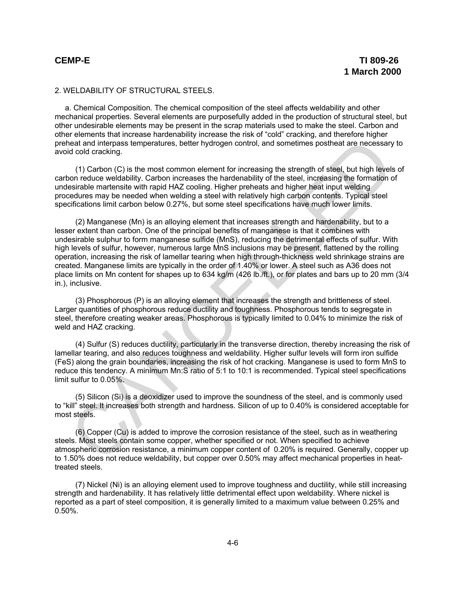#### 2. WELDABILITY OF STRUCTURAL STEELS.

a. Chemical Composition. The chemical composition of the steel affects weldability and other mechanical properties. Several elements are purposefully added in the production of structural steel, but other undesirable elements may be present in the scrap materials used to make the steel. Carbon and other elements that increase hardenability increase the risk of "cold" cracking, and therefore higher preheat and interpass temperatures, better hydrogen control, and sometimes postheat are necessary to avoid cold cracking.

(1) Carbon (C) is the most common element for increasing the strength of steel, but high levels of carbon reduce weldability. Carbon increases the hardenability of the steel, increasing the formation of undesirable martensite with rapid HAZ cooling. Higher preheats and higher heat input welding procedures may be needed when welding a steel with relatively high carbon contents. Typical steel specifications limit carbon below 0.27%, but some steel specifications have much lower limits.

(2) Manganese (Mn) is an alloying element that increases strength and hardenability, but to a lesser extent than carbon. One of the principal benefits of manganese is that it combines with undesirable sulphur to form manganese sulfide (MnS), reducing the detrimental effects of sulfur. With high levels of sulfur, however, numerous large MnS inclusions may be present, flattened by the rolling operation, increasing the risk of lamellar tearing when high through-thickness weld shrinkage strains are created. Manganese limits are typically in the order of 1.40% or lower. A steel such as A36 does not place limits on Mn content for shapes up to 634 kg/m (426 lb./ft.), or for plates and bars up to 20 mm (3/4 in.), inclusive. neal and interpass temperatures, better hydrogen control, and sometimes postheat are necessary<br>
of dold cracking. (1) Carbon (C) is the most common element for increasing the stength of steel, but high levels<br>
(1) Carbon (

(3) Phosphorous (P) is an alloying element that increases the strength and brittleness of steel. Larger quantities of phosphorous reduce ductility and toughness. Phosphorous tends to segregate in steel, therefore creating weaker areas. Phosphorous is typically limited to 0.04% to minimize the risk of weld and HAZ cracking.

(4) Sulfur (S) reduces ductility, particularly in the transverse direction, thereby increasing the risk of lamellar tearing, and also reduces toughness and weldability. Higher sulfur levels will form iron sulfide (FeS) along the grain boundaries, increasing the risk of hot cracking. Manganese is used to form MnS to reduce this tendency. A minimum Mn:S ratio of 5:1 to 10:1 is recommended. Typical steel specifications limit sulfur to 0.05%.

(5) Silicon (Si) is a deoxidizer used to improve the soundness of the steel, and is commonly used to "kill" steel. It increases both strength and hardness. Silicon of up to 0.40% is considered acceptable for most steels.

(6) Copper (Cu) is added to improve the corrosion resistance of the steel, such as in weathering steels. Most steels contain some copper, whether specified or not. When specified to achieve atmospheric corrosion resistance, a minimum copper content of 0.20% is required. Generally, copper up to 1.50% does not reduce weldability, but copper over 0.50% may affect mechanical properties in heattreated steels.

(7) Nickel (Ni) is an alloying element used to improve toughness and ductility, while still increasing strength and hardenability. It has relatively little detrimental effect upon weldability. Where nickel is reported as a part of steel composition, it is generally limited to a maximum value between 0.25% and 0.50%.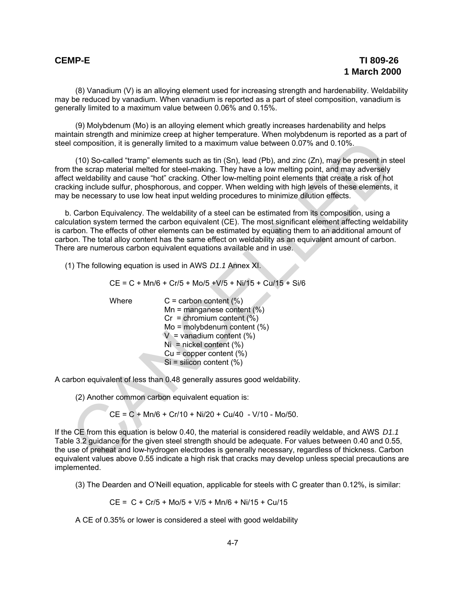(8) Vanadium (V) is an alloying element used for increasing strength and hardenability. Weldability may be reduced by vanadium. When vanadium is reported as a part of steel composition, vanadium is generally limited to a maximum value between 0.06% and 0.15%.

(9) Molybdenum (Mo) is an alloying element which greatly increases hardenability and helps maintain strength and minimize creep at higher temperature. When molybdenum is reported as a part of steel composition, it is generally limited to a maximum value between 0.07% and 0.10%.

(10) So-called "tramp" elements such as tin (Sn), lead (Pb), and zinc (Zn), may be present in steel from the scrap material melted for steel-making. They have a low melting point, and may adversely affect weldability and cause "hot" cracking. Other low-melting point elements that create a risk of hot cracking include sulfur, phosphorous, and copper. When welding with high levels of these elements, it may be necessary to use low heat input welding procedures to minimize dilution effects.

b. Carbon Equivalency. The weldability of a steel can be estimated from its composition, using a calculation system termed the carbon equivalent (CE). The most significant element affecting weldability is carbon. The effects of other elements can be estimated by equating them to an additional amount of carbon. The total alloy content has the same effect on weldability as an equivalent amount of carbon. There are numerous carbon equivalent equations available and in use. id composition, it is generally limited to a maximum value between 0.07% and 0.10%.<br>
(10) So-called "term" elements such as tin (Sn), lead (Pb), and zinc (Zn), may be present in steps and the scrip methal melled for steel

(1) The following equation is used in AWS *D1.1* Annex XI.

 $CE = C + Mn/6 + Cr/5 + Mo/5 + V/5 + Ni/15 + Cu/15 + Si/6$ 

Where  $C =$  carbon content  $(\%)$ 

 $Mn =$  manganese content  $(\%)$  $Cr =$  chromium content  $(\%)$  Mo = molybdenum content (%)  $V =$  vanadium content  $(\%)$  $Ni =$  nickel content  $(\%)$  $Cu = copper content (%)$  $Si = silicon content (%)$ 

A carbon equivalent of less than 0.48 generally assures good weldability.

(2) Another common carbon equivalent equation is:

 $CE = C + Mn/6 + Cr/10 + Ni/20 + Cu/40 - V/10 - Mo/50$ .

If the CE from this equation is below 0.40, the material is considered readily weldable, and AWS *D1.1* Table 3.2 guidance for the given steel strength should be adequate. For values between 0.40 and 0.55, the use of preheat and low-hydrogen electrodes is generally necessary, regardless of thickness. Carbon equivalent values above 0.55 indicate a high risk that cracks may develop unless special precautions are implemented.

(3) The Dearden and O'Neill equation, applicable for steels with C greater than 0.12%, is similar:

 $CE = C + Cr/5 + Mo/5 + V/5 + Mn/6 + Ni/15 + Cu/15$ 

A CE of 0.35% or lower is considered a steel with good weldability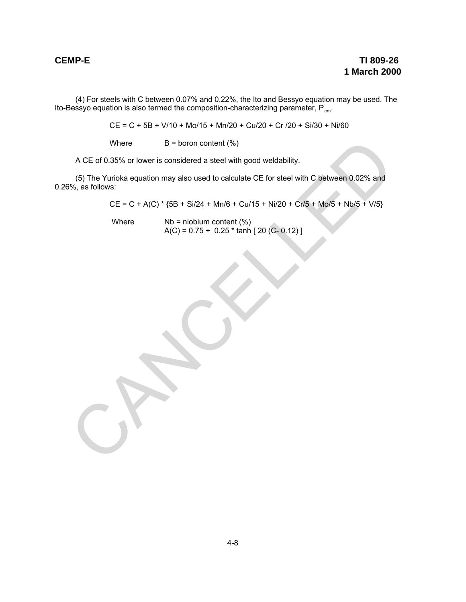(4) For steels with C between 0.07% and 0.22%, the Ito and Bessyo equation may be used. The Ito-Bessyo equation is also termed the composition-characterizing parameter,  $\mathsf{P}_{\mathsf{cm}}.$ 

CE = C + 5B + V/10 + Mo/15 + Mn/20 + Cu/20 + Cr /20 + Si/30 + Ni/60

Where  $B = \text{born content } (\%)$ 

A CE of 0.35% or lower is considered a steel with good weldability.

(5) The Yurioka equation may also used to calculate CE for steel with C between 0.02% and 0.26%, as follows: Where  $B = \text{boron content}(\%)$ <br>  $A CE of 0.35% or lower is considered a steel with good wedability.$ <br>
(5) The Yurioka equation may also used to calculate CE for steel with C between 0.02% and<br>  $CE = C + A(C)^{-1} (5B + Si/24 + Mn/6 + Cu/15 + Nl/20 + Crf/5 + M_0/5 + Nr/5)$ <br>
Where  $N = \text{holom content}(\%)$ <br>  $A(C) = 0.75$ 

 $CE = C + A(C) * {5B + Si/24 + Mn/6 + Cu/15 + Ni/20 + Cr/5 + Mo/5 + Nb/5 + V/5}$ 

Where  $Nb = niobium content (%)$  $A(C) = 0.75 + 0.25 * \tanh [20 (C - 0.12)]$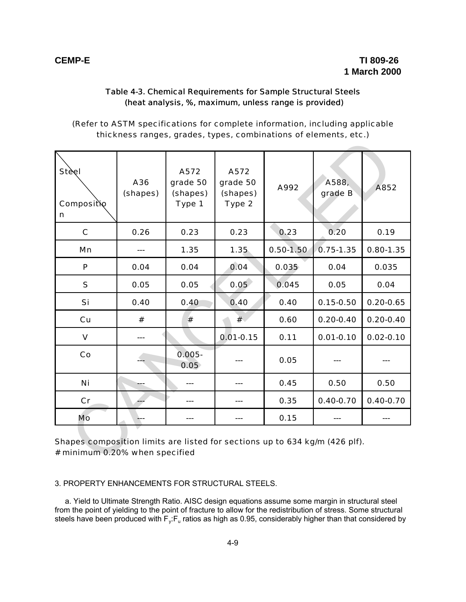#### Table 4-3. Chemical Requirements for Sample Structural Steels (heat analysis, %, maximum, unless range is provided)

(Refer to ASTM specifications for complete information, including applicable thickness ranges, grades, types, combinations of elements, etc.)

| 0.26 |                   |                                                                             |               | grade B       |               |
|------|-------------------|-----------------------------------------------------------------------------|---------------|---------------|---------------|
|      | 0.23              | 0.23                                                                        | 0.23          | 0.20          | 0.19          |
|      | 1.35              | 1.35                                                                        | $0.50 - 1.50$ | $0.75 - 1.35$ | $0.80 - 1.35$ |
| 0.04 | 0.04              | 0.04                                                                        | 0.035         | 0.04          | 0.035         |
| 0.05 | 0.05              | 0.05                                                                        | 0.045         | 0.05          | 0.04          |
| 0.40 | 0.40              | 0.40                                                                        | 0.40          | $0.15 - 0.50$ | $0.20 - 0.65$ |
| #    | #                 | #                                                                           | 0.60          | $0.20 - 0.40$ | $0.20 - 0.40$ |
|      |                   | $0.01 - 0.15$                                                               | 0.11          | $0.01 - 0.10$ | $0.02 - 0.10$ |
|      | $0.005 -$<br>0.05 |                                                                             | 0.05          |               |               |
|      | ---               | ---                                                                         | 0.45          | 0.50          | 0.50          |
|      | ---               | ---                                                                         | 0.35          | $0.40 - 0.70$ | $0.40 - 0.70$ |
| A.,  | ---               | ---                                                                         | 0.15          |               |               |
|      |                   | Shapes composition limits are listed for sections up to 634 kg/m (426 plf). |               |               |               |

3. PROPERTY ENHANCEMENTS FOR STRUCTURAL STEELS.

a. Yield to Ultimate Strength Ratio. AISC design equations assume some margin in structural steel from the point of yielding to the point of fracture to allow for the redistribution of stress. Some structural steels have been produced with  $\mathsf{F}_\mathsf{y} \mathsf{:} \mathsf{F}_\mathsf{u}$  ratios as high as 0.95, considerably higher than that considered by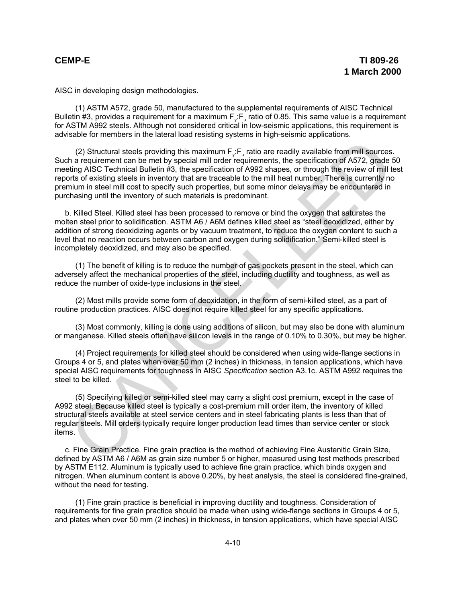AISC in developing design methodologies.

(1) ASTM A572, grade 50, manufactured to the supplemental requirements of AISC Technical Bulletin #3, provides a requirement for a maximum  $F_v$ :  $F_u$  ratio of 0.85. This same value is a requirement for ASTM A992 steels. Although not considered critical in low-seismic applications, this requirement is advisable for members in the lateral load resisting systems in high-seismic applications.

(2) Structural steels providing this maximum  $F_v$ :  $F_v$  ratio are readily available from mill sources. Such a requirement can be met by special mill order requirements, the specification of A572, grade 50 meeting AISC Technical Bulletin #3, the specification of A992 shapes, or through the review of mill test reports of existing steels in inventory that are traceable to the mill heat number. There is currently no premium in steel mill cost to specify such properties, but some minor delays may be encountered in purchasing until the inventory of such materials is predominant. (2) Structural steels providing this maximum F<sub>i</sub>.F<sub>n</sub> ratio are readily available from mill sources<br>hare a partiement can be met by special mill order requirements, the specification of AS72 grade string AISC Technical Bu

b. Killed Steel. Killed steel has been processed to remove or bind the oxygen that saturates the molten steel prior to solidification. ASTM A6 / A6M defines killed steel as "steel deoxidized, either by addition of strong deoxidizing agents or by vacuum treatment, to reduce the oxygen content to such a level that no reaction occurs between carbon and oxygen during solidification." Semi-killed steel is incompletely deoxidized, and may also be specified.

(1) The benefit of killing is to reduce the number of gas pockets present in the steel, which can adversely affect the mechanical properties of the steel, including ductility and toughness, as well as reduce the number of oxide-type inclusions in the steel.

(2) Most mills provide some form of deoxidation, in the form of semi-killed steel, as a part of routine production practices. AISC does not require killed steel for any specific applications.

(3) Most commonly, killing is done using additions of silicon, but may also be done with aluminum or manganese. Killed steels often have silicon levels in the range of 0.10% to 0.30%, but may be higher.

(4) Project requirements for killed steel should be considered when using wide-flange sections in Groups 4 or 5, and plates when over 50 mm (2 inches) in thickness, in tension applications, which have special AISC requirements for toughness in AISC *Specification* section A3.1c. ASTM A992 requires the steel to be killed.

(5) Specifying killed or semi-killed steel may carry a slight cost premium, except in the case of A992 steel. Because killed steel is typically a cost-premium mill order item, the inventory of killed structural steels available at steel service centers and in steel fabricating plants is less than that of regular steels. Mill orders typically require longer production lead times than service center or stock items.

c. Fine Grain Practice. Fine grain practice is the method of achieving Fine Austenitic Grain Size, defined by ASTM A6 / A6M as grain size number 5 or higher, measured using test methods prescribed by ASTM E112. Aluminum is typically used to achieve fine grain practice, which binds oxygen and nitrogen. When aluminum content is above 0.20%, by heat analysis, the steel is considered fine-grained, without the need for testing.

(1) Fine grain practice is beneficial in improving ductility and toughness. Consideration of requirements for fine grain practice should be made when using wide-flange sections in Groups 4 or 5, and plates when over 50 mm (2 inches) in thickness, in tension applications, which have special AISC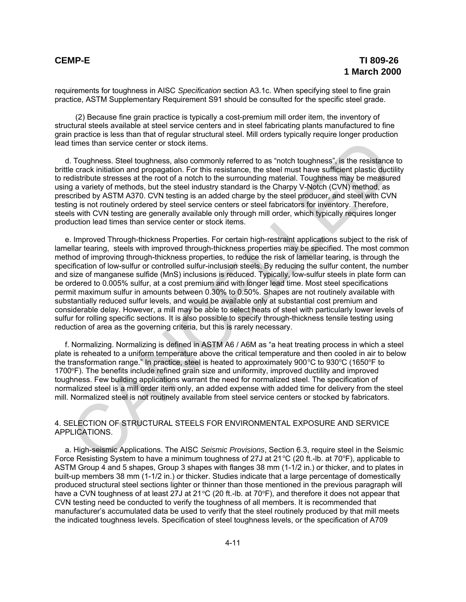requirements for toughness in AISC *Specification* section A3.1c. When specifying steel to fine grain practice, ASTM Supplementary Requirement S91 should be consulted for the specific steel grade.

(2) Because fine grain practice is typically a cost-premium mill order item, the inventory of structural steels available at steel service centers and in steel fabricating plants manufactured to fine grain practice is less than that of regular structural steel. Mill orders typically require longer production lead times than service center or stock items.

d. Toughness. Steel toughness, also commonly referred to as "notch toughness", is the resistance to brittle crack initiation and propagation. For this resistance, the steel must have sufficient plastic ductility to redistribute stresses at the root of a notch to the surrounding material. Toughness may be measured using a variety of methods, but the steel industry standard is the Charpy V-Notch (CVN) method, as prescribed by ASTM A370. CVN testing is an added charge by the steel producer, and steel with CVN testing is not routinely ordered by steel service centers or steel fabricators for inventory. Therefore, steels with CVN testing are generally available only through mill order, which typically requires longer production lead times than service center or stock items.

e. Improved Through-thickness Properties. For certain high-restraint applications subject to the risk of lamellar tearing, steels with improved through-thickness properties may be specified. The most common method of improving through-thickness properties, to reduce the risk of lamellar tearing, is through the specification of low-sulfur or controlled sulfur-inclusion steels. By reducing the sulfur content, the number and size of manganese sulfide (MnS) inclusions is reduced. Typically, low-sulfur steels in plate form can be ordered to 0.005% sulfur, at a cost premium and with longer lead time. Most steel specifications permit maximum sulfur in amounts between 0.30% to 0.50%. Shapes are not routinely available with substantially reduced sulfur levels, and would be available only at substantial cost premium and considerable delay. However, a mill may be able to select heats of steel with particularly lower levels of sulfur for rolling specific sections. It is also possible to specify through-thickness tensile testing using reduction of area as the governing criteria, but this is rarely necessary. I times than service center or stock items.<br>In Toughness, Steel toughness, also commonly referred to as "notch toughness", is the resistance energy in the case is the most case is the most case is the case is the case is t

f. Normalizing. Normalizing is defined in ASTM A6 / A6M as "a heat treating process in which a steel plate is reheated to a uniform temperature above the critical temperature and then cooled in air to below the transformation range." In practice, steel is heated to approximately  $900^{\circ}$ C to  $930^{\circ}$ C (1650 $^{\circ}$ F to 1700°F). The benefits include refined grain size and uniformity, improved ductility and improved toughness. Few building applications warrant the need for normalized steel. The specification of normalized steel is a mill order item only, an added expense with added time for delivery from the steel mill. Normalized steel is not routinely available from steel service centers or stocked by fabricators.

### 4. SELECTION OF STRUCTURAL STEELS FOR ENVIRONMENTAL EXPOSURE AND SERVICE APPLICATIONS.

a. High-seismic Applications. The AISC *Seismic Provisions*, Section 6.3, require steel in the Seismic Force Resisting System to have a minimum toughness of 27J at  $21^{\circ}$ C (20 ft.-lb. at 70°F), applicable to ASTM Group 4 and 5 shapes, Group 3 shapes with flanges 38 mm (1-1/2 in.) or thicker, and to plates in built-up members 38 mm (1-1/2 in.) or thicker. Studies indicate that a large percentage of domestically produced structural steel sections lighter or thinner than those mentioned in the previous paragraph will have a CVN toughness of at least 27J at 21 °C (20 ft.-lb. at 70°F), and therefore it does not appear that CVN testing need be conducted to verify the toughness of all members. It is recommended that manufacturer's accumulated data be used to verify that the steel routinely produced by that mill meets the indicated toughness levels. Specification of steel toughness levels, or the specification of A709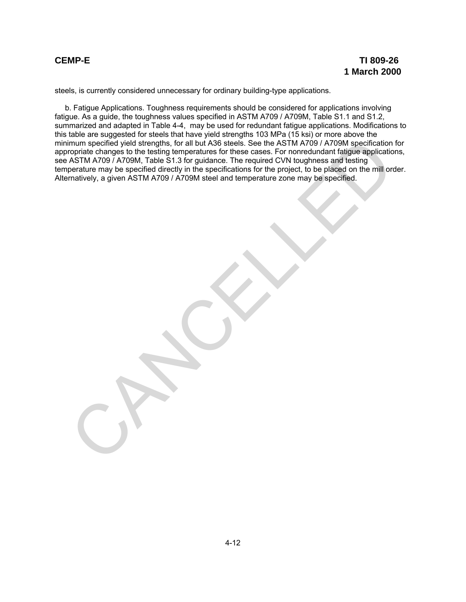steels, is currently considered unnecessary for ordinary building-type applications.

b. Fatigue Applications. Toughness requirements should be considered for applications involving fatigue. As a guide, the toughness values specified in ASTM A709 / A709M, Table S1.1 and S1.2, summarized and adapted in Table 4-4, may be used for redundant fatigue applications. Modifications to this table are suggested for steels that have yield strengths 103 MPa (15 ksi) or more above the minimum specified yield strengths, for all but A36 steels. See the ASTM A709 / A709M specification for appropriate changes to the testing temperatures for these cases. For nonredundant fatigue applications, see ASTM A709 / A709M, Table S1.3 for guidance. The required CVN toughness and testing temperature may be specified directly in the specifications for the project, to be placed on the mill order. Alternatively, a given ASTM A709 / A709M steel and temperature zone may be specified. imum specified yield strengths, for all but A36 steels. See the AsTM A709/ A709M specification<br>reprise changes to the testing temperatures for these cases. For norredundant fratigue application<br>ASTM A709/ A709M steel sti 3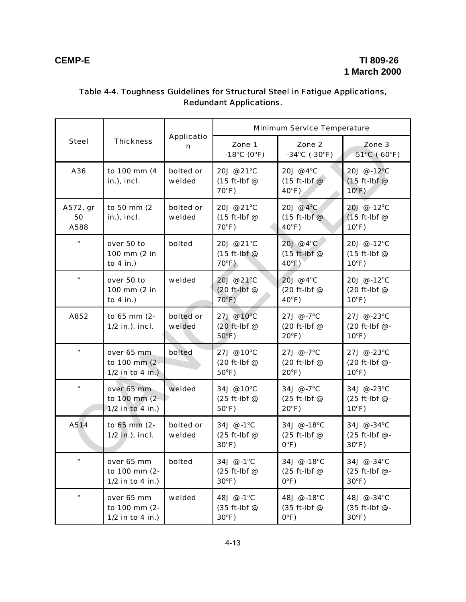|                           | <b>Thickness</b>                                  | <b>Applicatio</b><br>n | <b>Minimum Service Temperature</b>             |                                                                                                   |                                                  |  |
|---------------------------|---------------------------------------------------|------------------------|------------------------------------------------|---------------------------------------------------------------------------------------------------|--------------------------------------------------|--|
| <b>Steel</b>              |                                                   |                        | Zone 1<br>-18°C (0°F)                          | Zone 2<br>$-34^{\circ}$ C (-30 $^{\circ}$ F)                                                      | Zone 3<br>$-51^{\circ}$ C (-60 $^{\circ}$ F)     |  |
| A36                       | to 100 mm (4<br>in.), incl.                       | bolted or<br>welded    | 20J @ 21°C<br>(15 ft-lbf @<br>$70^{\circ}F$ )  | 20J @ 4°C<br>20J @ -12°C<br>$(15 ft-lbf@)$<br>$(15 ft-lbf@$<br>$40^{\circ}$ F)<br>$10^{\circ}$ F) |                                                  |  |
| A572, gr<br>50<br>A588    | to 50 mm (2<br>$in.)$ , incl.                     | bolted or<br>welded    | 20J @ 21°C<br>$(15 ft-lbf@$<br>$70^{\circ}F$ ) | 20J @ 4°C<br>$(15 ft-lbf@)$<br>$40^{\circ}$ F)                                                    | 20J @ -12°C<br>$(15 ft-lbf@$<br>$10^{\circ}$ F)  |  |
| $\boldsymbol{\mu}$        | over 50 to<br>100 mm (2 in<br>to $4$ in.)         | bolted                 | 20J @ 21°C<br>$(15 ft-lbf@$<br>$70^{\circ}$ F) | 20J @ 4°C<br>$(15$ ft-lbf $@$<br>$40^{\circ}$ F)                                                  | 20J @ -12°C<br>(15 ft-lbf @<br>$10^{\circ}$ F)   |  |
| $\boldsymbol{u}$          | over 50 to<br>100 mm (2 in<br>to $4$ in.)         | welded                 | 20J @ 21°C<br>(20 ft-lbf @<br>$70^{\circ}$ F)  | 20J @ 4°C<br>(20 ft-lbf @<br>$40^{\circ}$ F)                                                      | 20J @ -12°C<br>(20 ft-lbf @<br>$10^{\circ}$ F)   |  |
| A852                      | to 65 mm (2-<br>$1/2$ in.), incl.                 | bolted or<br>welded    | 27J @ 10°C<br>(20 ft-lbf @<br>$50^{\circ}$ F)  | 27J @ -7°C<br>(20 ft-lbf @<br>$20^{\circ}$ F)                                                     | 27J @ -23°C<br>(20 ft-lbf @ -<br>$10^{\circ}$ F) |  |
| $\boldsymbol{u}$          | over 65 mm<br>to 100 mm (2-<br>$1/2$ in to 4 in.) | bolted                 | 27J @ 10°C<br>(20 ft-lbf @<br>$50^{\circ}$ F)  | 27J @ -7°C<br>(20 ft-lbf @<br>$20^{\circ}F$ )                                                     | 27J @ -23°C<br>(20 ft-lbf @ -<br>$10^{\circ}F$ ) |  |
| $\pmb{\mathit{u}}$        | over 65 mm<br>to 100 mm (2-<br>$1/2$ in to 4 in.) | welded                 | 34J @ 10°C<br>$(25 ft-lbf@$<br>$50^{\circ}$ F) | 34J @ -7°C<br>(25 ft-lbf @<br>$20^{\circ}F$ )                                                     | 34J @ -23°C<br>(25 ft-lbf @ -<br>$10^{\circ}$ F) |  |
| A514                      | to 65 mm (2-<br>1/2 in.), incl.                   | bolted or<br>welded    | 34J @ -1°C<br>(25 ft-lbf @<br>$30^{\circ}$ F)  | 34J @ -18°C<br>(25 ft-lbf @<br>$O^{\circ}F$ )                                                     | 34J @ -34°C<br>(25 ft-lbf @ -<br>$30^{\circ}F$ ) |  |
| $\boldsymbol{\mathit{u}}$ | over 65 mm<br>to 100 mm (2-<br>$1/2$ in to 4 in.) | bolted                 | 34J @ -1°C<br>(25 ft-lbf @<br>$30^{\circ}F$ )  | 34J @ -18°C<br>$(25 ft-lbf@$<br>$O^{\circ}F$ )                                                    | 34J @ -34°C<br>(25 ft-lbf @ -<br>$30^{\circ}F$ ) |  |
| $\pmb{\mathit{u}}$        | over 65 mm<br>to 100 mm (2-<br>1/2 in to 4 in.)   | welded                 | 48J @ -1°C<br>$(35 ft-lbf@$<br>$30^{\circ}F$ ) | 48J @ -18°C<br>$(35 ft-lbf@$<br>$0^{\circ}F)$                                                     | 48J @ -34°C<br>(35 ft-lbf @ -<br>$30^{\circ}F$ ) |  |

# Table 4-4. Toughness Guidelines for Structural Steel in Fatigue Applications, Redundant Applications.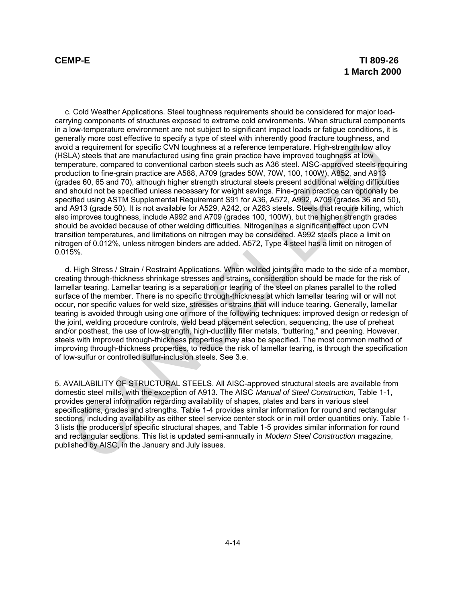c. Cold Weather Applications. Steel toughness requirements should be considered for major loadcarrying components of structures exposed to extreme cold environments. When structural components in a low-temperature environment are not subject to significant impact loads or fatigue conditions, it is generally more cost effective to specify a type of steel with inherently good fracture toughness, and avoid a requirement for specific CVN toughness at a reference temperature. High-strength low alloy (HSLA) steels that are manufactured using fine grain practice have improved toughness at low temperature, compared to conventional carbon steels such as A36 steel. AISC-approved steels requiring production to fine-grain practice are A588, A709 (grades 50W, 70W, 100, 100W), A852, and A913 (grades 60, 65 and 70), although higher strength structural steels present additional welding difficulties and should not be specified unless necessary for weight savings. Fine-grain practice can optionally be specified using ASTM Supplemental Requirement S91 for A36, A572, A992, A709 (grades 36 and 50), and A913 (grade 50). It is not available for A529, A242, or A283 steels. Steels that require killing, which also improves toughness, include A992 and A709 (grades 100, 100W), but the higher strength grades should be avoided because of other welding difficulties. Nitrogen has a significant effect upon CVN transition temperatures, and limitations on nitrogen may be considered. A992 steels place a limit on nitrogen of 0.012%, unless nitrogen binders are added. A572, Type 4 steel has a limit on nitrogen of 0.015%. effently more cost energive to specify a type or steet wim inneremay good tractive toughness, and<br>dia requirement for specific CVN toughness at a reference temperature. High-strength low alloy<br>persture, compared to convent

d. High Stress / Strain / Restraint Applications. When welded joints are made to the side of a member, creating through-thickness shrinkage stresses and strains, consideration should be made for the risk of lamellar tearing. Lamellar tearing is a separation or tearing of the steel on planes parallel to the rolled surface of the member. There is no specific through-thickness at which lamellar tearing will or will not occur, nor specific values for weld size, stresses or strains that will induce tearing. Generally, lamellar tearing is avoided through using one or more of the following techniques: improved design or redesign of the joint, welding procedure controls, weld bead placement selection, sequencing, the use of preheat and/or postheat, the use of low-strength, high-ductility filler metals, "buttering," and peening. However, steels with improved through-thickness properties may also be specified. The most common method of improving through-thickness properties, to reduce the risk of lamellar tearing, is through the specification of low-sulfur or controlled sulfur-inclusion steels. See 3.e.

5. AVAILABILITY OF STRUCTURAL STEELS. All AISC-approved structural steels are available from domestic steel mills, with the exception of A913. The AISC *Manual of Steel Construction*, Table 1-1, provides general information regarding availability of shapes, plates and bars in various steel specifications, grades and strengths. Table 1-4 provides similar information for round and rectangular sections, including availability as either steel service center stock or in mill order quantities only. Table 1- 3 lists the producers of specific structural shapes, and Table 1-5 provides similar information for round and rectangular sections. This list is updated semi-annually in *Modern Steel Construction* magazine, published by AISC, in the January and July issues.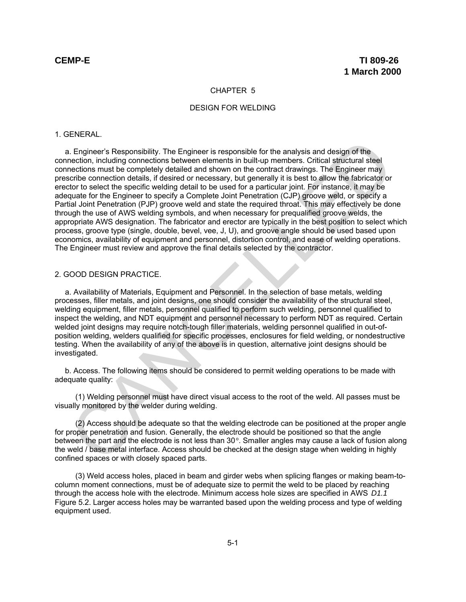### CHAPTER 5

### DESIGN FOR WELDING

### 1. GENERAL.

a. Engineer's Responsibility. The Engineer is responsible for the analysis and design of the connection, including connections between elements in built-up members. Critical structural steel connections must be completely detailed and shown on the contract drawings. The Engineer may prescribe connection details, if desired or necessary, but generally it is best to allow the fabricator or erector to select the specific welding detail to be used for a particular joint. For instance, it may be adequate for the Engineer to specify a Complete Joint Penetration (CJP) groove weld, or specify a Partial Joint Penetration (PJP) groove weld and state the required throat. This may effectively be done through the use of AWS welding symbols, and when necessary for prequalified groove welds, the appropriate AWS designation. The fabricator and erector are typically in the best position to select which process, groove type (single, double, bevel, vee, J, U), and groove angle should be used based upon economics, availability of equipment and personnel, distortion control, and ease of welding operations. The Engineer must review and approve the final details selected by the contractor. I. Engineer's Responsibility. The Engineer is responsible for the analysis and design of the<br>necilon, including comections between elements in built-up members. Critical structural steel<br>necilons must be completely detaile

### 2. GOOD DESIGN PRACTICE.

a. Availability of Materials, Equipment and Personnel. In the selection of base metals, welding processes, filler metals, and joint designs, one should consider the availability of the structural steel, welding equipment, filler metals, personnel qualified to perform such welding, personnel qualified to inspect the welding, and NDT equipment and personnel necessary to perform NDT as required. Certain welded joint designs may require notch-tough filler materials, welding personnel qualified in out-ofposition welding, welders qualified for specific processes, enclosures for field welding, or nondestructive testing. When the availability of any of the above is in question, alternative joint designs should be investigated.

b. Access. The following items should be considered to permit welding operations to be made with adequate quality:

(1) Welding personnel must have direct visual access to the root of the weld. All passes must be visually monitored by the welder during welding.

(2) Access should be adequate so that the welding electrode can be positioned at the proper angle for proper penetration and fusion. Generally, the electrode should be positioned so that the angle between the part and the electrode is not less than 30°. Smaller angles may cause a lack of fusion along the weld / base metal interface. Access should be checked at the design stage when welding in highly confined spaces or with closely spaced parts.

(3) Weld access holes, placed in beam and girder webs when splicing flanges or making beam-tocolumn moment connections, must be of adequate size to permit the weld to be placed by reaching through the access hole with the electrode. Minimum access hole sizes are specified in AWS *D1.1* Figure 5.2. Larger access holes may be warranted based upon the welding process and type of welding equipment used.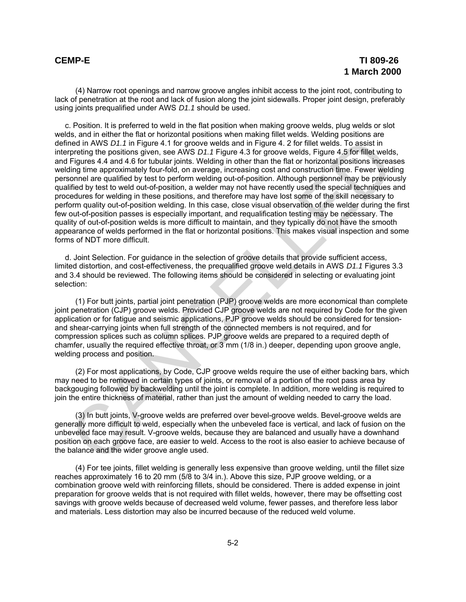(4) Narrow root openings and narrow groove angles inhibit access to the joint root, contributing to lack of penetration at the root and lack of fusion along the joint sidewalls. Proper joint design, preferably using joints prequalified under AWS *D1.1* should be used.

c. Position. It is preferred to weld in the flat position when making groove welds, plug welds or slot welds, and in either the flat or horizontal positions when making fillet welds. Welding positions are defined in AWS *D1.1* in Figure 4.1 for groove welds and in Figure 4. 2 for fillet welds. To assist in interpreting the positions given, see AWS *D1.1* Figure 4.3 for groove welds, Figure 4.5 for fillet welds, and Figures 4.4 and 4.6 for tubular joints. Welding in other than the flat or horizontal positions increases welding time approximately four-fold, on average, increasing cost and construction time. Fewer welding personnel are qualified by test to perform welding out-of-position. Although personnel may be previously qualified by test to weld out-of-position, a welder may not have recently used the special techniques and procedures for welding in these positions, and therefore may have lost some of the skill necessary to perform quality out-of-position welding. In this case, close visual observation of the welder during the first few out-of-position passes is especially important, and requalification testing may be necessary. The quality of out-of-position welds is more difficult to maintain, and they typically do not have the smooth appearance of welds performed in the flat or horizontal positions. This makes visual inspection and some forms of NDT more difficult. med in AWS D.f. fin Figure 4.1 for growe welds and in Figure 4.2 for fillet welds. To assist in highly at the process welds and in Figure 4.3 for growter line that the figures 4.4 and 4.6 for this welds. To assist in Figur

d. Joint Selection. For guidance in the selection of groove details that provide sufficient access, limited distortion, and cost-effectiveness, the prequalified groove weld details in AWS *D1.1* Figures 3.3 and 3.4 should be reviewed. The following items should be considered in selecting or evaluating joint selection:

(1) For butt joints, partial joint penetration (PJP) groove welds are more economical than complete joint penetration (CJP) groove welds. Provided CJP groove welds are not required by Code for the given application or for fatigue and seismic applications, PJP groove welds should be considered for tensionand shear-carrying joints when full strength of the connected members is not required, and for compression splices such as column splices. PJP groove welds are prepared to a required depth of chamfer, usually the required effective throat, or 3 mm (1/8 in.) deeper, depending upon groove angle, welding process and position.

(2) For most applications, by Code, CJP groove welds require the use of either backing bars, which may need to be removed in certain types of joints, or removal of a portion of the root pass area by backgouging followed by backwelding until the joint is complete. In addition, more welding is required to join the entire thickness of material, rather than just the amount of welding needed to carry the load.

(3) In butt joints, V-groove welds are preferred over bevel-groove welds. Bevel-groove welds are generally more difficult to weld, especially when the unbeveled face is vertical, and lack of fusion on the unbeveled face may result. V-groove welds, because they are balanced and usually have a downhand position on each groove face, are easier to weld. Access to the root is also easier to achieve because of the balance and the wider groove angle used.

(4) For tee joints, fillet welding is generally less expensive than groove welding, until the fillet size reaches approximately 16 to 20 mm (5/8 to 3/4 in.). Above this size, PJP groove welding, or a combination groove weld with reinforcing fillets, should be considered. There is added expense in joint preparation for groove welds that is not required with fillet welds, however, there may be offsetting cost savings with groove welds because of decreased weld volume, fewer passes, and therefore less labor and materials. Less distortion may also be incurred because of the reduced weld volume.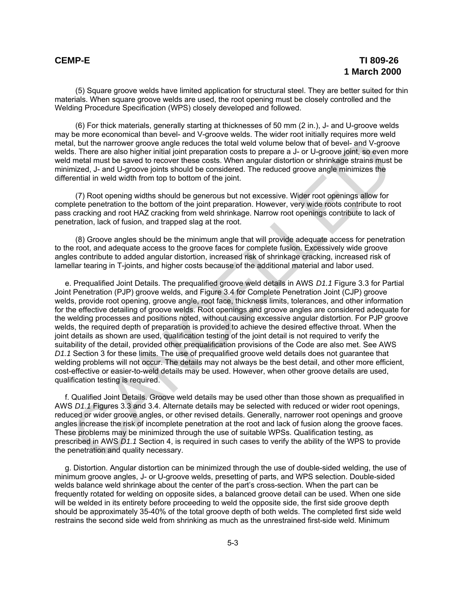(5) Square groove welds have limited application for structural steel. They are better suited for thin materials. When square groove welds are used, the root opening must be closely controlled and the Welding Procedure Specification (WPS) closely developed and followed.

(6) For thick materials, generally starting at thicknesses of 50 mm (2 in.), J- and U-groove welds may be more economical than bevel- and V-groove welds. The wider root initially requires more weld metal, but the narrower groove angle reduces the total weld volume below that of bevel- and V-groove welds. There are also higher initial joint preparation costs to prepare a J- or U-groove joint, so even more weld metal must be saved to recover these costs. When angular distortion or shrinkage strains must be minimized, J- and U-groove joints should be considered. The reduced groove angle minimizes the differential in weld width from top to bottom of the joint.

(7) Root opening widths should be generous but not excessive. Wider root openings allow for complete penetration to the bottom of the joint preparation. However, very wide roots contribute to root pass cracking and root HAZ cracking from weld shrinkage. Narrow root openings contribute to lack of penetration, lack of fusion, and trapped slag at the root.

(8) Groove angles should be the minimum angle that will provide adequate access for penetration to the root, and adequate access to the groove faces for complete fusion. Excessively wide groove angles contribute to added angular distortion, increased risk of shrinkage cracking, increased risk of lamellar tearing in T-joints, and higher costs because of the additional material and labor used.

e. Prequalified Joint Details. The prequalified groove weld details in AWS *D1.1* Figure 3.3 for Partial Joint Penetration (PJP) groove welds, and Figure 3.4 for Complete Penetration Joint (CJP) groove welds, provide root opening, groove angle, root face, thickness limits, tolerances, and other information for the effective detailing of groove welds. Root openings and groove angles are considered adequate for the welding processes and positions noted, without causing excessive angular distortion. For PJP groove welds, the required depth of preparation is provided to achieve the desired effective throat. When the joint details as shown are used, qualification testing of the joint detail is not required to verify the suitability of the detail, provided other prequalification provisions of the Code are also met. See AWS *D1.1* Section 3 for these limits. The use of prequalified groove weld details does not guarantee that welding problems will not occur. The details may not always be the best detail, and other more efficient, cost-effective or easier-to-weld details may be used. However, when other groove details are used, qualification testing is required. al, but the narrower groove angle reduces the total weld volume below that of bevel- and V-groove jaint, so even in the all must be moved in the all must be a set of the total with the movies of mean mized . J- and U-groov

f. Qualified Joint Details. Groove weld details may be used other than those shown as prequalified in AWS *D1.1* Figures 3.3 and 3.4. Alternate details may be selected with reduced or wider root openings, reduced or wider groove angles, or other revised details. Generally, narrower root openings and groove angles increase the risk of incomplete penetration at the root and lack of fusion along the groove faces. These problems may be minimized through the use of suitable WPSs. Qualification testing, as prescribed in AWS *D1.1* Section 4, is required in such cases to verify the ability of the WPS to provide the penetration and quality necessary.

g. Distortion. Angular distortion can be minimized through the use of double-sided welding, the use of minimum groove angles, J- or U-groove welds, presetting of parts, and WPS selection. Double-sided welds balance weld shrinkage about the center of the part's cross-section. When the part can be frequently rotated for welding on opposite sides, a balanced groove detail can be used. When one side will be welded in its entirety before proceeding to weld the opposite side, the first side groove depth should be approximately 35-40% of the total groove depth of both welds. The completed first side weld restrains the second side weld from shrinking as much as the unrestrained first-side weld. Minimum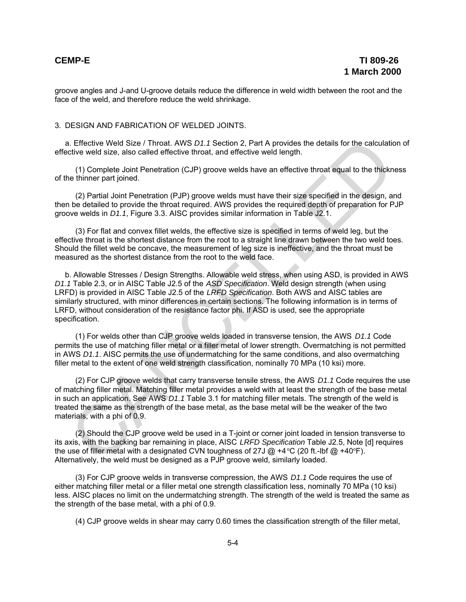groove angles and J-and U-groove details reduce the difference in weld width between the root and the face of the weld, and therefore reduce the weld shrinkage.

## 3. DESIGN AND FABRICATION OF WELDED JOINTS.

a. Effective Weld Size / Throat. AWS *D1.1* Section 2, Part A provides the details for the calculation of effective weld size, also called effective throat, and effective weld length.

(1) Complete Joint Penetration (CJP) groove welds have an effective throat equal to the thickness of the thinner part joined.

(2) Partial Joint Penetration (PJP) groove welds must have their size specified in the design, and then be detailed to provide the throat required. AWS provides the required depth of preparation for PJP groove welds in *D1.1*, Figure 3.3. AISC provides similar information in Table J2.1.

(3) For flat and convex fillet welds, the effective size is specified in terms of weld leg, but the effective throat is the shortest distance from the root to a straight line drawn between the two weld toes. Should the fillet weld be concave, the measurement of leg size is ineffective, and the throat must be measured as the shortest distance from the root to the weld face.

b. Allowable Stresses / Design Strengths. Allowable weld stress, when using ASD, is provided in AWS *D1.1* Table 2.3, or in AISC Table J2.5 of the *ASD Specification*. Weld design strength (when using LRFD) is provided in AISC Table J2.5 of the *LRFD Specification*. Both AWS and AISC tables are similarly structured, with minor differences in certain sections. The following information is in terms of LRFD, without consideration of the resistance factor phi. If ASD is used, see the appropriate specification. L. Effective Weld Size / Throat. AWS D1.1 Section 2, Part A provides the details for the calculation<br>(civive Weld size, also called effective throat, and effective weld length.<br>
(1) Complete Joint Penetration (CJP) groove

(1) For welds other than CJP groove welds loaded in transverse tension, the AWS *D1.1* Code permits the use of matching filler metal or a filler metal of lower strength. Overmatching is not permitted in AWS *D1.1*. AISC permits the use of undermatching for the same conditions, and also overmatching filler metal to the extent of one weld strength classification, nominally 70 MPa (10 ksi) more.

(2) For CJP groove welds that carry transverse tensile stress, the AWS *D1.1* Code requires the use of matching filler metal. Matching filler metal provides a weld with at least the strength of the base metal in such an application. See AWS *D1.1* Table 3.1 for matching filler metals. The strength of the weld is treated the same as the strength of the base metal, as the base metal will be the weaker of the two materials, with a phi of 0.9.

(2) Should the CJP groove weld be used in a T-joint or corner joint loaded in tension transverse to its axis, with the backing bar remaining in place, AISC *LRFD Specification* Table J2.5, Note [d] requires the use of filler metal with a designated CVN toughness of 27J  $@$  +4 °C (20 ft.-lbf  $@$  +40°F). Alternatively, the weld must be designed as a PJP groove weld, similarly loaded.

(3) For CJP groove welds in transverse compression, the AWS *D1.1* Code requires the use of either matching filler metal or a filler metal one strength classification less, nominally 70 MPa (10 ksi) less. AISC places no limit on the undermatching strength. The strength of the weld is treated the same as the strength of the base metal, with a phi of 0.9.

(4) CJP groove welds in shear may carry 0.60 times the classification strength of the filler metal,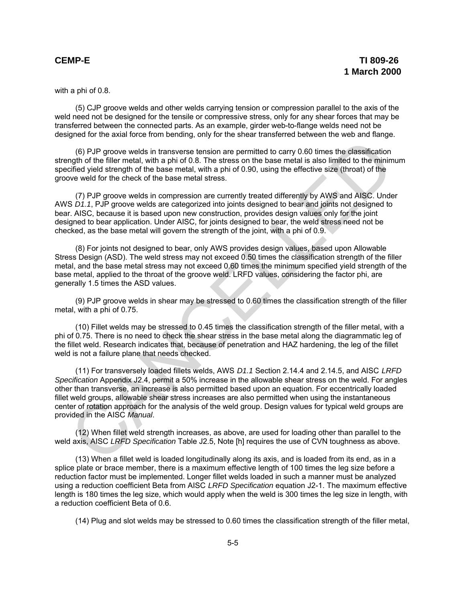with a phi of 0.8.

(5) CJP groove welds and other welds carrying tension or compression parallel to the axis of the weld need not be designed for the tensile or compressive stress, only for any shear forces that may be transferred between the connected parts. As an example, girder web-to-flange welds need not be designed for the axial force from bending, only for the shear transferred between the web and flange.

(6) PJP groove welds in transverse tension are permitted to carry 0.60 times the classification strength of the filler metal, with a phi of 0.8. The stress on the base metal is also limited to the minimum specified yield strength of the base metal, with a phi of 0.90, using the effective size (throat) of the groove weld for the check of the base metal stress.

(7) PJP groove welds in compression are currently treated differently by AWS and AISC. Under AWS *D1.1*, PJP groove welds are categorized into joints designed to bear and joints not designed to bear. AISC, because it is based upon new construction, provides design values only for the joint designed to bear application. Under AISC, for joints designed to bear, the weld stress need not be checked, as the base metal will govern the strength of the joint, with a phi of 0.9.

(8) For joints not designed to bear, only AWS provides design values, based upon Allowable Stress Design (ASD). The weld stress may not exceed 0.50 times the classification strength of the filler metal, and the base metal stress may not exceed 0.60 times the minimum specified yield strength of the base metal, applied to the throat of the groove weld. LRFD values, considering the factor phi, are generally 1.5 times the ASD values.

(9) PJP groove welds in shear may be stressed to 0.60 times the classification strength of the filler metal, with a phi of 0.75.

(10) Fillet welds may be stressed to 0.45 times the classification strength of the filler metal, with a phi of 0.75. There is no need to check the shear stress in the base metal along the diagrammatic leg of the fillet weld. Research indicates that, because of penetration and HAZ hardening, the leg of the fillet weld is not a failure plane that needs checked.

(11) For transversely loaded fillets welds, AWS *D1.1* Section 2.14.4 and 2.14.5, and AISC *LRFD Specification* Appendix J2.4, permit a 50% increase in the allowable shear stress on the weld. For angles other than transverse, an increase is also permitted based upon an equation. For eccentrically loaded fillet weld groups, allowable shear stress increases are also permitted when using the instantaneous center of rotation approach for the analysis of the weld group. Design values for typical weld groups are provided in the AISC *Manual*. C(i) PJP groove welds in transverse tension are permitted to carry 0.60 times the classification<br>of the filler metal, with a phi of 0.8. The sters on the base metal is also limited to the minimal<br>of the filler metal, with

(12) When fillet weld strength increases, as above, are used for loading other than parallel to the weld axis, AISC *LRFD Specification* Table J2.5, Note [h] requires the use of CVN toughness as above.

(13) When a fillet weld is loaded longitudinally along its axis, and is loaded from its end, as in a splice plate or brace member, there is a maximum effective length of 100 times the leg size before a reduction factor must be implemented. Longer fillet welds loaded in such a manner must be analyzed using a reduction coefficient Beta from AISC *LRFD Specification* equation J2-1. The maximum effective length is 180 times the leg size, which would apply when the weld is 300 times the leg size in length, with a reduction coefficient Beta of 0.6.

(14) Plug and slot welds may be stressed to 0.60 times the classification strength of the filler metal,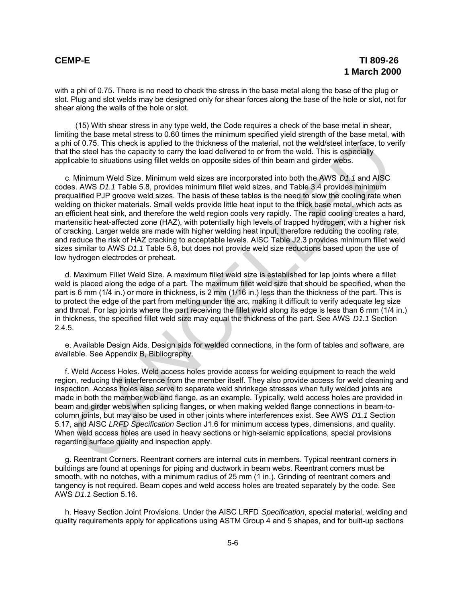with a phi of 0.75. There is no need to check the stress in the base metal along the base of the plug or slot. Plug and slot welds may be designed only for shear forces along the base of the hole or slot, not for shear along the walls of the hole or slot.

(15) With shear stress in any type weld, the Code requires a check of the base metal in shear, limiting the base metal stress to 0.60 times the minimum specified yield strength of the base metal, with a phi of 0.75. This check is applied to the thickness of the material, not the weld/steel interface, to verify that the steel has the capacity to carry the load delivered to or from the weld. This is especially applicable to situations using fillet welds on opposite sides of thin beam and girder webs.

c. Minimum Weld Size. Minimum weld sizes are incorporated into both the AWS *D1.1* and AISC codes. AWS *D1.1* Table 5.8, provides minimum fillet weld sizes, and Table 3.4 provides minimum prequalified PJP groove weld sizes. The basis of these tables is the need to slow the cooling rate when welding on thicker materials. Small welds provide little heat input to the thick base metal, which acts as an efficient heat sink, and therefore the weld region cools very rapidly. The rapid cooling creates a hard, martensitic heat-affected zone (HAZ), with potentially high levels of trapped hydrogen, with a higher risk of cracking. Larger welds are made with higher welding heat input, therefore reducing the cooling rate, and reduce the risk of HAZ cracking to acceptable levels. AISC Table J2.3 provides minimum fillet weld sizes similar to AWS *D1.1* Table 5.8, but does not provide weld size reductions based upon the use of low hydrogen electrodes or preheat. in of 0.75. This check is applied to the thickness of the material, not the weld/stell interface, to verthe in the search interface, to verthe in the search interface, to verthe interface, to verthe interface interface, to

d. Maximum Fillet Weld Size. A maximum fillet weld size is established for lap joints where a fillet weld is placed along the edge of a part. The maximum fillet weld size that should be specified, when the part is 6 mm (1/4 in.) or more in thickness, is 2 mm (1/16 in.) less than the thickness of the part. This is to protect the edge of the part from melting under the arc, making it difficult to verify adequate leg size and throat. For lap joints where the part receiving the fillet weld along its edge is less than 6 mm (1/4 in.) in thickness, the specified fillet weld size may equal the thickness of the part. See AWS *D1.1* Section 2.4.5.

e. Available Design Aids. Design aids for welded connections, in the form of tables and software, are available. See Appendix B, Bibliography.

f. Weld Access Holes. Weld access holes provide access for welding equipment to reach the weld region, reducing the interference from the member itself. They also provide access for weld cleaning and inspection. Access holes also serve to separate weld shrinkage stresses when fully welded joints are made in both the member web and flange, as an example. Typically, weld access holes are provided in beam and girder webs when splicing flanges, or when making welded flange connections in beam-tocolumn joints, but may also be used in other joints where interferences exist. See AWS *D1.1* Section 5.17, and AISC *LRFD Specification* Section J1.6 for minimum access types, dimensions, and quality. When weld access holes are used in heavy sections or high-seismic applications, special provisions regarding surface quality and inspection apply.

g. Reentrant Corners. Reentrant corners are internal cuts in members. Typical reentrant corners in buildings are found at openings for piping and ductwork in beam webs. Reentrant corners must be smooth, with no notches, with a minimum radius of 25 mm (1 in.). Grinding of reentrant corners and tangency is not required. Beam copes and weld access holes are treated separately by the code. See AWS *D1.1* Section 5.16.

h. Heavy Section Joint Provisions. Under the AISC LRFD *Specification*, special material, welding and quality requirements apply for applications using ASTM Group 4 and 5 shapes, and for built-up sections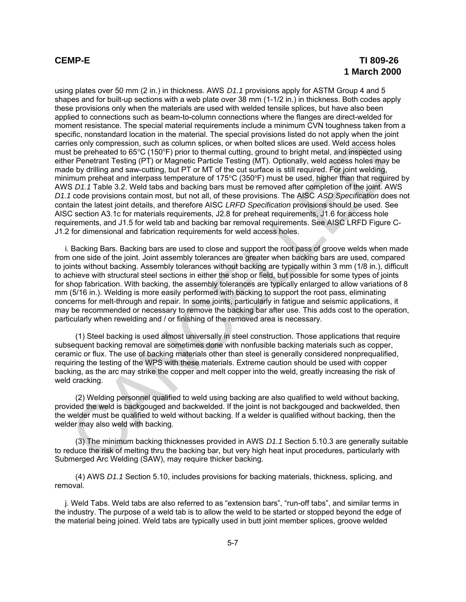using plates over 50 mm (2 in.) in thickness. AWS *D1.1* provisions apply for ASTM Group 4 and 5 shapes and for built-up sections with a web plate over 38 mm (1-1/2 in.) in thickness. Both codes apply these provisions only when the materials are used with welded tensile splices, but have also been applied to connections such as beam-to-column connections where the flanges are direct-welded for moment resistance. The special material requirements include a minimum CVN toughness taken from a specific, nonstandard location in the material. The special provisions listed do not apply when the joint carries only compression, such as column splices, or when bolted slices are used. Weld access holes must be preheated to 65°C (150°F) prior to thermal cutting, ground to bright metal, and inspected using either Penetrant Testing (PT) or Magnetic Particle Testing (MT). Optionally, weld access holes may be made by drilling and saw-cutting, but PT or MT of the cut surface is still required. For joint welding, minimum preheat and interpass temperature of 175 $\degree$ C (350 $\degree$ F) must be used, higher than that required by AWS *D1.1* Table 3.2. Weld tabs and backing bars must be removed after completion of the joint. AWS *D1.1* code provisions contain most, but not all, of these provisions. The AISC *ASD Specification* does not contain the latest joint details, and therefore AISC *LRFD Specification* provisions should be used. See AISC section A3.1c for materials requirements, J2.8 for preheat requirements, J1.6 for access hole requirements, and J1.5 for weld tab and backing bar removal requirements. See AISC LRFD Figure C-J1.2 for dimensional and fabrication requirements for weld access holes. ies only compression, such as column spilces, or when botted slices are used. We<br>also the preheated to 65°C (150°F) prior to thermal cutting, ground to bright metal. and inspected using<br>the Penetrant Testing (PT) or Magnet

i. Backing Bars. Backing bars are used to close and support the root pass of groove welds when made from one side of the joint. Joint assembly tolerances are greater when backing bars are used, compared to joints without backing. Assembly tolerances without backing are typically within 3 mm (1/8 in.), difficult to achieve with structural steel sections in either the shop or field, but possible for some types of joints for shop fabrication. With backing, the assembly tolerances are typically enlarged to allow variations of 8 mm (5/16 in.). Welding is more easily performed with backing to support the root pass, eliminating concerns for melt-through and repair. In some joints, particularly in fatigue and seismic applications, it may be recommended or necessary to remove the backing bar after use. This adds cost to the operation, particularly when rewelding and / or finishing of the removed area is necessary.

(1) Steel backing is used almost universally in steel construction. Those applications that require subsequent backing removal are sometimes done with nonfusible backing materials such as copper, ceramic or flux. The use of backing materials other than steel is generally considered nonprequalified, requiring the testing of the WPS with these materials. Extreme caution should be used with copper backing, as the arc may strike the copper and melt copper into the weld, greatly increasing the risk of weld cracking.

(2) Welding personnel qualified to weld using backing are also qualified to weld without backing, provided the weld is backgouged and backwelded. If the joint is not backgouged and backwelded, then the welder must be qualified to weld without backing. If a welder is qualified without backing, then the welder may also weld with backing.

(3) The minimum backing thicknesses provided in AWS *D1.1* Section 5.10.3 are generally suitable to reduce the risk of melting thru the backing bar, but very high heat input procedures, particularly with Submerged Arc Welding (SAW), may require thicker backing.

(4) AWS *D1.1* Section 5.10, includes provisions for backing materials, thickness, splicing, and removal.

j. Weld Tabs. Weld tabs are also referred to as "extension bars", "run-off tabs", and similar terms in the industry. The purpose of a weld tab is to allow the weld to be started or stopped beyond the edge of the material being joined. Weld tabs are typically used in butt joint member splices, groove welded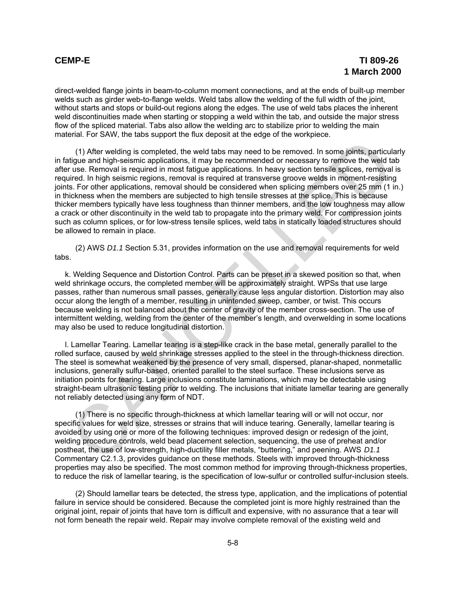direct-welded flange joints in beam-to-column moment connections, and at the ends of built-up member welds such as girder web-to-flange welds. Weld tabs allow the welding of the full width of the joint, without starts and stops or build-out regions along the edges. The use of weld tabs places the inherent weld discontinuities made when starting or stopping a weld within the tab, and outside the major stress flow of the spliced material. Tabs also allow the welding arc to stabilize prior to welding the main material. For SAW, the tabs support the flux deposit at the edge of the workpiece.

(1) After welding is completed, the weld tabs may need to be removed. In some joints, particularly in fatigue and high-seismic applications, it may be recommended or necessary to remove the weld tab after use. Removal is required in most fatigue applications. In heavy section tensile splices, removal is required. In high seismic regions, removal is required at transverse groove welds in moment-resisting joints. For other applications, removal should be considered when splicing members over 25 mm (1 in.) in thickness when the members are subjected to high tensile stresses at the splice. This is because thicker members typically have less toughness than thinner members, and the low toughness may allow a crack or other discontinuity in the weld tab to propagate into the primary weld. For compression joints such as column splices, or for low-stress tensile splices, weld tabs in statically loaded structures should be allowed to remain in place. (1) After welding is completed, the weld tabs may need to be removed. In some joints, particuly<br>tigue and high-seismic applications, it may be recommended or needssary to remove the weld to<br>true it use. Removal is required

(2) AWS *D1.1* Section 5.31, provides information on the use and removal requirements for weld tabs.

k. Welding Sequence and Distortion Control. Parts can be preset in a skewed position so that, when weld shrinkage occurs, the completed member will be approximately straight. WPSs that use large passes, rather than numerous small passes, generally cause less angular distortion. Distortion may also occur along the length of a member, resulting in unintended sweep, camber, or twist. This occurs because welding is not balanced about the center of gravity of the member cross-section. The use of intermittent welding, welding from the center of the member's length, and overwelding in some locations may also be used to reduce longitudinal distortion.

l. Lamellar Tearing. Lamellar tearing is a step-like crack in the base metal, generally parallel to the rolled surface, caused by weld shrinkage stresses applied to the steel in the through-thickness direction. The steel is somewhat weakened by the presence of very small, dispersed, planar-shaped, nonmetallic inclusions, generally sulfur-based, oriented parallel to the steel surface. These inclusions serve as initiation points for tearing. Large inclusions constitute laminations, which may be detectable using straight-beam ultrasonic testing prior to welding. The inclusions that initiate lamellar tearing are generally not reliably detected using any form of NDT.

(1) There is no specific through-thickness at which lamellar tearing will or will not occur, nor specific values for weld size, stresses or strains that will induce tearing. Generally, lamellar tearing is avoided by using one or more of the following techniques: improved design or redesign of the joint, welding procedure controls, weld bead placement selection, sequencing, the use of preheat and/or postheat, the use of low-strength, high-ductility filler metals, "buttering," and peening. AWS *D1.1* Commentary C2.1.3, provides guidance on these methods. Steels with improved through-thickness properties may also be specified. The most common method for improving through-thickness properties, to reduce the risk of lamellar tearing, is the specification of low-sulfur or controlled sulfur-inclusion steels.

(2) Should lamellar tears be detected, the stress type, application, and the implications of potential failure in service should be considered. Because the completed joint is more highly restrained than the original joint, repair of joints that have torn is difficult and expensive, with no assurance that a tear will not form beneath the repair weld. Repair may involve complete removal of the existing weld and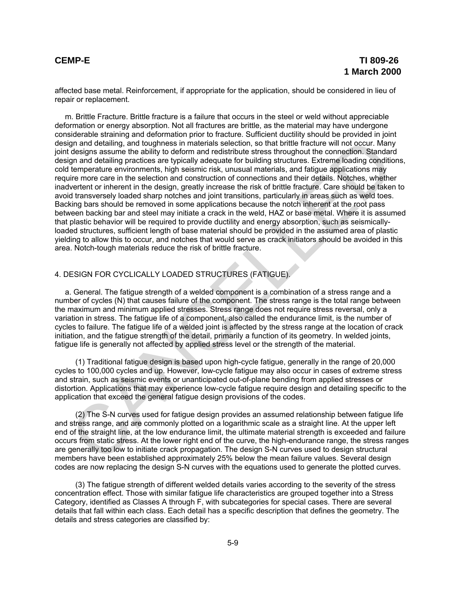affected base metal. Reinforcement, if appropriate for the application, should be considered in lieu of repair or replacement.

m. Brittle Fracture. Brittle fracture is a failure that occurs in the steel or weld without appreciable deformation or energy absorption. Not all fractures are brittle, as the material may have undergone considerable straining and deformation prior to fracture. Sufficient ductility should be provided in joint design and detailing, and toughness in materials selection, so that brittle fracture will not occur. Many joint designs assume the ability to deform and redistribute stress throughout the connection. Standard design and detailing practices are typically adequate for building structures. Extreme loading conditions, cold temperature environments, high seismic risk, unusual materials, and fatigue applications may require more care in the selection and construction of connections and their details. Notches, whether inadvertent or inherent in the design, greatly increase the risk of brittle fracture. Care should be taken to avoid transversely loaded sharp notches and joint transitions, particularly in areas such as weld toes. Backing bars should be removed in some applications because the notch inherent at the root pass between backing bar and steel may initiate a crack in the weld, HAZ or base metal. Where it is assumed that plastic behavior will be required to provide ductility and energy absorption, such as seismicallyloaded structures, sufficient length of base material should be provided in the assumed area of plastic yielding to allow this to occur, and notches that would serve as crack initiators should be avoided in this area. Notch-tough materials reduce the risk of brittle fracture. ign and detailing, and toughness in materials selection, so that brittle facture will no cocur. Many many detailing paradical cand brittle facture and the interaction Shartame ten points of the star in mendiating paradical

# 4. DESIGN FOR CYCLICALLY LOADED STRUCTURES (FATIGUE).

a. General. The fatigue strength of a welded component is a combination of a stress range and a number of cycles (N) that causes failure of the component. The stress range is the total range between the maximum and minimum applied stresses. Stress range does not require stress reversal, only a variation in stress. The fatigue life of a component, also called the endurance limit, is the number of cycles to failure. The fatigue life of a welded joint is affected by the stress range at the location of crack initiation, and the fatigue strength of the detail, primarily a function of its geometry. In welded joints, fatigue life is generally not affected by applied stress level or the strength of the material.

(1) Traditional fatigue design is based upon high-cycle fatigue, generally in the range of 20,000 cycles to 100,000 cycles and up. However, low-cycle fatigue may also occur in cases of extreme stress and strain, such as seismic events or unanticipated out-of-plane bending from applied stresses or distortion. Applications that may experience low-cycle fatigue require design and detailing specific to the application that exceed the general fatigue design provisions of the codes.

(2) The S-N curves used for fatigue design provides an assumed relationship between fatigue life and stress range, and are commonly plotted on a logarithmic scale as a straight line. At the upper left end of the straight line, at the low endurance limit, the ultimate material strength is exceeded and failure occurs from static stress. At the lower right end of the curve, the high-endurance range, the stress ranges are generally too low to initiate crack propagation. The design S-N curves used to design structural members have been established approximately 25% below the mean failure values. Several design codes are now replacing the design S-N curves with the equations used to generate the plotted curves.

(3) The fatigue strength of different welded details varies according to the severity of the stress concentration effect. Those with similar fatigue life characteristics are grouped together into a Stress Category, identified as Classes A through F, with subcategories for special cases. There are several details that fall within each class. Each detail has a specific description that defines the geometry. The details and stress categories are classified by: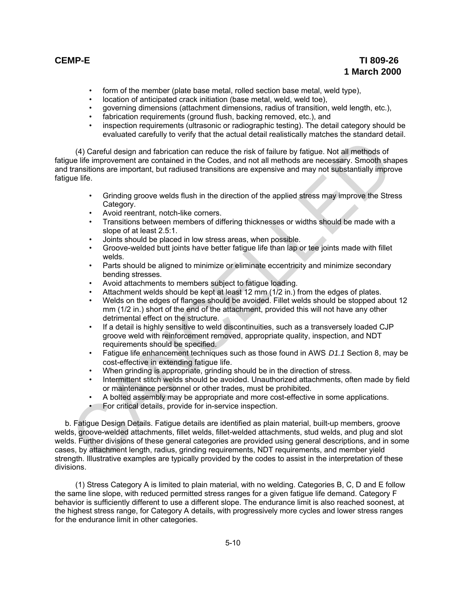# **CEMP-E TI 809-26 1 March 2000**

- form of the member (plate base metal, rolled section base metal, weld type),
- location of anticipated crack initiation (base metal, weld, weld toe),
- governing dimensions (attachment dimensions, radius of transition, weld length, etc.),
- fabrication requirements (ground flush, backing removed, etc.), and
- inspection requirements (ultrasonic or radiographic testing). The detail category should be evaluated carefully to verify that the actual detail realistically matches the standard detail.

(4) Careful design and fabrication can reduce the risk of failure by fatigue. Not all methods of fatigue life improvement are contained in the Codes, and not all methods are necessary. Smooth shapes and transitions are important, but radiused transitions are expensive and may not substantially improve fatigue life.

- Grinding groove welds flush in the direction of the applied stress may improve the Stress Category.
- Avoid reentrant, notch-like corners.
- Transitions between members of differing thicknesses or widths should be made with a slope of at least 2.5:1.
- Joints should be placed in low stress areas, when possible.
- Groove-welded butt joints have better fatigue life than lap or tee joints made with fillet welds.
- Parts should be aligned to minimize or eliminate eccentricity and minimize secondary bending stresses.
- Avoid attachments to members subject to fatigue loading.
- Attachment welds should be kept at least 12 mm (1/2 in.) from the edges of plates.
- Welds on the edges of flanges should be avoided. Fillet welds should be stopped about 12 mm (1/2 in.) short of the end of the attachment, provided this will not have any other detrimental effect on the structure.
- If a detail is highly sensitive to weld discontinuities, such as a transversely loaded CJP groove weld with reinforcement removed, appropriate quality, inspection, and NDT requirements should be specified.
- Fatigue life enhancement techniques such as those found in AWS *D1.1* Section 8, may be cost-effective in extending fatigue life.
- When grinding is appropriate, grinding should be in the direction of stress.
- Intermittent stitch welds should be avoided. Unauthorized attachments, often made by field or maintenance personnel or other trades, must be prohibited.
- A bolted assembly may be appropriate and more cost-effective in some applications.
- For critical details, provide for in-service inspection.

b. Fatigue Design Details. Fatigue details are identified as plain material, built-up members, groove welds, groove-welded attachments, fillet welds, fillet-welded attachments, stud welds, and plug and slot welds. Further divisions of these general categories are provided using general descriptions, and in some cases, by attachment length, radius, grinding requirements, NDT requirements, and member yield strength. Illustrative examples are typically provided by the codes to assist in the interpretation of these divisions. (4) Careful design and fabrication can reduce the risk of failure by fatigue. Not all methods of<br>transitions are important, but radiused transitions are expensive and may not substantially impro-<br>transitions are important,

(1) Stress Category A is limited to plain material, with no welding. Categories B, C, D and E follow the same line slope, with reduced permitted stress ranges for a given fatigue life demand. Category F behavior is sufficiently different to use a different slope. The endurance limit is also reached soonest, at the highest stress range, for Category A details, with progressively more cycles and lower stress ranges for the endurance limit in other categories.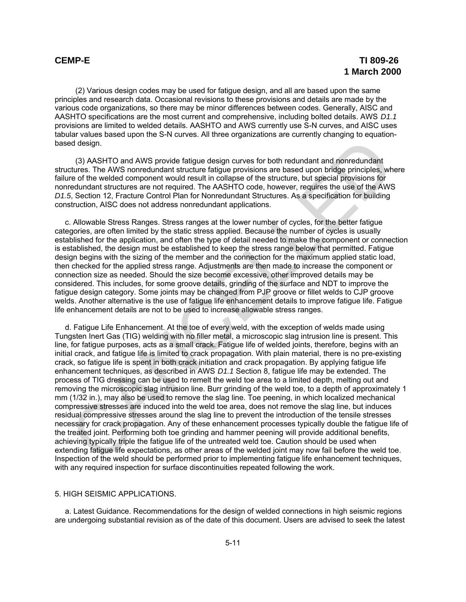(2) Various design codes may be used for fatigue design, and all are based upon the same principles and research data. Occasional revisions to these provisions and details are made by the various code organizations, so there may be minor differences between codes. Generally, AISC and AASHTO specifications are the most current and comprehensive, including bolted details. AWS *D1.1* provisions are limited to welded details. AASHTO and AWS currently use S-N curves, and AISC uses tabular values based upon the S-N curves. All three organizations are currently changing to equationbased design.

(3) AASHTO and AWS provide fatigue design curves for both redundant and nonredundant structures. The AWS nonredundant structure fatigue provisions are based upon bridge principles, where failure of the welded component would result in collapse of the structure, but special provisions for nonredundant structures are not required. The AASHTO code, however, requires the use of the AWS *D1.5*, Section 12, Fracture Control Plan for Nonredundant Structures. As a specification for building construction, AISC does not address nonredundant applications.

c. Allowable Stress Ranges. Stress ranges at the lower number of cycles, for the better fatigue categories, are often limited by the static stress applied. Because the number of cycles is usually established for the application, and often the type of detail needed to make the component or connection is established, the design must be established to keep the stress range below that permitted. Fatigue design begins with the sizing of the member and the connection for the maximum applied static load, then checked for the applied stress range. Adjustments are then made to increase the component or connection size as needed. Should the size become excessive, other improved details may be considered. This includes, for some groove details, grinding of the surface and NDT to improve the fatigue design category. Some joints may be changed from PJP groove or fillet welds to CJP groove welds. Another alternative is the use of fatigue life enhancement details to improve fatigue life. Fatigue life enhancement details are not to be used to increase allowable stress ranges.

d. Fatigue Life Enhancement. At the toe of every weld, with the exception of welds made using Tungsten Inert Gas (TIG) welding with no filler metal, a microscopic slag intrusion line is present. This line, for fatigue purposes, acts as a small crack. Fatigue life of welded joints, therefore, begins with an initial crack, and fatigue life is limited to crack propagation. With plain material, there is no pre-existing crack, so fatigue life is spent in both crack initiation and crack propagation. By applying fatigue life enhancement techniques, as described in AWS *D1.1* Section 8, fatigue life may be extended. The process of TIG dressing can be used to remelt the weld toe area to a limited depth, melting out and removing the microscopic slag intrusion line. Burr grinding of the weld toe, to a depth of approximately 1 mm (1/32 in.), may also be used to remove the slag line. Toe peening, in which localized mechanical compressive stresses are induced into the weld toe area, does not remove the slag line, but induces residual compressive stresses around the slag line to prevent the introduction of the tensile stresses necessary for crack propagation. Any of these enhancement processes typically double the fatigue life of the treated joint. Performing both toe grinding and hammer peening will provide additional benefits, achieving typically triple the fatigue life of the untreated weld toe. Caution should be used when extending fatigue life expectations, as other areas of the welded joint may now fail before the weld toe. Inspection of the weld should be performed prior to implementing fatigue life enhancement techniques, with any required inspection for surface discontinuities repeated following the work. d3eign.<br>
ed dasign.<br>
(3) AASHTO and AWS provide fatigue design curves for both redundant and nonredundant<br>
atcluses. The AWS nonredundant structure fatigue provisions are based upon bridge principles, wh<br>
redundant structu

# 5. HIGH SEISMIC APPLICATIONS.

a. Latest Guidance. Recommendations for the design of welded connections in high seismic regions are undergoing substantial revision as of the date of this document. Users are advised to seek the latest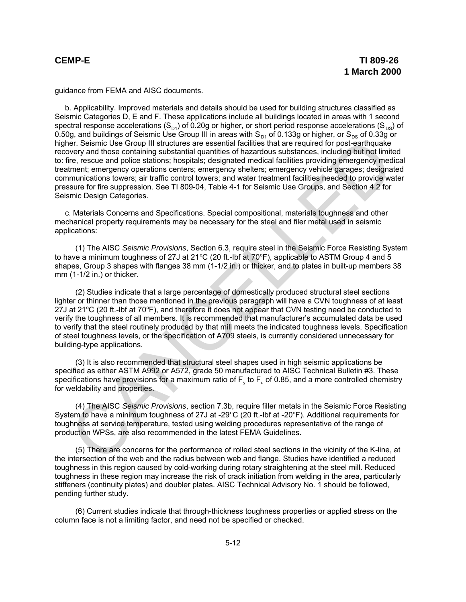guidance from FEMA and AISC documents.

b. Applicability. Improved materials and details should be used for building structures classified as Seismic Categories D, E and F. These applications include all buildings located in areas with 1 second spectral response accelerations (S<sub>D1</sub>) of 0.20g or higher, or short period response accelerations (S<sub>DS</sub>) of 0.50g, and buildings of Seismic Use Group III in areas with  $S_{\text{D1}}$  of 0.133g or higher, or  $S_{\text{DS}}$  of 0.33g or higher. Seismic Use Group III structures are essential facilities that are required for post-earthquake recovery and those containing substantial quantities of hazardous substances, including but not limited to: fire, rescue and police stations; hospitals; designated medical facilities providing emergency medical treatment; emergency operations centers; emergency shelters; emergency vehicle garages; designated communications towers; air traffic control towers; and water treatment facilities needed to provide water pressure for fire suppression. See TI 809-04, Table 4-1 for Seismic Use Groups, and Section 4.2 for Seismic Design Categories. ier. Selenic Use Group III structures are essential faitulities that are required for post-earling-<br>towery and those containing substantial quantities of hazardous substances, including but not limit<br>there, resues and poli

c. Materials Concerns and Specifications. Special compositional, materials toughness and other mechanical property requirements may be necessary for the steel and filer metal used in seismic applications:

(1) The AISC *Seismic Provisions*, Section 6.3, require steel in the Seismic Force Resisting System to have a minimum toughness of 27J at 21 $\degree$ C (20 ft.-lbf at 70 $\degree$ F), applicable to ASTM Group 4 and 5 shapes, Group 3 shapes with flanges 38 mm (1-1/2 in.) or thicker, and to plates in built-up members 38 mm (1-1/2 in.) or thicker.

(2) Studies indicate that a large percentage of domestically produced structural steel sections lighter or thinner than those mentioned in the previous paragraph will have a CVN toughness of at least 27J at 21 $\degree$ C (20 ft.-lbf at 70 $\degree$ F), and therefore it does not appear that CVN testing need be conducted to verify the toughness of all members. It is recommended that manufacturer's accumulated data be used to verify that the steel routinely produced by that mill meets the indicated toughness levels. Specification of steel toughness levels, or the specification of A709 steels, is currently considered unnecessary for building-type applications.

(3) It is also recommended that structural steel shapes used in high seismic applications be specified as either ASTM A992 or A572, grade 50 manufactured to AISC Technical Bulletin #3. These specifications have provisions for a maximum ratio of  $\mathsf{F}_\mathsf{y}$  to  $\mathsf{F}_\mathsf{u}$  of 0.85, and a more controlled chemistry for weldability and properties.

(4) The AISC *Seismic Provisions*, section 7.3b, require filler metals in the Seismic Force Resisting System to have a minimum toughness of 27J at -29 $^{\circ}$ C (20 ft.-lbf at -20 $^{\circ}$ F). Additional requirements for toughness at service temperature, tested using welding procedures representative of the range of production WPSs, are also recommended in the latest FEMA Guidelines.

(5) There are concerns for the performance of rolled steel sections in the vicinity of the K-line, at the intersection of the web and the radius between web and flange. Studies have identified a reduced toughness in this region caused by cold-working during rotary straightening at the steel mill. Reduced toughness in these region may increase the risk of crack initiation from welding in the area, particularly stiffeners (continuity plates) and doubler plates. AISC Technical Advisory No. 1 should be followed, pending further study.

(6) Current studies indicate that through-thickness toughness properties or applied stress on the column face is not a limiting factor, and need not be specified or checked.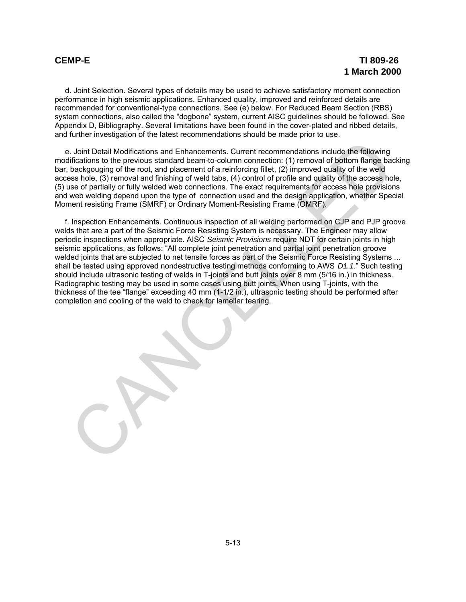d. Joint Selection. Several types of details may be used to achieve satisfactory moment connection performance in high seismic applications. Enhanced quality, improved and reinforced details are recommended for conventional-type connections. See (e) below. For Reduced Beam Section (RBS) system connections, also called the "dogbone" system, current AISC guidelines should be followed. See Appendix D, Bibliography. Several limitations have been found in the cover-plated and ribbed details, and further investigation of the latest recommendations should be made prior to use.

e. Joint Detail Modifications and Enhancements. Current recommendations include the following modifications to the previous standard beam-to-column connection: (1) removal of bottom flange backing bar, backgouging of the root, and placement of a reinforcing fillet, (2) improved quality of the weld access hole, (3) removal and finishing of weld tabs, (4) control of profile and quality of the access hole, (5) use of partially or fully welded web connections. The exact requirements for access hole provisions and web welding depend upon the type of connection used and the design application, whether Special Moment resisting Frame (SMRF) or Ordinary Moment-Resisting Frame (OMRF).

f. Inspection Enhancements. Continuous inspection of all welding performed on CJP and PJP groove welds that are a part of the Seismic Force Resisting System is necessary. The Engineer may allow periodic inspections when appropriate. AISC *Seismic Provisions* require NDT for certain joints in high seismic applications, as follows: "All complete joint penetration and partial joint penetration groove welded joints that are subjected to net tensile forces as part of the Seismic Force Resisting Systems ... shall be tested using approved nondestructive testing methods conforming to AWS *D1.1*." Such testing should include ultrasonic testing of welds in T-joints and butt joints over 8 mm (5/16 in.) in thickness. Radiographic testing may be used in some cases using butt joints. When using T-joints, with the thickness of the tee "flange" exceeding 40 mm (1-1/2 in.), ultrasonic testing should be performed after completion and cooling of the weld to check for lamellar tearing. I. Joint Detail Modifications and Einhancements. Current recommendations include the following<br>infidedions to the previous standard beam-to-column connection: (1) ermoved of bothom flange backgouging of the root, and place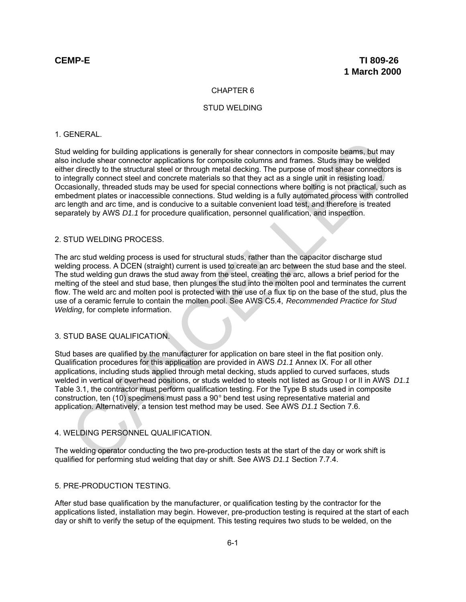### CHAPTER 6

### STUD WELDING

### 1. GENERAL.

Stud welding for building applications is generally for shear connectors in composite beams, but may also include shear connector applications for composite columns and frames. Studs may be welded either directly to the structural steel or through metal decking. The purpose of most shear connectors is to integrally connect steel and concrete materials so that they act as a single unit in resisting load. Occasionally, threaded studs may be used for special connections where bolting is not practical, such as embedment plates or inaccessible connections. Stud welding is a fully automated process with controlled arc length and arc time, and is conducive to a suitable convenient load test, and therefore is treated separately by AWS *D1.1* for procedure qualification, personnel qualification, and inspection. d welding for building applications is generally for shear connectors in composite beams, but may include shear connector applications for composite columns and frames. Sluds may be welded<br>in include shear connectors appli

### 2. STUD WELDING PROCESS.

The arc stud welding process is used for structural studs, rather than the capacitor discharge stud welding process. A DCEN (straight) current is used to create an arc between the stud base and the steel. The stud welding gun draws the stud away from the steel, creating the arc, allows a brief period for the melting of the steel and stud base, then plunges the stud into the molten pool and terminates the current flow. The weld arc and molten pool is protected with the use of a flux tip on the base of the stud, plus the use of a ceramic ferrule to contain the molten pool. See AWS C5.4, *Recommended Practice for Stud Welding*, for complete information.

# 3. STUD BASE QUALIFICATION.

Stud bases are qualified by the manufacturer for application on bare steel in the flat position only. Qualification procedures for this application are provided in AWS *D1.1* Annex IX. For all other applications, including studs applied through metal decking, studs applied to curved surfaces, studs welded in vertical or overhead positions, or studs welded to steels not listed as Group I or II in AWS *D1.1* Table 3.1, the contractor must perform qualification testing. For the Type B studs used in composite construction, ten (10) specimens must pass a  $90^{\circ}$  bend test using representative material and application. Alternatively, a tension test method may be used. See AWS *D1.1* Section 7.6.

## 4. WELDING PERSONNEL QUALIFICATION.

The welding operator conducting the two pre-production tests at the start of the day or work shift is qualified for performing stud welding that day or shift. See AWS *D1.1* Section 7.7.4.

### 5. PRE-PRODUCTION TESTING.

After stud base qualification by the manufacturer, or qualification testing by the contractor for the applications listed, installation may begin. However, pre-production testing is required at the start of each day or shift to verify the setup of the equipment. This testing requires two studs to be welded, on the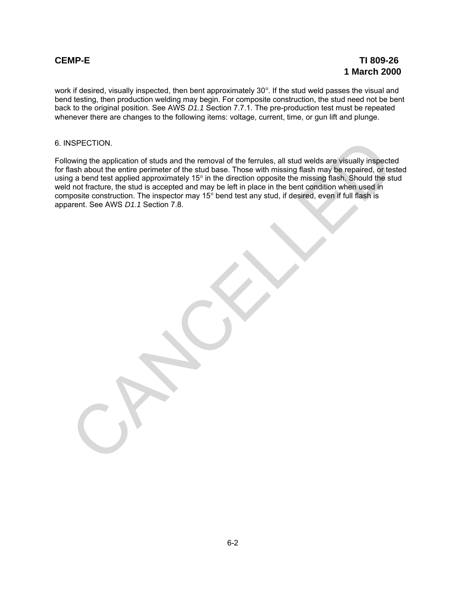work if desired, visually inspected, then bent approximately  $30^{\circ}$ . If the stud weld passes the visual and bend testing, then production welding may begin. For composite construction, the stud need not be bent back to the original position. See AWS *D1.1* Section 7.7.1. The pre-production test must be repeated whenever there are changes to the following items: voltage, current, time, or gun lift and plunge.

## 6. INSPECTION.

Following the application of studs and the removal of the ferrules, all stud welds are visually inspected for flash about the entire perimeter of the stud base. Those with missing flash may be repaired, or tested using a bend test applied approximately 15 $^{\circ}$  in the direction opposite the missing flash. Should the stud weld not fracture, the stud is accepted and may be left in place in the bent condition when used in composite construction. The inspector may  $15^{\circ}$  bend test any stud, if desired, even if full flash is apparent. See AWS *D1.1* Section 7.8. SPECTION.<br>
Sometime application of studs and the removal of the ferrules, all stud welds are visually inspected<br>
tash about the entire perimeter of the stud base. Those with missing flash may be repaired, or test<br>
tash abo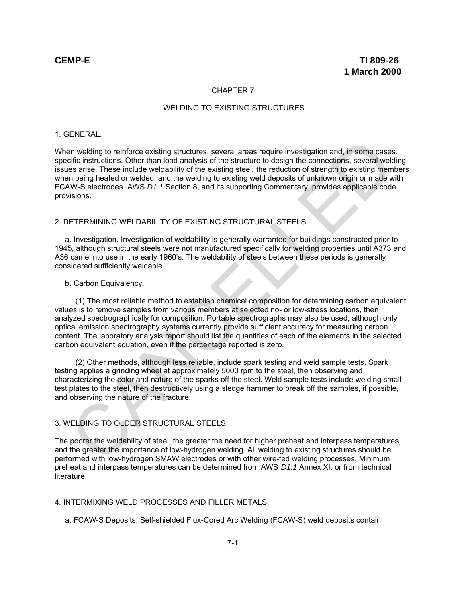### CHAPTER 7

### WELDING TO EXISTING STRUCTURES

### 1. GENERAL.

When welding to reinforce existing structures, several areas require investigation and, in some cases, specific instructions. Other than load analysis of the structure to design the connections, several welding issues arise. These include weldability of the existing steel, the reduction of strength to existing members when being heated or welded, and the welding to existing weld deposits of unknown origin or made with FCAW-S electrodes. AWS *D1.1* Section 8, and its supporting Commentary, provides applicable code provisions. an welding to reinforce existing structures, several areas require investigation and, in some cases<br>es arise. These include weldability of the existing steel. the reduction of strength to existing mem<br>of the raturclens. Ot

## 2. DETERMINING WELDABILITY OF EXISTING STRUCTURAL STEELS.

a. Investigation. Investigation of weldability is generally warranted for buildings constructed prior to 1945, although structural steels were not manufactured specifically for welding properties until A373 and A36 came into use in the early 1960's. The weldability of steels between these periods is generally considered sufficiently weldable.

### b. Carbon Equivalency.

(1) The most reliable method to establish chemical composition for determining carbon equivalent values is to remove samples from various members at selected no- or low-stress locations, then analyzed spectrographically for composition. Portable spectrographs may also be used, although only optical emission spectrography systems currently provide sufficient accuracy for measuring carbon content. The laboratory analysis report should list the quantities of each of the elements in the selected carbon equivalent equation, even if the percentage reported is zero.

(2) Other methods, although less reliable, include spark testing and weld sample tests. Spark testing applies a grinding wheel at approximately 5000 rpm to the steel, then observing and characterizing the color and nature of the sparks off the steel. Weld sample tests include welding small test plates to the steel, then destructively using a sledge hammer to break off the samples, if possible, and observing the nature of the fracture.

### 3. WELDING TO OLDER STRUCTURAL STEELS.

The poorer the weldability of steel, the greater the need for higher preheat and interpass temperatures, and the greater the importance of low-hydrogen welding. All welding to existing structures should be performed with low-hydrogen SMAW electrodes or with other wire-fed welding processes. Minimum preheat and interpass temperatures can be determined from AWS *D1.1* Annex XI, or from technical literature.

# 4. INTERMIXING WELD PROCESSES AND FILLER METALS.

a. FCAW-S Deposits. Self-shielded Flux-Cored Arc Welding (FCAW-S) weld deposits contain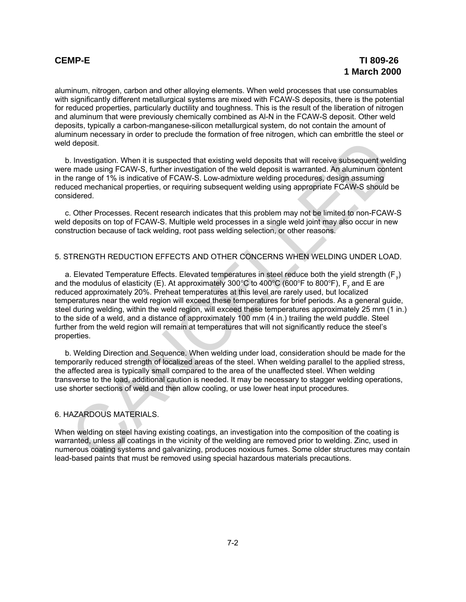aluminum, nitrogen, carbon and other alloying elements. When weld processes that use consumables with significantly different metallurgical systems are mixed with FCAW-S deposits, there is the potential for reduced properties, particularly ductility and toughness. This is the result of the liberation of nitrogen and aluminum that were previously chemically combined as Al-N in the FCAW-S deposit. Other weld deposits, typically a carbon-manganese-silicon metallurgical system, do not contain the amount of aluminum necessary in order to preclude the formation of free nitrogen, which can embrittle the steel or weld deposit.

b. Investigation. When it is suspected that existing weld deposits that will receive subsequent welding were made using FCAW-S, further investigation of the weld deposit is warranted. An aluminum content in the range of 1% is indicative of FCAW-S. Low-admixture welding procedures, design assuming reduced mechanical properties, or requiring subsequent welding using appropriate FCAW-S should be considered.

c. Other Processes. Recent research indicates that this problem may not be limited to non-FCAW-S weld deposits on top of FCAW-S. Multiple weld processes in a single weld joint may also occur in new construction because of tack welding, root pass welding selection, or other reasons.

## 5. STRENGTH REDUCTION EFFECTS AND OTHER CONCERNS WHEN WELDING UNDER LOAD.

a. Elevated Temperature Effects. Elevated temperatures in steel reduce both the yield strength (F<sub>v</sub>) and the modulus of elasticity (E). At approximately 300°C to 400°C (600°F to 800°F),  $\mathsf{F}_\mathsf{y}$  and E are reduced approximately 20%. Preheat temperatures at this level are rarely used, but localized temperatures near the weld region will exceed these temperatures for brief periods. As a general guide, steel during welding, within the weld region, will exceed these temperatures approximately 25 mm (1 in.) to the side of a weld, and a distance of approximately 100 mm (4 in.) trailing the weld puddle. Steel further from the weld region will remain at temperatures that will not significantly reduce the steel's properties. d deposit.<br>
In Imensitigation. When it is suspected that existing weld deposits that will receive subsequent weld<br>
In mestagraion. When it is suspected that existing weld deposits that will receive subsequent weld<br>
In made

b. Welding Direction and Sequence. When welding under load, consideration should be made for the temporarily reduced strength of localized areas of the steel. When welding parallel to the applied stress, the affected area is typically small compared to the area of the unaffected steel. When welding transverse to the load, additional caution is needed. It may be necessary to stagger welding operations, use shorter sections of weld and then allow cooling, or use lower heat input procedures.

### 6. HAZARDOUS MATERIALS.

When welding on steel having existing coatings, an investigation into the composition of the coating is warranted, unless all coatings in the vicinity of the welding are removed prior to welding. Zinc, used in numerous coating systems and galvanizing, produces noxious fumes. Some older structures may contain lead-based paints that must be removed using special hazardous materials precautions.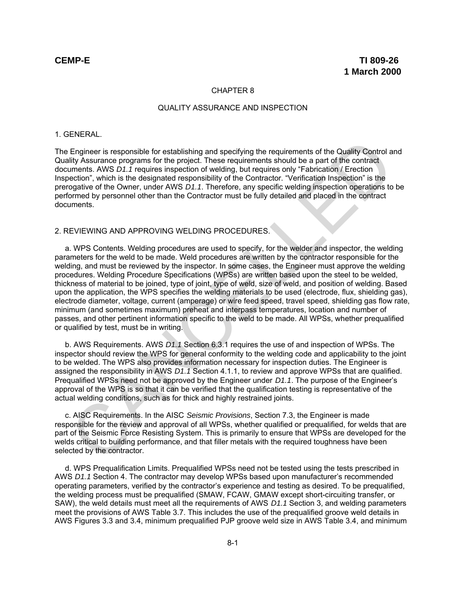### CHAPTER 8

### QUALITY ASSURANCE AND INSPECTION

### 1. GENERAL.

The Engineer is responsible for establishing and specifying the requirements of the Quality Control and Quality Assurance programs for the project. These requirements should be a part of the contract documents. AWS *D1.1* requires inspection of welding, but requires only "Fabrication / Erection Inspection", which is the designated responsibility of the Contractor. "Verification Inspection" is the prerogative of the Owner, under AWS *D1.1*. Therefore, any specific welding inspection operations to be performed by personnel other than the Contractor must be fully detailed and placed in the contract documents.

# 2. REVIEWING AND APPROVING WELDING PROCEDURES.

a. WPS Contents. Welding procedures are used to specify, for the welder and inspector, the welding parameters for the weld to be made. Weld procedures are written by the contractor responsible for the welding, and must be reviewed by the inspector. In some cases, the Engineer must approve the welding procedures. Welding Procedure Specifications (WPSs) are written based upon the steel to be welded, thickness of material to be joined, type of joint, type of weld, size of weld, and position of welding. Based upon the application, the WPS specifies the welding materials to be used (electrode, flux, shielding gas), electrode diameter, voltage, current (amperage) or wire feed speed, travel speed, shielding gas flow rate, minimum (and sometimes maximum) preheat and interpass temperatures, location and number of passes, and other pertinent information specific to the weld to be made. All WPSs, whether prequalified or qualified by test, must be in writing. Engineer is responsible for establishing and specifying the requirements of the Quality Control and<br>y assume programs for the project. These requirements should be a part of the contract<br>imments. AWS D1, Trequires inspecti

b. AWS Requirements. AWS *D1.1* Section 6.3.1 requires the use of and inspection of WPSs. The inspector should review the WPS for general conformity to the welding code and applicability to the joint to be welded. The WPS also provides information necessary for inspection duties. The Engineer is assigned the responsibility in AWS *D1.1* Section 4.1.1, to review and approve WPSs that are qualified. Prequalified WPSs need not be approved by the Engineer under *D1.1*. The purpose of the Engineer's approval of the WPS is so that it can be verified that the qualification testing is representative of the actual welding conditions, such as for thick and highly restrained joints.

c. AISC Requirements. In the AISC *Seismic Provisions*, Section 7.3, the Engineer is made responsible for the review and approval of all WPSs, whether qualified or prequalified, for welds that are part of the Seismic Force Resisting System. This is primarily to ensure that WPSs are developed for the welds critical to building performance, and that filler metals with the required toughness have been selected by the contractor.

d. WPS Prequalification Limits. Prequalified WPSs need not be tested using the tests prescribed in AWS *D1.1* Section 4. The contractor may develop WPSs based upon manufacturer's recommended operating parameters, verified by the contractor's experience and testing as desired. To be prequalified, the welding process must be prequalified (SMAW, FCAW, GMAW except short-circuiting transfer, or SAW), the weld details must meet all the requirements of AWS *D1.1* Section 3, and welding parameters meet the provisions of AWS Table 3.7. This includes the use of the prequalified groove weld details in AWS Figures 3.3 and 3.4, minimum prequalified PJP groove weld size in AWS Table 3.4, and minimum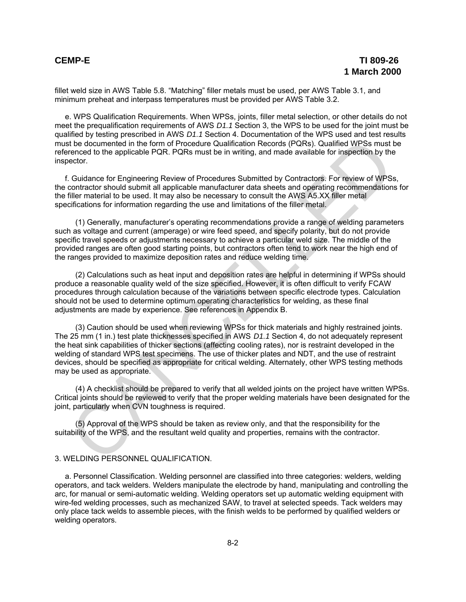fillet weld size in AWS Table 5.8. "Matching" filler metals must be used, per AWS Table 3.1, and minimum preheat and interpass temperatures must be provided per AWS Table 3.2.

e. WPS Qualification Requirements. When WPSs, joints, filler metal selection, or other details do not meet the prequalification requirements of AWS *D1.1* Section 3, the WPS to be used for the joint must be qualified by testing prescribed in AWS *D1.1* Section 4. Documentation of the WPS used and test results must be documented in the form of Procedure Qualification Records (PQRs). Qualified WPSs must be referenced to the applicable PQR. PQRs must be in writing, and made available for inspection by the inspector.

f. Guidance for Engineering Review of Procedures Submitted by Contractors. For review of WPSs, the contractor should submit all applicable manufacturer data sheets and operating recommendations for the filler material to be used. It may also be necessary to consult the AWS A5.XX filler metal specifications for information regarding the use and limitations of the filler metal.

(1) Generally, manufacturer's operating recommendations provide a range of welding parameters such as voltage and current (amperage) or wire feed speed, and specify polarity, but do not provide specific travel speeds or adjustments necessary to achieve a particular weld size. The middle of the provided ranges are often good starting points, but contractors often tend to work near the high end of the ranges provided to maximize deposition rates and reduce welding time.

(2) Calculations such as heat input and deposition rates are helpful in determining if WPSs should produce a reasonable quality weld of the size specified. However, it is often difficult to verify FCAW procedures through calculation because of the variations between specific electrode types. Calculation should not be used to determine optimum operating characteristics for welding, as these final adjustments are made by experience. See references in Appendix B.

(3) Caution should be used when reviewing WPSs for thick materials and highly restrained joints. The 25 mm (1 in.) test plate thicknesses specified in AWS *D1.1* Section 4, do not adequately represent the heat sink capabilities of thicker sections (affecting cooling rates), nor is restraint developed in the welding of standard WPS test specimens. The use of thicker plates and NDT, and the use of restraint devices, should be specified as appropriate for critical welding. Alternately, other WPS testing methods may be used as appropriate. the documented in the form of Procedure Qualification Records (PQRs). Qualified WPSs must the documented in the form of Procedure Qualification Records (PQRs). Qualified WPSs must the cordidate for Engineering Review of WD

(4) A checklist should be prepared to verify that all welded joints on the project have written WPSs. Critical joints should be reviewed to verify that the proper welding materials have been designated for the joint, particularly when CVN toughness is required.

(5) Approval of the WPS should be taken as review only, and that the responsibility for the suitability of the WPS, and the resultant weld quality and properties, remains with the contractor.

## 3. WELDING PERSONNEL QUALIFICATION.

a. Personnel Classification. Welding personnel are classified into three categories: welders, welding operators, and tack welders. Welders manipulate the electrode by hand, manipulating and controlling the arc, for manual or semi-automatic welding. Welding operators set up automatic welding equipment with wire-fed welding processes, such as mechanized SAW, to travel at selected speeds. Tack welders may only place tack welds to assemble pieces, with the finish welds to be performed by qualified welders or welding operators.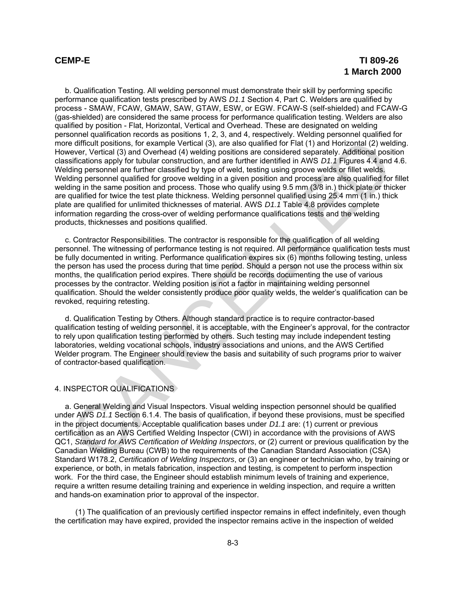b. Qualification Testing. All welding personnel must demonstrate their skill by performing specific performance qualification tests prescribed by AWS *D1.1* Section 4, Part C. Welders are qualified by process - SMAW, FCAW, GMAW, SAW, GTAW, ESW, or EGW. FCAW-S (self-shielded) and FCAW-G (gas-shielded) are considered the same process for performance qualification testing. Welders are also qualified by position - Flat, Horizontal, Vertical and Overhead. These are designated on welding personnel qualification records as positions 1, 2, 3, and 4, respectively. Welding personnel qualified for more difficult positions, for example Vertical (3), are also qualified for Flat (1) and Horizontal (2) welding. However, Vertical (3) and Overhead (4) welding positions are considered separately. Additional position classifications apply for tubular construction, and are further identified in AWS *D1.1* Figures 4.4 and 4.6. Welding personnel are further classified by type of weld, testing using groove welds or fillet welds. Welding personnel qualified for groove welding in a given position and process are also qualified for fillet welding in the same position and process. Those who qualify using 9.5 mm (3/8 in.) thick plate or thicker are qualified for twice the test plate thickness. Welding personnel qualified using 25.4 mm (1 in.) thick plate are qualified for unlimited thicknesses of material. AWS *D1.1* Table 4.8 provides complete information regarding the cross-over of welding performance qualifications tests and the welding products, thicknesses and positions qualified. e elifficult positions, for example Vertical (3), are also qualitied for Falt (1) and Horizontal (2) and<br>every. Vertical (3) and Overhead (4) welding positions are considered separately Additional position<br>diety personnel

c. Contractor Responsibilities. The contractor is responsible for the qualification of all welding personnel. The witnessing of performance testing is not required. All performance qualification tests must be fully documented in writing. Performance qualification expires six (6) months following testing, unless the person has used the process during that time period. Should a person not use the process within six months, the qualification period expires. There should be records documenting the use of various processes by the contractor. Welding position is not a factor in maintaining welding personnel qualification. Should the welder consistently produce poor quality welds, the welder's qualification can be revoked, requiring retesting.

d. Qualification Testing by Others. Although standard practice is to require contractor-based qualification testing of welding personnel, it is acceptable, with the Engineer's approval, for the contractor to rely upon qualification testing performed by others. Such testing may include independent testing laboratories, welding vocational schools, industry associations and unions, and the AWS Certified Welder program. The Engineer should review the basis and suitability of such programs prior to waiver of contractor-based qualification.

# 4. INSPECTOR QUALIFICATIONS

a. General Welding and Visual Inspectors. Visual welding inspection personnel should be qualified under AWS *D1.1* Section 6.1.4. The basis of qualification, if beyond these provisions, must be specified in the project documents. Acceptable qualification bases under *D1.1* are: (1) current or previous certification as an AWS Certified Welding Inspector (CWI) in accordance with the provisions of AWS QC1, *Standard for AWS Certification of Welding Inspectors*, or (2) current or previous qualification by the Canadian Welding Bureau (CWB) to the requirements of the Canadian Standard Association (CSA) Standard W178.2, *Certification of Welding Inspectors*, or (3) an engineer or technician who, by training or experience, or both, in metals fabrication, inspection and testing, is competent to perform inspection work. For the third case, the Engineer should establish minimum levels of training and experience, require a written resume detailing training and experience in welding inspection, and require a written and hands-on examination prior to approval of the inspector.

(1) The qualification of an previously certified inspector remains in effect indefinitely, even though the certification may have expired, provided the inspector remains active in the inspection of welded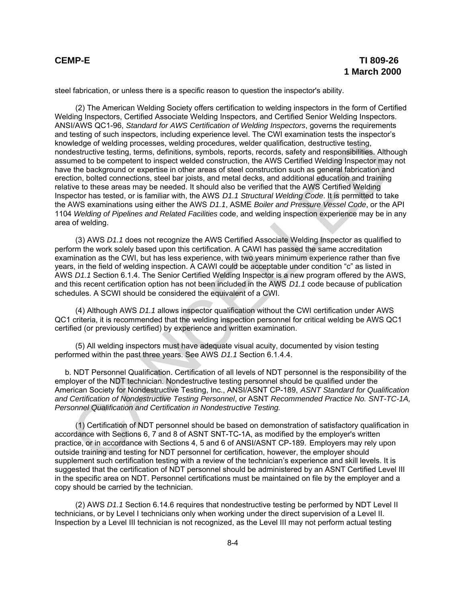steel fabrication, or unless there is a specific reason to question the inspector's ability.

(2) The American Welding Society offers certification to welding inspectors in the form of Certified Welding Inspectors, Certified Associate Welding Inspectors, and Certified Senior Welding Inspectors. ANSI/AWS QC1-96, *Standard for AWS Certification of Welding Inspectors*, governs the requirements and testing of such inspectors, including experience level. The CWI examination tests the inspector's knowledge of welding processes, welding procedures, welder qualification, destructive testing, nondestructive testing, terms, definitions, symbols, reports, records, safety and responsibilities. Although assumed to be competent to inspect welded construction, the AWS Certified Welding Inspector may not have the background or expertise in other areas of steel construction such as general fabrication and erection, bolted connections, steel bar joists, and metal decks, and additional education and training relative to these areas may be needed. It should also be verified that the AWS Certified Welding Inspector has tested, or is familiar with, the AWS *D1.1 Structural Welding Code*. It is permitted to take the AWS examinations using either the AWS *D1.1*, ASME *Boiler and Pressure Vessel Code*, or the API 1104 *Welding of Pipelines and Related Facilities* code, and welding inspection experience may be in any area of welding. weldog of velding processes, weling procedures, weling not<br>column detailing and the singular procedures, weling to the main detail and responsibilities. Although the standard of the completent to inspect welded constructio

(3) AWS *D1.1* does not recognize the AWS Certified Associate Welding Inspector as qualified to perform the work solely based upon this certification. A CAWI has passed the same accreditation examination as the CWI, but has less experience, with two years minimum experience rather than five years, in the field of welding inspection. A CAWI could be acceptable under condition "c" as listed in AWS *D1.1* Section 6.1.4. The Senior Certified Welding Inspector is a new program offered by the AWS, and this recent certification option has not been included in the AWS *D1.1* code because of publication schedules. A SCWI should be considered the equivalent of a CWI.

(4) Although AWS *D1.1* allows inspector qualification without the CWI certification under AWS QC1 criteria, it is recommended that the welding inspection personnel for critical welding be AWS QC1 certified (or previously certified) by experience and written examination.

(5) All welding inspectors must have adequate visual acuity, documented by vision testing performed within the past three years. See AWS *D1.1* Section 6.1.4.4.

b. NDT Personnel Qualification. Certification of all levels of NDT personnel is the responsibility of the employer of the NDT technician. Nondestructive testing personnel should be qualified under the American Society for Nondestructive Testing, Inc., ANSI/ASNT CP-189, *ASNT Standard for Qualification and Certification of Nondestructive Testing Personnel*, or ASNT *Recommended Practice No. SNT-TC-1A, Personnel Qualification and Certification in Nondestructive Testing.*

(1) Certification of NDT personnel should be based on demonstration of satisfactory qualification in accordance with Sections 6, 7 and 8 of ASNT SNT-TC-1A, as modified by the employer's written practice, or in accordance with Sections 4, 5 and 6 of ANSI/ASNT CP-189. Employers may rely upon outside training and testing for NDT personnel for certification, however, the employer should supplement such certification testing with a review of the technician's experience and skill levels. It is suggested that the certification of NDT personnel should be administered by an ASNT Certified Level III in the specific area on NDT. Personnel certifications must be maintained on file by the employer and a copy should be carried by the technician.

(2) AWS *D1.1* Section 6.14.6 requires that nondestructive testing be performed by NDT Level II technicians, or by Level I technicians only when working under the direct supervision of a Level II. Inspection by a Level III technician is not recognized, as the Level III may not perform actual testing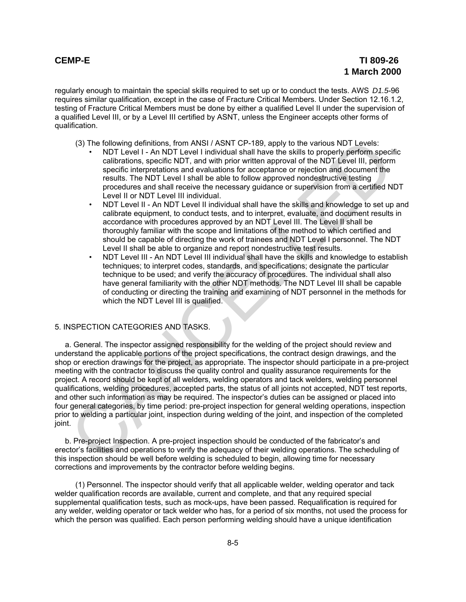regularly enough to maintain the special skills required to set up or to conduct the tests. AWS *D1.5*-96 requires similar qualification, except in the case of Fracture Critical Members. Under Section 12.16.1.2, testing of Fracture Critical Members must be done by either a qualified Level II under the supervision of a qualified Level III, or by a Level III certified by ASNT, unless the Engineer accepts other forms of qualification.

(3) The following definitions, from ANSI / ASNT CP-189, apply to the various NDT Levels:

- NDT Level I An NDT Level I individual shall have the skills to properly perform specific calibrations, specific NDT, and with prior written approval of the NDT Level III, perform specific interpretations and evaluations for acceptance or rejection and document the results. The NDT Level I shall be able to follow approved nondestructive testing procedures and shall receive the necessary guidance or supervision from a certified NDT Level II or NDT Level III individual.
- NDT Level II An NDT Level II individual shall have the skills and knowledge to set up and calibrate equipment, to conduct tests, and to interpret, evaluate, and document results in accordance with procedures approved by an NDT Level III. The Level II shall be thoroughly familiar with the scope and limitations of the method to which certified and should be capable of directing the work of trainees and NDT Level I personnel. The NDT Level II shall be able to organize and report nondestructive test results.
- NDT Level III An NDT Level III individual shall have the skills and knowledge to establish techniques; to interpret codes, standards, and specifications; designate the particular technique to be used; and verify the accuracy of procedures. The individual shall also have general familiarity with the other NDT methods. The NDT Level III shall be capable of conducting or directing the training and examining of NDT personnel in the methods for which the NDT Level III is qualified.

### 5. INSPECTION CATEGORIES AND TASKS.

a. General. The inspector assigned responsibility for the welding of the project should review and understand the applicable portions of the project specifications, the contract design drawings, and the shop or erection drawings for the project, as appropriate. The inspector should participate in a pre-project meeting with the contractor to discuss the quality control and quality assurance requirements for the project. A record should be kept of all welders, welding operators and tack welders, welding personnel qualifications, welding procedures, accepted parts, the status of all joints not accepted, NDT test reports, and other such information as may be required. The inspector's duties can be assigned or placed into four general categories, by time period: pre-project inspection for general welding operations, inspection prior to welding a particular joint, inspection during welding of the joint, and inspection of the completed joint. (3) The following definitions, from ANSI/ASNT CP-189, apply to the various NDT Level in ANSIC and with prior the secure calibrations, speed interpretations and evaluations for acceptance or ejection and document the prefar

b. Pre-project Inspection. A pre-project inspection should be conducted of the fabricator's and erector's facilities and operations to verify the adequacy of their welding operations. The scheduling of this inspection should be well before welding is scheduled to begin, allowing time for necessary corrections and improvements by the contractor before welding begins.

(1) Personnel. The inspector should verify that all applicable welder, welding operator and tack welder qualification records are available, current and complete, and that any required special supplemental qualification tests, such as mock-ups, have been passed. Requalification is required for any welder, welding operator or tack welder who has, for a period of six months, not used the process for which the person was qualified. Each person performing welding should have a unique identification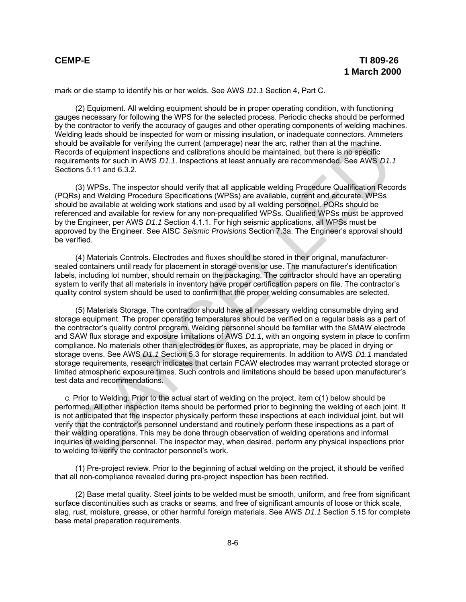mark or die stamp to identify his or her welds. See AWS *D1.1* Section 4, Part C.

(2) Equipment. All welding equipment should be in proper operating condition, with functioning gauges necessary for following the WPS for the selected process. Periodic checks should be performed by the contractor to verify the accuracy of gauges and other operating components of welding machines. Welding leads should be inspected for worn or missing insulation, or inadequate connectors. Ammeters should be available for verifying the current (amperage) near the arc, rather than at the machine. Records of equipment inspections and calibrations should be maintained, but there is no specific requirements for such in AWS *D1.1*. Inspections at least annually are recommended. See AWS *D1.1* Sections 5.11 and 6.3.2.

(3) WPSs. The inspector should verify that all applicable welding Procedure Qualification Records (PQRs) and Welding Procedure Specifications (WPSs) are available, current and accurate. WPSs should be available at welding work stations and used by all welding personnel. PQRs should be referenced and available for review for any non-prequalified WPSs. Qualified WPSs must be approved by the Engineer, per AWS *D1.1* Section 4.1.1. For high seismic applications, all WPSs must be approved by the Engineer. See AISC *Seismic Provisions* Section 7.3a. The Engineer's approval should be verified.

(4) Materials Controls. Electrodes and fluxes should be stored in their original, manufacturersealed containers until ready for placement in storage ovens or use. The manufacturer's identification labels, including lot number, should remain on the packaging. The contractor should have an operating system to verify that all materials in inventory have proper certification papers on file. The contractor's quality control system should be used to confirm that the proper welding consumables are selected.

(5) Materials Storage. The contractor should have all necessary welding consumable drying and storage equipment. The proper operating temperatures should be verified on a regular basis as a part of the contractor's quality control program. Welding personnel should be familiar with the SMAW electrode and SAW flux storage and exposure limitations of AWS *D1.1*, with an ongoing system in place to confirm compliance. No materials other than electrodes or fluxes, as appropriate, may be placed in drying or storage ovens. See AWS *D1.1* Section 5.3 for storage requirements. In addition to AWS *D1.1* mandated storage requirements, research indicates that certain FCAW electrodes may warrant protected storage or limited atmospheric exposure times. Such controls and limitations should be based upon manufacturer's test data and recommendations. did be available for verifying the current (amperago) near the arc, rather than at the machine.<br>Including available for verifying the current (amperago) near the arc, rather than at the machine<br>interests of selutionent ins

c. Prior to Welding. Prior to the actual start of welding on the project, item c(1) below should be performed. All other inspection items should be performed prior to beginning the welding of each joint. It is not anticipated that the inspector physically perform these inspections at each individual joint, but will verify that the contractor's personnel understand and routinely perform these inspections as a part of their welding operations. This may be done through observation of welding operations and informal inquiries of welding personnel. The inspector may, when desired, perform any physical inspections prior to welding to verify the contractor personnel's work.

(1) Pre-project review. Prior to the beginning of actual welding on the project, it should be verified that all non-compliance revealed during pre-project inspection has been rectified.

(2) Base metal quality. Steel joints to be welded must be smooth, uniform, and free from significant surface discontinuities such as cracks or seams, and free of significant amounts of loose or thick scale, slag, rust, moisture, grease, or other harmful foreign materials. See AWS *D1.1* Section 5.15 for complete base metal preparation requirements.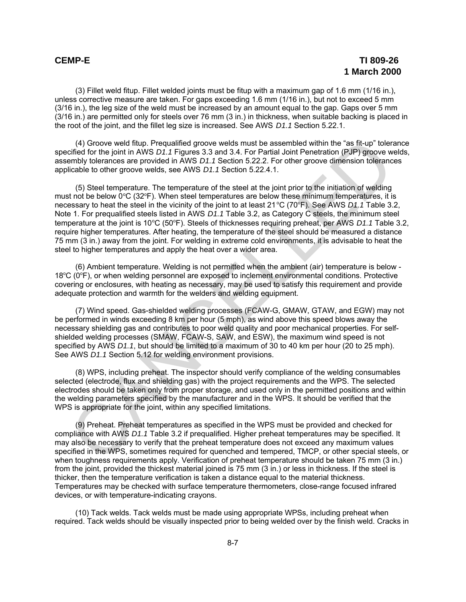(3) Fillet weld fitup. Fillet welded joints must be fitup with a maximum gap of 1.6 mm (1/16 in.), unless corrective measure are taken. For gaps exceeding 1.6 mm (1/16 in.), but not to exceed 5 mm (3/16 in.), the leg size of the weld must be increased by an amount equal to the gap. Gaps over 5 mm (3/16 in.) are permitted only for steels over 76 mm (3 in.) in thickness, when suitable backing is placed in the root of the joint, and the fillet leg size is increased. See AWS *D1.1* Section 5.22.1.

(4) Groove weld fitup. Prequalified groove welds must be assembled within the "as fit-up" tolerance specified for the joint in AWS *D1.1* Figures 3.3 and 3.4. For Partial Joint Penetration (PJP) groove welds, assembly tolerances are provided in AWS *D1.1* Section 5.22.2. For other groove dimension tolerances applicable to other groove welds, see AWS *D1.1* Section 5.22.4.1.

(5) Steel temperature. The temperature of the steel at the joint prior to the initiation of welding must not be below  $0^{\circ}$ C (32 $^{\circ}$ F). When steel temperatures are below these minimum temperatures, it is necessary to heat the steel in the vicinity of the joint to at least 21 °C (70°F). See AWS *D1.1* Table 3.2, Note 1. For prequalified steels listed in AWS *D1.1* Table 3.2, as Category C steels, the minimum steel temperature at the joint is 10°C (50°F). Steels of thicknesses requiring preheat, per AWS *D1.1* Table 3.2, require higher temperatures. After heating, the temperature of the steel should be measured a distance 75 mm (3 in.) away from the joint. For welding in extreme cold environments, it is advisable to heat the steel to higher temperatures and apply the heat over a wider area. (4) Groove weld flup. Prequalitied groove welds must be assembled minit the "as fil-up" toleration (a) encome welds minit be a smooth of the influston of the influston of the influston of the influston of the influston of

(6) Ambient temperature. Welding is not permitted when the ambient (air) temperature is below - 18°C (0°F), or when welding personnel are exposed to inclement environmental conditions. Protective covering or enclosures, with heating as necessary, may be used to satisfy this requirement and provide adequate protection and warmth for the welders and welding equipment.

(7) Wind speed. Gas-shielded welding processes (FCAW-G, GMAW, GTAW, and EGW) may not be performed in winds exceeding 8 km per hour (5 mph), as wind above this speed blows away the necessary shielding gas and contributes to poor weld quality and poor mechanical properties. For selfshielded welding processes (SMAW, FCAW-S, SAW, and ESW), the maximum wind speed is not specified by AWS *D1.1*, but should be limited to a maximum of 30 to 40 km per hour (20 to 25 mph). See AWS *D1.1* Section 5.12 for welding environment provisions.

(8) WPS, including preheat. The inspector should verify compliance of the welding consumables selected (electrode, flux and shielding gas) with the project requirements and the WPS. The selected electrodes should be taken only from proper storage, and used only in the permitted positions and within the welding parameters specified by the manufacturer and in the WPS. It should be verified that the WPS is appropriate for the joint, within any specified limitations.

(9) Preheat. Preheat temperatures as specified in the WPS must be provided and checked for compliance with AWS *D1.1* Table 3.2 if prequalified. Higher preheat temperatures may be specified. It may also be necessary to verify that the preheat temperature does not exceed any maximum values specified in the WPS, sometimes required for quenched and tempered, TMCP, or other special steels, or when toughness requirements apply. Verification of preheat temperature should be taken 75 mm (3 in.) from the joint, provided the thickest material joined is 75 mm (3 in.) or less in thickness. If the steel is thicker, then the temperature verification is taken a distance equal to the material thickness. Temperatures may be checked with surface temperature thermometers, close-range focused infrared devices, or with temperature-indicating crayons.

(10) Tack welds. Tack welds must be made using appropriate WPSs, including preheat when required. Tack welds should be visually inspected prior to being welded over by the finish weld. Cracks in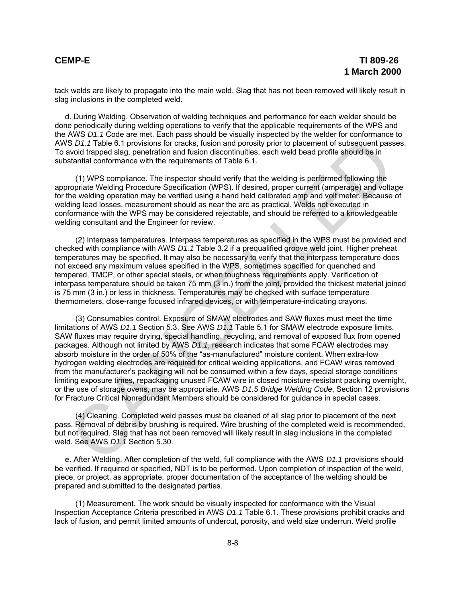tack welds are likely to propagate into the main weld. Slag that has not been removed will likely result in slag inclusions in the completed weld.

d. During Welding. Observation of welding techniques and performance for each welder should be done periodically during welding operations to verify that the applicable requirements of the WPS and the AWS *D1.1* Code are met. Each pass should be visually inspected by the welder for conformance to AWS *D1.1* Table 6.1 provisions for cracks, fusion and porosity prior to placement of subsequent passes. To avoid trapped slag, penetration and fusion discontinuities, each weld bead profile should be in substantial conformance with the requirements of Table 6.1.

(1) WPS compliance. The inspector should verify that the welding is performed following the appropriate Welding Procedure Specification (WPS). If desired, proper current (amperage) and voltage for the welding operation may be verified using a hand held calibrated amp and volt meter. Because of welding lead losses, measurement should as near the arc as practical. Welds not executed in conformance with the WPS may be considered rejectable, and should be referred to a knowledgeable welding consultant and the Engineer for review.

(2) Interpass temperatures. Interpass temperatures as specified in the WPS must be provided and checked with compliance with AWS *D1.1* Table 3.2 if a prequalified groove weld joint. Higher preheat temperatures may be specified. It may also be necessary to verify that the interpass temperature does not exceed any maximum values specified in the WPS, sometimes specified for quenched and tempered, TMCP, or other special steels, or when toughness requirements apply. Verification of interpass temperature should be taken 75 mm (3 in.) from the joint, provided the thickest material joined is 75 mm (3 in.) or less in thickness. Temperatures may be checked with surface temperature thermometers, close-range focused infrared devices, or with temperature-indicating crayons.

(3) Consumables control. Exposure of SMAW electrodes and SAW fluxes must meet the time limitations of AWS *D1.1* Section 5.3. See AWS *D1.1* Table 5.1 for SMAW electrode exposure limits. SAW fluxes may require drying, special handling, recycling, and removal of exposed flux from opened packages. Although not limited by AWS *D1.1*, research indicates that some FCAW electrodes may absorb moisture in the order of 50% of the "as-manufactured" moisture content. When extra-low hydrogen welding electrodes are required for critical welding applications, and FCAW wires removed from the manufacturer's packaging will not be consumed within a few days, special storage conditions limiting exposure times, repackaging unused FCAW wire in closed moisture-resistant packing overnight, or the use of storage ovens, may be appropriate. AWS *D1.5 Bridge Welding Code*, Section 12 provisions for Fracture Critical Nonredundant Members should be considered for guidance in special cases. S D1.1 Table 6.1 provisions for cracks, fusion and provisiby prior to placement of subsequent passes<br>and provisions for cracks, fusion discontinuities, each weld bead profile should be in<br>Statistical conformance with the r

(4) Cleaning. Completed weld passes must be cleaned of all slag prior to placement of the next pass. Removal of debris by brushing is required. Wire brushing of the completed weld is recommended, but not required. Slag that has not been removed will likely result in slag inclusions in the completed weld. See AWS *D1.1* Section 5.30.

e. After Welding. After completion of the weld, full compliance with the AWS *D1.1* provisions should be verified. If required or specified, NDT is to be performed. Upon completion of inspection of the weld, piece, or project, as appropriate, proper documentation of the acceptance of the welding should be prepared and submitted to the designated parties.

(1) Measurement. The work should be visually inspected for conformance with the Visual Inspection Acceptance Criteria prescribed in AWS *D1.1* Table 6.1. These provisions prohibit cracks and lack of fusion, and permit limited amounts of undercut, porosity, and weld size underrun. Weld profile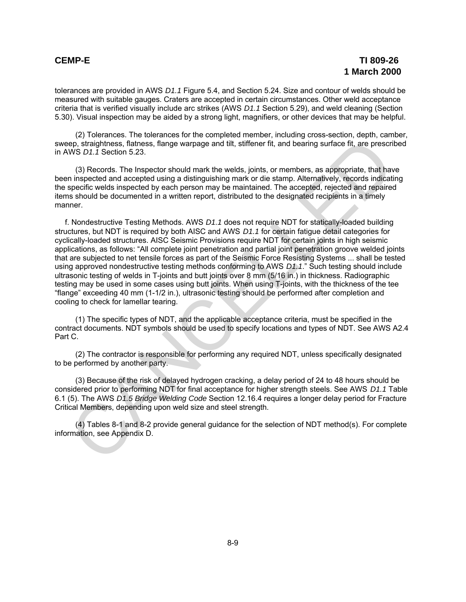tolerances are provided in AWS *D1.1* Figure 5.4, and Section 5.24. Size and contour of welds should be measured with suitable gauges. Craters are accepted in certain circumstances. Other weld acceptance criteria that is verified visually include arc strikes (AWS *D1.1* Section 5.29), and weld cleaning (Section 5.30). Visual inspection may be aided by a strong light, magnifiers, or other devices that may be helpful.

(2) Tolerances. The tolerances for the completed member, including cross-section, depth, camber, sweep, straightness, flatness, flange warpage and tilt, stiffener fit, and bearing surface fit, are prescribed in AWS *D1.1* Section 5.23.

(3) Records. The Inspector should mark the welds, joints, or members, as appropriate, that have been inspected and accepted using a distinguishing mark or die stamp. Alternatively, records indicating the specific welds inspected by each person may be maintained. The accepted, rejected and repaired items should be documented in a written report, distributed to the designated recipients in a timely manner.

f. Nondestructive Testing Methods. AWS *D1.1* does not require NDT for statically-loaded building structures, but NDT is required by both AISC and AWS *D1.1* for certain fatigue detail categories for cyclically-loaded structures. AISC Seismic Provisions require NDT for certain joints in high seismic applications, as follows: "All complete joint penetration and partial joint penetration groove welded joints that are subjected to net tensile forces as part of the Seismic Force Resisting Systems ... shall be tested using approved nondestructive testing methods conforming to AWS *D1.1*." Such testing should include ultrasonic testing of welds in T-joints and butt joints over 8 mm (5/16 in.) in thickness. Radiographic testing may be used in some cases using butt joints. When using T-joints, with the thickness of the tee "flange" exceeding 40 mm (1-1/2 in.), ultrasonic testing should be performed after completion and cooling to check for lamellar tearing. ep, straightness, flames are measures and thit, stifferent fit, and bearing surface fit, are prescripted (\$1,71 Section 5.23.<br>
WS D.1,7 Section 5.23.<br>
(3) Records. The Inspector should mark the welds, joints, or members, a

(1) The specific types of NDT, and the applicable acceptance criteria, must be specified in the contract documents. NDT symbols should be used to specify locations and types of NDT. See AWS A2.4 Part C.

(2) The contractor is responsible for performing any required NDT, unless specifically designated to be performed by another party.

(3) Because of the risk of delayed hydrogen cracking, a delay period of 24 to 48 hours should be considered prior to performing NDT for final acceptance for higher strength steels. See AWS *D1.1* Table 6.1 (5). The AWS *D1.5 Bridge Welding Code* Section 12.16.4 requires a longer delay period for Fracture Critical Members, depending upon weld size and steel strength.

(4) Tables 8-1 and 8-2 provide general guidance for the selection of NDT method(s). For complete information, see Appendix D.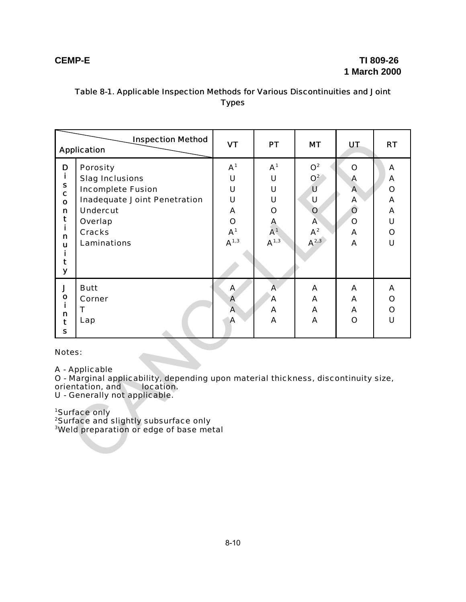# Table 8-1. Applicable Inspection Methods for Various Discontinuities and Joint Types

| <b>Inspection Method</b><br><b>Application</b>                                                                                                                                                                                                                                                                            |                                                                                                                                                                            | <b>VT</b>                                                                        | <b>PT</b>                                                              | <b>MT</b>                                                                                         | <b>UT</b>                                                                         | <b>RT</b>                                                     |
|---------------------------------------------------------------------------------------------------------------------------------------------------------------------------------------------------------------------------------------------------------------------------------------------------------------------------|----------------------------------------------------------------------------------------------------------------------------------------------------------------------------|----------------------------------------------------------------------------------|------------------------------------------------------------------------|---------------------------------------------------------------------------------------------------|-----------------------------------------------------------------------------------|---------------------------------------------------------------|
| D<br>i.<br>S<br>C<br>$\mathbf{o}$<br>n<br>t<br>Ì.<br>n<br>ū<br>i.<br>t<br>y                                                                                                                                                                                                                                               | <b>Porosity</b><br><b>Slag Inclusions</b><br><b>Incomplete Fusion</b><br><b>Inadequate Joint Penetration</b><br><b>Undercut</b><br>Overlap<br><b>Cracks</b><br>Laminations | A <sup>1</sup><br>U<br>U<br>U<br>A<br>$\mathbf O$<br>A <sup>1</sup><br>$A^{1,3}$ | A <sup>1</sup><br>U<br>U<br>U<br>O<br>A<br>A <sup>1</sup><br>$A^{1,3}$ | O <sup>2</sup><br>$O^2$<br>U<br>U<br>$\mathbf{o}$<br>$\mathbf{A}$<br>${\mathsf A}^2$<br>$A^{2,3}$ | $\mathbf O$<br>Α<br>$\mathbf{A}$<br>A<br>$\overline{O}$<br>$\mathbf{o}$<br>A<br>A | A<br>A<br>$\mathbf O$<br>A<br>A<br>U<br>$\mathbf O$<br>$\cup$ |
| J<br>$\mathbf{o}$<br>n<br>t<br>$\mathbf{s}$                                                                                                                                                                                                                                                                               | <b>Butt</b><br>Corner<br>$\mathsf{T}$<br>Lap                                                                                                                               | $\mathbf{A}$<br>A<br>$\overline{\mathsf{A}}$<br>A                                | $\mathbf{A}$<br>$\mathbf{A}$<br>A<br>A                                 | A<br>A<br>A<br>$\mathbf{A}$                                                                       | A<br>A<br>A<br>$\mathbf{o}$                                                       | A<br>$\mathbf O$<br>$\mathbf O$<br>$\cup$                     |
| Notes:<br>A - Applicable<br>O - Marginal applicability, depending upon material thickness, discontinuity size,<br>orientation, and<br>location.<br>U - Generally not applicable.<br><sup>1</sup> Surface only<br><sup>2</sup> Surface and slightly subsurface only<br><sup>3</sup> Weld preparation or edge of base metal |                                                                                                                                                                            |                                                                                  |                                                                        |                                                                                                   |                                                                                   |                                                               |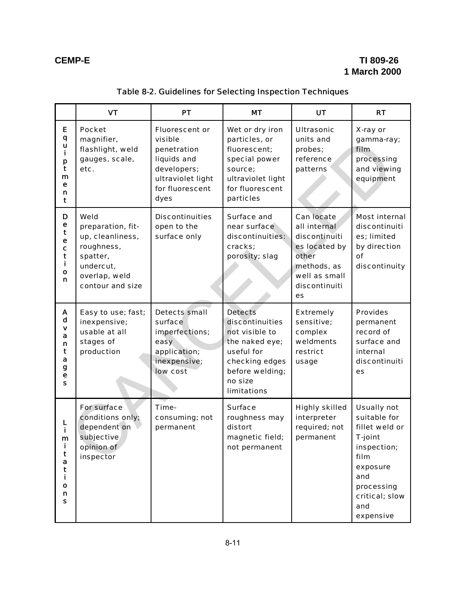# **CEMP-E TI 809-26 1 March 2000**

|                                                  | <b>VT</b>                                                                                                                 | PT                                                                                                                            | <b>MT</b>                                                                                                                                                 | <b>UT</b>                                                                                                                           | <b>RT</b>                                                                                                                                                            |
|--------------------------------------------------|---------------------------------------------------------------------------------------------------------------------------|-------------------------------------------------------------------------------------------------------------------------------|-----------------------------------------------------------------------------------------------------------------------------------------------------------|-------------------------------------------------------------------------------------------------------------------------------------|----------------------------------------------------------------------------------------------------------------------------------------------------------------------|
| Е<br>q<br>u<br>i<br>p<br>t<br>m<br>е<br>n<br>t   | <b>Pocket</b><br>magnifier,<br>flashlight, weld<br>gauges, scale,<br>etc.                                                 | <b>Fluorescent or</b><br>visible<br>penetration<br>liquids and<br>developers;<br>ultraviolet light<br>for fluorescent<br>dyes | Wet or dry iron<br>particles, or<br>fluorescent;<br>special power<br>source;<br>ultraviolet light<br>for fluorescent<br>particles                         | <b>Ultrasonic</b><br>units and<br>probes;<br>reference<br>patterns                                                                  | X-ray or<br>gamma-ray;<br>film.<br>processing<br>and viewing<br>equipment                                                                                            |
| D<br>е<br>t<br>е<br>C<br>t<br>i<br>O<br>n        | Weld<br>preparation, fit-<br>up, cleanliness,<br>roughness,<br>spatter,<br>undercut,<br>overlap, weld<br>contour and size | <b>Discontinuities</b><br>open to the<br>surface only                                                                         | Surface and<br>near surface<br>discontinuities:<br>cracks;<br>porosity; slag                                                                              | <b>Can locate</b><br>all internal<br>discontinuiti<br>es located by<br>other<br>methods, as<br>well as small<br>discontinuiti<br>es | <b>Most internal</b><br>discontinuiti<br>es; limited<br>by direction<br>Ωf<br>discontinuity                                                                          |
| A<br>d<br>v<br>a<br>n<br>t<br>a<br>g<br>е<br>S   | Easy to use; fast;<br>inexpensive;<br>usable at all<br>stages of<br>production                                            | <b>Detects</b> small<br>surface<br>imperfections;<br>easy<br>application;<br>inexpensive;<br>low cost                         | <b>Detects</b><br>discontinuities<br>not visible to<br>the naked eye;<br>useful for<br>checking edges<br>before welding;<br>no size<br><b>limitations</b> | <b>Extremely</b><br>sensitive;<br>complex<br>weldments<br>restrict<br>usage                                                         | <b>Provides</b><br>permanent<br>record of<br>surface and<br>internal<br>discontinuiti<br>es                                                                          |
| i<br>m<br>Ĩ.<br>t<br>a<br>t<br>i.<br>O<br>n<br>s | For surface<br>conditions only;<br>dependent on<br>subjective<br>opinion of<br>inspector                                  | Time-<br>consuming; not<br>permanent                                                                                          | <b>Surface</b><br>roughness may<br>distort<br>magnetic field;<br>not permanent                                                                            | <b>Highly skilled</b><br>interpreter<br>required; not<br>permanent                                                                  | <b>Usually not</b><br>suitable for<br>fillet weld or<br><b>T-joint</b><br>inspection;<br>film<br>exposure<br>and<br>processing<br>critical; slow<br>and<br>expensive |

# Table 8-2. Guidelines for Selecting Inspection Techniques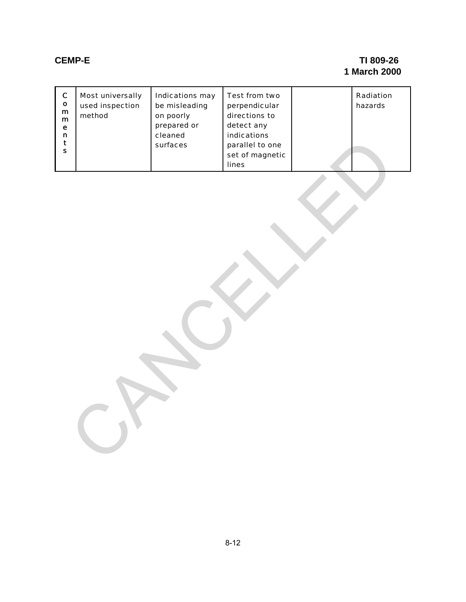# **CEMP-E TI 809-26 1 March 2000**

| $\mathbf C$<br>$\mathbf{o}$<br>${\bf m}$<br>$\mathbf{m}$<br>e<br>$\mathbf n$<br>$\mathbf t$<br>$\mathbf{s}$ | Most universally<br>used inspection<br>method | Indications may<br>be misleading<br>on poorly<br>prepared or<br>cleaned<br>surfaces | Test from two<br>perpendicular<br>directions to<br>detect any<br>indications<br>parallel to one<br>set of magnetic<br>lines | Radiation<br>hazards |
|-------------------------------------------------------------------------------------------------------------|-----------------------------------------------|-------------------------------------------------------------------------------------|-----------------------------------------------------------------------------------------------------------------------------|----------------------|
|                                                                                                             |                                               |                                                                                     |                                                                                                                             |                      |
|                                                                                                             |                                               |                                                                                     |                                                                                                                             |                      |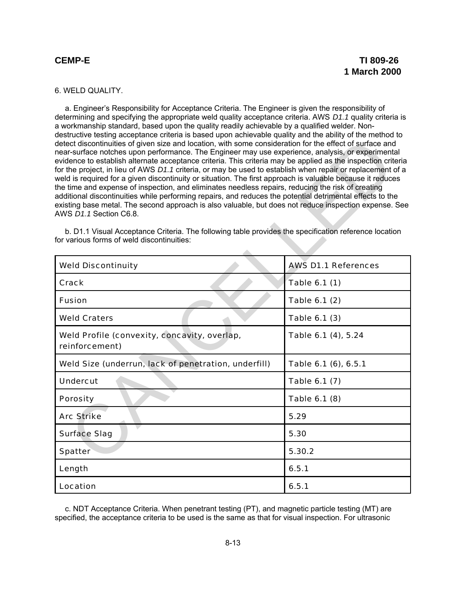## 6. WELD QUALITY.

a. Engineer's Responsibility for Acceptance Criteria. The Engineer is given the responsibility of determining and specifying the appropriate weld quality acceptance criteria. AWS *D1.1* quality criteria is a workmanship standard, based upon the quality readily achievable by a qualified welder. Nondestructive testing acceptance criteria is based upon achievable quality and the ability of the method to detect discontinuities of given size and location, with some consideration for the effect of surface and near-surface notches upon performance. The Engineer may use experience, analysis, or experimental evidence to establish alternate acceptance criteria. This criteria may be applied as the inspection criteria for the project, in lieu of AWS *D1.1* criteria, or may be used to establish when repair or replacement of a weld is required for a given discontinuity or situation. The first approach is valuable because it reduces the time and expense of inspection, and eliminates needless repairs, reducing the risk of creating additional discontinuities while performing repairs, and reduces the potential detrimental effects to the existing base metal. The second approach is also valuable, but does not reduce inspection expense. See AWS *D1.1* Section C6.8.

| detect discontinuities of given size and location, with some consideration for the effect of surface and<br>near-surface notches upon performance. The Engineer may use experience, analysis, or experimental<br>evidence to establish alternate acceptance criteria. This criteria may be applied as the inspection criteria<br>for the project, in lieu of AWS D1.1 criteria, or may be used to establish when repair or replacement of a<br>weld is required for a given discontinuity or situation. The first approach is valuable because it reduces<br>the time and expense of inspection, and eliminates needless repairs, reducing the risk of creating<br>additional discontinuities while performing repairs, and reduces the potential detrimental effects to the<br>existing base metal. The second approach is also valuable, but does not reduce inspection expense. See<br>AWS D1.1 Section C6.8.<br>b. D1.1 Visual Acceptance Criteria. The following table provides the specification reference location<br>for various forms of weld discontinuities: |                            |
|-------------------------------------------------------------------------------------------------------------------------------------------------------------------------------------------------------------------------------------------------------------------------------------------------------------------------------------------------------------------------------------------------------------------------------------------------------------------------------------------------------------------------------------------------------------------------------------------------------------------------------------------------------------------------------------------------------------------------------------------------------------------------------------------------------------------------------------------------------------------------------------------------------------------------------------------------------------------------------------------------------------------------------------------------------------------------|----------------------------|
| <b>Weld Discontinuity</b>                                                                                                                                                                                                                                                                                                                                                                                                                                                                                                                                                                                                                                                                                                                                                                                                                                                                                                                                                                                                                                               | <b>AWS D1.1 References</b> |
| Crack                                                                                                                                                                                                                                                                                                                                                                                                                                                                                                                                                                                                                                                                                                                                                                                                                                                                                                                                                                                                                                                                   | Table 6.1 (1)              |
| <b>Fusion</b>                                                                                                                                                                                                                                                                                                                                                                                                                                                                                                                                                                                                                                                                                                                                                                                                                                                                                                                                                                                                                                                           | Table 6.1 (2)              |
| <b>Weld Craters</b>                                                                                                                                                                                                                                                                                                                                                                                                                                                                                                                                                                                                                                                                                                                                                                                                                                                                                                                                                                                                                                                     | Table 6.1 (3)              |
| Weld Profile (convexity, concavity, overlap,<br>reinforcement)                                                                                                                                                                                                                                                                                                                                                                                                                                                                                                                                                                                                                                                                                                                                                                                                                                                                                                                                                                                                          | Table 6.1 (4), 5.24        |
| Weld Size (underrun, lack of penetration, underfill)                                                                                                                                                                                                                                                                                                                                                                                                                                                                                                                                                                                                                                                                                                                                                                                                                                                                                                                                                                                                                    | Table 6.1 (6), 6.5.1       |
| <b>Undercut</b>                                                                                                                                                                                                                                                                                                                                                                                                                                                                                                                                                                                                                                                                                                                                                                                                                                                                                                                                                                                                                                                         | Table 6.1 (7)              |
| <b>Porosity</b>                                                                                                                                                                                                                                                                                                                                                                                                                                                                                                                                                                                                                                                                                                                                                                                                                                                                                                                                                                                                                                                         | Table 6.1 (8)              |
| <b>Arc Strike</b>                                                                                                                                                                                                                                                                                                                                                                                                                                                                                                                                                                                                                                                                                                                                                                                                                                                                                                                                                                                                                                                       | 5.29                       |
| <b>Surface Slag</b>                                                                                                                                                                                                                                                                                                                                                                                                                                                                                                                                                                                                                                                                                                                                                                                                                                                                                                                                                                                                                                                     | 5.30                       |
| Spatter                                                                                                                                                                                                                                                                                                                                                                                                                                                                                                                                                                                                                                                                                                                                                                                                                                                                                                                                                                                                                                                                 | 5.30.2                     |
| Length                                                                                                                                                                                                                                                                                                                                                                                                                                                                                                                                                                                                                                                                                                                                                                                                                                                                                                                                                                                                                                                                  | 6.5.1                      |
| Location                                                                                                                                                                                                                                                                                                                                                                                                                                                                                                                                                                                                                                                                                                                                                                                                                                                                                                                                                                                                                                                                | 6.5.1                      |

c. NDT Acceptance Criteria. When penetrant testing (PT), and magnetic particle testing (MT) are specified, the acceptance criteria to be used is the same as that for visual inspection. For ultrasonic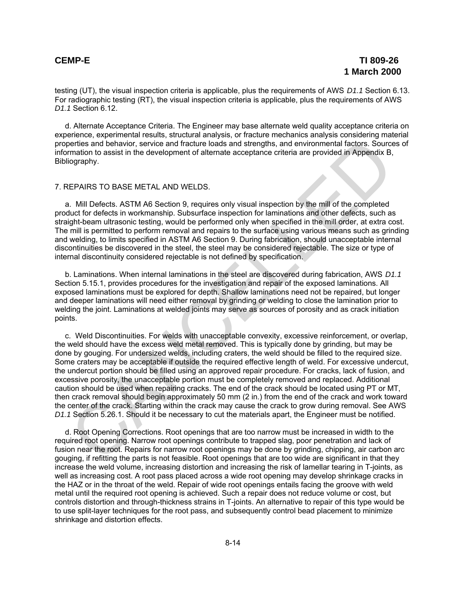testing (UT), the visual inspection criteria is applicable, plus the requirements of AWS *D1.1* Section 6.13. For radiographic testing (RT), the visual inspection criteria is applicable, plus the requirements of AWS *D1.1* Section 6.12.

d. Alternate Acceptance Criteria. The Engineer may base alternate weld quality acceptance criteria on experience, experimental results, structural analysis, or fracture mechanics analysis considering material properties and behavior, service and fracture loads and strengths, and environmental factors. Sources of information to assist in the development of alternate acceptance criteria are provided in Appendix B, Bibliography.

### 7. REPAIRS TO BASE METAL AND WELDS.

a. Mill Defects. ASTM A6 Section 9, requires only visual inspection by the mill of the completed product for defects in workmanship. Subsurface inspection for laminations and other defects, such as straight-beam ultrasonic testing, would be performed only when specified in the mill order, at extra cost. The mill is permitted to perform removal and repairs to the surface using various means such as grinding and welding, to limits specified in ASTM A6 Section 9. During fabrication, should unacceptable internal discontinuities be discovered in the steel, the steel may be considered rejectable. The size or type of internal discontinuity considered rejectable is not defined by specification.

b. Laminations. When internal laminations in the steel are discovered during fabrication, AWS *D1.1* Section 5.15.1, provides procedures for the investigation and repair of the exposed laminations. All exposed laminations must be explored for depth. Shallow laminations need not be repaired, but longer and deeper laminations will need either removal by grinding or welding to close the lamination prior to welding the joint. Laminations at welded joints may serve as sources of porosity and as crack initiation points.

c. Weld Discontinuities. For welds with unacceptable convexity, excessive reinforcement, or overlap, the weld should have the excess weld metal removed. This is typically done by grinding, but may be done by gouging. For undersized welds, including craters, the weld should be filled to the required size. Some craters may be acceptable if outside the required effective length of weld. For excessive undercut, the undercut portion should be filled using an approved repair procedure. For cracks, lack of fusion, and excessive porosity, the unacceptable portion must be completely removed and replaced. Additional caution should be used when repairing cracks. The end of the crack should be located using PT or MT, then crack removal should begin approximately 50 mm (2 in.) from the end of the crack and work toward the center of the crack. Starting within the crack may cause the crack to grow during removal. See AWS *D1.1* Section 5.26.1. Should it be necessary to cut the materials apart, the Engineer must be notified. beries and behavior, service and fracture loads and strengths, and environmental factors Source<br>enrises and behavior, service and fracture loads and strengths, and environmental factors Source<br>(organ)-<br>mation to assist in

d. Root Opening Corrections. Root openings that are too narrow must be increased in width to the required root opening. Narrow root openings contribute to trapped slag, poor penetration and lack of fusion near the root. Repairs for narrow root openings may be done by grinding, chipping, air carbon arc gouging, if refitting the parts is not feasible. Root openings that are too wide are significant in that they increase the weld volume, increasing distortion and increasing the risk of lamellar tearing in T-joints, as well as increasing cost. A root pass placed across a wide root opening may develop shrinkage cracks in the HAZ or in the throat of the weld. Repair of wide root openings entails facing the groove with weld metal until the required root opening is achieved. Such a repair does not reduce volume or cost, but controls distortion and through-thickness strains in T-joints. An alternative to repair of this type would be to use split-layer techniques for the root pass, and subsequently control bead placement to minimize shrinkage and distortion effects.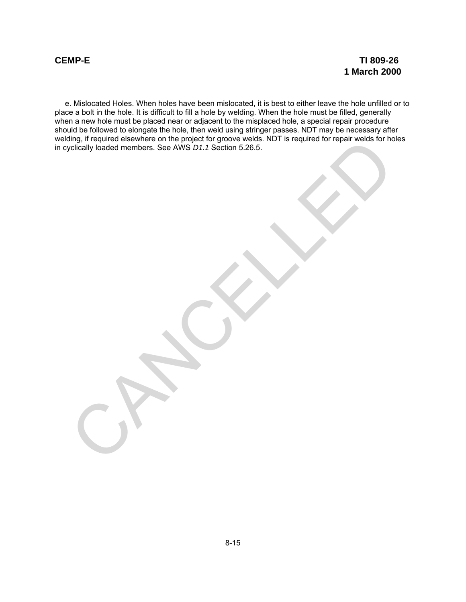e. Mislocated Holes. When holes have been mislocated, it is best to either leave the hole unfilled or to place a bolt in the hole. It is difficult to fill a hole by welding. When the hole must be filled, generally when a new hole must be placed near or adjacent to the misplaced hole, a special repair procedure should be followed to elongate the hole, then weld using stringer passes. NDT may be necessary after welding, if required elsewhere on the project for groove welds. NDT is required for repair welds for holes in cyclically loaded members. See AWS *D1.1* Section 5.26.5. Ing in required elevenere on the project for groove weds. NUT is required for repair weds for no<br>cyclically loaded members. See AWS D1.1 Section 5.26.5.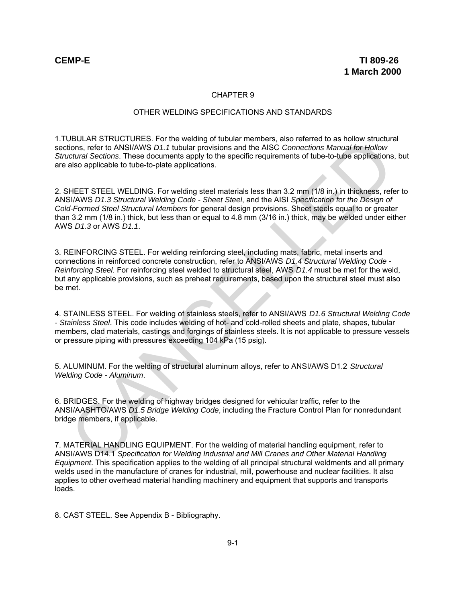## CHAPTER 9

### OTHER WELDING SPECIFICATIONS AND STANDARDS

1.TUBULAR STRUCTURES. For the welding of tubular members, also referred to as hollow structural sections, refer to ANSI/AWS *D1.1* tubular provisions and the AISC *Connections Manual for Hollow Structural Sections*. These documents apply to the specific requirements of tube-to-tube applications, but are also applicable to tube-to-plate applications.

2. SHEET STEEL WELDING. For welding steel materials less than 3.2 mm (1/8 in.) in thickness, refer to ANSI/AWS *D1.3 Structural Welding Code - Sheet Steel*, and the AISI *Specification for the Design of Cold-Formed Steel Structural Members* for general design provisions. Sheet steels equal to or greater than 3.2 mm (1/8 in.) thick, but less than or equal to 4.8 mm (3/16 in.) thick, may be welded under either AWS *D1.3* or AWS *D1.1*.

3. REINFORCING STEEL. For welding reinforcing steel, including mats, fabric, metal inserts and connections in reinforced concrete construction, refer to ANSI/AWS *D1.4 Structural Welding Code - Reinforcing Steel*. For reinforcing steel welded to structural steel, AWS *D1.4* must be met for the weld, but any applicable provisions, such as preheat requirements, based upon the structural steel must also be met. BOLIAN's INCUCIDINELS. For the welding of tubular proposes, also ferefred to as noticed the specifical contents. The measure of the specific connections Manual for Hollow<br>technom Sections. These documents apply to the spec

4. STAINLESS STEEL. For welding of stainless steels, refer to ANSI/AWS *D1.6 Structural Welding Code - Stainless Steel*. This code includes welding of hot- and cold-rolled sheets and plate, shapes, tubular members, clad materials, castings and forgings of stainless steels. It is not applicable to pressure vessels or pressure piping with pressures exceeding 104 kPa (15 psig).

5. ALUMINUM. For the welding of structural aluminum alloys, refer to ANSI/AWS D1.2 *Structural Welding Code - Aluminum*.

6. BRIDGES. For the welding of highway bridges designed for vehicular traffic, refer to the ANSI/AASHTO/AWS *D1.5 Bridge Welding Code*, including the Fracture Control Plan for nonredundant bridge members, if applicable.

7. MATERIAL HANDLING EQUIPMENT. For the welding of material handling equipment, refer to ANSI/AWS D14.1 *Specification for Welding Industrial and Mill Cranes and Other Material Handling Equipment*. This specification applies to the welding of all principal structural weldments and all primary welds used in the manufacture of cranes for industrial, mill, powerhouse and nuclear facilities. It also applies to other overhead material handling machinery and equipment that supports and transports loads.

8. CAST STEEL. See Appendix B - Bibliography.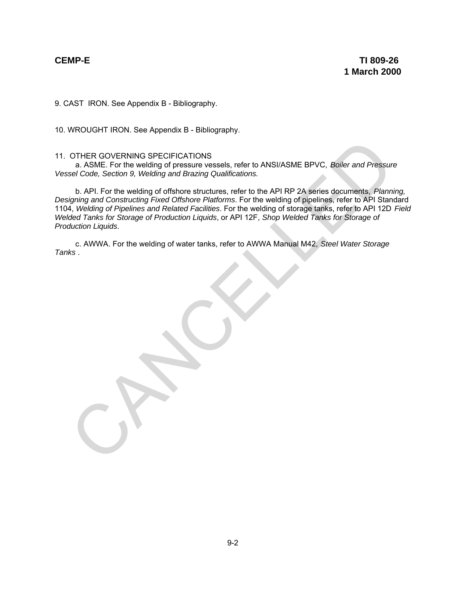9. CAST IRON. See Appendix B - Bibliography.

10. WROUGHT IRON. See Appendix B - Bibliography.

## 11. OTHER GOVERNING SPECIFICATIONS

a. ASME. For the welding of pressure vessels, refer to ANSI/ASME BPVC, *Boiler and Pressure Vessel Code, Section 9, Welding and Brazing Qualifications.*

b. API. For the welding of offshore structures, refer to the API RP 2A series documents, *Planning, Designing and Constructing Fixed Offshore Platforms*. For the welding of pipelines, refer to API Standard 1104, *Welding of Pipelines and Related Facilities*. For the welding of storage tanks, refer to API 12D *Field Welded Tanks for Storage of Production Liquids*, or API 12F, *Shop Welded Tanks for Storage of Production Liquids*. OTHER GOVERNING SPECIFICATIONS<br>
a. ASME. For the welding of pressure vessels, refer to ANSI/ASME BPVC, *Boiler and Pressure*<br>
is corde, Section 9, Welding and Brazing Qualifications.<br>
b. API. For the welding of offshore sh

c. AWWA. For the welding of water tanks, refer to AWWA Manual M42, *Steel Water Storage Tanks* .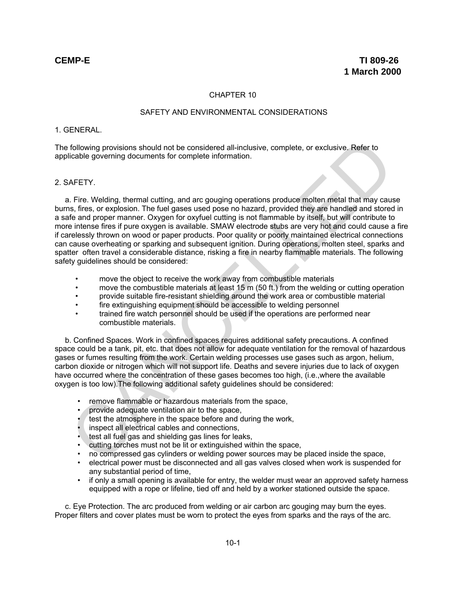## CHAPTER 10

## SAFETY AND ENVIRONMENTAL CONSIDERATIONS

## 1. GENERAL.

The following provisions should not be considered all-inclusive, complete, or exclusive. Refer to applicable governing documents for complete information.

### 2. SAFETY.

a. Fire. Welding, thermal cutting, and arc gouging operations produce molten metal that may cause burns, fires, or explosion. The fuel gases used pose no hazard, provided they are handled and stored in a safe and proper manner. Oxygen for oxyfuel cutting is not flammable by itself, but will contribute to more intense fires if pure oxygen is available. SMAW electrode stubs are very hot and could cause a fire if carelessly thrown on wood or paper products. Poor quality or poorly maintained electrical connections can cause overheating or sparking and subsequent ignition. During operations, molten steel, sparks and spatter often travel a considerable distance, risking a fire in nearby flammable materials. The following safety quidelines should be considered: following provisions should not be considered all-inclusive, complete, or exclusive. Refer to<br>
cleable governing documents for complete information.<br>
AFETY.<br>
AFETY.<br>
I. Fire. Welding, thermal cutting, and arc gouging opera

- move the object to receive the work away from combustible materials
- move the combustible materials at least 15 m (50 ft.) from the welding or cutting operation
- provide suitable fire-resistant shielding around the work area or combustible material
- fire extinguishing equipment should be accessible to welding personnel
- trained fire watch personnel should be used if the operations are performed near combustible materials.

b. Confined Spaces. Work in confined spaces requires additional safety precautions. A confined space could be a tank, pit, etc. that does not allow for adequate ventilation for the removal of hazardous gases or fumes resulting from the work. Certain welding processes use gases such as argon, helium, carbon dioxide or nitrogen which will not support life. Deaths and severe injuries due to lack of oxygen have occurred where the concentration of these gases becomes too high, (i.e.,where the available oxygen is too low).The following additional safety guidelines should be considered:

- remove flammable or hazardous materials from the space,
- provide adequate ventilation air to the space,
- test the atmosphere in the space before and during the work,
- inspect all electrical cables and connections.
- test all fuel gas and shielding gas lines for leaks,
- cutting torches must not be lit or extinguished within the space,
- no compressed gas cylinders or welding power sources may be placed inside the space,
- electrical power must be disconnected and all gas valves closed when work is suspended for any substantial period of time,
- if only a small opening is available for entry, the welder must wear an approved safety harness equipped with a rope or lifeline, tied off and held by a worker stationed outside the space.

c. Eye Protection. The arc produced from welding or air carbon arc gouging may burn the eyes. Proper filters and cover plates must be worn to protect the eyes from sparks and the rays of the arc.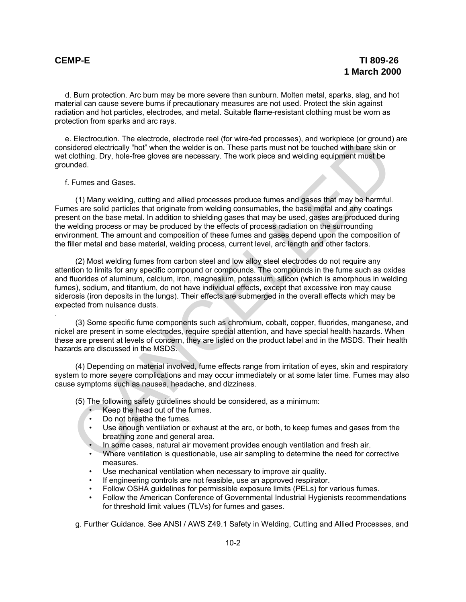.

d. Burn protection. Arc burn may be more severe than sunburn. Molten metal, sparks, slag, and hot material can cause severe burns if precautionary measures are not used. Protect the skin against radiation and hot particles, electrodes, and metal. Suitable flame-resistant clothing must be worn as protection from sparks and arc rays.

e. Electrocution. The electrode, electrode reel (for wire-fed processes), and workpiece (or ground) are considered electrically "hot" when the welder is on. These parts must not be touched with bare skin or wet clothing. Dry, hole-free gloves are necessary. The work piece and welding equipment must be grounded.

f. Fumes and Gases.

(1) Many welding, cutting and allied processes produce fumes and gases that may be harmful. Fumes are solid particles that originate from welding consumables, the base metal and any coatings present on the base metal. In addition to shielding gases that may be used, gases are produced during the welding process or may be produced by the effects of process radiation on the surrounding environment. The amount and composition of these fumes and gases depend upon the composition of the filler metal and base material, welding process, current level, arc length and other factors. F. Lectrocution. The electrocue, electroche rest for wire-leap processes), and workpiece (or ground), that when the electrocue or grounds.<br>
Figure and Cases in the electroche rest for the electroche rest of the bucked with

(2) Most welding fumes from carbon steel and low alloy steel electrodes do not require any attention to limits for any specific compound or compounds. The compounds in the fume such as oxides and fluorides of aluminum, calcium, iron, magnesium, potassium, silicon (which is amorphous in welding fumes), sodium, and titantium, do not have individual effects, except that excessive iron may cause siderosis (iron deposits in the lungs). Their effects are submerged in the overall effects which may be expected from nuisance dusts.

(3) Some specific fume components such as chromium, cobalt, copper, fluorides, manganese, and nickel are present in some electrodes, require special attention, and have special health hazards. When these are present at levels of concern, they are listed on the product label and in the MSDS. Their health hazards are discussed in the MSDS.

(4) Depending on material involved, fume effects range from irritation of eyes, skin and respiratory system to more severe complications and may occur immediately or at some later time. Fumes may also cause symptoms such as nausea, headache, and dizziness.

(5) The following safety guidelines should be considered, as a minimum:

- Keep the head out of the fumes.
- Do not breathe the fumes.
- Use enough ventilation or exhaust at the arc, or both, to keep fumes and gases from the breathing zone and general area.
- In some cases, natural air movement provides enough ventilation and fresh air.
- Where ventilation is questionable, use air sampling to determine the need for corrective measures.
- Use mechanical ventilation when necessary to improve air quality.
- If engineering controls are not feasible, use an approved respirator.
- Follow OSHA guidelines for permissible exposure limits (PELs) for various fumes.
- Follow the American Conference of Governmental Industrial Hygienists recommendations for threshold limit values (TLVs) for fumes and gases.

g. Further Guidance. See ANSI / AWS Z49.1 Safety in Welding, Cutting and Allied Processes, and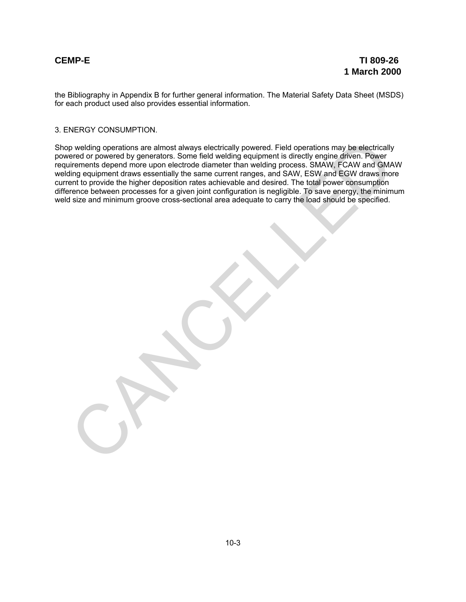the Bibliography in Appendix B for further general information. The Material Safety Data Sheet (MSDS) for each product used also provides essential information.

## 3. ENERGY CONSUMPTION.

Shop welding operations are almost always electrically powered. Field operations may be electrically powered or powered by generators. Some field welding equipment is directly engine driven. Power requirements depend more upon electrode diameter than welding process. SMAW, FCAW and GMAW welding equipment draws essentially the same current ranges, and SAW, ESW and EGW draws more current to provide the higher deposition rates achievable and desired. The total power consumption difference between processes for a given joint configuration is negligible. To save energy, the minimum weld size and minimum groove cross-sectional area adequate to carry the load should be specified. p welding operations are almost always electrically powered. Field operations may be electrically<br>eirenents dependence of powered by generators. Some field welding equipment is directly enginee diffive. Prower<br>interesting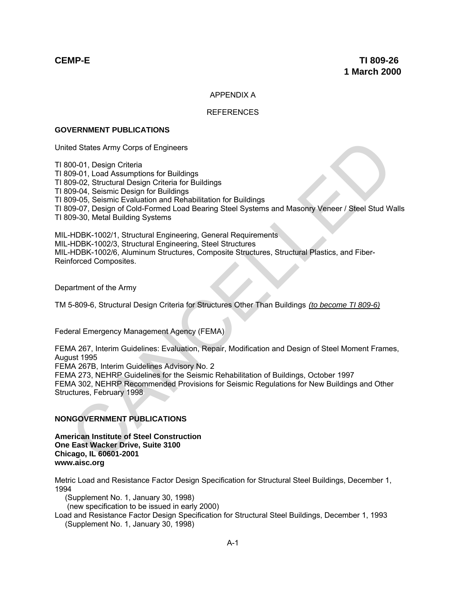## APPENDIX A

## **REFERENCES**

## **GOVERNMENT PUBLICATIONS**

United States Army Corps of Engineers

TI 800-01, Design Criteria TI 809-01, Load Assumptions for Buildings TI 809-02, Structural Design Criteria for Buildings TI 809-04, Seismic Design for Buildings TI 809-05, Seismic Evaluation and Rehabilitation for Buildings TI 809-07, Design of Cold-Formed Load Bearing Steel Systems and Masonry Veneer / Steel Stud Walls TI 809-30, Metal Building Systems ed States Army Corps of Engineers<br>
00-01, Design Criteria<br>
09-01, Design Criteria for Buildings<br>
99-02, Structural Design Criteria for Buildings<br>
99-04, Seismic Design of Buildings<br>
99-05, Seismic Deviation and Rehabilitat

MIL-HDBK-1002/1, Structural Engineering, General Requirements MIL-HDBK-1002/3, Structural Engineering, Steel Structures MIL-HDBK-1002/6, Aluminum Structures, Composite Structures, Structural Plastics, and Fiber-Reinforced Composites.

Department of the Army

TM 5-809-6, Structural Design Criteria for Structures Other Than Buildings *(to become TI 809-6)*

Federal Emergency Management Agency (FEMA)

FEMA 267, Interim Guidelines: Evaluation, Repair, Modification and Design of Steel Moment Frames, August 1995

FEMA 267B, Interim Guidelines Advisory No. 2

FEMA 273, NEHRP Guidelines for the Seismic Rehabilitation of Buildings, October 1997 FEMA 302, NEHRP Recommended Provisions for Seismic Regulations for New Buildings and Other Structures, February 1998

## **NONGOVERNMENT PUBLICATIONS**

**American Institute of Steel Construction One East Wacker Drive, Suite 3100 Chicago, IL 60601-2001 www.aisc.org**

Metric Load and Resistance Factor Design Specification for Structural Steel Buildings, December 1, 1994

(Supplement No. 1, January 30, 1998)

(new specification to be issued in early 2000)

Load and Resistance Factor Design Specification for Structural Steel Buildings, December 1, 1993 (Supplement No. 1, January 30, 1998)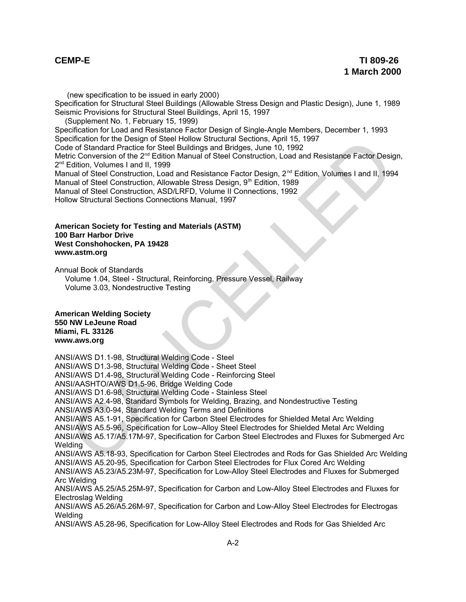(new specification to be issued in early 2000) Specification for Structural Steel Buildings (Allowable Stress Design and Plastic Design), June 1, 1989 Seismic Provisions for Structural Steel Buildings, April 15, 1997 (Supplement No. 1, February 15, 1999) Specification for Load and Resistance Factor Design of Single-Angle Members, December 1, 1993 Specification for the Design of Steel Hollow Structural Sections, April 15, 1997 Code of Standard Practice for Steel Buildings and Bridges, June 10, 1992 Metric Conversion of the 2<sup>nd</sup> Edition Manual of Steel Construction, Load and Resistance Factor Design,  $2<sup>nd</sup>$  Edition, Volumes I and II, 1999 Manual of Steel Construction, Load and Resistance Factor Design,  $2^{nd}$  Edition, Volumes I and II, 1994 Manual of Steel Construction, Allowable Stress Design, 9<sup>th</sup> Edition, 1989 Manual of Steel Construction, ASD/LRFD, Volume II Connections, 1992 Hollow Structural Sections Connections Manual, 1997

## **American Society for Testing and Materials (ASTM) 100 Barr Harbor Drive West Conshohocken, PA 19428 www.astm.org**

Annual Book of Standards

Volume 1.04, Steel - Structural, Reinforcing, Pressure Vessel, Railway Volume 3.03, Nondestructive Testing

## **American Welding Society 550 NW LeJeune Road Miami, FL 33126 www.aws.org**

ANSI/AWS D1.1-98, Structural Welding Code - Steel ANSI/AWS D1.3-98, Structural Welding Code - Sheet Steel ANSI/AWS D1.4-98, Structural Welding Code - Reinforcing Steel ANSI/AASHTO/AWS D1.5-96, Bridge Welding Code ANSI/AWS D1.6-98, Structural Welding Code - Stainless Steel ANSI/AWS A2.4-98, Standard Symbols for Welding, Brazing, and Nondestructive Testing ANSI/AWS A3.0-94, Standard Welding Terms and Definitions ANSI/AWS A5.1-91, Specification for Carbon Steel Electrodes for Shielded Metal Arc Welding ANSI/AWS A5.5-96, Specification for Low–Alloy Steel Electrodes for Shielded Metal Arc Welding ANSI/AWS A5.17/A5.17M-97, Specification for Carbon Steel Electrodes and Fluxes for Submerged Arc Welding ANSI/AWS A5.18-93, Specification for Carbon Steel Electrodes and Rods for Gas Shielded Arc Welding ANSI/AWS A5.20-95, Specification for Carbon Steel Electrodes for Flux Cored Arc Welding ANSI/AWS A5.23/A5.23M-97, Specification for Low-Alloy Steel Electrodes and Fluxes for Submerged Arc Welding ANSI/AWS A5.25/A5.25M-97, Specification for Carbon and Low-Alloy Steel Electrodes and Fluxes for Electroslag Welding ANSI/AWS A5.26/A5.26M-97, Specification for Carbon and Low-Alloy Steel Electrodes for Electrogas Welding cinciation for the Design of Steel Hollow Structural Section, April 15, 1997<br>
er of Standard Practice for Steel Buildings and Bridges, June 10, 1992<br>
ciclion, Volumes I and II, 1999<br>
ciclion, Volumes I and II, 1999<br>
ciclio

ANSI/AWS A5.28-96, Specification for Low-Alloy Steel Electrodes and Rods for Gas Shielded Arc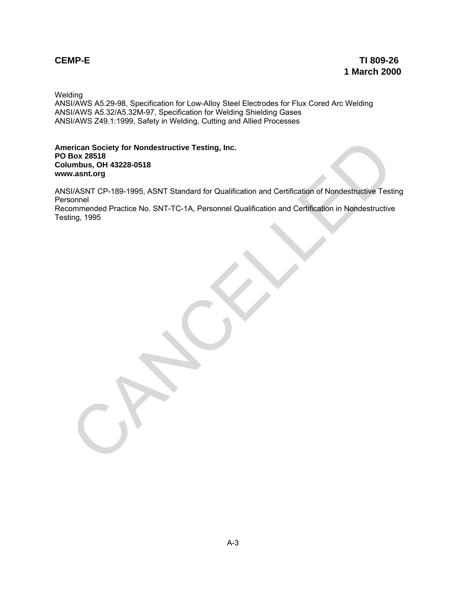Welding

ANSI/AWS A5.29-98, Specification for Low-Alloy Steel Electrodes for Flux Cored Arc Welding ANSI/AWS A5.32/A5.32M-97, Specification for Welding Shielding Gases ANSI/AWS Z49.1:1999, Safety in Welding, Cutting and Allied Processes

**American Society for Nondestructive Testing, Inc. PO Box 28518 Columbus, OH 43228-0518 www.asnt.org**

ANSI/ASNT CP-189-1995, ASNT Standard for Qualification and Certification of Nondestructive Testing Personnel erican Society for Nondestructive Testing, Inc.<br>Box 28518<br>unabus, OH 43228-0518<br>AssNTCP-189-1995, ASNT Standard for Qualification and Certification of Nondestructive Testi<br>nonmerided Practice No. SNT-TC-1A, Personnel Quali

Recommended Practice No. SNT-TC-1A, Personnel Qualification and Certification in Nondestructive Testing, 1995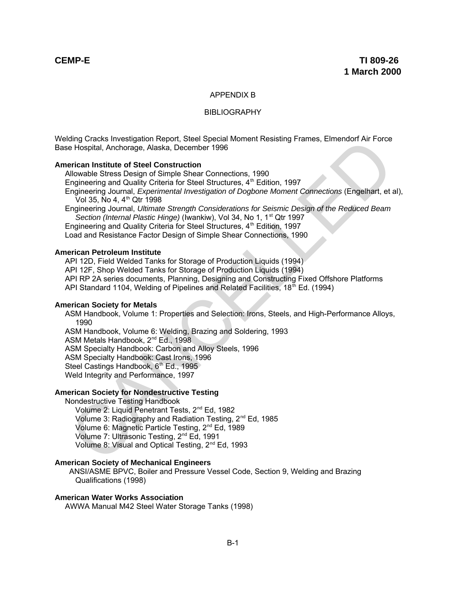## APPENDIX B

## BIBLIOGRAPHY

Welding Cracks Investigation Report, Steel Special Moment Resisting Frames, Elmendorf Air Force Base Hospital, Anchorage, Alaska, December 1996

## **American Institute of Steel Construction**

Allowable Stress Design of Simple Shear Connections, 1990

Engineering and Quality Criteria for Steel Structures,  $4<sup>th</sup>$  Edition, 1997

Engineering Journal, *Experimental Investigation of Dogbone Moment Connections* (Engelhart, et al), Vol 35, No 4, 4<sup>th</sup> Qtr 1998

Engineering Journal, *Ultimate Strength Considerations for Seismic Design of the Reduced Beam* Section (Internal Plastic Hinge) (Iwankiw), Vol 34, No 1, 1<sup>st</sup> Qtr 1997

Engineering and Quality Criteria for Steel Structures, 4<sup>th</sup> Edition, 1997

Load and Resistance Factor Design of Simple Shear Connections, 1990

## **American Petroleum Institute**

API 12D, Field Welded Tanks for Storage of Production Liquids (1994)

API 12F, Shop Welded Tanks for Storage of Production Liquids (1994)

API RP 2A series documents, Planning, Designing and Constructing Fixed Offshore Platforms

API Standard 1104, Welding of Pipelines and Related Facilities, 18<sup>th</sup> Ed. (1994)

### **American Society for Metals**

ASM Handbook, Volume 1: Properties and Selection: Irons, Steels, and High-Performance Alloys, 1990

ASM Handbook, Volume 6: Welding, Brazing and Soldering, 1993

ASM Metals Handbook, 2<sup>nd</sup> Ed., 1998

ASM Specialty Handbook: Carbon and Alloy Steels, 1996

ASM Specialty Handbook: Cast Irons, 1996

Steel Castings Handbook, 6<sup>th</sup> Ed., 1995

Weld Integrity and Performance, 1997

## **American Society for Nondestructive Testing**

Nondestructive Testing Handbook

Volume 2: Liquid Penetrant Tests, 2<sup>nd</sup> Ed, 1982 Volume 3: Radiography and Radiation Testing, 2<sup>nd</sup> Ed, 1985 Volume 6: Magnetic Particle Testing, 2<sup>nd</sup> Ed, 1989 Volume 7: Ultrasonic Testing, 2<sup>nd</sup> Ed, 1991 Volume 8: Visual and Optical Testing, 2<sup>nd</sup> Ed, 1993 and Crackes Investigation Heport, stell special Moment Resisting Frames, Elmendori Air Force<br>
el Hospital, Anchorage, Alaska, December 1996<br>
Frican Institute of Steel Construction<br>
Frican Institute of Steel Construction<br>
C

### **American Society of Mechanical Engineers**

 ANSI/ASME BPVC, Boiler and Pressure Vessel Code, Section 9, Welding and Brazing Qualifications (1998)

## **American Water Works Association**

AWWA Manual M42 Steel Water Storage Tanks (1998)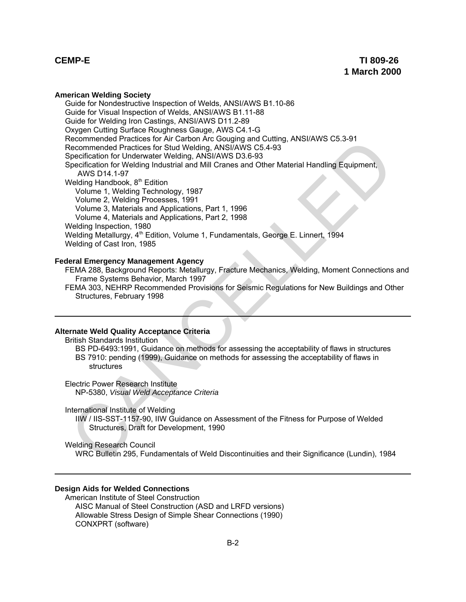### **American Welding Society**

Guide for Nondestructive Inspection of Welds, ANSI/AWS B1.10-86 Guide for Visual Inspection of Welds, ANSI/AWS B1.11-88 Guide for Welding Iron Castings, ANSI/AWS D11.2-89 Oxygen Cutting Surface Roughness Gauge, AWS C4.1-G Recommended Practices for Air Carbon Arc Gouging and Cutting, ANSI/AWS C5.3-91 Recommended Practices for Stud Welding, ANSI/AWS C5.4-93 Specification for Underwater Welding, ANSI/AWS D3.6-93 Specification for Welding Industrial and Mill Cranes and Other Material Handling Equipment, AWS D14.1-97 Welding Handbook,  $8<sup>th</sup>$  Edition Volume 1, Welding Technology, 1987 Volume 2, Welding Processes, 1991 Volume 3, Materials and Applications, Part 1, 1996 Volume 4, Materials and Applications, Part 2, 1998 Welding Inspection, 1980 Welding Metallurgy, 4<sup>th</sup> Edition, Volume 1, Fundamentals, George E. Linnert, 1994 Welding of Cast Iron, 1985 ecommended Practices for Ari canon Arc eologing and Culting, ANSI/AWS C5.4-93<br>ecommended Practices for Stud Welding, ANSI/AWS D3.6-93<br>peperfication for Underweter Welding, ANSI/AWS D3.6-93<br>peperfication for Underweter Weld

## **Federal Emergency Management Agency**

FEMA 288, Background Reports: Metallurgy, Fracture Mechanics, Welding, Moment Connections and Frame Systems Behavior, March 1997

FEMA 303, NEHRP Recommended Provisions for Seismic Regulations for New Buildings and Other Structures, February 1998

## **Alternate Weld Quality Acceptance Criteria**

British Standards Institution

BS PD-6493:1991, Guidance on methods for assessing the acceptability of flaws in structures BS 7910: pending (1999), Guidance on methods for assessing the acceptability of flaws in structures

Electric Power Research Institute NP-5380, *Visual Weld Acceptance Criteria*

International Institute of Welding

IIW / IIS-SST-1157-90, IIW Guidance on Assessment of the Fitness for Purpose of Welded Structures, Draft for Development, 1990

Welding Research Council

WRC Bulletin 295, Fundamentals of Weld Discontinuities and their Significance (Lundin), 1984

## **Design Aids for Welded Connections**

American Institute of Steel Construction AISC Manual of Steel Construction (ASD and LRFD versions) Allowable Stress Design of Simple Shear Connections (1990) CONXPRT (software)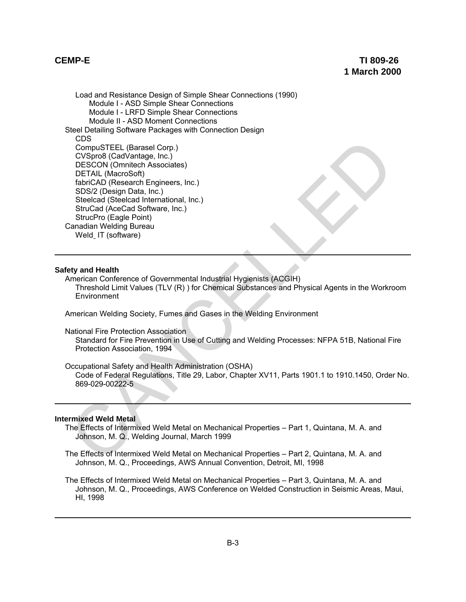Load and Resistance Design of Simple Shear Connections (1990) Module I - ASD Simple Shear Connections Module I - LRFD Simple Shear Connections Module II - ASD Moment Connections Steel Detailing Software Packages with Connection Design CDS CompuSTEEL (Barasel Corp.) CVSpro8 (CadVantage, Inc.) DESCON (Omnitech Associates) DETAIL (MacroSoft) fabriCAD (Research Engineers, Inc.) SDS/2 (Design Data, Inc.) Steelcad (Steelcad International, Inc.) StruCad (AceCad Software, Inc.) StrucPro (Eagle Point) Canadian Welding Bureau Weld IT (software) Color Code and Relation Color Control Control Computer Computer Computer Computer Computer (MeroColor)<br>
DESCON (Omnitech Associates)<br>
Stabific AD (Recearch Engineers, Inc.)<br>
Stabific AD (Recearch Engineers, Inc.)<br>
Stabific

### **Safety and Health**

American Conference of Governmental Industrial Hygienists (ACGIH) Threshold Limit Values (TLV (R) ) for Chemical Substances and Physical Agents in the Workroom **Environment** 

American Welding Society, Fumes and Gases in the Welding Environment

National Fire Protection Association

Standard for Fire Prevention in Use of Cutting and Welding Processes: NFPA 51B, National Fire Protection Association, 1994

Occupational Safety and Health Administration (OSHA)

Code of Federal Regulations, Title 29, Labor, Chapter XV11, Parts 1901.1 to 1910.1450, Order No. 869-029-00222-5

## **Intermixed Weld Metal**

- The Effects of Intermixed Weld Metal on Mechanical Properties Part 1, Quintana, M. A. and Johnson, M. Q., Welding Journal, March 1999
- The Effects of Intermixed Weld Metal on Mechanical Properties Part 2, Quintana, M. A. and Johnson, M. Q., Proceedings, AWS Annual Convention, Detroit, MI, 1998
- The Effects of Intermixed Weld Metal on Mechanical Properties Part 3, Quintana, M. A. and Johnson, M. Q., Proceedings, AWS Conference on Welded Construction in Seismic Areas, Maui, HI, 1998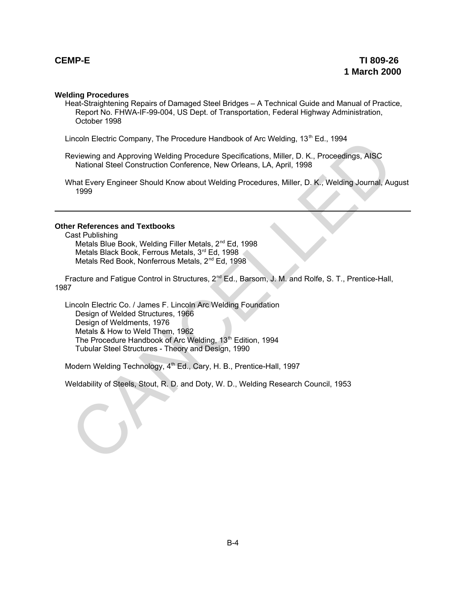## **Welding Procedures**

Heat-Straightening Repairs of Damaged Steel Bridges – A Technical Guide and Manual of Practice, Report No. FHWA-IF-99-004, US Dept. of Transportation, Federal Highway Administration, October 1998

Lincoln Electric Company, The Procedure Handbook of Arc Welding, 13<sup>th</sup> Ed., 1994

Reviewing and Approving Welding Procedure Specifications, Miller, D. K., Proceedings, AISC National Steel Construction Conference, New Orleans, LA, April, 1998

What Every Engineer Should Know about Welding Procedures, Miller, D. K., Welding Journal, August 1999

## **Other References and Textbooks**

Cast Publishing Metals Blue Book, Welding Filler Metals, 2<sup>nd</sup> Ed, 1998 Metals Black Book, Ferrous Metals, 3rd Ed, 1998 Metals Red Book, Nonferrous Metals, 2<sup>nd</sup> Ed, 1998

Fracture and Fatigue Control in Structures, 2<sup>nd</sup> Ed., Barsom, J. M. and Rolfe, S. T., Prentice-Hall, 1987

Lincoln Electric Co. / James F. Lincoln Arc Welding Foundation Design of Welded Structures, 1966 Design of Weldments, 1976 Metals & How to Weld Them, 1962 The Procedure Handbook of Arc Welding, 13<sup>th</sup> Edition, 1994 Tubular Steel Structures - Theory and Design, 1990 uncoin Leiernc Company, The Procedure Handbook of Arc welding, 13" Ld., 1994<br>
National Steel Construction Conference, New Orleans, LAI, April, 1998<br>
Mat Every Engineer Should Know about Welding Procedures, Miller, D. K., M

Modern Welding Technology, 4<sup>th</sup> Ed., Cary, H. B., Prentice-Hall, 1997

Weldability of Steels, Stout, R. D. and Doty, W. D., Welding Research Council, 1953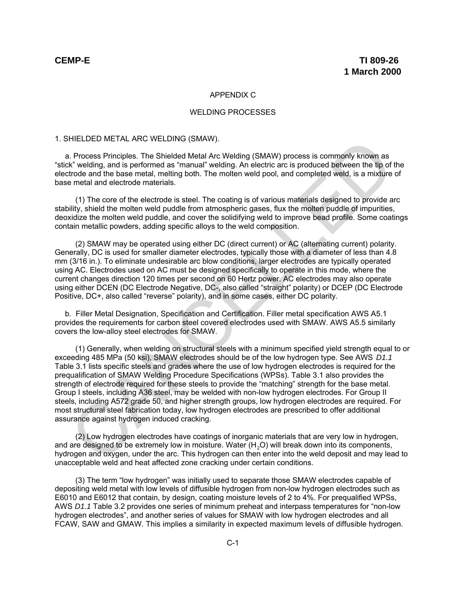## APPENDIX C

### WELDING PROCESSES

### 1. SHIELDED METAL ARC WELDING (SMAW).

a. Process Principles. The Shielded Metal Arc Welding (SMAW) process is commonly known as "stick" welding, and is performed as "manual" welding. An electric arc is produced between the tip of the electrode and the base metal, melting both. The molten weld pool, and completed weld, is a mixture of base metal and electrode materials.

(1) The core of the electrode is steel. The coating is of various materials designed to provide arc stability, shield the molten weld puddle from atmospheric gases, flux the molten puddle of impurities, deoxidize the molten weld puddle, and cover the solidifying weld to improve bead profile. Some coatings contain metallic powders, adding specific alloys to the weld composition.

(2) SMAW may be operated using either DC (direct current) or AC (alternating current) polarity. Generally, DC is used for smaller diameter electrodes, typically those with a diameter of less than 4.8 mm (3/16 in.). To eliminate undesirable arc blow conditions, larger electrodes are typically operated using AC. Electrodes used on AC must be designed specifically to operate in this mode, where the current changes direction 120 times per second on 60 Hertz power. AC electrodes may also operate using either DCEN (DC Electrode Negative, DC-, also called "straight" polarity) or DCEP (DC Electrode Positive, DC+, also called "reverse" polarity), and in some cases, either DC polarity.

b. Filler Metal Designation, Specification and Certification. Filler metal specification AWS A5.1 provides the requirements for carbon steel covered electrodes used with SMAW. AWS A5.5 similarly covers the low-alloy steel electrodes for SMAW.

(1) Generally, when welding on structural steels with a minimum specified yield strength equal to or exceeding 485 MPa (50 ksi), SMAW electrodes should be of the low hydrogen type. See AWS *D1.1* Table 3.1 lists specific steels and grades where the use of low hydrogen electrodes is required for the prequalification of SMAW Welding Procedure Specifications (WPSs). Table 3.1 also provides the strength of electrode required for these steels to provide the "matching" strength for the base metal. Group I steels, including A36 steel, may be welded with non-low hydrogen electrodes. For Group II steels, including A572 grade 50, and higher strength groups, low hydrogen electrodes are required. For most structural steel fabrication today, low hydrogen electrodes are prescribed to offer additional assurance against hydrogen induced cracking. HitLibED METAIL ARK: WELDING (SMAW).<br>
H. Process Principles. The Shielded Metal Arc Welding (SMAW) process is commonly known as<br>
I. Process Principles. The Shielded Metal Arc Welding (SMAW) process is commonly known as<br>
X.

(2) Low hydrogen electrodes have coatings of inorganic materials that are very low in hydrogen, and are designed to be extremely low in moisture. Water  $(H<sub>2</sub>O)$  will break down into its components, hydrogen and oxygen, under the arc. This hydrogen can then enter into the weld deposit and may lead to unacceptable weld and heat affected zone cracking under certain conditions.

(3) The term "low hydrogen" was initially used to separate those SMAW electrodes capable of depositing weld metal with low levels of diffusible hydrogen from non-low hydrogen electrodes such as E6010 and E6012 that contain, by design, coating moisture levels of 2 to 4%. For prequalified WPSs, AWS *D1.1* Table 3.2 provides one series of minimum preheat and interpass temperatures for "non-low hydrogen electrodes", and another series of values for SMAW with low hydrogen electrodes and all FCAW, SAW and GMAW. This implies a similarity in expected maximum levels of diffusible hydrogen.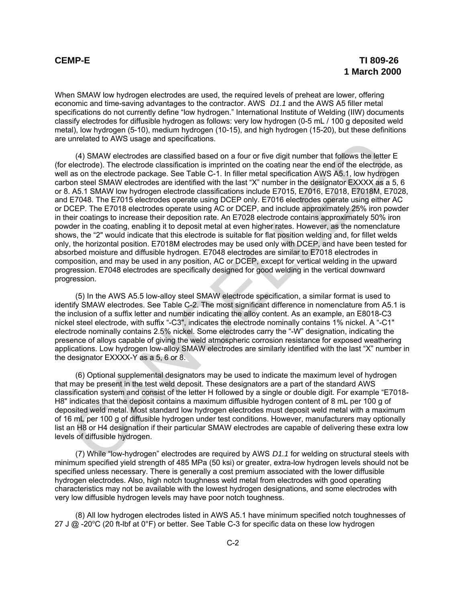When SMAW low hydrogen electrodes are used, the required levels of preheat are lower, offering economic and time-saving advantages to the contractor. AWS *D1.1* and the AWS A5 filler metal specifications do not currently define "low hydrogen." International Institute of Welding (IIW) documents classify electrodes for diffusible hydrogen as follows: very low hydrogen (0-5 mL / 100 g deposited weld metal), low hydrogen (5-10), medium hydrogen (10-15), and high hydrogen (15-20), but these definitions are unrelated to AWS usage and specifications.

(4) SMAW electrodes are classified based on a four or five digit number that follows the letter E (for electrode). The electrode classification is imprinted on the coating near the end of the electrode, as well as on the electrode package. See Table C-1. In filler metal specification AWS A5.1, low hydrogen carbon steel SMAW electrodes are identified with the last "X" number in the designator EXXXX as a 5, 6 or 8. A5.1 SMAW low hydrogen electrode classifications include E7015, E7016, E7018, E7018M, E7028, and E7048. The E7015 electrodes operate using DCEP only. E7016 electrodes operate using either AC or DCEP. The E7018 electrodes operate using AC or DCEP, and include approximately 25% iron powder in their coatings to increase their deposition rate. An E7028 electrode contains approximately 50% iron powder in the coating, enabling it to deposit metal at even higher rates. However, as the nomenclature shows, the "2" would indicate that this electrode is suitable for flat position welding and, for fillet welds only, the horizontal position. E7018M electrodes may be used only with DCEP, and have been tested for absorbed moisture and diffusible hydrogen. E7048 electrodes are similar to E7018 electrodes in composition, and may be used in any position, AC or DCEP, except for vertical welding in the upward progression. E7048 electrodes are specifically designed for good welding in the vertical downward progression. (4) SMAW electrodes are classifications.<br>
and field that the letter and consisting than the digit number that follows the letter<br>
electrode). The electrode classification is imprinted on the coating near the end of the ele

(5) In the AWS A5.5 low-alloy steel SMAW electrode specification, a similar format is used to identify SMAW electrodes. See Table C-2. The most significant difference in nomenclature from A5.1 is the inclusion of a suffix letter and number indicating the alloy content. As an example, an E8018-C3 nickel steel electrode, with suffix "-C3", indicates the electrode nominally contains 1% nickel. A "-C1" electrode nominally contains 2.5% nickel. Some electrodes carry the "-W" designation, indicating the presence of alloys capable of giving the weld atmospheric corrosion resistance for exposed weathering applications. Low hydrogen low-alloy SMAW electrodes are similarly identified with the last "X" number in the designator EXXXX-Y as a 5, 6 or 8.

(6) Optional supplemental designators may be used to indicate the maximum level of hydrogen that may be present in the test weld deposit. These designators are a part of the standard AWS classification system and consist of the letter H followed by a single or double digit. For example "E7018- H8" indicates that the deposit contains a maximum diffusible hydrogen content of 8 mL per 100 g of deposited weld metal. Most standard low hydrogen electrodes must deposit weld metal with a maximum of 16 mL per 100 g of diffusible hydrogen under test conditions. However, manufacturers may optionally list an H8 or H4 designation if their particular SMAW electrodes are capable of delivering these extra low levels of diffusible hydrogen.

(7) While "low-hydrogen" electrodes are required by AWS *D1.1* for welding on structural steels with minimum specified yield strength of 485 MPa (50 ksi) or greater, extra-low hydrogen levels should not be specified unless necessary. There is generally a cost premium associated with the lower diffusible hydrogen electrodes. Also, high notch toughness weld metal from electrodes with good operating characteristics may not be available with the lowest hydrogen designations, and some electrodes with very low diffusible hydrogen levels may have poor notch toughness.

(8) All low hydrogen electrodes listed in AWS A5.1 have minimum specified notch toughnesses of 27 J  $\omega$  -20 °C (20 ft-lbf at 0 °F) or better. See Table C-3 for specific data on these low hydrogen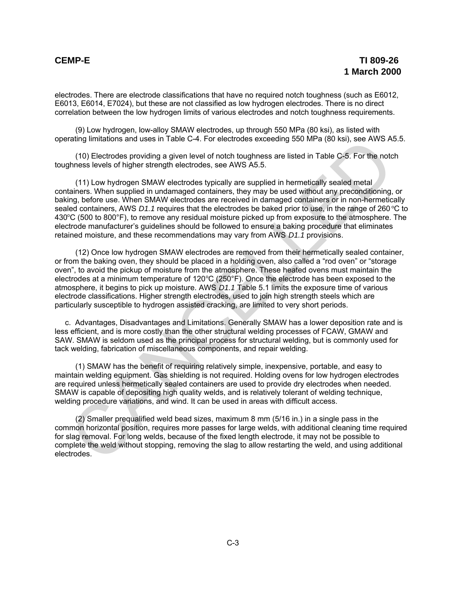electrodes. There are electrode classifications that have no required notch toughness (such as E6012, E6013, E6014, E7024), but these are not classified as low hydrogen electrodes. There is no direct correlation between the low hydrogen limits of various electrodes and notch toughness requirements.

(9) Low hydrogen, low-alloy SMAW electrodes, up through 550 MPa (80 ksi), as listed with operating limitations and uses in Table C-4. For electrodes exceeding 550 MPa (80 ksi), see AWS A5.5.

(10) Electrodes providing a given level of notch toughness are listed in Table C-5. For the notch toughness levels of higher strength electrodes, see AWS A5.5.

(11) Low hydrogen SMAW electrodes typically are supplied in hermetically sealed metal containers. When supplied in undamaged containers, they may be used without any preconditioning, or baking, before use. When SMAW electrodes are received in damaged containers or in non-hermetically sealed containers, AWS *D1.1* requires that the electrodes be baked prior to use, in the range of 260 °C to 430°C (500 to 800°F), to remove any residual moisture picked up from exposure to the atmosphere. The electrode manufacturer's guidelines should be followed to ensure a baking procedure that eliminates retained moisture, and these recommendations may vary from AWS *D1.1* provisions.

(12) Once low hydrogen SMAW electrodes are removed from their hermetically sealed container, or from the baking oven, they should be placed in a holding oven, also called a "rod oven" or "storage oven", to avoid the pickup of moisture from the atmosphere. These heated ovens must maintain the electrodes at a minimum temperature of  $120^{\circ}C(250^{\circ}F)$ . Once the electrode has been exposed to the atmosphere, it begins to pick up moisture. AWS *D1.1* Table 5.1 limits the exposure time of various electrode classifications. Higher strength electrodes, used to join high strength steels which are particularly susceptible to hydrogen assisted cracking, are limited to very short periods. rating illmitations and uses in Table C-4. For electrodes exceeding bou MPa (eU ksi), see AWS A6<br>
(11) Electrodes providing a given level of notch bughness are listed in Table C-5. For the notch<br>threes levels of higher str

c. Advantages, Disadvantages and Limitations. Generally SMAW has a lower deposition rate and is less efficient, and is more costly than the other structural welding processes of FCAW, GMAW and SAW. SMAW is seldom used as the principal process for structural welding, but is commonly used for tack welding, fabrication of miscellaneous components, and repair welding.

(1) SMAW has the benefit of requiring relatively simple, inexpensive, portable, and easy to maintain welding equipment. Gas shielding is not required. Holding ovens for low hydrogen electrodes are required unless hermetically sealed containers are used to provide dry electrodes when needed. SMAW is capable of depositing high quality welds, and is relatively tolerant of welding technique, welding procedure variations, and wind. It can be used in areas with difficult access.

(2) Smaller prequalified weld bead sizes, maximum 8 mm (5/16 in.) in a single pass in the common horizontal position, requires more passes for large welds, with additional cleaning time required for slag removal. For long welds, because of the fixed length electrode, it may not be possible to complete the weld without stopping, removing the slag to allow restarting the weld, and using additional electrodes.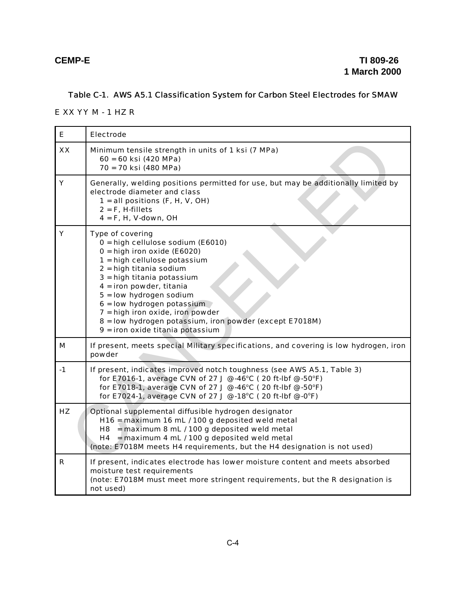# Table C-1. AWS A5.1 Classification System for Carbon Steel Electrodes for SMAW

E XX YY M - 1 HZ R

| E    | <b>Electrode</b>                                                                                                                                                                                                                                                                                                                                                                                            |
|------|-------------------------------------------------------------------------------------------------------------------------------------------------------------------------------------------------------------------------------------------------------------------------------------------------------------------------------------------------------------------------------------------------------------|
| XX   | Minimum tensile strength in units of 1 ksi (7 MPa)<br>60 = 60 ksi (420 MPa)<br>70 = 70 ksi (480 MPa)                                                                                                                                                                                                                                                                                                        |
| Υ    | Generally, welding positions permitted for use, but may be additionally limited by<br>electrode diameter and class<br>$1 =$ all positions (F, H, V, OH)<br>$2 = F$ , H-fillets<br>$4 = F$ , H, V-down, OH                                                                                                                                                                                                   |
| Y    | Type of covering<br>0 = high cellulose sodium (E6010)<br>$0 = high$ iron oxide (E6020)<br>1 = high cellulose potassium<br>2 = high titania sodium<br>3 = high titania potassium<br>$4 =$ iron powder, titania<br>5 = low hydrogen sodium<br>$6 =$ low hydrogen potassium<br>7 = high iron oxide, iron powder<br>8 = low hydrogen potassium, iron powder (except E7018M)<br>9 = iron oxide titania potassium |
| М    | If present, meets special Military specifications, and covering is low hydrogen, iron<br>powder                                                                                                                                                                                                                                                                                                             |
| $-1$ | If present, indicates improved notch toughness (see AWS A5.1, Table 3)<br>for E7016-1, average CVN of 27 J @ -46°C (20 ft-lbf @ -50°F)<br>for E7018-1, average CVN of 27 J @ -46°C (20 ft-lbf @ -50°F)<br>for E7024-1, average CVN of 27 J @ -18°C (20 ft-lbf @ -0°F)                                                                                                                                       |
| HZ   | Optional supplemental diffusible hydrogen designator<br>H16 = maximum 16 mL / 100 g deposited weld metal<br>$H8$ = maximum 8 mL / 100 g deposited weld metal<br>H4 = maximum 4 mL $/$ 100 g deposited weld metal<br>(note: E7018M meets H4 requirements, but the H4 designation is not used)                                                                                                                |
| R.   | If present, indicates electrode has lower moisture content and meets absorbed<br>moisture test requirements<br>(note: E7018M must meet more stringent requirements, but the R designation is<br>not used)                                                                                                                                                                                                   |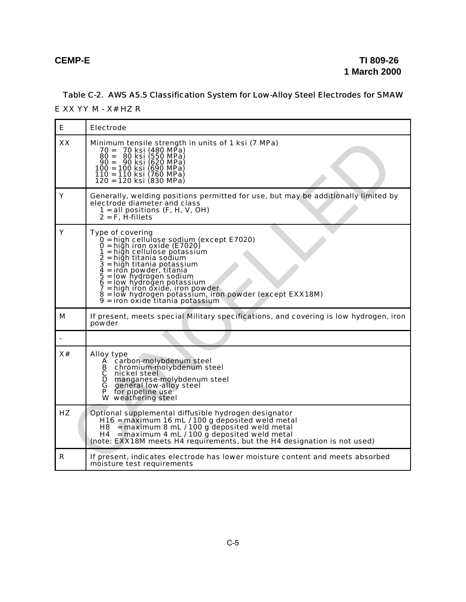# Table C-2. AWS A5.5 Classification System for Low-Alloy Steel Electrodes for SMAW

E XX YY M - X# HZ R

| Е  | <b>Electrode</b>                                                                                                                                                                                                                                                                                                                                                                                               |
|----|----------------------------------------------------------------------------------------------------------------------------------------------------------------------------------------------------------------------------------------------------------------------------------------------------------------------------------------------------------------------------------------------------------------|
| XX | Minimum tensile strength in units of 1 ksi (7 MPa)<br>70 = 70 ksi (480 MPa)<br>80 ksi (550 MPa)<br>$80 =$<br>90 = 90 ksi (620 MPa)<br>100 = 100 ksi (690 MPa)<br>110 = 110 ksi (760 MPa)<br>120 = 120 ksi (830 MPa)                                                                                                                                                                                            |
| Υ  | Generally, welding positions permitted for use, but may be additionally limited by<br>electrode diameter and class<br>1 = all positions $(F, H, V, OH)$<br>$2 = F$ , H-fillets                                                                                                                                                                                                                                 |
| Υ  | Type of covering<br>0 = high cellulose sodium (except E7020)<br>$0 =$ hiğh iron oxide (E7020)<br>1 = high cellulose potassium<br>2 = hiğh titania sodium<br>3 = hiğh titania potassium<br>4 = iron powder, titania<br>5 = low hydrogen sodium<br>6 = low hydroğen potassium<br>7 = high iron oxide, iron powder<br>8 = low hydrogen potassium, iron powder (except EXX18M)<br>9 = iron oxide titania potassium |
| М  | If present, meets special Military specifications, and covering is low hydrogen, iron<br>powder                                                                                                                                                                                                                                                                                                                |
|    |                                                                                                                                                                                                                                                                                                                                                                                                                |
| x# | Alloy type<br>A carbon-molybdenum steel<br>chromium-molybdenum steel<br>В<br>C.<br>nickel steel<br>D<br>manganese-molybdenum steel<br>G<br>general low-alloy steel<br>P<br>for pipeline use<br>W weathering steel                                                                                                                                                                                              |
| HZ | Optional supplemental diffusible hydrogen designator<br>H16 = maximum 16 mL / 100 g deposited weld metal<br>$=$ maximum 8 mL / 100 g deposited weld metal<br>H8 .<br>= maximum 4 mL / 100 g deposited weld metal<br>H4<br>(note: EXX18M meets H4 requirements, but the H4 designation is not used)                                                                                                             |
| R  | If present, indicates electrode has lower moisture content and meets absorbed<br>moisture test requirements                                                                                                                                                                                                                                                                                                    |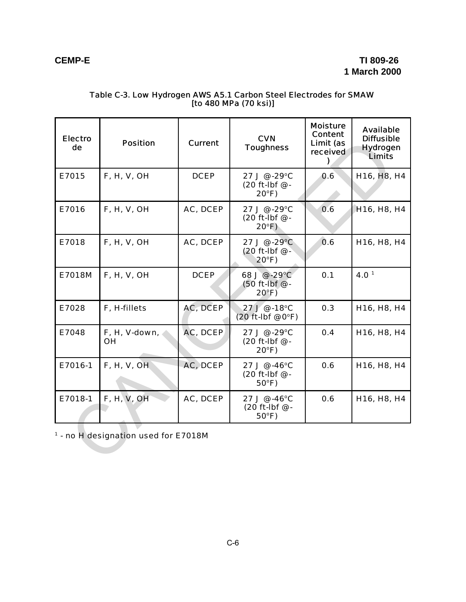| <b>Electro</b><br>de | <b>Position</b>                                 | <b>Current</b> | <b>CVN</b><br><b>Toughness</b>                    | <b>Moisture</b><br><b>Content</b><br>Limit (as<br>received | <b>Available</b><br><b>Diffusible</b><br><b>Hydrogen</b><br><b>Limits</b> |
|----------------------|-------------------------------------------------|----------------|---------------------------------------------------|------------------------------------------------------------|---------------------------------------------------------------------------|
| E7015                | <b>F, H, V, OH</b>                              | <b>DCEP</b>    | 27 J @ -29°C<br>(20 ft-lbf @ -<br>$20^{\circ}F$   | 0.6                                                        | H16, H8, H4                                                               |
| E7016                | F, H, V, OH                                     | AC, DCEP       | 27 J @ -29°C<br>(20 ft-lbf @ -<br>$20^{\circ}$ F) | 0.6                                                        | H <sub>16</sub> , H <sub>8</sub> , H <sub>4</sub>                         |
| E7018                | F, H, V, OH                                     | AC, DCEP       | 27 J @ -29°C<br>(20 ft-lbf @ -<br>$20^{\circ}F$   | 0.6                                                        | H16, H8, H4                                                               |
| E7018M               | F, H, V, OH                                     | <b>DCEP</b>    | 68 J @ -29°C<br>(50 ft-lbf @ -<br>$20^{\circ}F$ ) | 0.1                                                        | 4.0 <sup>1</sup>                                                          |
| E7028                | F, H-fillets                                    | AC, DCEP       | 27 J @ -18°C<br>$(20$ ft-lbf @ $0^{\circ}$ F)     | 0.3                                                        | H16, H8, H4                                                               |
| E7048                | F, H, V-down,<br><b>OH</b>                      | AC, DCEP       | 27 J @ -29°C<br>(20 ft-lbf @ -<br>$20^{\circ}F$   | 0.4                                                        | H16, H8, H4                                                               |
| E7016-1              | F, H, V, OH                                     | AC, DCEP       | 27 J @ -46°C<br>(20 ft-lbf @ -<br>$50^{\circ}$ F) | 0.6                                                        | H16, H8, H4                                                               |
| E7018-1              | <b>F, H, V, OH</b>                              | AC, DCEP       | 27 J @ -46°C<br>(20 ft-lbf @ -<br>$50^{\circ}$ F) | 0.6                                                        | H16, H8, H4                                                               |
|                      | <sup>1</sup> - no H designation used for E7018M |                |                                                   |                                                            |                                                                           |

## Table C-3. Low Hydrogen AWS A5.1 Carbon Steel Electrodes for SMAW [to 480 MPa (70 ksi)]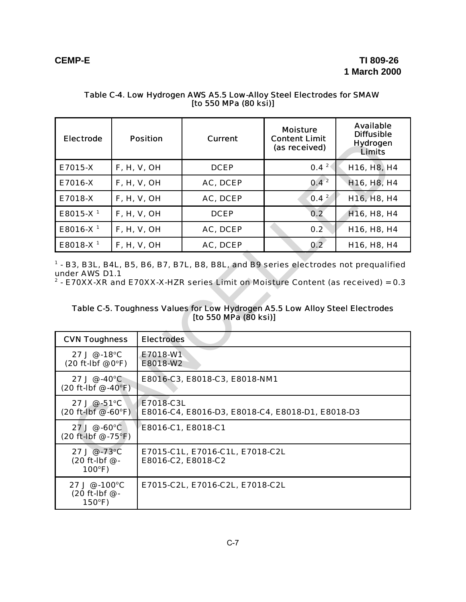| <b>Electrode</b>     | <b>Position</b> | <b>Current</b> | <b>Moisture</b><br><b>Content Limit</b><br>(as received) | <b>Available</b><br><b>Diffusible</b><br><b>Hydrogen</b><br><b>Limits</b> |
|----------------------|-----------------|----------------|----------------------------------------------------------|---------------------------------------------------------------------------|
| E7015-X              | F, H, V, OH     | <b>DCEP</b>    | $0.4^{2}$                                                | H <sub>16</sub> , H <sub>8</sub> , H <sub>4</sub>                         |
| E7016-X              | F, H, V, OH     | AC, DCEP       | $0.4^2$                                                  | H <sub>16</sub> , H <sub>8</sub> , H <sub>4</sub>                         |
| E7018-X              | F, H, V, OH     | AC, DCEP       | 0.4 <sup>2</sup>                                         | H <sub>16</sub> , H <sub>8</sub> , H <sub>4</sub>                         |
| E8015-X <sup>1</sup> | F, H, V, OH     | <b>DCEP</b>    | 0.2                                                      | H <sub>16</sub> , H <sub>8</sub> , H <sub>4</sub>                         |
| E8016-X <sup>1</sup> | F, H, V, OH     | AC, DCEP       | 0.2                                                      | H <sub>16</sub> , H <sub>8</sub> , H <sub>4</sub>                         |
| E8018-X <sup>1</sup> | F, H, V, OH     | AC, DCEP       | 0.2                                                      | H <sub>16</sub> , H <sub>8</sub> , H <sub>4</sub>                         |

## Table C-4. Low Hydrogen AWS A5.5 Low-Alloy Steel Electrodes for SMAW [to 550 MPa (80 ksi)]

## Table C-5. Toughness Values for Low Hydrogen A5.5 Low Alloy Steel Electrodes [to 550 MPa (80 ksi)]

| <b>Electrode</b>                                                 |                                                                                                                                                                                                                                                                                                                             | <b>Position</b>      | Current                                               | <b>Content Limit</b><br>(as received) | <b>Hydrogen</b><br><b>Limits</b>                  |  |
|------------------------------------------------------------------|-----------------------------------------------------------------------------------------------------------------------------------------------------------------------------------------------------------------------------------------------------------------------------------------------------------------------------|----------------------|-------------------------------------------------------|---------------------------------------|---------------------------------------------------|--|
| E7015-X                                                          |                                                                                                                                                                                                                                                                                                                             | F, H, V, OH          | <b>DCEP</b>                                           | 0.4 <sup>2</sup>                      | H16, H8, H4                                       |  |
| E7016-X                                                          |                                                                                                                                                                                                                                                                                                                             | F, H, V, OH          | AC, DCEP                                              | $0.4^2$                               | H <sub>16</sub> , H <sub>8</sub> , H <sub>4</sub> |  |
| E7018-X                                                          |                                                                                                                                                                                                                                                                                                                             | <b>F, H, V, OH</b>   | AC, DCEP                                              | 0.4 <sup>2</sup>                      | H <sub>16</sub> , H <sub>8</sub> , H <sub>4</sub> |  |
| E8015-X <sup>1</sup>                                             |                                                                                                                                                                                                                                                                                                                             | F, H, V, OH          | <b>DCEP</b>                                           | 0.2                                   | H <sub>16</sub> , H <sub>8</sub> , H <sub>4</sub> |  |
| E8016-X <sup>1</sup>                                             |                                                                                                                                                                                                                                                                                                                             | <b>F, H, V, OH</b>   | AC, DCEP                                              | 0.2                                   | H16, H8, H4                                       |  |
| E8018-X <sup>1</sup>                                             |                                                                                                                                                                                                                                                                                                                             | F, H, V, OH          | AC, DCEP                                              | 0.2                                   | H16, H8, H4                                       |  |
|                                                                  | <sup>1</sup> - B3, B3L, B4L, B5, B6, B7, B7L, B8, B8L, and B9 series electrodes not prequalified<br>under AWS D1.1<br><sup>2</sup> - E70XX-XR and E70XX-X-HZR series Limit on Moisture Content (as received) = 0.3<br>Table C-5. Toughness Values for Low Hydrogen A5.5 Low Alloy Steel Electrodes<br>[to 550 MPa (80 ksi)] |                      |                                                       |                                       |                                                   |  |
| <b>CVN Toughness</b>                                             |                                                                                                                                                                                                                                                                                                                             | <b>Electrodes</b>    |                                                       |                                       |                                                   |  |
| 27 J @ -18°C<br>$(20$ ft-Ibf @ $0^{\circ}$ F)                    |                                                                                                                                                                                                                                                                                                                             | E7018-W1<br>E8018-W2 |                                                       |                                       |                                                   |  |
| 27 J @ -40°C<br>$(20 ft-lbf \, \textcircled{\,\,} -40^{\circ}F)$ |                                                                                                                                                                                                                                                                                                                             |                      | E8016-C3, E8018-C3, E8018-NM1                         |                                       |                                                   |  |
| 27 J @ -51°C<br>$(20 ft-lbf @ -60°F)$                            |                                                                                                                                                                                                                                                                                                                             | E7018-C3L            | E8016-C4, E8016-D3, E8018-C4, E8018-D1, E8018-D3      |                                       |                                                   |  |
| 27 J @ -60°C<br>(20 ft-lbf @ -75°F)                              |                                                                                                                                                                                                                                                                                                                             | E8016-C1, E8018-C1   |                                                       |                                       |                                                   |  |
| $27 \text{ J} \circ .73^{\circ}$ C<br>(20 ft-lbf @ -<br>100°F)   |                                                                                                                                                                                                                                                                                                                             |                      | E7015-C1L, E7016-C1L, E7018-C2L<br>E8016-C2, E8018-C2 |                                       |                                                   |  |
| 27 J @ -100°C<br>(20 ft-lbf @ -<br>$150^{\circ}F$                |                                                                                                                                                                                                                                                                                                                             |                      | E7015-C2L, E7016-C2L, E7018-C2L                       |                                       |                                                   |  |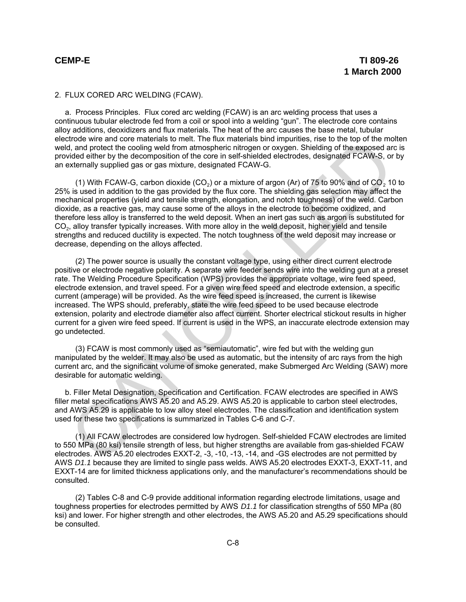## 2. FLUX CORED ARC WELDING (FCAW).

a. Process Principles. Flux cored arc welding (FCAW) is an arc welding process that uses a continuous tubular electrode fed from a coil or spool into a welding "gun". The electrode core contains alloy additions, deoxidizers and flux materials. The heat of the arc causes the base metal, tubular electrode wire and core materials to melt. The flux materials bind impurities, rise to the top of the molten weld, and protect the cooling weld from atmospheric nitrogen or oxygen. Shielding of the exposed arc is provided either by the decomposition of the core in self-shielded electrodes, designated FCAW-S, or by an externally supplied gas or gas mixture, designated FCAW-G.

(1) With FCAW-G, carbon dioxide (CO $_2$ ) or a mixture of argon (Ar) of 75 to 90% and of CO $_2$  10 to 25% is used in addition to the gas provided by the flux core. The shielding gas selection may affect the mechanical properties (yield and tensile strength, elongation, and notch toughness) of the weld. Carbon dioxide, as a reactive gas, may cause some of the alloys in the electrode to become oxidized, and therefore less alloy is transferred to the weld deposit. When an inert gas such as argon is substituted for  $\mathsf{CO}_2$ , alloy transfer typically increases. With more alloy in the weld deposit, higher yield and tensile strengths and reduced ductility is expected. The notch toughness of the weld deposit may increase or decrease, depending on the alloys affected.

(2) The power source is usually the constant voltage type, using either direct current electrode positive or electrode negative polarity. A separate wire feeder sends wire into the welding gun at a preset rate. The Welding Procedure Specification (WPS) provides the appropriate voltage, wire feed speed, electrode extension, and travel speed. For a given wire feed speed and electrode extension, a specific current (amperage) will be provided. As the wire feed speed is increased, the current is likewise increased. The WPS should, preferably, state the wire feed speed to be used because electrode extension, polarity and electrode diameter also affect current. Shorter electrical stickout results in higher current for a given wire feed speed. If current is used in the WPS, an inaccurate electrode extension may go undetected. trode wire and core materials to metr. In the lux matterials bind mpulnities, rise to the top of the most and an any consider the cooling weld from atmospheric nitrogen or oxygen. Shielding of the exposed and then by the d

(3) FCAW is most commonly used as "semiautomatic", wire fed but with the welding gun manipulated by the welder. It may also be used as automatic, but the intensity of arc rays from the high current arc, and the significant volume of smoke generated, make Submerged Arc Welding (SAW) more desirable for automatic welding.

b. Filler Metal Designation, Specification and Certification. FCAW electrodes are specified in AWS filler metal specifications AWS A5.20 and A5.29. AWS A5.20 is applicable to carbon steel electrodes, and AWS A5.29 is applicable to low alloy steel electrodes. The classification and identification system used for these two specifications is summarized in Tables C-6 and C-7.

(1) All FCAW electrodes are considered low hydrogen. Self-shielded FCAW electrodes are limited to 550 MPa (80 ksi) tensile strength of less, but higher strengths are available from gas-shielded FCAW electrodes. AWS A5.20 electrodes EXXT-2, -3, -10, -13, -14, and -GS electrodes are not permitted by AWS *D1.1* because they are limited to single pass welds. AWS A5.20 electrodes EXXT-3, EXXT-11, and EXXT-14 are for limited thickness applications only, and the manufacturer's recommendations should be consulted.

(2) Tables C-8 and C-9 provide additional information regarding electrode limitations, usage and toughness properties for electrodes permitted by AWS *D1.1* for classification strengths of 550 MPa (80 ksi) and lower. For higher strength and other electrodes, the AWS A5.20 and A5.29 specifications should be consulted.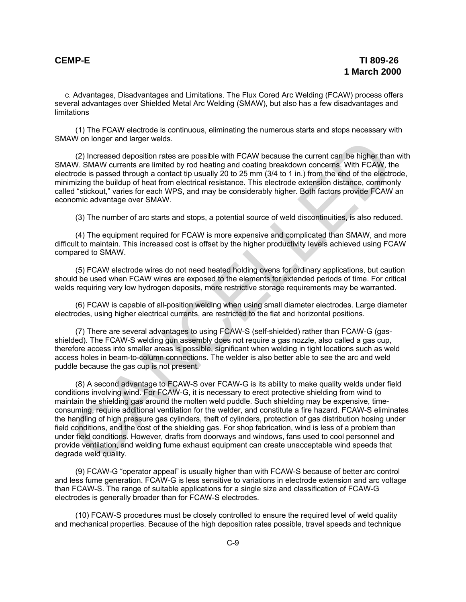c. Advantages, Disadvantages and Limitations. The Flux Cored Arc Welding (FCAW) process offers several advantages over Shielded Metal Arc Welding (SMAW), but also has a few disadvantages and limitations

(1) The FCAW electrode is continuous, eliminating the numerous starts and stops necessary with SMAW on longer and larger welds.

(2) Increased deposition rates are possible with FCAW because the current can be higher than with SMAW. SMAW currents are limited by rod heating and coating breakdown concerns. With FCAW, the electrode is passed through a contact tip usually 20 to 25 mm (3/4 to 1 in.) from the end of the electrode, minimizing the buildup of heat from electrical resistance. This electrode extension distance, commonly called "stickout," varies for each WPS, and may be considerably higher. Both factors provide FCAW an economic advantage over SMAW.

(3) The number of arc starts and stops, a potential source of weld discontinuities, is also reduced.

(4) The equipment required for FCAW is more expensive and complicated than SMAW, and more difficult to maintain. This increased cost is offset by the higher productivity levels achieved using FCAW compared to SMAW.

(5) FCAW electrode wires do not need heated holding ovens for ordinary applications, but caution should be used when FCAW wires are exposed to the elements for extended periods of time. For critical welds requiring very low hydrogen deposits, more restrictive storage requirements may be warranted.

(6) FCAW is capable of all-position welding when using small diameter electrodes. Large diameter electrodes, using higher electrical currents, are restricted to the flat and horizontal positions.

(7) There are several advantages to using FCAW-S (self-shielded) rather than FCAW-G (gasshielded). The FCAW-S welding gun assembly does not require a gas nozzle, also called a gas cup, therefore access into smaller areas is possible, significant when welding in tight locations such as weld access holes in beam-to-column connections. The welder is also better able to see the arc and weld puddle because the gas cup is not present.

(8) A second advantage to FCAW-S over FCAW-G is its ability to make quality welds under field conditions involving wind. For FCAW-G, it is necessary to erect protective shielding from wind to maintain the shielding gas around the molten weld puddle. Such shielding may be expensive, timeconsuming, require additional ventilation for the welder, and constitute a fire hazard. FCAW-S eliminates the handling of high pressure gas cylinders, theft of cylinders, protection of gas distribution hosing under field conditions, and the cost of the shielding gas. For shop fabrication, wind is less of a problem than under field conditions. However, drafts from doorways and windows, fans used to cool personnel and provide ventilation, and welding fume exhaust equipment can create unacceptable wind speeds that degrade weld quality. (2) Increased deposition rates are possible with FCAW because the current can be higher than (2) Increased deposition rates are possible with FCAW because the current can be higher than W. SMAW currents are limited by rod

(9) FCAW-G "operator appeal" is usually higher than with FCAW-S because of better arc control and less fume generation. FCAW-G is less sensitive to variations in electrode extension and arc voltage than FCAW-S. The range of suitable applications for a single size and classification of FCAW-G electrodes is generally broader than for FCAW-S electrodes.

(10) FCAW-S procedures must be closely controlled to ensure the required level of weld quality and mechanical properties. Because of the high deposition rates possible, travel speeds and technique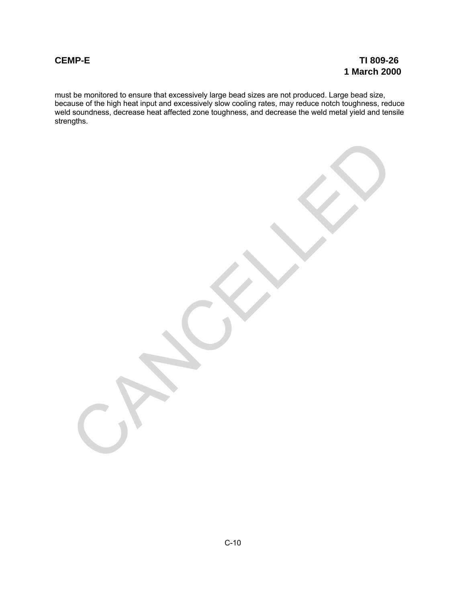must be monitored to ensure that excessively large bead sizes are not produced. Large bead size, because of the high heat input and excessively slow cooling rates, may reduce notch toughness, reduce weld soundness, decrease heat affected zone toughness, and decrease the weld metal yield and tensile strengths.

CANCALLED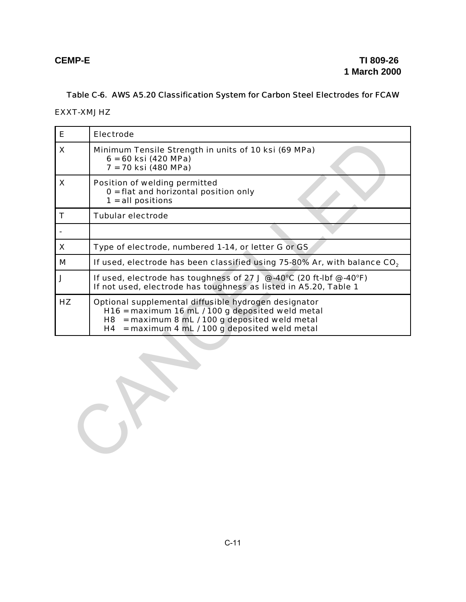# Table C-6. AWS A5.20 Classification System for Carbon Steel Electrodes for FCAW

## EXXT-XMJHZ

| Е  | <b>Electrode</b>                                                                                                                                                                                                          |  |  |  |
|----|---------------------------------------------------------------------------------------------------------------------------------------------------------------------------------------------------------------------------|--|--|--|
| X  | Minimum Tensile Strength in units of 10 ksi (69 MPa)<br>$6 = 60$ ksi (420 MPa)<br>7 = 70 ksi (480 MPa)                                                                                                                    |  |  |  |
| X  | Position of welding permitted<br>$0 =$ flat and horizontal position only<br>$1 = all positions$                                                                                                                           |  |  |  |
| T  | <b>Tubular electrode</b>                                                                                                                                                                                                  |  |  |  |
|    |                                                                                                                                                                                                                           |  |  |  |
| X  | Type of electrode, numbered 1-14, or letter G or GS                                                                                                                                                                       |  |  |  |
| M  | If used, electrode has been classified using 75-80% Ar, with balance CO <sub>2</sub>                                                                                                                                      |  |  |  |
| J  | If used, electrode has toughness of 27 J @ -40°C (20 ft-lbf @ -40°F)<br>If not used, electrode has toughness as listed in A5.20, Table 1                                                                                  |  |  |  |
| HZ | Optional supplemental diffusible hydrogen designator<br>H16 = maximum 16 mL / 100 g deposited weld metal<br>= maximum 8 mL / 100 g deposited weld metal<br>H8<br>= maximum 4 mL / 100 g deposited weld metal<br><b>H4</b> |  |  |  |
|    |                                                                                                                                                                                                                           |  |  |  |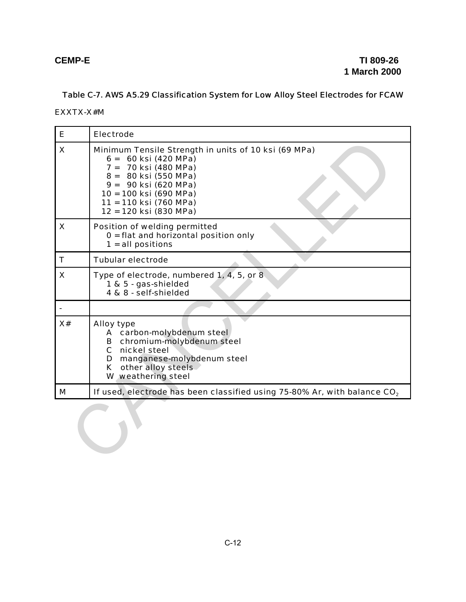# Table C-7. AWS A5.29 Classification System for Low Alloy Steel Electrodes for FCAW

## EXXTX-X#M

| E  | <b>Electrode</b>                                                                                                                                                                                                                     |
|----|--------------------------------------------------------------------------------------------------------------------------------------------------------------------------------------------------------------------------------------|
| X  | Minimum Tensile Strength in units of 10 ksi (69 MPa)<br>$6 = 60$ ksi (420 MPa)<br>7 = 70 ksi (480 MPa)<br>8 = 80 ksi (550 MPa)<br>9 = 90 ksi (620 MPa)<br>10 = 100 ksi (690 MPa)<br>11 = 110 ksi (760 MPa)<br>12 = 120 ksi (830 MPa) |
| X  | Position of welding permitted<br>$0 =$ flat and horizontal position only<br>$1 = all positions$                                                                                                                                      |
| T  | <b>Tubular electrode</b>                                                                                                                                                                                                             |
| X  | Type of electrode, numbered 1, 4, 5, or 8<br>1 & 5 - gas-shielded<br>4 & 8 - self-shielded                                                                                                                                           |
|    |                                                                                                                                                                                                                                      |
| X# | <b>Alloy type</b><br>A carbon-molybdenum steel<br>B chromium-molybdenum steel<br>C nickel steel<br>D manganese-molybdenum steel<br>K other alloy steels<br>W weathering steel                                                        |
| M  | If used, electrode has been classified using 75-80% Ar, with balance CO <sub>2</sub>                                                                                                                                                 |
|    |                                                                                                                                                                                                                                      |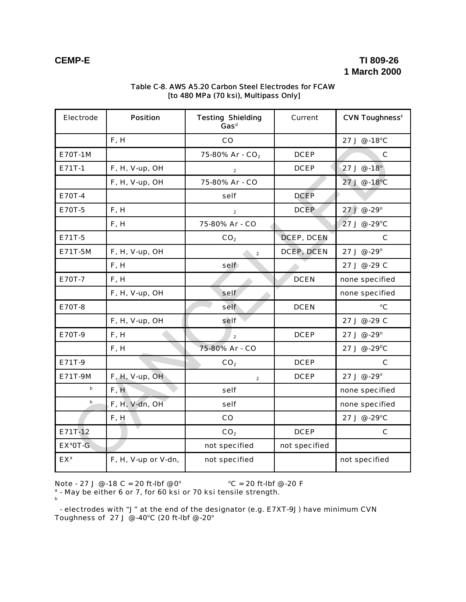# **CEMP-E TI 809-26 1 March 2000**

| Electrode      | <b>Position</b>     | <b>Testing Shielding</b><br>Current<br>Gas <sup>d</sup> |                   | <b>CVN Toughness<sup>c</sup></b> |
|----------------|---------------------|---------------------------------------------------------|-------------------|----------------------------------|
|                | F, H                | CO                                                      |                   | 27 J @ -18°C                     |
| <b>E70T-1M</b> |                     | 75-80% Ar - CO <sub>2</sub>                             | <b>DCEP</b>       | C                                |
| E71T-1         | F, H, V-up, OH      | $\overline{2}$                                          | <b>DCEP</b>       | 27 J $@-18°$                     |
|                | F, H, V-up, OH      | 75-80% Ar - CO                                          |                   | 27 J @ -18°C                     |
| E70T-4         |                     | self                                                    | <b>DCEP</b>       |                                  |
| <b>E70T-5</b>  | F, H                | $\overline{2}$                                          | <b>DCEP</b>       | 27J@.29°                         |
|                | F, H                | 75-80% Ar - CO                                          |                   | 27 J @ -29°C                     |
| E71T-5         |                     | CO <sub>2</sub>                                         | <b>DCEP, DCEN</b> | C                                |
| E71T-5M        | F, H, V-up, OH      | $\overline{\mathbf{2}}$                                 | <b>DCEP, DCEN</b> | 27 J @ -29°                      |
|                | F, H                | self                                                    |                   | 27 J @ -29 C                     |
| E70T-7         | F, H                |                                                         | <b>DCEN</b>       | none specified                   |
|                | F, H, V-up, OH      | self                                                    |                   | none specified                   |
| <b>E70T-8</b>  |                     | self                                                    | <b>DCEN</b>       | °C                               |
|                | F, H, V-up, OH      | self                                                    |                   | 27 J @ -29 C                     |
| E70T-9         | F, H                | $\overline{2}$                                          | <b>DCEP</b>       | 27 J @ -29°                      |
|                | F, H                | 75-80% Ar - CO                                          |                   | 27 J @ -29°C                     |
| E71T-9         |                     | CO <sub>2</sub>                                         | <b>DCEP</b>       | C                                |
| E71T-9M        | F, H, V-up, OH      | $\overline{2}$                                          | <b>DCEP</b>       | 27 J @ -29°                      |
| $\mathbf b$    | F, H                | self                                                    |                   | none specified                   |
| b              | F, H, V-dn, OH      | self                                                    |                   | none specified                   |
|                | F, H                | co                                                      |                   | 27 J @ -29°C                     |
| E71T-12        |                     | CO <sub>2</sub>                                         | <b>DCEP</b>       | C                                |
| $EX^a$ OT-G    |                     | not specified                                           | not specified     |                                  |
| $EX^a$         | F, H, V-up or V-dn, | not specified                                           |                   | not specified                    |

## Table C-8. AWS A5.20 Carbon Steel Electrodes for FCAW [to 480 MPa (70 ksi), Multipass Only]

Note  $\cdot$  27 J @  $\cdot$  18 C = 20 ft-lbf @ 0 $^{\circ}$   $^{\circ}$  C = 20 ft-lbf @  $\cdot$ 20 F

 $^{\text{a}}$  - May be either 6 or 7, for 60 ksi or 70 ksi tensile strength.<br>b

 - electrodes with "J" at the end of the designator (e.g. E7XT-9J) have minimum CVN Toughness of 27 J @ -40°C (20 ft-lbf @ -20°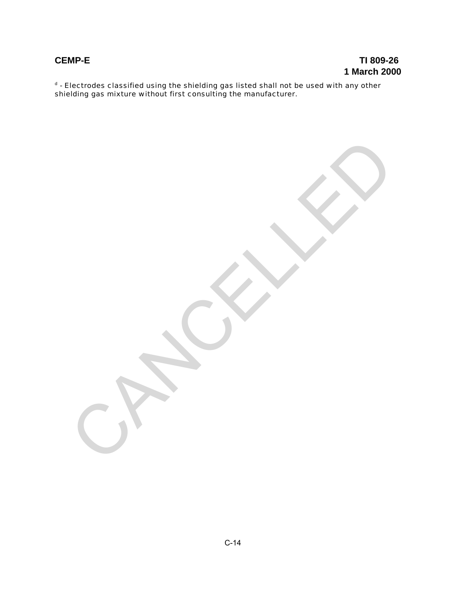# **CEMP-E TI 809-26 1 March 2000**

 $^{\texttt{d}}$  - Electrodes classified using the shielding gas listed shall not be used with any other shielding gas mixture without first consulting the manufacturer.

CANCALLED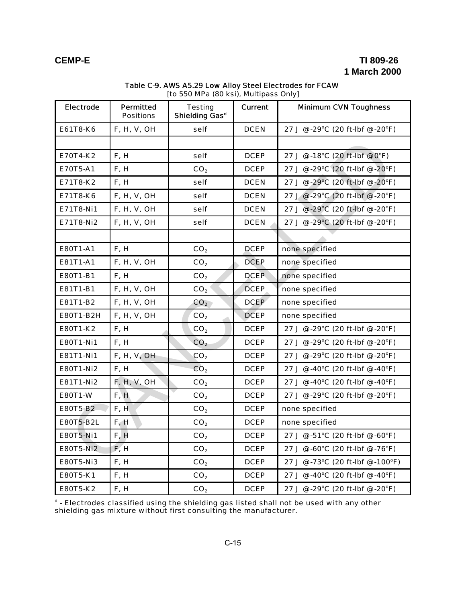# **CEMP-E TI 809-26 1 March 2000**

| <b>Electrode</b> | <b>Permitted</b><br><b>Positions</b> | <b>Testing</b><br>Shielding Gas <sup>d</sup> | <b>Current</b> | <b>Minimum CVN Toughness</b>                   |
|------------------|--------------------------------------|----------------------------------------------|----------------|------------------------------------------------|
| E61T8-K6         | F, H, V, OH                          | self                                         | <b>DCEN</b>    | 27 J @ -29°C (20 ft-Ibf @ -20°F)               |
|                  |                                      |                                              |                |                                                |
| E70T4-K2         | F, H                                 | self                                         | <b>DCEP</b>    | 27 J @ -18°C (20 ft-lbf @ 0°F)                 |
| E70T5-A1         | F, H                                 | CO <sub>2</sub>                              | <b>DCEP</b>    | 27 J @ -29°C (20 ft-lbf @ -20°F)               |
| E71T8-K2         | F, H                                 | self                                         | <b>DCEN</b>    | 27 J @ -29°C (20 ft-lbf @ -20°F)               |
| E71T8-K6         | F, H, V, OH                          | self                                         | <b>DCEN</b>    | 27 J @ -29°C (20 ft-lbf @ -20°F)               |
| E71T8-Ni1        | F, H, V, OH                          | self                                         | <b>DCEN</b>    | 27 J @ -29°C (20 ft-Ibf @ -20°F)               |
| E71T8-Ni2        | <b>F, H, V, OH</b>                   | self                                         | <b>DCEN</b>    | 27 J @ -29°C (20 ft-lbf @ -20°F)               |
|                  |                                      |                                              |                |                                                |
| E80T1-A1         | F, H                                 | CO <sub>2</sub>                              | <b>DCEP</b>    | none specified                                 |
| E81T1-A1         | <b>F, H, V, OH</b>                   | CO <sub>2</sub>                              | <b>DCEP</b>    | none specified                                 |
| E80T1-B1         | F, H                                 | CO <sub>2</sub>                              | <b>DCEP</b>    | none specified                                 |
| E81T1-B1         | F, H, V, OH                          | CO <sub>2</sub>                              | <b>DCEP</b>    | none specified                                 |
| E81T1-B2         | F, H, V, OH                          | CO <sub>2</sub>                              | <b>DCEP</b>    | none specified                                 |
| E80T1-B2H        | <b>F, H, V, OH</b>                   | CO <sub>2</sub>                              | <b>DCEP</b>    | none specified                                 |
| E80T1-K2         | F, H                                 | CO <sub>2</sub>                              | <b>DCEP</b>    | 27 J @ -29°C (20 ft-lbf @ -20°F)               |
| <b>E80T1-Ni1</b> | F, H                                 | CO <sub>2</sub>                              | <b>DCEP</b>    | 27 J @ -29°C (20 ft-Ibf @ -20°F)               |
| E81T1-Ni1        | <b>F, H, V, OH</b>                   | CO <sub>2</sub>                              | <b>DCEP</b>    | 27 J @ -29°C (20 ft-lbf @ -20°F)               |
| <b>E80T1-Ni2</b> | F, H                                 | CO <sub>2</sub>                              | <b>DCEP</b>    | 27 J @ -40°C (20 ft-lbf @ -40°F)               |
| E81T1-Ni2        | <b>F, H, V, OH</b>                   | CO <sub>2</sub>                              | <b>DCEP</b>    | 27 J @ -40°C (20 ft-lbf @ -40°F)               |
| <b>E80T1-W</b>   | F, H                                 | CO <sub>2</sub>                              | <b>DCEP</b>    | 27 J @ -29°C (20 ft-lbf @ -20°F)               |
| E80T5-B2         | F, H                                 | CO <sub>2</sub>                              | <b>DCEP</b>    | none specified                                 |
| <b>E80T5-B2L</b> | F, H                                 | CO <sub>2</sub>                              | <b>DCEP</b>    | none specified                                 |
| E80T5-Ni1        | F, H                                 | CO <sub>2</sub>                              | <b>DCEP</b>    | 27 J $\omega$ -51°C (20 ft-lbf $\omega$ -60°F) |
| <b>E80T5-Ni2</b> | F, H                                 | CO <sub>2</sub>                              | <b>DCEP</b>    | 27 J @ -60°C (20 ft-lbf @ -76°F)               |
| <b>E80T5-Ni3</b> | F, H                                 | CO <sub>2</sub>                              | <b>DCEP</b>    | 27 J @ -73°C (20 ft-lbf @ -100°F)              |
| E80T5-K1         | F, H                                 | CO <sub>2</sub>                              | <b>DCEP</b>    | 27 J @ -40°C (20 ft-lbf @ -40°F)               |
| E80T5-K2         | F, H                                 | CO <sub>2</sub>                              | <b>DCEP</b>    | 27 J @ -29°C (20 ft-Ibf @ -20°F)               |

### Table C-9. AWS A5.29 Low Alloy Steel Electrodes for FCAW [to 550 MPa (80 ksi), Multipass Only]

 $^{\texttt{d}}$  - Electrodes classified using the shielding gas listed shall not be used with any other shielding gas mixture without first consulting the manufacturer.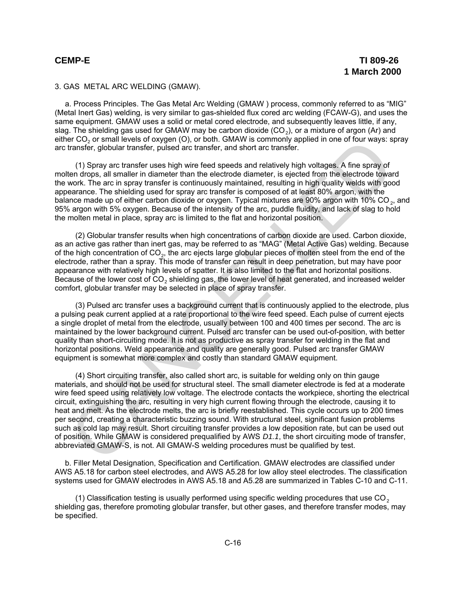## 3. GAS METAL ARC WELDING (GMAW).

a. Process Principles. The Gas Metal Arc Welding (GMAW ) process, commonly referred to as "MIG" (Metal Inert Gas) welding, is very similar to gas-shielded flux cored arc welding (FCAW-G), and uses the same equipment. GMAW uses a solid or metal cored electrode, and subsequently leaves little, if any, slag. The shielding gas used for GMAW may be carbon dioxide (CO $_{2}$ ), or a mixture of argon (Ar) and either CO $_{\rm 2}$  or small levels of oxygen (O), or both. GMAW is commonly applied in one of four ways: spray arc transfer, globular transfer, pulsed arc transfer, and short arc transfer.

(1) Spray arc transfer uses high wire feed speeds and relatively high voltages. A fine spray of molten drops, all smaller in diameter than the electrode diameter, is ejected from the electrode toward the work. The arc in spray transfer is continuously maintained, resulting in high quality welds with good appearance. The shielding used for spray arc transfer is composed of at least 80% argon, with the balance made up of either carbon dioxide or oxygen. Typical mixtures are 90% argon with 10% CO<sub>2</sub>, and 95% argon with 5% oxygen. Because of the intensity of the arc, puddle fluidity, and lack of slag to hold the molten metal in place, spray arc is limited to the flat and horizontal position.

(2) Globular transfer results when high concentrations of carbon dioxide are used. Carbon dioxide, as an active gas rather than inert gas, may be referred to as "MAG" (Metal Active Gas) welding. Because of the high concentration of CO<sub>2</sub>, the arc ejects large globular pieces of molten steel from the end of the electrode, rather than a spray. This mode of transfer can result in deep penetration, but may have poor appearance with relatively high levels of spatter. It is also limited to the flat and horizontal positions. Because of the lower cost of  $CO<sub>2</sub>$  shielding gas, the lower level of heat generated, and increased welder comfort, globular transfer may be selected in place of spray transfer.

(3) Pulsed arc transfer uses a background current that is continuously applied to the electrode, plus a pulsing peak current applied at a rate proportional to the wire feed speed. Each pulse of current ejects a single droplet of metal from the electrode, usually between 100 and 400 times per second. The arc is maintained by the lower background current. Pulsed arc transfer can be used out-of-position, with better quality than short-circuiting mode. It is not as productive as spray transfer for welding in the flat and horizontal positions. Weld appearance and quality are generally good. Pulsed arc transfer GMAW equipment is somewhat more complex and costly than standard GMAW equipment.

(4) Short circuiting transfer, also called short arc, is suitable for welding only on thin gauge materials, and should not be used for structural steel. The small diameter electrode is fed at a moderate wire feed speed using relatively low voltage. The electrode contacts the workpiece, shorting the electrical circuit, extinguishing the arc, resulting in very high current flowing through the electrode, causing it to heat and melt. As the electrode melts, the arc is briefly reestablished. This cycle occurs up to 200 times per second, creating a characteristic buzzing sound. With structural steel, significant fusion problems such as cold lap may result. Short circuiting transfer provides a low deposition rate, but can be used out of position. While GMAW is considered prequalified by AWS *D1.1*, the short circuiting mode of transfer, abbreviated GMAW-S, is not. All GMAW-S welding procedures must be qualified by test. er CU<sub>2</sub> or small levels of oxygen (U), or both. GWAW is commonly applied in one of tour ways: spectrate CU<sub>2</sub> or small levels are customer and the standard method distributed by high voltages. A fire spray of the standard

b. Filler Metal Designation, Specification and Certification. GMAW electrodes are classified under AWS A5.18 for carbon steel electrodes, and AWS A5.28 for low alloy steel electrodes. The classification systems used for GMAW electrodes in AWS A5.18 and A5.28 are summarized in Tables C-10 and C-11.

(1) Classification testing is usually performed using specific welding procedures that use  $CO<sub>2</sub>$ shielding gas, therefore promoting globular transfer, but other gases, and therefore transfer modes, may be specified.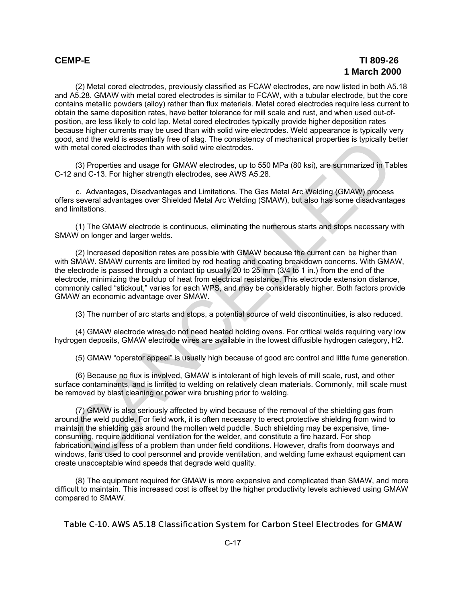## **CEMP-E TI 809-26 1 March 2000**

(2) Metal cored electrodes, previously classified as FCAW electrodes, are now listed in both A5.18 and A5.28. GMAW with metal cored electrodes is similar to FCAW, with a tubular electrode, but the core contains metallic powders (alloy) rather than flux materials. Metal cored electrodes require less current to obtain the same deposition rates, have better tolerance for mill scale and rust, and when used out-ofposition, are less likely to cold lap. Metal cored electrodes typically provide higher deposition rates because higher currents may be used than with solid wire electrodes. Weld appearance is typically very good, and the weld is essentially free of slag. The consistency of mechanical properties is typically better with metal cored electrodes than with solid wire electrodes.

(3) Properties and usage for GMAW electrodes, up to 550 MPa (80 ksi), are summarized in Tables C-12 and C-13. For higher strength electrodes, see AWS A5.28.

 c. Advantages, Disadvantages and Limitations. The Gas Metal Arc Welding (GMAW) process offers several advantages over Shielded Metal Arc Welding (SMAW), but also has some disadvantages and limitations.

(1) The GMAW electrode is continuous, eliminating the numerous starts and stops necessary with SMAW on longer and larger welds.

(2) Increased deposition rates are possible with GMAW because the current can be higher than with SMAW. SMAW currents are limited by rod heating and coating breakdown concerns. With GMAW, the electrode is passed through a contact tip usually 20 to 25 mm (3/4 to 1 in.) from the end of the electrode, minimizing the buildup of heat from electrical resistance. This electrode extension distance, commonly called "stickout," varies for each WPS, and may be considerably higher. Both factors provide GMAW an economic advantage over SMAW.

(3) The number of arc starts and stops, a potential source of weld discontinuities, is also reduced.

(4) GMAW electrode wires do not need heated holding ovens. For critical welds requiring very low hydrogen deposits, GMAW electrode wires are available in the lowest diffusible hydrogen category, H2.

(5) GMAW "operator appeal" is usually high because of good arc control and little fume generation.

(6) Because no flux is involved, GMAW is intolerant of high levels of mill scale, rust, and other surface contaminants, and is limited to welding on relatively clean materials. Commonly, mill scale must be removed by blast cleaning or power wire brushing prior to welding.

(7) GMAW is also seriously affected by wind because of the removal of the shielding gas from around the weld puddle. For field work, it is often necessary to erect protective shielding from wind to maintain the shielding gas around the molten weld puddle. Such shielding may be expensive, timeconsuming, require additional ventilation for the welder, and constitute a fire hazard. For shop fabrication, wind is less of a problem than under field conditions. However, drafts from doorways and windows, fans used to cool personnel and provide ventilation, and welding fume exhaust equipment can create unacceptable wind speeds that degrade weld quality. d, and the well is essentially three of slag. The consistency of mechanical properties is typically be<br>
metal cored electrodes than with solid wire electrodes.<br>
(3) Properties and usage for GMAW electrodes, up to 550 MPa (

(8) The equipment required for GMAW is more expensive and complicated than SMAW, and more difficult to maintain. This increased cost is offset by the higher productivity levels achieved using GMAW compared to SMAW.

## Table C-10. AWS A5.18 Classification System for Carbon Steel Electrodes for GMAW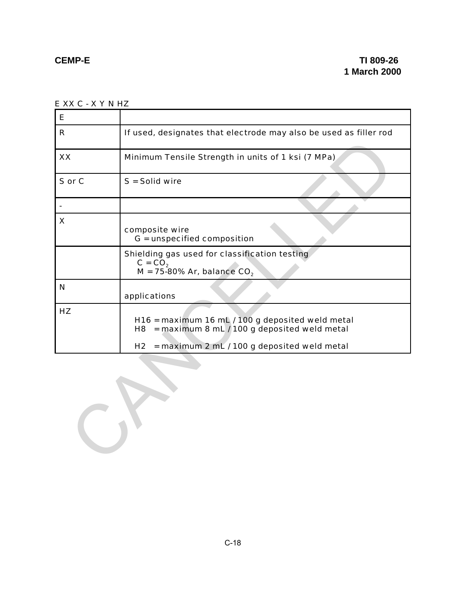E XX C - X Y N HZ

| Е            |                                                                                                         |
|--------------|---------------------------------------------------------------------------------------------------------|
| $\mathsf{R}$ | If used, designates that electrode may also be used as filler rod                                       |
| XX           | Minimum Tensile Strength in units of 1 ksi (7 MPa)                                                      |
| S or C       | $S =$ Solid wire                                                                                        |
|              |                                                                                                         |
| X            | composite wire<br>G = unspecified composition                                                           |
|              | Shielding gas used for classification testing<br>$C = CO2$<br>$M = 75-80\%$ Ar, balance CO <sub>2</sub> |
| N            | applications                                                                                            |
| HZ           | H16 = maximum 16 mL / 100 g deposited weld metal<br>$=$ maximum 8 mL / 100 g deposited weld metal<br>H8 |
|              | H <sub>2</sub><br>= maximum 2 mL / 100 g deposited weld metal                                           |
|              |                                                                                                         |

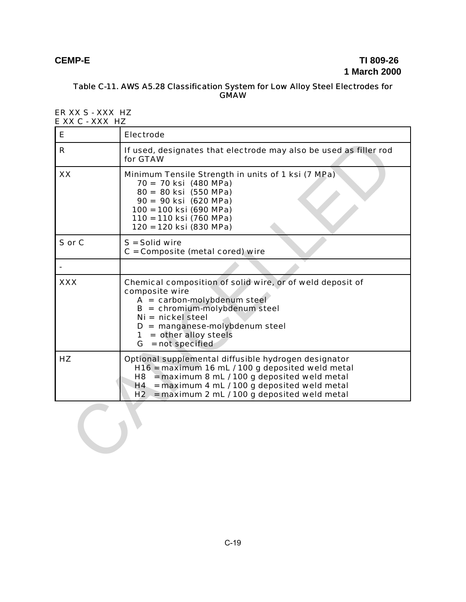# **CEMP-E TI 809-26 1 March 2000**

## Table C-11. AWS A5.28 Classification System for Low Alloy Steel Electrodes for **GMAW**

### ER XX S - XXX HZ E XX C - XXX HZ

| Е          | <b>Electrode</b>                                                                                                                                                                                                                                                     |
|------------|----------------------------------------------------------------------------------------------------------------------------------------------------------------------------------------------------------------------------------------------------------------------|
| R          | If used, designates that electrode may also be used as filler rod<br>for GTAW                                                                                                                                                                                        |
| XX         | Minimum Tensile Strength in units of 1 ksi (7 MPa)<br>70 = 70 ksi (480 MPa)<br>80 = 80 ksi (550 MPa)<br>90 = 90 ksi (620 MPa)<br>100 = 100 ksi (690 MPa)<br>110 = 110 ksi (760 MPa)<br>120 = 120 ksi (830 MPa)                                                       |
| S or C     | $S =$ Solid wire<br>$C =$ Composite (metal cored) wire                                                                                                                                                                                                               |
|            |                                                                                                                                                                                                                                                                      |
| <b>XXX</b> | Chemical composition of solid wire, or of weld deposit of<br>composite wire<br>$A = carbon-molybdenum steel$<br>$B =$ chromium-molybdenum steel<br>$Ni = nickel steel$<br>$D =$ manganese-molybdenum steel<br>$1 = other alloy steels$<br>$G = not specified$        |
| HZ         | Optional supplemental diffusible hydrogen designator<br>H16 = maximum 16 mL / 100 g deposited weld metal<br>$H8$ = maximum 8 mL / 100 g deposited weld metal<br>$H4 =$ maximum 4 mL / 100 g deposited weld metal<br>$H2$ = maximum 2 mL / 100 g deposited weld metal |
|            |                                                                                                                                                                                                                                                                      |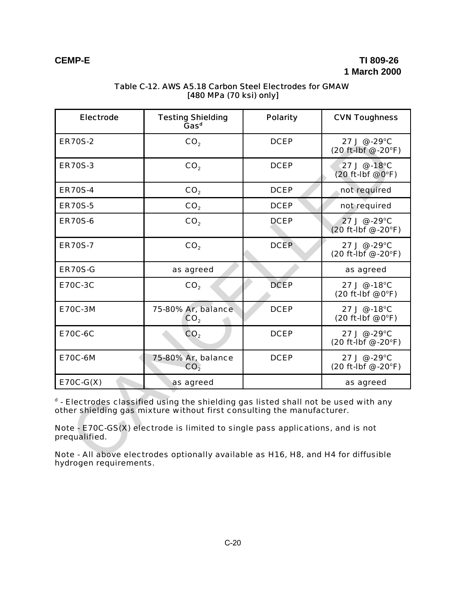| <b>Electrode</b>                                                                                                                                                                                                                                                 | <b>Testing Shielding</b><br>Gas <sup>d</sup> | <b>Polarity</b> | <b>CVN Toughness</b>                                  |  |  |
|------------------------------------------------------------------------------------------------------------------------------------------------------------------------------------------------------------------------------------------------------------------|----------------------------------------------|-----------------|-------------------------------------------------------|--|--|
| <b>ER70S-2</b>                                                                                                                                                                                                                                                   | CO <sub>2</sub>                              | <b>DCEP</b>     | $27 \text{ J} \& 29^{\circ}$ C<br>(20 ft-lbf @ -20°F) |  |  |
| <b>ER70S-3</b>                                                                                                                                                                                                                                                   | CO <sub>2</sub>                              | <b>DCEP</b>     | 27 J @ -18°C<br>$(20$ ft-lbf @ $0^{\circ}$ F)         |  |  |
| <b>ER70S-4</b>                                                                                                                                                                                                                                                   | CO <sub>2</sub>                              | <b>DCEP</b>     | not required                                          |  |  |
| <b>ER70S-5</b>                                                                                                                                                                                                                                                   | CO <sub>2</sub>                              | <b>DCEP</b>     | not required                                          |  |  |
| <b>ER70S-6</b>                                                                                                                                                                                                                                                   | CO <sub>2</sub>                              | <b>DCEP</b>     | 27 J @ -29°C<br>(20 ft-lbf @ -20°F)                   |  |  |
| <b>ER70S-7</b>                                                                                                                                                                                                                                                   | CO <sub>2</sub>                              | <b>DCEP</b>     | 27 J @ -29°C<br>(20 ft-lbf @ -20°F)                   |  |  |
| <b>ER70S-G</b>                                                                                                                                                                                                                                                   | as agreed                                    |                 | as agreed                                             |  |  |
| <b>E70C-3C</b>                                                                                                                                                                                                                                                   | CO <sub>2</sub>                              | <b>DCEP</b>     | 27 J @ -18°C<br>(20 ft-Ibf @ 0°F)                     |  |  |
| <b>E70C-3M</b>                                                                                                                                                                                                                                                   | 75-80% Ar, balance<br>CO <sub>2</sub>        | <b>DCEP</b>     | 27 J @ -18°C<br>(20 ft-Ibf @ 0°F)                     |  |  |
| <b>E70C-6C</b>                                                                                                                                                                                                                                                   | CO <sub>2</sub>                              | <b>DCEP</b>     | 27 J @ -29°C<br>(20 ft-lbf @ -20°F)                   |  |  |
| <b>E70C-6M</b>                                                                                                                                                                                                                                                   | 75-80% Ar, balance<br>CO <sub>2</sub>        | <b>DCEP</b>     | 27 J @ -29°C<br>(20 ft-lbf @ -20°F)                   |  |  |
| $E70C-G(X)$                                                                                                                                                                                                                                                      | as agreed                                    |                 | as agreed                                             |  |  |
| d - Electrodes classified using the shielding gas listed shall not be used with any<br>other shielding gas mixture without first consulting the manufacturer.<br>Note - E70C-GS(X) electrode is limited to single pass applications, and is not<br>prequalified. |                                              |                 |                                                       |  |  |
| Note - All above electrodes optionally available as H16, H8, and H4 for diffusible                                                                                                                                                                               |                                              |                 |                                                       |  |  |

## Table C-12. AWS A5.18 Carbon Steel Electrodes for GMAW [480 MPa (70 ksi) only]

Note - All above electrodes optionally available as H16, H8, and H4 for diffusible hydrogen requirements.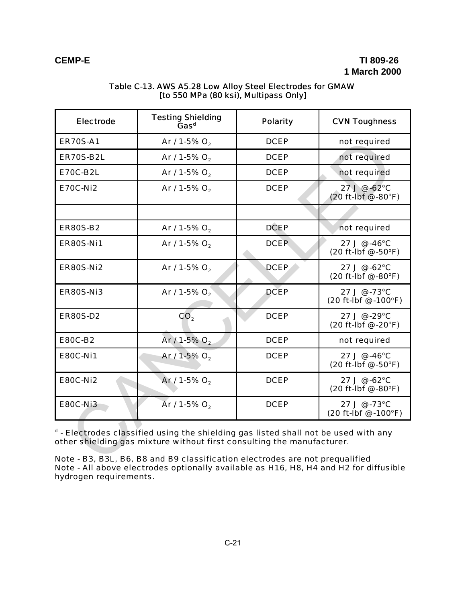## **CEMP-E TI 809-26 1 March 2000**

| <b>Electrode</b>                                                                                                                                                                                                                              | <b>Testing Shielding</b><br>$\mathrm{\tilde{G}as}^d$ | <b>Polarity</b> | <b>CVN Toughness</b>                                             |
|-----------------------------------------------------------------------------------------------------------------------------------------------------------------------------------------------------------------------------------------------|------------------------------------------------------|-----------------|------------------------------------------------------------------|
| <b>ER70S-A1</b>                                                                                                                                                                                                                               | Ar / 1-5% $O_2$                                      | <b>DCEP</b>     | not required                                                     |
| <b>ER70S-B2L</b>                                                                                                                                                                                                                              | Ar / 1-5% $O_2$                                      | <b>DCEP</b>     | not required                                                     |
| <b>E70C-B2L</b>                                                                                                                                                                                                                               | Ar / 1-5% O <sub>2</sub>                             | <b>DCEP</b>     | not required                                                     |
| <b>E70C-Ni2</b>                                                                                                                                                                                                                               | Ar / 1-5% $O_2$                                      | <b>DCEP</b>     | 27J@.62°C<br>$(20 ft-lbf @ -80°F)$                               |
|                                                                                                                                                                                                                                               |                                                      |                 |                                                                  |
| <b>ER80S-B2</b>                                                                                                                                                                                                                               | Ar / 1-5% $O_2$                                      | <b>DCEP</b>     | not required                                                     |
| <b>ER80S-Ni1</b>                                                                                                                                                                                                                              | Ar / 1-5% $O_2$                                      | <b>DCEP</b>     | 27 J @ -46°C<br>$(20 ft-lbf \, \textcircled{\,\,} -50^{\circ}F)$ |
| <b>ER80S-Ni2</b>                                                                                                                                                                                                                              | Ar / 1-5% $O_2$                                      | <b>DCEP</b>     | 27 J @ -62°C<br>(20 ft-lbf @ -80°F)                              |
| ER80S-Ni3                                                                                                                                                                                                                                     | Ar / 1-5% $O_2$                                      | <b>DCEP</b>     | 27 J @ -73°C<br>(20 ft-lbf @ -100°F)                             |
| <b>ER80S-D2</b>                                                                                                                                                                                                                               | CO <sub>2</sub>                                      | <b>DCEP</b>     | 27 J @ -29°C<br>(20 ft-lbf @ -20°F)                              |
| <b>E80C-B2</b>                                                                                                                                                                                                                                | Ar / 1-5% $O_2$                                      | <b>DCEP</b>     | not required                                                     |
| <b>E80C-Ni1</b>                                                                                                                                                                                                                               | Ar / 1-5% $O_2$                                      | <b>DCEP</b>     | 27 J @ -46°C<br>$(20 ft-lbf @ -50°F)$                            |
| <b>E80C-Ni2</b>                                                                                                                                                                                                                               | Ar / 1-5% O <sub>2</sub>                             | <b>DCEP</b>     | 27 J @ -62°C<br>(20 ft-lbf @ -80°F)                              |
| <b>E80C-Ni3</b>                                                                                                                                                                                                                               | Ar / 1-5% O <sub>2</sub>                             | <b>DCEP</b>     | 27 J @ -73°C<br>(20 ft-lbf @ -100°F)                             |
| d - Electrodes classified using the shielding gas listed shall not be used with any<br>other shielding gas mixture without first consulting the manufacturer.<br>Note - B3, B3L, B6, B8 and B9 classification electrodes are not prequalified |                                                      |                 |                                                                  |

## Table C-13. AWS A5.28 Low Alloy Steel Electrodes for GMAW [to 550 MPa (80 ksi), Multipass Only]

Note - B3, B3L, B6, B8 and B9 classification electrodes are not prequalified Note - All above electrodes optionally available as H16, H8, H4 and H2 for diffusible hydrogen requirements.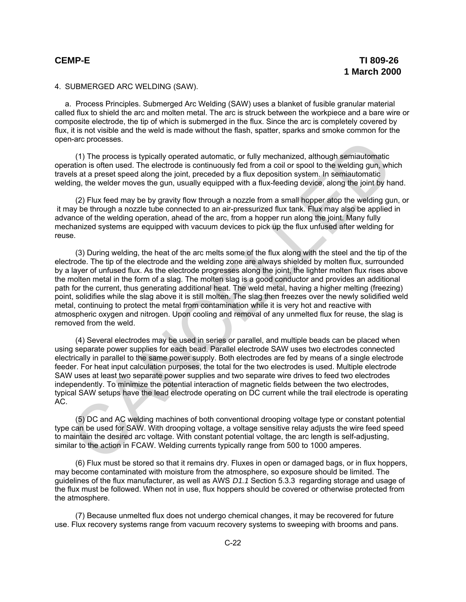### 4. SUBMERGED ARC WELDING (SAW).

a. Process Principles. Submerged Arc Welding (SAW) uses a blanket of fusible granular material called flux to shield the arc and molten metal. The arc is struck between the workpiece and a bare wire or composite electrode, the tip of which is submerged in the flux. Since the arc is completely covered by flux, it is not visible and the weld is made without the flash, spatter, sparks and smoke common for the open-arc processes.

(1) The process is typically operated automatic, or fully mechanized, although semiautomatic operation is often used. The electrode is continuously fed from a coil or spool to the welding gun, which travels at a preset speed along the joint, preceded by a flux deposition system. In semiautomatic welding, the welder moves the gun, usually equipped with a flux-feeding device, along the joint by hand.

(2) Flux feed may be by gravity flow through a nozzle from a small hopper atop the welding gun, or it may be through a nozzle tube connected to an air-pressurized flux tank. Flux may also be applied in advance of the welding operation, ahead of the arc, from a hopper run along the joint. Many fully mechanized systems are equipped with vacuum devices to pick up the flux unfused after welding for reuse.

(3) During welding, the heat of the arc melts some of the flux along with the steel and the tip of the electrode. The tip of the electrode and the welding zone are always shielded by molten flux, surrounded by a layer of unfused flux. As the electrode progresses along the joint, the lighter molten flux rises above the molten metal in the form of a slag. The molten slag is a good conductor and provides an additional path for the current, thus generating additional heat. The weld metal, having a higher melting (freezing) point, solidifies while the slag above it is still molten. The slag then freezes over the newly solidified weld metal, continuing to protect the metal from contamination while it is very hot and reactive with atmospheric oxygen and nitrogen. Upon cooling and removal of any unmelted flux for reuse, the slag is removed from the weld. (1) The process is typically operated automatic, or fully mechanized, although semiautomatic<br>
(1) The process is typically operated automaty fed from a coil or spool to the welding gun, while,<br>
test at a preset speed along

(4) Several electrodes may be used in series or parallel, and multiple beads can be placed when using separate power supplies for each bead. Parallel electrode SAW uses two electrodes connected electrically in parallel to the same power supply. Both electrodes are fed by means of a single electrode feeder. For heat input calculation purposes, the total for the two electrodes is used. Multiple electrode SAW uses at least two separate power supplies and two separate wire drives to feed two electrodes independently. To minimize the potential interaction of magnetic fields between the two electrodes, typical SAW setups have the lead electrode operating on DC current while the trail electrode is operating AC.

(5) DC and AC welding machines of both conventional drooping voltage type or constant potential type can be used for SAW. With drooping voltage, a voltage sensitive relay adjusts the wire feed speed to maintain the desired arc voltage. With constant potential voltage, the arc length is self-adjusting, similar to the action in FCAW. Welding currents typically range from 500 to 1000 amperes.

(6) Flux must be stored so that it remains dry. Fluxes in open or damaged bags, or in flux hoppers, may become contaminated with moisture from the atmosphere, so exposure should be limited. The guidelines of the flux manufacturer, as well as AWS *D1.1* Section 5.3.3 regarding storage and usage of the flux must be followed. When not in use, flux hoppers should be covered or otherwise protected from the atmosphere.

(7) Because unmelted flux does not undergo chemical changes, it may be recovered for future use. Flux recovery systems range from vacuum recovery systems to sweeping with brooms and pans.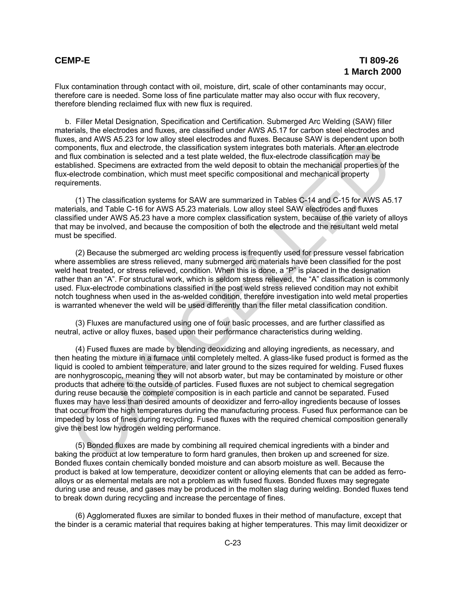## **CEMP-E TI 809-26 1 March 2000**

Flux contamination through contact with oil, moisture, dirt, scale of other contaminants may occur, therefore care is needed. Some loss of fine particulate matter may also occur with flux recovery, therefore blending reclaimed flux with new flux is required.

b. Filler Metal Designation, Specification and Certification. Submerged Arc Welding (SAW) filler materials, the electrodes and fluxes, are classified under AWS A5.17 for carbon steel electrodes and fluxes, and AWS A5.23 for low alloy steel electrodes and fluxes. Because SAW is dependent upon both components, flux and electrode, the classification system integrates both materials. After an electrode and flux combination is selected and a test plate welded, the flux-electrode classification may be established. Specimens are extracted from the weld deposit to obtain the mechanical properties of the flux-electrode combination, which must meet specific compositional and mechanical property requirements.

(1) The classification systems for SAW are summarized in Tables C-14 and C-15 for AWS A5.17 materials, and Table C-16 for AWS A5.23 materials. Low alloy steel SAW electrodes and fluxes classified under AWS A5.23 have a more complex classification system, because of the variety of alloys that may be involved, and because the composition of both the electrode and the resultant weld metal must be specified.

(2) Because the submerged arc welding process is frequently used for pressure vessel fabrication where assemblies are stress relieved, many submerged arc materials have been classified for the post weld heat treated, or stress relieved, condition. When this is done, a "P" is placed in the designation rather than an "A". For structural work, which is seldom stress relieved, the "A" classification is commonly used. Flux-electrode combinations classified in the post weld stress relieved condition may not exhibit notch toughness when used in the as-welded condition, therefore investigation into weld metal properties is warranted whenever the weld will be used differently than the filler metal classification condition.

(3) Fluxes are manufactured using one of four basic processes, and are further classified as neutral, active or alloy fluxes, based upon their performance characteristics during welding.

(4) Fused fluxes are made by blending deoxidizing and alloying ingredients, as necessary, and then heating the mixture in a furnace until completely melted. A glass-like fused product is formed as the liquid is cooled to ambient temperature, and later ground to the sizes required for welding. Fused fluxes are nonhygroscopic, meaning they will not absorb water, but may be contaminated by moisture or other products that adhere to the outside of particles. Fused fluxes are not subject to chemical segregation during reuse because the complete composition is in each particle and cannot be separated. Fused fluxes may have less than desired amounts of deoxidizer and ferro-alloy ingredients because of losses that occur from the high temperatures during the manufacturing process. Fused flux performance can be impeded by loss of fines during recycling. Fused fluxes with the required chemical composition generally give the best low hydrogen welding performance. ss, and AWS Ab.23 for low also steel electrodes and fluxes. Because SAW is dependent upon<br>the popularity, flux and electrode, the dassification system integrates both materials. After an electrod<br>livisted, the and electrod

(5) Bonded fluxes are made by combining all required chemical ingredients with a binder and baking the product at low temperature to form hard granules, then broken up and screened for size. Bonded fluxes contain chemically bonded moisture and can absorb moisture as well. Because the product is baked at low temperature, deoxidizer content or alloying elements that can be added as ferroalloys or as elemental metals are not a problem as with fused fluxes. Bonded fluxes may segregate during use and reuse, and gases may be produced in the molten slag during welding. Bonded fluxes tend to break down during recycling and increase the percentage of fines.

(6) Agglomerated fluxes are similar to bonded fluxes in their method of manufacture, except that the binder is a ceramic material that requires baking at higher temperatures. This may limit deoxidizer or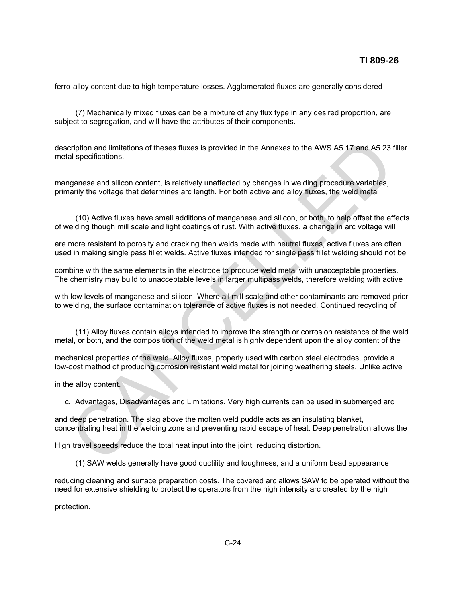ferro-alloy content due to high temperature losses. Agglomerated fluxes are generally considered

(7) Mechanically mixed fluxes can be a mixture of any flux type in any desired proportion, are subject to segregation, and will have the attributes of their components.

description and limitations of theses fluxes is provided in the Annexes to the AWS A5.17 and A5.23 filler metal specifications. cription and limitations of theses fluxes is provided in the Annexes to the AWS A5.17 and A5.23<br>Il specifications.<br>
Il specifications.<br>
Il specifications.<br>
Il specifications content, is relatively unaffected by changes in

manganese and silicon content, is relatively unaffected by changes in welding procedure variables, primarily the voltage that determines arc length. For both active and alloy fluxes, the weld metal

(10) Active fluxes have small additions of manganese and silicon, or both, to help offset the effects of welding though mill scale and light coatings of rust. With active fluxes, a change in arc voltage will

are more resistant to porosity and cracking than welds made with neutral fluxes, active fluxes are often used in making single pass fillet welds. Active fluxes intended for single pass fillet welding should not be

combine with the same elements in the electrode to produce weld metal with unacceptable properties. The chemistry may build to unacceptable levels in larger multipass welds, therefore welding with active

with low levels of manganese and silicon. Where all mill scale and other contaminants are removed prior to welding, the surface contamination tolerance of active fluxes is not needed. Continued recycling of

(11) Alloy fluxes contain alloys intended to improve the strength or corrosion resistance of the weld metal, or both, and the composition of the weld metal is highly dependent upon the alloy content of the

mechanical properties of the weld. Alloy fluxes, properly used with carbon steel electrodes, provide a low-cost method of producing corrosion resistant weld metal for joining weathering steels. Unlike active

in the alloy content.

c. Advantages, Disadvantages and Limitations. Very high currents can be used in submerged arc

and deep penetration. The slag above the molten weld puddle acts as an insulating blanket, concentrating heat in the welding zone and preventing rapid escape of heat. Deep penetration allows the

High travel speeds reduce the total heat input into the joint, reducing distortion.

(1) SAW welds generally have good ductility and toughness, and a uniform bead appearance

reducing cleaning and surface preparation costs. The covered arc allows SAW to be operated without the need for extensive shielding to protect the operators from the high intensity arc created by the high

protection.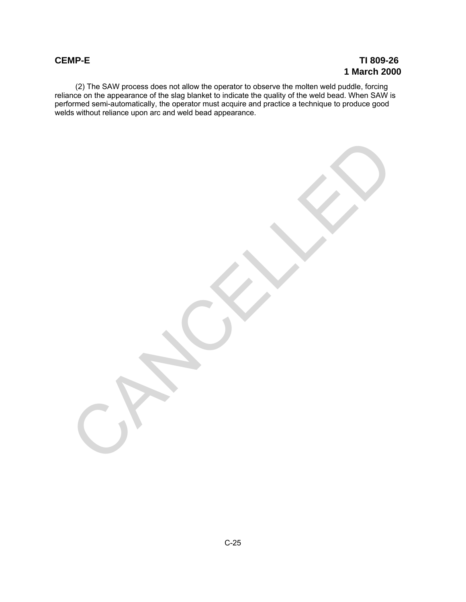(2) The SAW process does not allow the operator to observe the molten weld puddle, forcing reliance on the appearance of the slag blanket to indicate the quality of the weld bead. When SAW is performed semi-automatically, the operator must acquire and practice a technique to produce good welds without reliance upon arc and weld bead appearance.

CANCALLED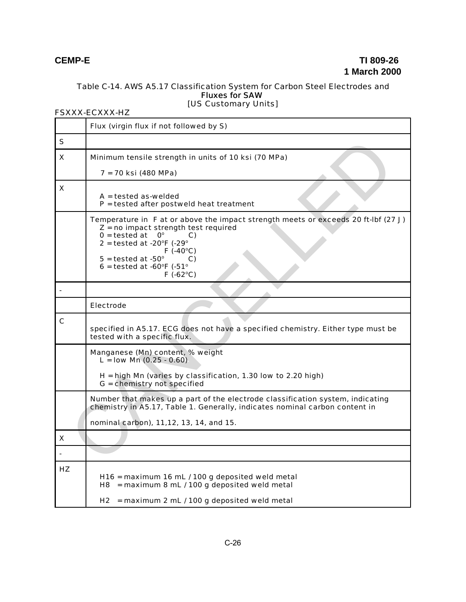### Table C-14. AWS A5.17 Classification System for Carbon Steel Electrodes and Fluxes for SAW [US Customary Units]

### FSXXX-ECXXX-HZ

|             | Flux (virgin flux if not followed by S)                                                                                                                                                                                                                                                                                  |  |  |
|-------------|--------------------------------------------------------------------------------------------------------------------------------------------------------------------------------------------------------------------------------------------------------------------------------------------------------------------------|--|--|
| S           |                                                                                                                                                                                                                                                                                                                          |  |  |
| X           | Minimum tensile strength in units of 10 ksi (70 MPa)                                                                                                                                                                                                                                                                     |  |  |
|             | 7 = 70 ksi (480 MPa)                                                                                                                                                                                                                                                                                                     |  |  |
| X           | $A = tested$ as-welded<br>$P =$ tested after postweld heat treatment                                                                                                                                                                                                                                                     |  |  |
|             | Temperature in F at or above the impact strength meets or exceeds 20 ft-lbf (27 J)<br>$Z = no$ impact strength test required<br>$0 =$ tested at<br>$O^{\circ}$<br>C)<br>$2 =$ tested at -20 $\degree$ F (-29 $\degree$<br>$F( -40°C)$<br>$5 =$ tested at -50 $^{\circ}$<br>C)<br>$6 =$ tested at -60°F (-51°<br>F(.62°C) |  |  |
|             |                                                                                                                                                                                                                                                                                                                          |  |  |
|             | Electrode                                                                                                                                                                                                                                                                                                                |  |  |
| $\mathbf c$ | specified in A5.17. ECG does not have a specified chemistry. Either type must be<br>tested with a specific flux.                                                                                                                                                                                                         |  |  |
|             | Manganese (Mn) content, % weight<br>$L =$ low Mn (0.25 - 0.60)<br>$H = high Mn$ (varies by classification, 1.30 low to 2.20 high)<br>G = chemistry not specified                                                                                                                                                         |  |  |
|             | Number that makes up a part of the electrode classification system, indicating<br>chemistry in A5.17, Table 1. Generally, indicates nominal carbon content in<br>nominal carbon), 11,12, 13, 14, and 15.                                                                                                                 |  |  |
| X           |                                                                                                                                                                                                                                                                                                                          |  |  |
|             |                                                                                                                                                                                                                                                                                                                          |  |  |
| HZ          | H16 = maximum 16 mL / 100 g deposited weld metal<br>$H8$ = maximum 8 mL / 100 g deposited weld metal<br>$H2$ = maximum 2 mL / 100 g deposited weld metal                                                                                                                                                                 |  |  |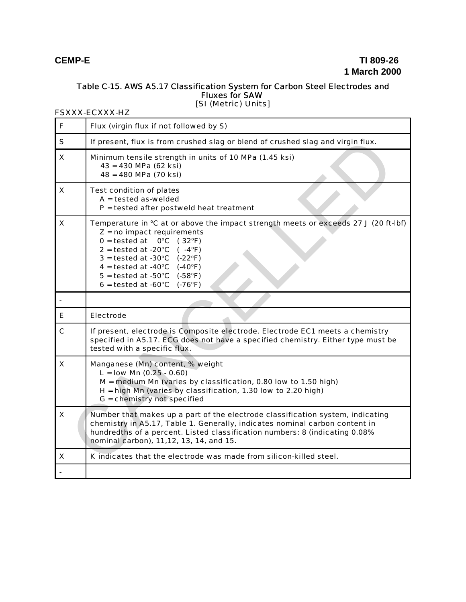### Table C-15. AWS A5.17 Classification System for Carbon Steel Electrodes and Fluxes for SAW [SI (Metric) Units]

### FSXXX-ECXXX-HZ

| F            | Flux (virgin flux if not followed by S)                                                                                                                                                                                                                                                                                                                                                                                                                                                         |  |  |
|--------------|-------------------------------------------------------------------------------------------------------------------------------------------------------------------------------------------------------------------------------------------------------------------------------------------------------------------------------------------------------------------------------------------------------------------------------------------------------------------------------------------------|--|--|
| $\mathsf{s}$ | If present, flux is from crushed slag or blend of crushed slag and virgin flux.                                                                                                                                                                                                                                                                                                                                                                                                                 |  |  |
| X            | Minimum tensile strength in units of 10 MPa (1.45 ksi)<br>43 = 430 MPa (62 ksi)<br>48 = 480 MPa (70 ksi)                                                                                                                                                                                                                                                                                                                                                                                        |  |  |
| X            | <b>Test condition of plates</b><br>$A =$ tested as-welded<br>$P =$ tested after postweld heat treatment                                                                                                                                                                                                                                                                                                                                                                                         |  |  |
| X            | Temperature in °C at or above the impact strength meets or exceeds 27 J (20 ft-lbf)<br>$Z = no$ impact requirements<br>$0 =$ tested at<br>$0^{\circ}$ C (32 $^{\circ}$ F)<br>$2 = \text{tested at } -20^{\circ}\text{C}$ ( $-4^{\circ}\text{F}$ )<br>$3 =$ tested at -30 $^{\circ}$ C (-22 $^{\circ}$ F)<br>$4 = \text{tested at } -40^{\circ}\text{C}$ (-40°F)<br>$5 = \text{tested at } -50^{\circ}\text{C}$ ( $-58^{\circ}\text{F}$ )<br>$6 =$ tested at -60 $^{\circ}$ C (-76 $^{\circ}$ F) |  |  |
|              |                                                                                                                                                                                                                                                                                                                                                                                                                                                                                                 |  |  |
| E.           | Electrode                                                                                                                                                                                                                                                                                                                                                                                                                                                                                       |  |  |
| $\mathbf c$  | If present, electrode is Composite electrode. Electrode EC1 meets a chemistry<br>specified in A5.17. ECG does not have a specified chemistry. Either type must be<br>tested with a specific flux.                                                                                                                                                                                                                                                                                               |  |  |
| X            | Manganese (Mn) content, % weight<br>$L =$ low Mn (0.25 - 0.60)<br>$M =$ medium Mn (varies by classification, 0.80 low to 1.50 high)<br>H = high Mn (varies by classification, 1.30 low to 2.20 high)<br>G = chemistry not specified                                                                                                                                                                                                                                                             |  |  |
| X            | Number that makes up a part of the electrode classification system, indicating<br>chemistry in A5.17, Table 1. Generally, indicates nominal carbon content in<br>hundredths of a percent. Listed classification numbers: 8 (indicating 0.08%<br>nominal carbon), 11,12, 13, 14, and 15.                                                                                                                                                                                                         |  |  |
| X            | K indicates that the electrode was made from silicon-killed steel.                                                                                                                                                                                                                                                                                                                                                                                                                              |  |  |
|              |                                                                                                                                                                                                                                                                                                                                                                                                                                                                                                 |  |  |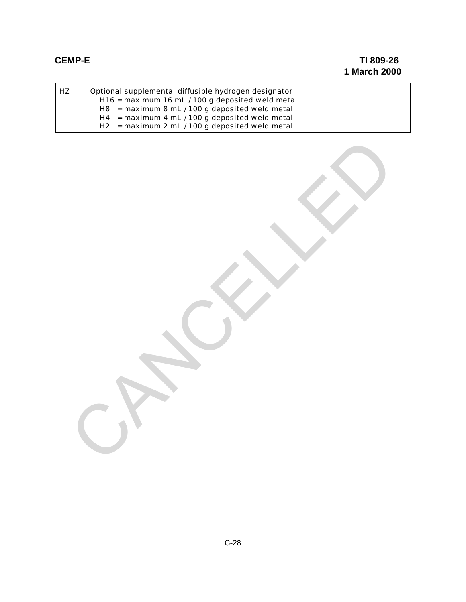| l HZ | Optional supplemental diffusible hydrogen designator |  |  |
|------|------------------------------------------------------|--|--|
|      | H16 = maximum 16 mL / 100 g deposited weld metal     |  |  |
|      | $H8$ = maximum 8 mL / 100 g deposited weld metal     |  |  |
|      | $H4 =$ maximum 4 mL / 100 g deposited weld metal     |  |  |
|      | $H2 =$ maximum 2 mL / 100 g deposited weld metal     |  |  |

CANCALLED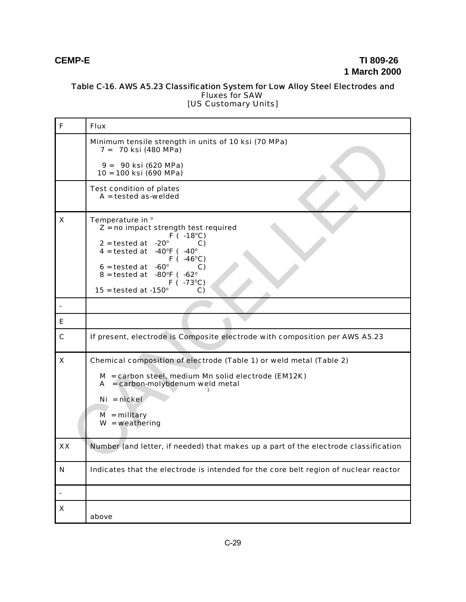### Table C-16. AWS A5.23 Classification System for Low Alloy Steel Electrodes and Fluxes for SAW [US Customary Units]

| F           | <b>Flux</b>                                                                                                                                                                                                                                                                                                                                     |
|-------------|-------------------------------------------------------------------------------------------------------------------------------------------------------------------------------------------------------------------------------------------------------------------------------------------------------------------------------------------------|
|             | Minimum tensile strength in units of 10 ksi (70 MPa)<br>7 = 70 ksi (480 MPa)                                                                                                                                                                                                                                                                    |
|             | 9 = 90 ksi (620 MPa)<br>10 = 100 ksi (690 MPa)                                                                                                                                                                                                                                                                                                  |
|             | <b>Test condition of plates</b><br>$A =$ tested as-welded                                                                                                                                                                                                                                                                                       |
| X           | Temperature in °<br>$Z = no$ impact strength test required<br>$F( -18°C)$<br>$2 =$ tested at $-20^{\circ}$<br>C)<br>4 = tested at $-40^{\circ}$ F ( $-40^{\circ}$<br>$F( -46^{\circ}C)$<br>$6 =$ tested at $-60^{\circ}$<br>C)<br>$8 =$ tested at $-80^{\circ}F$ ( $-62^{\circ}$<br>$F(-73^{\circ}C)$<br>$15 =$ tested at -150 $^{\circ}$<br>C) |
|             |                                                                                                                                                                                                                                                                                                                                                 |
| E.          |                                                                                                                                                                                                                                                                                                                                                 |
| $\mathbf c$ | If present, electrode is Composite electrode with composition per AWS A5.23                                                                                                                                                                                                                                                                     |
| X           | Chemical composition of electrode (Table 1) or weld metal (Table 2)<br>M = carbon steel, medium Mn solid electrode (EM12K)<br>$A = carbon$ -molybdenum weld metal<br>$Ni = nickel$<br>$M =$ military<br>$W = weathering$                                                                                                                        |
| XX          | Number (and letter, if needed) that makes up a part of the electrode classification                                                                                                                                                                                                                                                             |
| ${\bf N}$   | Indicates that the electrode is intended for the core belt region of nuclear reactor                                                                                                                                                                                                                                                            |
|             |                                                                                                                                                                                                                                                                                                                                                 |
| X           | above                                                                                                                                                                                                                                                                                                                                           |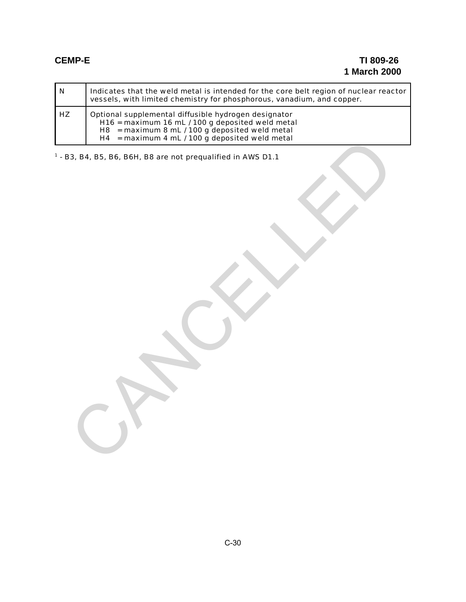| $\mathbf N$ | Indicates that the weld metal is intended for the core belt region of nuclear reactor<br>vessels, with limited chemistry for phosphorous, vanadium, and copper.                                                            |  |  |  |
|-------------|----------------------------------------------------------------------------------------------------------------------------------------------------------------------------------------------------------------------------|--|--|--|
| HZ          | Optional supplemental diffusible hydrogen designator<br>H16 = maximum 16 mL / 100 g deposited weld metal<br>$H8$ = maximum 8 mL / 100 g deposited weld metal<br>$=$ maximum 4 mL / 100 g deposited weld metal<br><b>H4</b> |  |  |  |
|             | $1 - B3$ , B4, B5, B6, B6H, B8 are not prequalified in AWS D1.1                                                                                                                                                            |  |  |  |
|             |                                                                                                                                                                                                                            |  |  |  |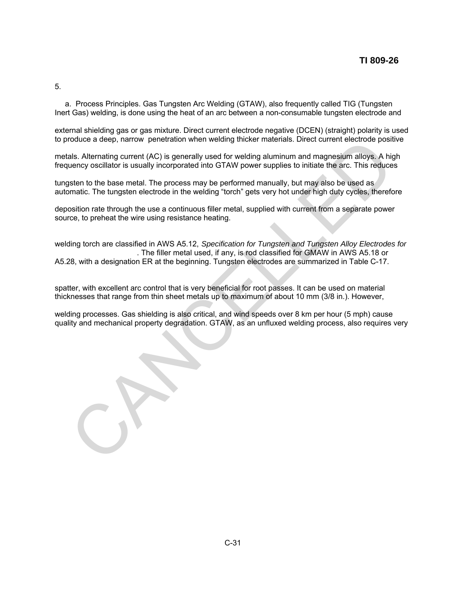5.

a. Process Principles. Gas Tungsten Arc Welding (GTAW), also frequently called TIG (Tungsten Inert Gas) welding, is done using the heat of an arc between a non-consumable tungsten electrode and

external shielding gas or gas mixture. Direct current electrode negative (DCEN) (straight) polarity is used to produce a deep, narrow penetration when welding thicker materials. Direct current electrode positive

metals. Alternating current (AC) is generally used for welding aluminum and magnesium alloys. A high frequency oscillator is usually incorporated into GTAW power supplies to initiate the arc. This reduces

tungsten to the base metal. The process may be performed manually, but may also be used as automatic. The tungsten electrode in the welding "torch" gets very hot under high duty cycles, therefore

deposition rate through the use a continuous filler metal, supplied with current from a separate power source, to preheat the wire using resistance heating.

welding torch are classified in AWS A5.12, *Specification for Tungsten and Tungsten Alloy Electrodes for* . The filler metal used, if any, is rod classified for GMAW in AWS A5.18 or A5.28, with a designation ER at the beginning. Tungsten electrodes are summarized in Table C-17. roduce a deep, narrow penetration when welding thicker materials. Direct current electrode positionals, alternating current (AC) is generally used for welding aluminum and magnesium alloys. A high such as the metric of the

spatter, with excellent arc control that is very beneficial for root passes. It can be used on material thicknesses that range from thin sheet metals up to maximum of about 10 mm (3/8 in.). However,

welding processes. Gas shielding is also critical, and wind speeds over 8 km per hour (5 mph) cause quality and mechanical property degradation. GTAW, as an unfluxed welding process, also requires very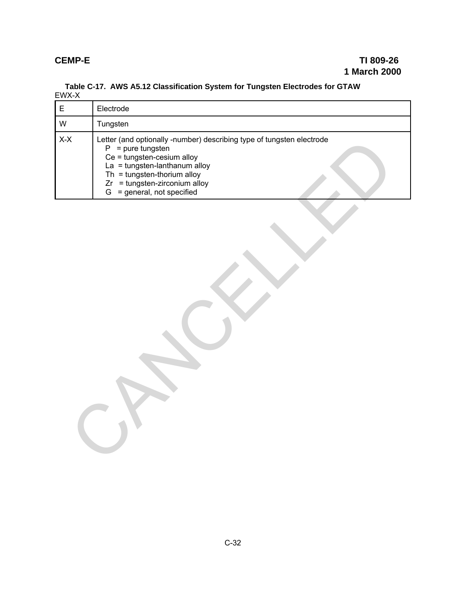| EWX-X       |                                                                                                                                                                                                                                                               |
|-------------|---------------------------------------------------------------------------------------------------------------------------------------------------------------------------------------------------------------------------------------------------------------|
| $\mathsf E$ | Electrode                                                                                                                                                                                                                                                     |
| W           | Tungsten                                                                                                                                                                                                                                                      |
| $X-X$       | Letter (and optionally -number) describing type of tungsten electrode<br>$P = pure tungsten$<br>Ce = tungsten-cesium alloy<br>$La = tungsten-lanthanum alloy$<br>Th = tungsten-thorium alloy<br>$Zr = tungsten-zirconium alloy$<br>G = general, not specified |
|             |                                                                                                                                                                                                                                                               |

# **Table C-17. AWS A5.12 Classification System for Tungsten Electrodes for GTAW**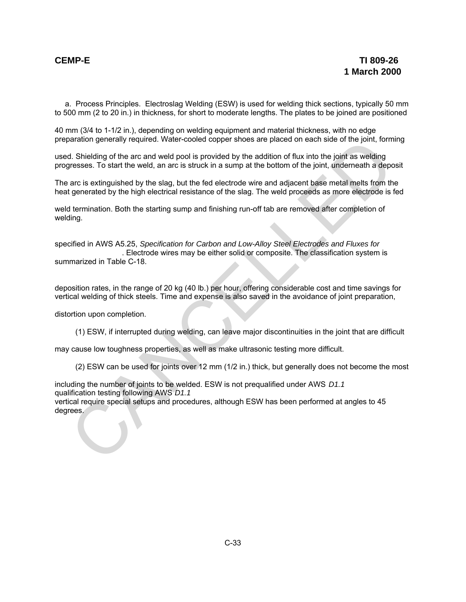a. Process Principles. Electroslag Welding (ESW) is used for welding thick sections, typically 50 mm to 500 mm (2 to 20 in.) in thickness, for short to moderate lengths. The plates to be joined are positioned

40 mm (3/4 to 1-1/2 in.), depending on welding equipment and material thickness, with no edge preparation generally required. Water-cooled copper shoes are placed on each side of the joint, forming

used. Shielding of the arc and weld pool is provided by the addition of flux into the joint as welding progresses. To start the weld, an arc is struck in a sump at the bottom of the joint, underneath a deposit

The arc is extinguished by the slag, but the fed electrode wire and adjacent base metal melts from the heat generated by the high electrical resistance of the slag. The weld proceeds as more electrode is fed

weld termination. Both the starting sump and finishing run-off tab are removed after completion of welding.

specified in AWS A5.25, *Specification for Carbon and Low-Alloy Steel Electrodes and Fluxes for* . Electrode wires may be either solid or composite. The classification system is summarized in Table C-18. oriation generally required. Water-cooled copper shoes are placed on each side of the joint, former that Shielding of the arc and weld pool is provided by the addinot of flux into the joint) and Shielding of the arc and we

deposition rates, in the range of 20 kg (40 lb.) per hour, offering considerable cost and time savings for vertical welding of thick steels. Time and expense is also saved in the avoidance of joint preparation,

distortion upon completion.

(1) ESW, if interrupted during welding, can leave major discontinuities in the joint that are difficult

may cause low toughness properties, as well as make ultrasonic testing more difficult.

(2) ESW can be used for joints over 12 mm (1/2 in.) thick, but generally does not become the most

including the number of joints to be welded. ESW is not prequalified under AWS *D1.1* qualification testing following AWS *D1.1*

vertical require special setups and procedures, although ESW has been performed at angles to 45 degrees.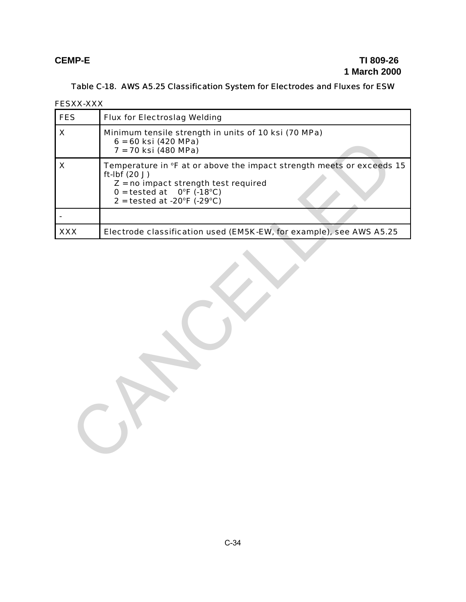## Table C-18. AWS A5.25 Classification System for Electrodes and Fluxes for ESW

FESXX-XXX

| <b>FES</b>                | <b>Flux for Electroslag Welding</b>                                                                                                                                                                                                        |  |  |
|---------------------------|--------------------------------------------------------------------------------------------------------------------------------------------------------------------------------------------------------------------------------------------|--|--|
| $\boldsymbol{\mathsf{X}}$ | Minimum tensile strength in units of 10 ksi (70 MPa)<br>$6 = 60$ ksi (420 MPa)<br>7 = 70 ksi (480 MPa)                                                                                                                                     |  |  |
| $\boldsymbol{\mathsf{X}}$ | Temperature in °F at or above the impact strength meets or exceeds 15<br>ft-Ibf (20 J)<br>$Z = no$ impact strength test required<br>$0 = \text{tested at } 0^{\circ}F (.18^{\circ}C)$<br>$2 =$ tested at -20 $\degree$ F (-29 $\degree$ C) |  |  |
|                           |                                                                                                                                                                                                                                            |  |  |
| <b>XXX</b>                | Electrode classification used (EM5K-EW, for example), see AWS A5.25                                                                                                                                                                        |  |  |
|                           |                                                                                                                                                                                                                                            |  |  |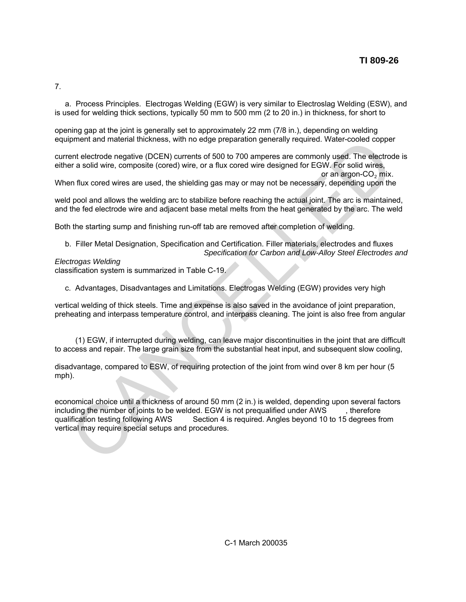7.

a. Process Principles. Electrogas Welding (EGW) is very similar to Electroslag Welding (ESW), and is used for welding thick sections, typically 50 mm to 500 mm (2 to 20 in.) in thickness, for short to

opening gap at the joint is generally set to approximately 22 mm (7/8 in.), depending on welding equipment and material thickness, with no edge preparation generally required. Water-cooled copper

current electrode negative (DCEN) currents of 500 to 700 amperes are commonly used. The electrode is either a solid wire, composite (cored) wire, or a flux cored wire designed for EGW. For solid wires, or an argon- $CO<sub>2</sub>$  mix.

When flux cored wires are used, the shielding gas may or may not be necessary, depending upon the

weld pool and allows the welding arc to stabilize before reaching the actual joint. The arc is maintained, and the fed electrode wire and adjacent base metal melts from the heat generated by the arc. The weld

Both the starting sump and finishing run-off tab are removed after completion of welding.

b. Filler Metal Designation, Specification and Certification. Filler materials, electrodes and fluxes *Specification for Carbon and Low-Alloy Steel Electrodes and*

*Electrogas Welding* classification system is summarized in Table C-19.

c. Advantages, Disadvantages and Limitations. Electrogas Welding (EGW) provides very high

vertical welding of thick steels. Time and expense is also saved in the avoidance of joint preparation, preheating and interpass temperature control, and interpass cleaning. The joint is also free from angular

(1) EGW, if interrupted during welding, can leave major discontinuities in the joint that are difficult to access and repair. The large grain size from the substantial heat input, and subsequent slow cooling,

disadvantage, compared to ESW, of requiring protection of the joint from wind over 8 km per hour (5 mph).

economical choice until a thickness of around 50 mm (2 in.) is welded, depending upon several factors including the number of joints to be welded. EGW is not prequalified under AWS , therefore qualification testing following AWS Section 4 is required. Angles beyond 10 to 15 degrees from Section 4 is required. Angles beyond 10 to 15 degrees from vertical may require special setups and procedures. princent and material thickness, with no edge preparation generally required. Water-cooled cooppent electrode negative (DCEN) currents of 500 to 700 ampress are commonly used. The electrode is the sector of the sector of t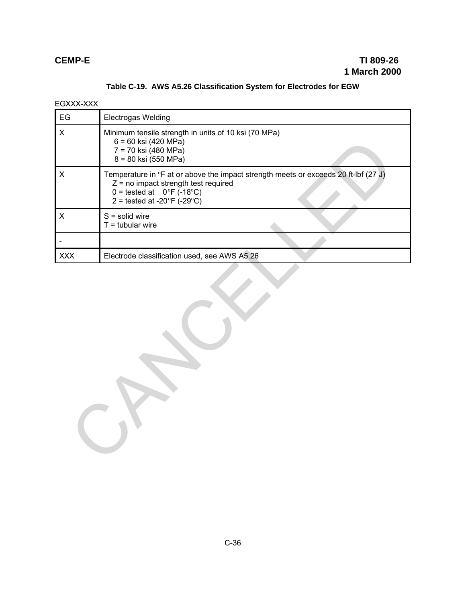EGXXX-XXX

| EG                        | <b>Electrogas Welding</b>                                                                                                                                                                                                      |  |  |
|---------------------------|--------------------------------------------------------------------------------------------------------------------------------------------------------------------------------------------------------------------------------|--|--|
| $\boldsymbol{\mathsf{X}}$ | Minimum tensile strength in units of 10 ksi (70 MPa)<br>6 = 60 ksi (420 MPa)<br>7 = 70 ksi (480 MPa)<br>8 = 80 ksi (550 MPa)                                                                                                   |  |  |
| $\pmb{\times}$            | Temperature in °F at or above the impact strength meets or exceeds 20 ft-lbf (27 J)<br>$Z =$ no impact strength test required<br>$0 =$ tested at $0^{\circ}F(-18^{\circ}C)$<br>2 = tested at -20 $\degree$ F (-29 $\degree$ C) |  |  |
| $\pmb{\times}$            | $S =$ solid wire<br>$T =$ tubular wire                                                                                                                                                                                         |  |  |
|                           |                                                                                                                                                                                                                                |  |  |
| <b>XXX</b>                | Electrode classification used, see AWS A5.26                                                                                                                                                                                   |  |  |
|                           |                                                                                                                                                                                                                                |  |  |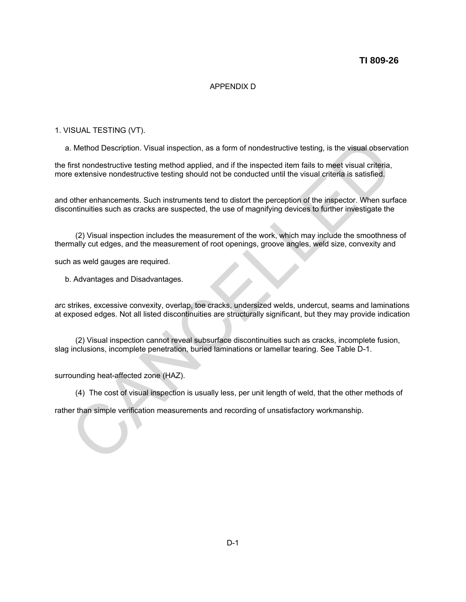### **TI 809-26**

### APPENDIX D

### 1. VISUAL TESTING (VT).

a. Method Description. Visual inspection, as a form of nondestructive testing, is the visual observation

the first nondestructive testing method applied, and if the inspected item fails to meet visual criteria, more extensive nondestructive testing should not be conducted until the visual criteria is satisfied.

and other enhancements. Such instruments tend to distort the perception of the inspector. When surface discontinuities such as cracks are suspected, the use of magnifying devices to further investigate the

(2) Visual inspection includes the measurement of the work, which may include the smoothness of thermally cut edges, and the measurement of root openings, groove angles, weld size, convexity and

such as weld gauges are required.

b. Advantages and Disadvantages.

arc strikes, excessive convexity, overlap, toe cracks, undersized welds, undercut, seams and laminations at exposed edges. Not all listed discontinuities are structurally significant, but they may provide indication I. Method Description. Visual inspection, as a form of nondestructive testing, is the visual observative tractive testing method applied, and if the inspected item fails to meet visual criteria, extensive nondestructive te

(2) Visual inspection cannot reveal subsurface discontinuities such as cracks, incomplete fusion, slag inclusions, incomplete penetration, buried laminations or lamellar tearing. See Table D-1.

surrounding heat-affected zone (HAZ).

(4) The cost of visual inspection is usually less, per unit length of weld, that the other methods of

rather than simple verification measurements and recording of unsatisfactory workmanship.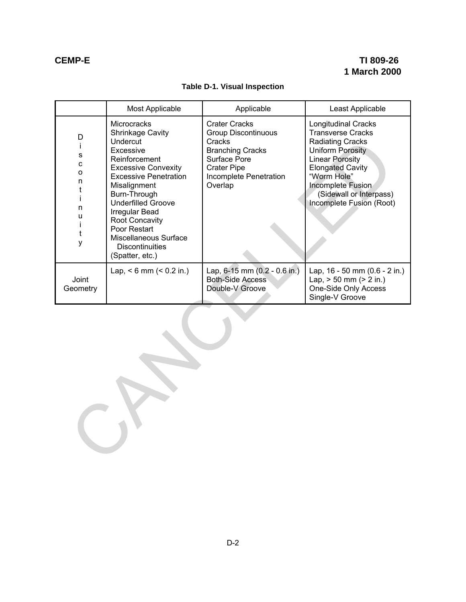## **Table D-1. Visual Inspection**

|                                                                                               | Most Applicable                                                                                                                                                                                                                                                                                                                              | Applicable                                                                                                                                                         | Least Applicable                                                                                                                                                                                                                                                    |  |  |
|-----------------------------------------------------------------------------------------------|----------------------------------------------------------------------------------------------------------------------------------------------------------------------------------------------------------------------------------------------------------------------------------------------------------------------------------------------|--------------------------------------------------------------------------------------------------------------------------------------------------------------------|---------------------------------------------------------------------------------------------------------------------------------------------------------------------------------------------------------------------------------------------------------------------|--|--|
| D<br>Ť<br>$\mathbf S$<br>$\mathbf{C}$<br>$\mathsf{o}$<br>n<br>t<br>i<br>n<br>u<br>İ<br>t<br>у | Microcracks<br>Shrinkage Cavity<br>Undercut<br>Excessive<br>Reinforcement<br><b>Excessive Convexity</b><br><b>Excessive Penetration</b><br>Misalignment<br>Burn-Through<br><b>Underfilled Groove</b><br><b>Irregular Bead</b><br><b>Root Concavity</b><br>Poor Restart<br>Miscellaneous Surface<br><b>Discontinuities</b><br>(Spatter, etc.) | <b>Crater Cracks</b><br><b>Group Discontinuous</b><br>Cracks<br><b>Branching Cracks</b><br>Surface Pore<br><b>Crater Pipe</b><br>Incomplete Penetration<br>Overlap | <b>Longitudinal Cracks</b><br><b>Transverse Cracks</b><br><b>Radiating Cracks</b><br><b>Uniform Porosity</b><br><b>Linear Porosity</b><br><b>Elongated Cavity</b><br>"Worm Hole"<br><b>Incomplete Fusion</b><br>(Sidewall or Interpass)<br>Incomplete Fusion (Root) |  |  |
| Joint<br>Geometry                                                                             | Lap, $< 6$ mm $(0.2 in.)$                                                                                                                                                                                                                                                                                                                    | Lap, 6-15 mm (0.2 - 0.6 in.)<br><b>Both-Side Access</b><br>Double-V Groove                                                                                         | Lap, 16 - 50 mm (0.6 - 2 in.)<br>Lap, $> 50$ mm ( $> 2$ in.)<br>One-Side Only Access<br>Single-V Groove                                                                                                                                                             |  |  |
|                                                                                               |                                                                                                                                                                                                                                                                                                                                              |                                                                                                                                                                    |                                                                                                                                                                                                                                                                     |  |  |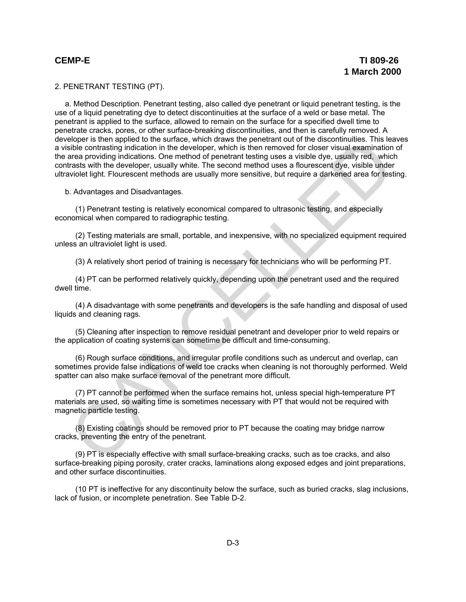2. PENETRANT TESTING (PT).

a. Method Description. Penetrant testing, also called dye penetrant or liquid penetrant testing, is the use of a liquid penetrating dye to detect discontinuities at the surface of a weld or base metal. The penetrant is applied to the surface, allowed to remain on the surface for a specified dwell time to penetrate cracks, pores, or other surface-breaking discontinuities, and then is carefully removed. A developer is then applied to the surface, which draws the penetrant out of the discontinuities. This leaves a visible contrasting indication in the developer, which is then removed for closer visual examination of the area providing indications. One method of penetrant testing uses a visible dye, usually red, which contrasts with the developer, usually white. The second method uses a flourescent dye, visible under ultraviolet light. Flourescent methods are usually more sensitive, but require a darkened area for testing. eine spence to the surate. winn france with shen energination to the discontinuutes. Insies the contasting indication in the developer, which is then removed for closer visual examination<br>sible contrasting indications. One

b. Advantages and Disadvantages.

(1) Penetrant testing is relatively economical compared to ultrasonic testing, and especially economical when compared to radiographic testing.

(2) Testing materials are small, portable, and inexpensive, with no specialized equipment required unless an ultraviolet light is used.

(3) A relatively short period of training is necessary for technicians who will be performing PT.

(4) PT can be performed relatively quickly, depending upon the penetrant used and the required dwell time.

(4) A disadvantage with some penetrants and developers is the safe handling and disposal of used liquids and cleaning rags.

(5) Cleaning after inspection to remove residual penetrant and developer prior to weld repairs or the application of coating systems can sometime be difficult and time-consuming.

(6) Rough surface conditions, and irregular profile conditions such as undercut and overlap, can sometimes provide false indications of weld toe cracks when cleaning is not thoroughly performed. Weld spatter can also make surface removal of the penetrant more difficult.

(7) PT cannot be performed when the surface remains hot, unless special high-temperature PT materials are used, so waiting time is sometimes necessary with PT that would not be required with magnetic particle testing.

(8) Existing coatings should be removed prior to PT because the coating may bridge narrow cracks, preventing the entry of the penetrant.

(9) PT is especially effective with small surface-breaking cracks, such as toe cracks, and also surface-breaking piping porosity, crater cracks, laminations along exposed edges and joint preparations, and other surface discontinuities.

(10 PT is ineffective for any discontinuity below the surface, such as buried cracks, slag inclusions, lack of fusion, or incomplete penetration. See Table D-2.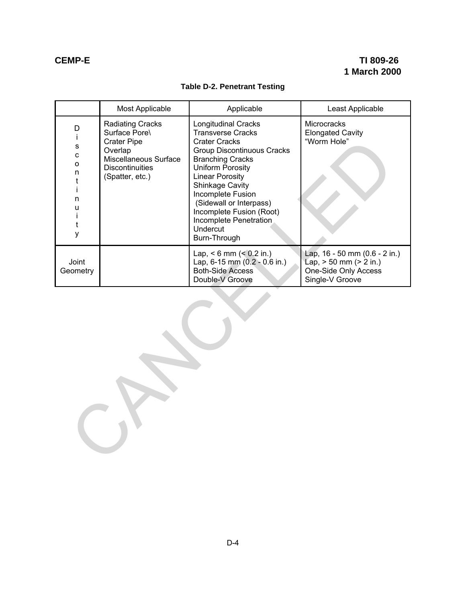## **Table D-2. Penetrant Testing**

|                                                               | Most Applicable                                                                                                                          | Applicable                                                                                                                                                                                                                                                                                                                                        | Least Applicable                                                                                           |  |  |
|---------------------------------------------------------------|------------------------------------------------------------------------------------------------------------------------------------------|---------------------------------------------------------------------------------------------------------------------------------------------------------------------------------------------------------------------------------------------------------------------------------------------------------------------------------------------------|------------------------------------------------------------------------------------------------------------|--|--|
| D<br>Ť<br>s<br>C<br>o<br>n<br>t<br>Ť<br>n<br>u<br>Ť<br>t<br>у | Radiating Cracks<br>Surface Pore\<br><b>Crater Pipe</b><br>Overlap<br>Miscellaneous Surface<br><b>Discontinuities</b><br>(Spatter, etc.) | <b>Longitudinal Cracks</b><br><b>Transverse Cracks</b><br><b>Crater Cracks</b><br><b>Group Discontinuous Cracks</b><br><b>Branching Cracks</b><br>Uniform Porosity<br><b>Linear Porosity</b><br>Shinkage Cavity<br>Incomplete Fusion<br>(Sidewall or Interpass)<br>Incomplete Fusion (Root)<br>Incomplete Penetration<br>Undercut<br>Burn-Through | Microcracks<br><b>Elongated Cavity</b><br>"Worm Hole"                                                      |  |  |
| Joint<br>Geometry                                             |                                                                                                                                          | Lap, $< 6$ mm $(< 0.2$ in.)<br>Lap, 6-15 mm (0.2 - 0.6 in.)<br><b>Both-Side Access</b><br>Double-V Groove                                                                                                                                                                                                                                         | Lap, 16 - 50 mm (0.6 - 2 in.)<br>$Lap$ , $> 50$ mm ( $> 2$ in.)<br>One-Side Only Access<br>Single-V Groove |  |  |
|                                                               |                                                                                                                                          |                                                                                                                                                                                                                                                                                                                                                   |                                                                                                            |  |  |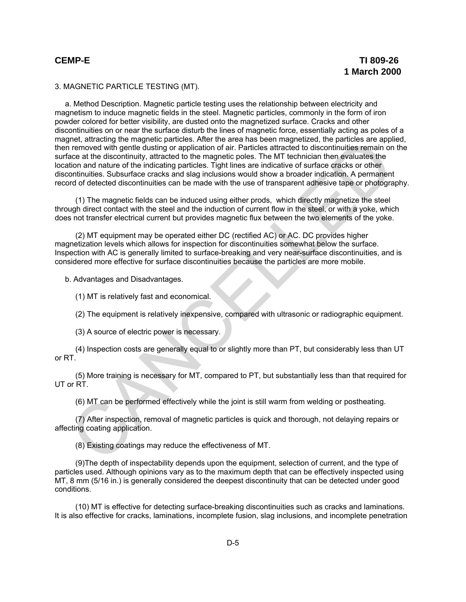### 3. MAGNETIC PARTICLE TESTING (MT).

a. Method Description. Magnetic particle testing uses the relationship between electricity and magnetism to induce magnetic fields in the steel. Magnetic particles, commonly in the form of iron powder colored for better visibility, are dusted onto the magnetized surface. Cracks and other discontinuities on or near the surface disturb the lines of magnetic force, essentially acting as poles of a magnet, attracting the magnetic particles. After the area has been magnetized, the particles are applied, then removed with gentle dusting or application of air. Particles attracted to discontinuities remain on the surface at the discontinuity, attracted to the magnetic poles. The MT technician then evaluates the location and nature of the indicating particles. Tight lines are indicative of surface cracks or other discontinuities. Subsurface cracks and slag inclusions would show a broader indication. A permanent record of detected discontinuities can be made with the use of transparent adhesive tape or photography. ment, attacting the magnetic particles. After the area has been magnetized, the particles are apply<br>the removed with gentle dusting or application of air. Particles attracted to discontinuities remain on<br>cace at the discon

(1) The magnetic fields can be induced using either prods, which directly magnetize the steel through direct contact with the steel and the induction of current flow in the steel, or with a yoke, which does not transfer electrical current but provides magnetic flux between the two elements of the yoke.

(2) MT equipment may be operated either DC (rectified AC) or AC. DC provides higher magnetization levels which allows for inspection for discontinuities somewhat below the surface. Inspection with AC is generally limited to surface-breaking and very near-surface discontinuities, and is considered more effective for surface discontinuities because the particles are more mobile.

b. Advantages and Disadvantages.

(1) MT is relatively fast and economical.

(2) The equipment is relatively inexpensive, compared with ultrasonic or radiographic equipment.

(3) A source of electric power is necessary.

(4) Inspection costs are generally equal to or slightly more than PT, but considerably less than UT or RT.

(5) More training is necessary for MT, compared to PT, but substantially less than that required for UT or RT.

(6) MT can be performed effectively while the joint is still warm from welding or postheating.

(7) After inspection, removal of magnetic particles is quick and thorough, not delaying repairs or affecting coating application.

(8) Existing coatings may reduce the effectiveness of MT.

(9)The depth of inspectability depends upon the equipment, selection of current, and the type of particles used. Although opinions vary as to the maximum depth that can be effectively inspected using MT, 8 mm (5/16 in.) is generally considered the deepest discontinuity that can be detected under good conditions.

(10) MT is effective for detecting surface-breaking discontinuities such as cracks and laminations. It is also effective for cracks, laminations, incomplete fusion, slag inclusions, and incomplete penetration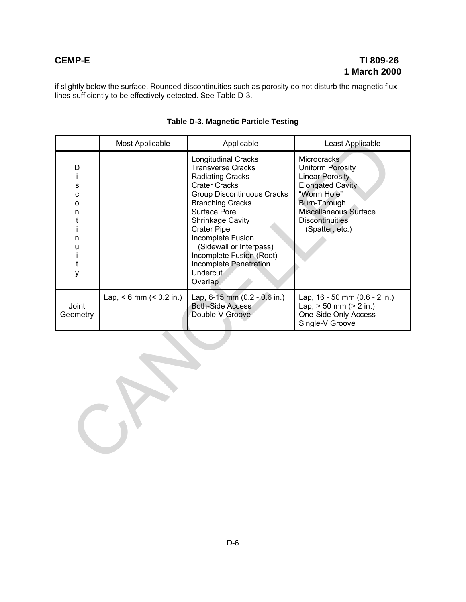if slightly below the surface. Rounded discontinuities such as porosity do not disturb the magnetic flux lines sufficiently to be effectively detected. See Table D-3.

|                                                                     | Most Applicable             | Applicable                                                                                                                                                                                                                                                                                                                                                                     | Least Applicable                                                                                                                                                                          |  |
|---------------------------------------------------------------------|-----------------------------|--------------------------------------------------------------------------------------------------------------------------------------------------------------------------------------------------------------------------------------------------------------------------------------------------------------------------------------------------------------------------------|-------------------------------------------------------------------------------------------------------------------------------------------------------------------------------------------|--|
| D<br>Ť<br>s<br>C<br>$\circ$<br>n<br>t<br>Ť<br>n<br>u<br>Ť<br>t<br>у |                             | <b>Longitudinal Cracks</b><br><b>Transverse Cracks</b><br><b>Radiating Cracks</b><br><b>Crater Cracks</b><br><b>Group Discontinuous Cracks</b><br><b>Branching Cracks</b><br>Surface Pore<br><b>Shrinkage Cavity</b><br><b>Crater Pipe</b><br>Incomplete Fusion<br>(Sidewall or Interpass)<br>Incomplete Fusion (Root)<br>Incomplete Penetration<br><b>Undercut</b><br>Overlap | <b>Microcracks</b><br>Uniform Porosity<br>Linear Porosity<br><b>Elongated Cavity</b><br>"Worm Hole"<br>Burn-Through<br>Miscellaneous Surface<br><b>Discontinuities</b><br>(Spatter, etc.) |  |
| Joint<br>Geometry                                                   | Lap, $< 6$ mm $(< 0.2$ in.) | Lap, 6-15 mm (0.2 - 0.6 in.)<br><b>Both-Side Access</b><br>Double-V Groove                                                                                                                                                                                                                                                                                                     | Lap, 16 - 50 mm (0.6 - 2 in.)<br>Lap, $> 50$ mm ( $> 2$ in.)<br>One-Side Only Access<br>Single-V Groove                                                                                   |  |
|                                                                     |                             |                                                                                                                                                                                                                                                                                                                                                                                |                                                                                                                                                                                           |  |

### **Table D-3. Magnetic Particle Testing**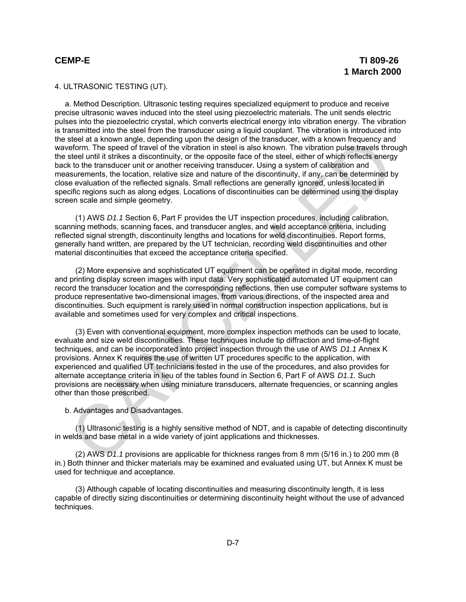### 4. ULTRASONIC TESTING (UT).

a. Method Description. Ultrasonic testing requires specialized equipment to produce and receive precise ultrasonic waves induced into the steel using piezoelectric materials. The unit sends electric pulses into the piezoelectric crystal, which converts electrical energy into vibration energy. The vibration is transmitted into the steel from the transducer using a liquid couplant. The vibration is introduced into the steel at a known angle, depending upon the design of the transducer, with a known frequency and waveform. The speed of travel of the vibration in steel is also known. The vibration pulse travels through the steel until it strikes a discontinuity, or the opposite face of the steel, either of which reflects energy back to the transducer unit or another receiving transducer. Using a system of calibration and measurements, the location, relative size and nature of the discontinuity, if any, can be determined by close evaluation of the reflected signals. Small reflections are generally ignored, unless located in specific regions such as along edges. Locations of discontinuities can be determined using the display screen scale and simple geometry.

(1) AWS *D1.1* Section 6, Part F provides the UT inspection procedures, including calibration, scanning methods, scanning faces, and transducer angles, and weld acceptance criteria, including reflected signal strength, discontinuity lengths and locations for weld discontinuities. Report forms, generally hand written, are prepared by the UT technician, recording weld discontinuities and other material discontinuities that exceed the acceptance criteria specified.

(2) More expensive and sophisticated UT equipment can be operated in digital mode, recording and printing display screen images with input data. Very sophisticated automated UT equipment can record the transducer location and the corresponding reflections, then use computer software systems to produce representative two-dimensional images, from various directions, of the inspected area and discontinuities. Such equipment is rarely used in normal construction inspection applications, but is available and sometimes used for very complex and critical inspections.

(3) Even with conventional equipment, more complex inspection methods can be used to locate, evaluate and size weld discontinuities. These techniques include tip diffraction and time-of-flight techniques, and can be incorporated into project inspection through the use of AWS *D1.1* Annex K provisions. Annex K requires the use of written UT procedures specific to the application, with experienced and qualified UT technicians tested in the use of the procedures, and also provides for alternate acceptance criteria in lieu of the tables found in Section 6, Part F of AWS *D1.1*. Such provisions are necessary when using miniature transducers, alternate frequencies, or scanning angles other than those prescribed. steller at known angle, depending upon the design of the transducer, with a known frequency and<br>election. The speed of travel of the vibration in stelle is also known. The vibration pulse travel stress<br>the debt until it st

b. Advantages and Disadvantages.

(1) Ultrasonic testing is a highly sensitive method of NDT, and is capable of detecting discontinuity in welds and base metal in a wide variety of joint applications and thicknesses.

(2) AWS *D1.1* provisions are applicable for thickness ranges from 8 mm (5/16 in.) to 200 mm (8 in.) Both thinner and thicker materials may be examined and evaluated using UT, but Annex K must be used for technique and acceptance.

(3) Although capable of locating discontinuities and measuring discontinuity length, it is less capable of directly sizing discontinuities or determining discontinuity height without the use of advanced techniques.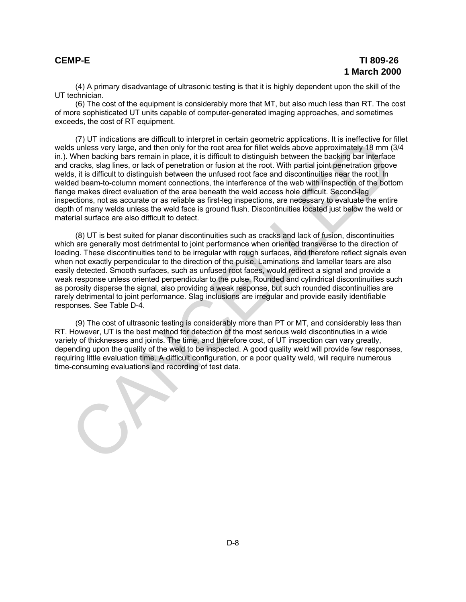(4) A primary disadvantage of ultrasonic testing is that it is highly dependent upon the skill of the UT technician.

(6) The cost of the equipment is considerably more that MT, but also much less than RT. The cost of more sophisticated UT units capable of computer-generated imaging approaches, and sometimes exceeds, the cost of RT equipment.

(7) UT indications are difficult to interpret in certain geometric applications. It is ineffective for fillet welds unless very large, and then only for the root area for fillet welds above approximately 18 mm (3/4 in.). When backing bars remain in place, it is difficult to distinguish between the backing bar interface and cracks, slag lines, or lack of penetration or fusion at the root. With partial joint penetration groove welds, it is difficult to distinguish between the unfused root face and discontinuities near the root. In welded beam-to-column moment connections, the interference of the web with inspection of the bottom flange makes direct evaluation of the area beneath the weld access hole difficult. Second-leg inspections, not as accurate or as reliable as first-leg inspections, are necessary to evaluate the entire depth of many welds unless the weld face is ground flush. Discontinuities located just below the weld or material surface are also difficult to detect. (7) UI indications are a directly to imeprefit in certain geometric applicants. It is interfective for<br>the such system and the individual of the root area for fillel welds above approximately 18 mm (2<br>system backing bars r

(8) UT is best suited for planar discontinuities such as cracks and lack of fusion, discontinuities which are generally most detrimental to joint performance when oriented transverse to the direction of loading. These discontinuities tend to be irregular with rough surfaces, and therefore reflect signals even when not exactly perpendicular to the direction of the pulse. Laminations and lamellar tears are also easily detected. Smooth surfaces, such as unfused root faces, would redirect a signal and provide a weak response unless oriented perpendicular to the pulse. Rounded and cylindrical discontinuities such as porosity disperse the signal, also providing a weak response, but such rounded discontinuities are rarely detrimental to joint performance. Slag inclusions are irregular and provide easily identifiable responses. See Table D-4.

(9) The cost of ultrasonic testing is considerably more than PT or MT, and considerably less than RT. However, UT is the best method for detection of the most serious weld discontinuties in a wide variety of thicknesses and joints. The time, and therefore cost, of UT inspection can vary greatly, depending upon the quality of the weld to be inspected. A good quality weld will provide few responses, requiring little evaluation time. A difficult configuration, or a poor quality weld, will require numerous time-consuming evaluations and recording of test data.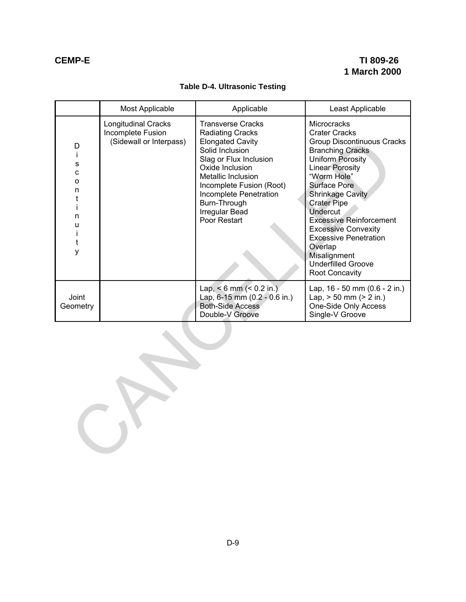## **Table D-4. Ultrasonic Testing**

|                                                                         | Most Applicable                                                            | Applicable                                                                                                                                                                                                                                                                          | Least Applicable                                                                                                                                                                                                                                                                                                                                                                                                                             |  |
|-------------------------------------------------------------------------|----------------------------------------------------------------------------|-------------------------------------------------------------------------------------------------------------------------------------------------------------------------------------------------------------------------------------------------------------------------------------|----------------------------------------------------------------------------------------------------------------------------------------------------------------------------------------------------------------------------------------------------------------------------------------------------------------------------------------------------------------------------------------------------------------------------------------------|--|
| D<br>Ť<br>$\mathbf s$<br>C<br>o<br>n<br>t<br>i<br>n<br>U<br>Ť<br>t<br>y | <b>Longitudinal Cracks</b><br>Incomplete Fusion<br>(Sidewall or Interpass) | <b>Transverse Cracks</b><br><b>Radiating Cracks</b><br><b>Elongated Cavity</b><br>Solid Inclusion<br>Slag or Flux Inclusion<br>Oxide Inclusion<br>Metallic Inclusion<br>Incomplete Fusion (Root)<br>Incomplete Penetration<br>Burn-Through<br><b>Irregular Bead</b><br>Poor Restart | Microcracks<br><b>Crater Cracks</b><br><b>Group Discontinuous Cracks</b><br><b>Branching Cracks</b><br><b>Uniform Porosity</b><br><b>Linear Porosity</b><br>"Worm Hole"<br><b>Surface Pore</b><br><b>Shrinkage Cavity</b><br><b>Crater Pipe</b><br><b>Undercut</b><br><b>Excessive Reinforcement</b><br><b>Excessive Convexity</b><br><b>Excessive Penetration</b><br>Overlap<br>Misalignment<br><b>Underfilled Groove</b><br>Root Concavity |  |
| Joint<br>Geometry                                                       |                                                                            | Lap, $< 6$ mm $(< 0.2$ in.)<br>Lap, 6-15 mm (0.2 - 0.6 in.)<br><b>Both-Side Access</b><br>Double-V Groove                                                                                                                                                                           | Lap, $16 - 50$ mm $(0.6 - 2$ in.)<br>Lap, $> 50$ mm ( $> 2$ in.)<br>One-Side Only Access<br>Single-V Groove                                                                                                                                                                                                                                                                                                                                  |  |
|                                                                         |                                                                            |                                                                                                                                                                                                                                                                                     |                                                                                                                                                                                                                                                                                                                                                                                                                                              |  |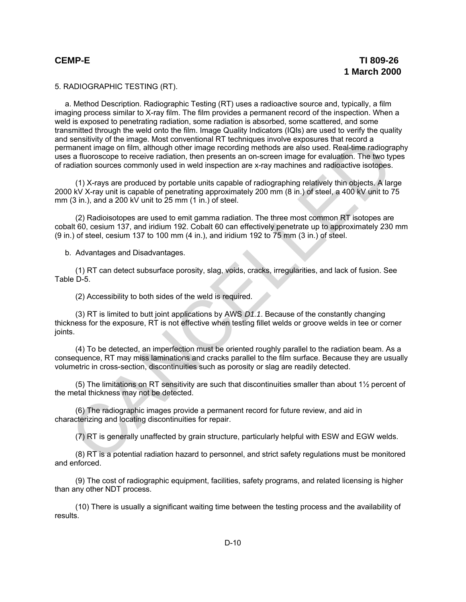5. RADIOGRAPHIC TESTING (RT).

a. Method Description. Radiographic Testing (RT) uses a radioactive source and, typically, a film imaging process similar to X-ray film. The film provides a permanent record of the inspection. When a weld is exposed to penetrating radiation, some radiation is absorbed, some scattered, and some transmitted through the weld onto the film. Image Quality Indicators (IQIs) are used to verify the quality and sensitivity of the image. Most conventional RT techniques involve exposures that record a permanent image on film, although other image recording methods are also used. Real-time radiography uses a fluoroscope to receive radiation, then presents an on-screen image for evaluation. The two types of radiation sources commonly used in weld inspection are x-ray machines and radioactive isotopes. sensitivity of the mage. Most conventional at H techniques movie exposures that records<br>analon mage on film, although other image recording methods are also used. Real-time radiographiation sources commonly used in weld in

(1) X-rays are produced by portable units capable of radiographing relatively thin objects. A large 2000 kV X-ray unit is capable of penetrating approximately 200 mm (8 in.) of steel, a 400 kV unit to 75 mm (3 in.), and a 200 kV unit to 25 mm (1 in.) of steel.

(2) Radioisotopes are used to emit gamma radiation. The three most common RT isotopes are cobalt 60, cesium 137, and iridium 192. Cobalt 60 can effectively penetrate up to approximately 230 mm (9 in.) of steel, cesium 137 to 100 mm (4 in.), and iridium 192 to 75 mm (3 in.) of steel.

b. Advantages and Disadvantages.

(1) RT can detect subsurface porosity, slag, voids, cracks, irregularities, and lack of fusion. See Table D-5.

(2) Accessibility to both sides of the weld is required.

(3) RT is limited to butt joint applications by AWS *D1.1*. Because of the constantly changing thickness for the exposure, RT is not effective when testing fillet welds or groove welds in tee or corner joints.

(4) To be detected, an imperfection must be oriented roughly parallel to the radiation beam. As a consequence, RT may miss laminations and cracks parallel to the film surface. Because they are usually volumetric in cross-section, discontinuities such as porosity or slag are readily detected.

(5) The limitations on RT sensitivity are such that discontinuities smaller than about 1½ percent of the metal thickness may not be detected.

(6) The radiographic images provide a permanent record for future review, and aid in characterizing and locating discontinuities for repair.

(7) RT is generally unaffected by grain structure, particularly helpful with ESW and EGW welds.

(8) RT is a potential radiation hazard to personnel, and strict safety regulations must be monitored and enforced.

(9) The cost of radiographic equipment, facilities, safety programs, and related licensing is higher than any other NDT process.

(10) There is usually a significant waiting time between the testing process and the availability of results.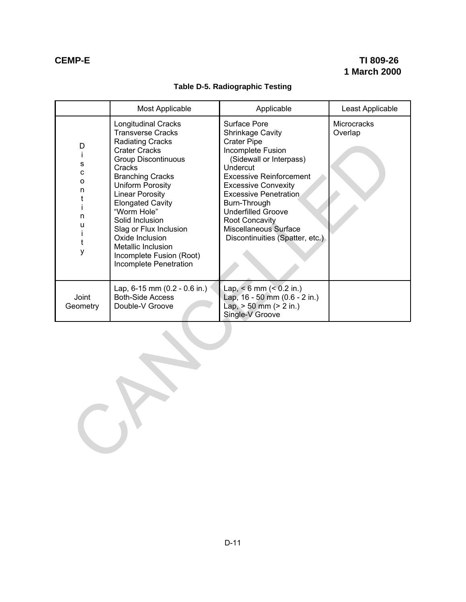## **Table D-5. Radiographic Testing**

|                                                                                                | Most Applicable                                                                                                                                                                                                                                                                                                                                                                                                  | Applicable                                                                                                                                                                                                                                                                                                                                    | Least Applicable       |  |
|------------------------------------------------------------------------------------------------|------------------------------------------------------------------------------------------------------------------------------------------------------------------------------------------------------------------------------------------------------------------------------------------------------------------------------------------------------------------------------------------------------------------|-----------------------------------------------------------------------------------------------------------------------------------------------------------------------------------------------------------------------------------------------------------------------------------------------------------------------------------------------|------------------------|--|
| D<br>j.<br>$\mathbf S$<br>$\mathbf{C}$<br>$\mathsf{o}$<br>n<br>t<br>İ<br>n<br>u<br>Ť<br>t<br>у | <b>Longitudinal Cracks</b><br><b>Transverse Cracks</b><br><b>Radiating Cracks</b><br><b>Crater Cracks</b><br><b>Group Discontinuous</b><br>Cracks<br><b>Branching Cracks</b><br>Uniform Porosity<br><b>Linear Porosity</b><br><b>Elongated Cavity</b><br>"Worm Hole"<br>Solid Inclusion<br>Slag or Flux Inclusion<br>Oxide Inclusion<br>Metallic Inclusion<br>Incomplete Fusion (Root)<br>Incomplete Penetration | Surface Pore<br>Shrinkage Cavity<br><b>Crater Pipe</b><br>Incomplete Fusion<br>(Sidewall or Interpass)<br>Undercut<br><b>Excessive Reinforcement</b><br><b>Excessive Convexity</b><br><b>Excessive Penetration</b><br>Burn-Through<br><b>Underfilled Groove</b><br>Root Concavity<br>Miscellaneous Surface<br>Discontinuities (Spatter, etc.) | Microcracks<br>Overlap |  |
| Joint<br>Geometry                                                                              | Lap, $6-15$ mm $(0.2 - 0.6)$ in.)<br><b>Both-Side Access</b><br>Double-V Groove                                                                                                                                                                                                                                                                                                                                  | Lap, $< 6$ mm $(< 0.2$ in.)<br>Lap, 16 - 50 mm (0.6 - 2 in.)<br>Lap, $> 50$ mm ( $> 2$ in.)<br>Single-V Groove                                                                                                                                                                                                                                |                        |  |
|                                                                                                |                                                                                                                                                                                                                                                                                                                                                                                                                  |                                                                                                                                                                                                                                                                                                                                               |                        |  |